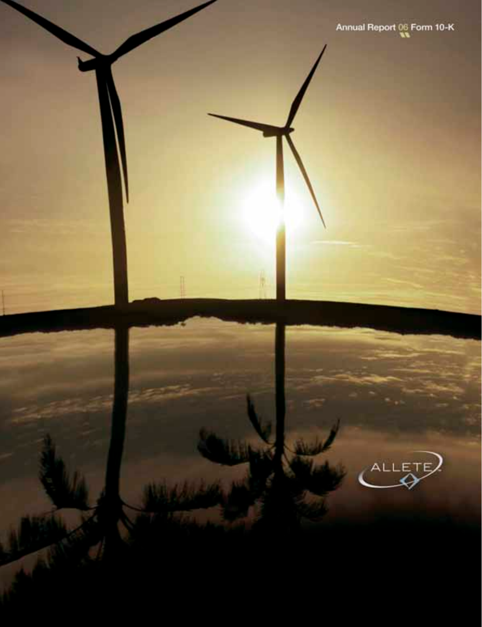



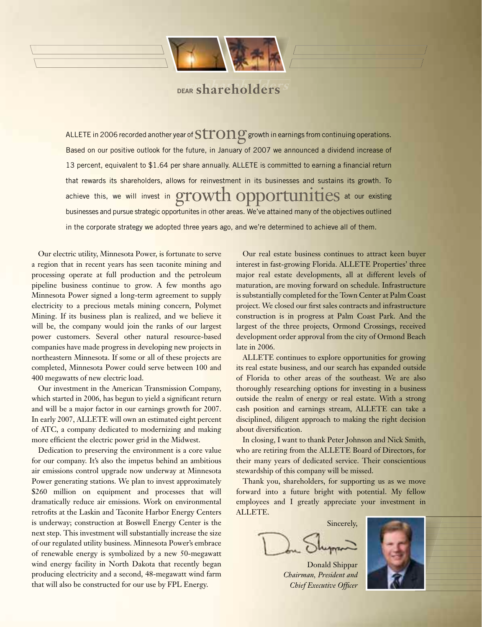

# **DEAR shareholders DEAR shareholders**

ALLETE in 2006 recorded another year of  $\mathbf{STOP}$  growth in earnings from continuing operations. Based on our positive outlook for the future, in January of 2007 we announced a dividend increase of 13 percent, equivalent to \$1.64 per share annually. ALLETE is committed to earning a financial return that rewards its shareholders, allows for reinvestment in its businesses and sustains its growth. To achieve this, we will invest in growth opportunities at our existing businesses and pursue strategic opportunites in other areas. We've attained many of the objectives outlined in the corporate strategy we adopted three years ago, and we're determined to achieve all of them.

Our electric utility, Minnesota Power, is fortunate to serve a region that in recent years has seen taconite mining and processing operate at full production and the petroleum pipeline business continue to grow. A few months ago Minnesota Power signed a long-term agreement to supply electricity to a precious metals mining concern, Polymet Mining. If its business plan is realized, and we believe it will be, the company would join the ranks of our largest power customers. Several other natural resource-based companies have made progress in developing new projects in northeastern Minnesota. If some or all of these projects are completed, Minnesota Power could serve between 100 and 400 megawatts of new electric load.

Our investment in the American Transmission Company, which started in 2006, has begun to yield a significant return and will be a major factor in our earnings growth for 2007. In early 2007, ALLETE will own an estimated eight percent of ATC, a company dedicated to modernizing and making more efficient the electric power grid in the Midwest.

Dedication to preserving the environment is a core value for our company. It's also the impetus behind an ambitious air emissions control upgrade now underway at Minnesota Power generating stations. We plan to invest approximately \$260 million on equipment and processes that will dramatically reduce air emissions. Work on environmental retrofits at the Laskin and Taconite Harbor Energy Centers is underway; construction at Boswell Energy Center is the next step. This investment will substantially increase the size of our regulated utility business. Minnesota Power's embrace of renewable energy is symbolized by a new 50-megawatt wind energy facility in North Dakota that recently began producing electricity and a second, 48-megawatt wind farm that will also be constructed for our use by FPL Energy.

Our real estate business continues to attract keen buyer interest in fast-growing Florida. ALLETE Properties' three major real estate developments, all at different levels of maturation, are moving forward on schedule. Infrastructure is substantially completed for the Town Center at Palm Coast project. We closed our first sales contracts and infrastructure construction is in progress at Palm Coast Park. And the largest of the three projects, Ormond Crossings, received development order approval from the city of Ormond Beach late in 2006.

ALLETE continues to explore opportunities for growing its real estate business, and our search has expanded outside of Florida to other areas of the southeast. We are also thoroughly researching options for investing in a business outside the realm of energy or real estate. With a strong cash position and earnings stream, ALLETE can take a disciplined, diligent approach to making the right decision about diversification.

In closing, I want to thank Peter Johnson and Nick Smith, who are retiring from the ALLETE Board of Directors, for their many years of dedicated service. Their conscientious stewardship of this company will be missed.

Thank you, shareholders, for supporting us as we move forward into a future bright with potential. My fellow employees and I greatly appreciate your investment in ALLETE.

Sincerely,

Donald Shippar *Chairman, President and Chief Executive Officer*

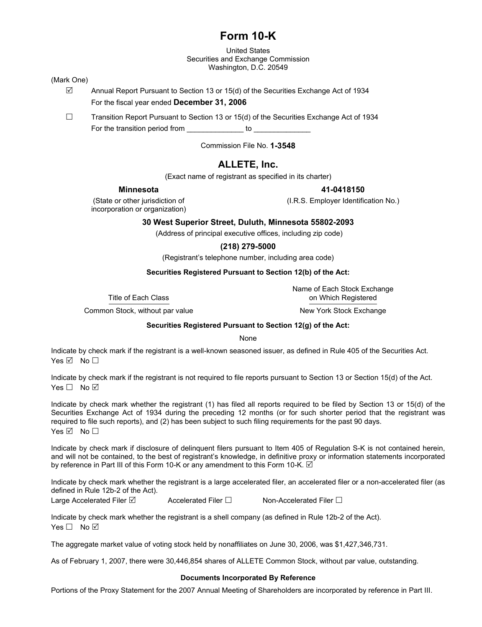# **Form 10-K**

United States Securities and Exchange Commission Washington, D.C. 20549

#### (Mark One)

- $\boxtimes$  Annual Report Pursuant to Section 13 or 15(d) of the Securities Exchange Act of 1934 For the fiscal year ended **December 31, 2006**
- $\Box$  Transition Report Pursuant to Section 13 or 15(d) of the Securities Exchange Act of 1934 For the transition period from example to to to to the transition period from  $\sim$

Commission File No. **1-3548**

# **ALLETE, Inc.**

(Exact name of registrant as specified in its charter)

## **Minnesota 41-0418150**

incorporation or organization)

(State or other jurisdiction of (I.R.S. Employer Identification No.)

# **30 West Superior Street, Duluth, Minnesota 55802-2093**

(Address of principal executive offices, including zip code)

**(218) 279-5000** 

(Registrant's telephone number, including area code)

**Securities Registered Pursuant to Section 12(b) of the Act:** 

 Name of Each Stock Exchange Title of Each Class **Contract Class** on Which Registered

Common Stock, without par value New York Stock Exchange

# **Securities Registered Pursuant to Section 12(g) of the Act:**

None

Indicate by check mark if the registrant is a well-known seasoned issuer, as defined in Rule 405 of the Securities Act.  $Yes \boxtimes No \square$ 

Indicate by check mark if the registrant is not required to file reports pursuant to Section 13 or Section 15(d) of the Act. Yes  $\Box$  No  $\overline{\vee}$ 

Indicate by check mark whether the registrant (1) has filed all reports required to be filed by Section 13 or 15(d) of the Securities Exchange Act of 1934 during the preceding 12 months (or for such shorter period that the registrant was required to file such reports), and (2) has been subject to such filing requirements for the past 90 days. Yes  $\overline{M}$  No  $\overline{\Box}$ 

Indicate by check mark if disclosure of delinquent filers pursuant to Item 405 of Regulation S-K is not contained herein, and will not be contained, to the best of registrant's knowledge, in definitive proxy or information statements incorporated by reference in Part III of this Form 10-K or any amendment to this Form 10-K.  $\boxdot$ 

Indicate by check mark whether the registrant is a large accelerated filer, an accelerated filer or a non-accelerated filer (as defined in Rule 12b-2 of the Act).

Large Accelerated Filer  $\boxdot$  Accelerated Filer  $\Box$  Non-Accelerated Filer  $\Box$ 

Indicate by check mark whether the registrant is a shell company (as defined in Rule 12b-2 of the Act). Yes  $\Box$  No  $\Box$ 

The aggregate market value of voting stock held by nonaffiliates on June 30, 2006, was \$1,427,346,731.

As of February 1, 2007, there were 30,446,854 shares of ALLETE Common Stock, without par value, outstanding.

#### **Documents Incorporated By Reference**

Portions of the Proxy Statement for the 2007 Annual Meeting of Shareholders are incorporated by reference in Part III.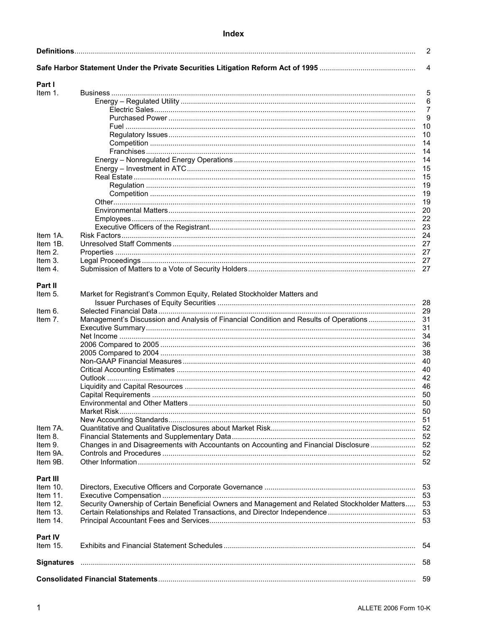#### **Index**

|                   |                                                                                                | $\overline{2}$ |
|-------------------|------------------------------------------------------------------------------------------------|----------------|
|                   |                                                                                                | 4              |
| Part I            |                                                                                                |                |
| Item 1.           |                                                                                                | 5              |
|                   |                                                                                                | 6              |
|                   |                                                                                                | 7              |
|                   |                                                                                                | 9              |
|                   |                                                                                                |                |
|                   |                                                                                                | 10             |
|                   |                                                                                                | 10             |
|                   |                                                                                                | 14             |
|                   |                                                                                                | 14             |
|                   |                                                                                                | 14             |
|                   |                                                                                                | 15             |
|                   |                                                                                                | 15             |
|                   |                                                                                                | 19             |
|                   |                                                                                                | 19             |
|                   |                                                                                                | 19             |
|                   |                                                                                                |                |
|                   |                                                                                                | 20             |
|                   |                                                                                                | 22             |
|                   |                                                                                                | 23             |
| Item 1A.          |                                                                                                | 24             |
| ltem 1B.          |                                                                                                | 27             |
| Item 2.           |                                                                                                | 27             |
| Item 3.           |                                                                                                | 27             |
| ltem 4.           |                                                                                                | 27             |
| Part II           |                                                                                                |                |
| Item 5.           | Market for Registrant's Common Equity, Related Stockholder Matters and                         |                |
|                   |                                                                                                | 28             |
| Item 6.           |                                                                                                | 29             |
| Item 7.           | Management's Discussion and Analysis of Financial Condition and Results of Operations          | 31             |
|                   |                                                                                                | 31             |
|                   |                                                                                                | 34             |
|                   |                                                                                                | 36             |
|                   |                                                                                                | 38             |
|                   |                                                                                                | 40             |
|                   |                                                                                                | 40             |
|                   |                                                                                                | 42             |
|                   |                                                                                                |                |
|                   |                                                                                                | 46             |
|                   |                                                                                                | 50             |
|                   |                                                                                                | 50             |
|                   |                                                                                                |                |
|                   |                                                                                                |                |
| Item 7A.          |                                                                                                | 52             |
| Item 8.           |                                                                                                | 52             |
| ltem 9.           | Changes in and Disagreements with Accountants on Accounting and Financial Disclosure           | -52            |
| Item 9A.          |                                                                                                | -52            |
| Item 9B.          |                                                                                                | 52             |
|                   |                                                                                                |                |
| Part III          |                                                                                                |                |
| Item $10$ .       |                                                                                                | 53             |
| Item $11$ .       |                                                                                                | 53             |
| ltem 12.          | Security Ownership of Certain Beneficial Owners and Management and Related Stockholder Matters | 53             |
| Item $13.$        |                                                                                                | 53             |
| Item $14$ .       |                                                                                                | 53             |
| Part IV           |                                                                                                |                |
| Item $15.$        |                                                                                                | 54             |
| <b>Signatures</b> |                                                                                                | 58             |
|                   |                                                                                                |                |
|                   |                                                                                                | 59             |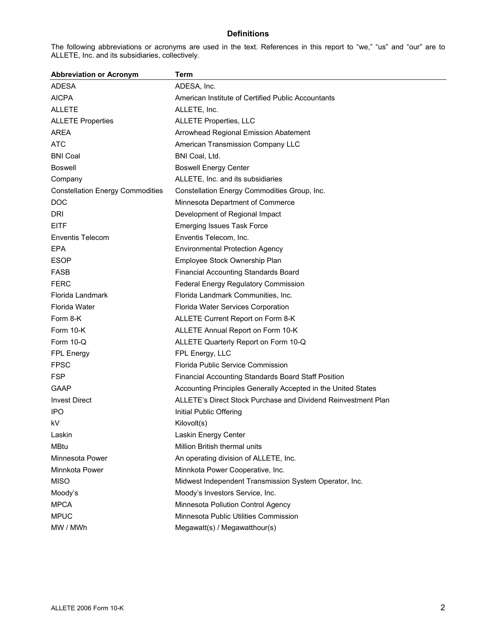# **Definitions**

The following abbreviations or acronyms are used in the text. References in this report to "we," "us" and "our" are to ALLETE, Inc. and its subsidiaries, collectively.

| <b>Abbreviation or Acronym</b>          | <b>Term</b>                                                   |
|-----------------------------------------|---------------------------------------------------------------|
| ADESA                                   | ADESA, Inc.                                                   |
| <b>AICPA</b>                            | American Institute of Certified Public Accountants            |
| <b>ALLETE</b>                           | ALLETE, Inc.                                                  |
| <b>ALLETE Properties</b>                | <b>ALLETE Properties, LLC</b>                                 |
| <b>AREA</b>                             | Arrowhead Regional Emission Abatement                         |
| ATC                                     | American Transmission Company LLC                             |
| <b>BNI Coal</b>                         | BNI Coal, Ltd.                                                |
| <b>Boswell</b>                          | <b>Boswell Energy Center</b>                                  |
| Company                                 | ALLETE, Inc. and its subsidiaries                             |
| <b>Constellation Energy Commodities</b> | Constellation Energy Commodities Group, Inc.                  |
| <b>DOC</b>                              | Minnesota Department of Commerce                              |
| <b>DRI</b>                              | Development of Regional Impact                                |
| <b>EITF</b>                             | <b>Emerging Issues Task Force</b>                             |
| <b>Enventis Telecom</b>                 | Enventis Telecom, Inc.                                        |
| EPA                                     | <b>Environmental Protection Agency</b>                        |
| <b>ESOP</b>                             | Employee Stock Ownership Plan                                 |
| <b>FASB</b>                             | <b>Financial Accounting Standards Board</b>                   |
| <b>FERC</b>                             | Federal Energy Regulatory Commission                          |
| Florida Landmark                        | Florida Landmark Communities, Inc.                            |
| Florida Water                           | Florida Water Services Corporation                            |
| Form 8-K                                | ALLETE Current Report on Form 8-K                             |
| Form 10-K                               | ALLETE Annual Report on Form 10-K                             |
| Form 10-Q                               | ALLETE Quarterly Report on Form 10-Q                          |
| FPL Energy                              | FPL Energy, LLC                                               |
| <b>FPSC</b>                             | Florida Public Service Commission                             |
| <b>FSP</b>                              | <b>Financial Accounting Standards Board Staff Position</b>    |
| <b>GAAP</b>                             | Accounting Principles Generally Accepted in the United States |
| <b>Invest Direct</b>                    | ALLETE's Direct Stock Purchase and Dividend Reinvestment Plan |
| <b>IPO</b>                              | Initial Public Offering                                       |
| kV                                      | Kilovolt(s)                                                   |
| Laskin                                  | Laskin Energy Center                                          |
| MBtu                                    | Million British thermal units                                 |
| Minnesota Power                         | An operating division of ALLETE, Inc.                         |
| Minnkota Power                          | Minnkota Power Cooperative, Inc.                              |
| <b>MISO</b>                             | Midwest Independent Transmission System Operator, Inc.        |
| Moody's                                 | Moody's Investors Service, Inc.                               |
| <b>MPCA</b>                             | Minnesota Pollution Control Agency                            |
| <b>MPUC</b>                             | Minnesota Public Utilities Commission                         |
| MW / MWh                                | Megawatt(s) / Megawatthour(s)                                 |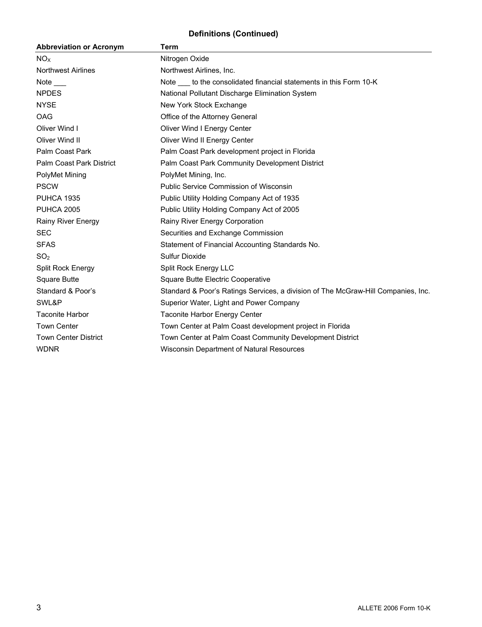# **Definitions (Continued)**

| <b>Abbreviation or Acronym</b> | <b>Term</b>                                                                       |
|--------------------------------|-----------------------------------------------------------------------------------|
| NO <sub>x</sub>                | Nitrogen Oxide                                                                    |
| <b>Northwest Airlines</b>      | Northwest Airlines, Inc.                                                          |
| Note                           | Note to the consolidated financial statements in this Form 10-K                   |
| <b>NPDES</b>                   | National Pollutant Discharge Elimination System                                   |
| <b>NYSE</b>                    | New York Stock Exchange                                                           |
| <b>OAG</b>                     | Office of the Attorney General                                                    |
| Oliver Wind I                  | Oliver Wind I Energy Center                                                       |
| Oliver Wind II                 | Oliver Wind II Energy Center                                                      |
| Palm Coast Park                | Palm Coast Park development project in Florida                                    |
| Palm Coast Park District       | Palm Coast Park Community Development District                                    |
| PolyMet Mining                 | PolyMet Mining, Inc.                                                              |
| <b>PSCW</b>                    | <b>Public Service Commission of Wisconsin</b>                                     |
| <b>PUHCA 1935</b>              | Public Utility Holding Company Act of 1935                                        |
| <b>PUHCA 2005</b>              | Public Utility Holding Company Act of 2005                                        |
| Rainy River Energy             | Rainy River Energy Corporation                                                    |
| <b>SEC</b>                     | Securities and Exchange Commission                                                |
| <b>SFAS</b>                    | Statement of Financial Accounting Standards No.                                   |
| SO <sub>2</sub>                | Sulfur Dioxide                                                                    |
| <b>Split Rock Energy</b>       | Split Rock Energy LLC                                                             |
| Square Butte                   | Square Butte Electric Cooperative                                                 |
| Standard & Poor's              | Standard & Poor's Ratings Services, a division of The McGraw-Hill Companies, Inc. |
| SWL&P                          | Superior Water, Light and Power Company                                           |
| <b>Taconite Harbor</b>         | <b>Taconite Harbor Energy Center</b>                                              |
| <b>Town Center</b>             | Town Center at Palm Coast development project in Florida                          |
| <b>Town Center District</b>    | Town Center at Palm Coast Community Development District                          |
| <b>WDNR</b>                    | Wisconsin Department of Natural Resources                                         |
|                                |                                                                                   |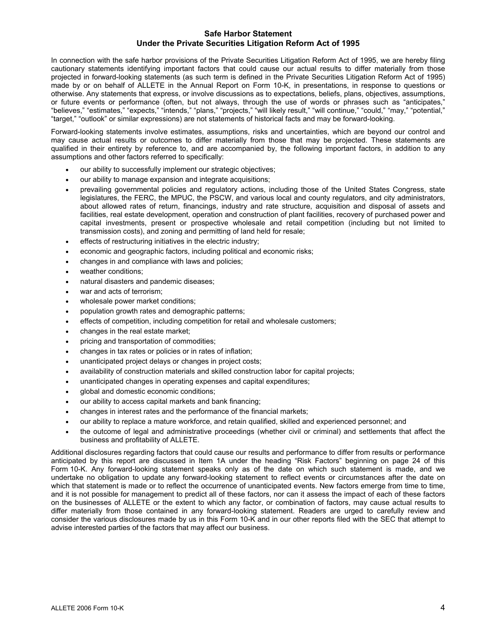# **Safe Harbor Statement Under the Private Securities Litigation Reform Act of 1995**

In connection with the safe harbor provisions of the Private Securities Litigation Reform Act of 1995, we are hereby filing cautionary statements identifying important factors that could cause our actual results to differ materially from those projected in forward-looking statements (as such term is defined in the Private Securities Litigation Reform Act of 1995) made by or on behalf of ALLETE in the Annual Report on Form 10-K, in presentations, in response to questions or otherwise. Any statements that express, or involve discussions as to expectations, beliefs, plans, objectives, assumptions, or future events or performance (often, but not always, through the use of words or phrases such as "anticipates," "believes," "estimates," "expects," "intends," "plans," "projects," "will likely result," "will continue," "could," "may," "potential," "target," "outlook" or similar expressions) are not statements of historical facts and may be forward-looking.

Forward-looking statements involve estimates, assumptions, risks and uncertainties, which are beyond our control and may cause actual results or outcomes to differ materially from those that may be projected. These statements are qualified in their entirety by reference to, and are accompanied by, the following important factors, in addition to any assumptions and other factors referred to specifically:

- our ability to successfully implement our strategic objectives;
- our ability to manage expansion and integrate acquisitions;
- prevailing governmental policies and regulatory actions, including those of the United States Congress, state legislatures, the FERC, the MPUC, the PSCW, and various local and county regulators, and city administrators, about allowed rates of return, financings, industry and rate structure, acquisition and disposal of assets and facilities, real estate development, operation and construction of plant facilities, recovery of purchased power and capital investments, present or prospective wholesale and retail competition (including but not limited to transmission costs), and zoning and permitting of land held for resale;
- effects of restructuring initiatives in the electric industry;
- economic and geographic factors, including political and economic risks;
- changes in and compliance with laws and policies;
- weather conditions;
- natural disasters and pandemic diseases;
- war and acts of terrorism;
- wholesale power market conditions;
- population growth rates and demographic patterns;
- effects of competition, including competition for retail and wholesale customers;
- changes in the real estate market;
- pricing and transportation of commodities;
- changes in tax rates or policies or in rates of inflation;
- unanticipated project delays or changes in project costs;
- availability of construction materials and skilled construction labor for capital projects;
- unanticipated changes in operating expenses and capital expenditures;
- global and domestic economic conditions;
- our ability to access capital markets and bank financing;
- changes in interest rates and the performance of the financial markets;
- our ability to replace a mature workforce, and retain qualified, skilled and experienced personnel; and
- the outcome of legal and administrative proceedings (whether civil or criminal) and settlements that affect the business and profitability of ALLETE.

Additional disclosures regarding factors that could cause our results and performance to differ from results or performance anticipated by this report are discussed in Item 1A under the heading "Risk Factors" beginning on page 24 of this Form 10-K. Any forward-looking statement speaks only as of the date on which such statement is made, and we undertake no obligation to update any forward-looking statement to reflect events or circumstances after the date on which that statement is made or to reflect the occurrence of unanticipated events. New factors emerge from time to time, and it is not possible for management to predict all of these factors, nor can it assess the impact of each of these factors on the businesses of ALLETE or the extent to which any factor, or combination of factors, may cause actual results to differ materially from those contained in any forward-looking statement. Readers are urged to carefully review and consider the various disclosures made by us in this Form 10-K and in our other reports filed with the SEC that attempt to advise interested parties of the factors that may affect our business.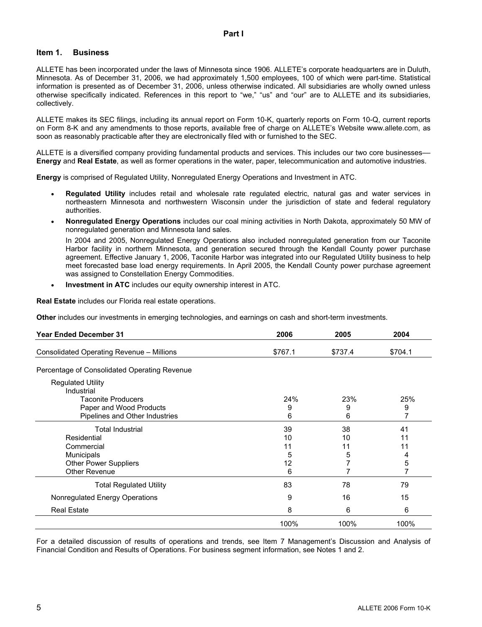#### **Item 1. Business**

ALLETE has been incorporated under the laws of Minnesota since 1906. ALLETE's corporate headquarters are in Duluth, Minnesota. As of December 31, 2006, we had approximately 1,500 employees, 100 of which were part-time. Statistical information is presented as of December 31, 2006, unless otherwise indicated. All subsidiaries are wholly owned unless otherwise specifically indicated. References in this report to "we," "us" and "our" are to ALLETE and its subsidiaries, collectively.

ALLETE makes its SEC filings, including its annual report on Form 10-K, quarterly reports on Form 10-Q, current reports on Form 8-K and any amendments to those reports, available free of charge on ALLETE's Website www.allete.com, as soon as reasonably practicable after they are electronically filed with or furnished to the SEC.

ALLETE is a diversified company providing fundamental products and services. This includes our two core businesses–– **Energy** and **Real Estate**, as well as former operations in the water, paper, telecommunication and automotive industries.

**Energy** is comprised of Regulated Utility, Nonregulated Energy Operations and Investment in ATC.

- **Regulated Utility** includes retail and wholesale rate regulated electric, natural gas and water services in northeastern Minnesota and northwestern Wisconsin under the jurisdiction of state and federal regulatory authorities.
- **Nonregulated Energy Operations** includes our coal mining activities in North Dakota, approximately 50 MW of nonregulated generation and Minnesota land sales.

In 2004 and 2005, Nonregulated Energy Operations also included nonregulated generation from our Taconite Harbor facility in northern Minnesota, and generation secured through the Kendall County power purchase agreement. Effective January 1, 2006, Taconite Harbor was integrated into our Regulated Utility business to help meet forecasted base load energy requirements. In April 2005, the Kendall County power purchase agreement was assigned to Constellation Energy Commodities.

**Investment in ATC** includes our equity ownership interest in ATC.

**Real Estate** includes our Florida real estate operations.

**Other** includes our investments in emerging technologies, and earnings on cash and short-term investments.

| <b>Year Ended December 31</b>                | 2006    | 2005    | 2004    |
|----------------------------------------------|---------|---------|---------|
| Consolidated Operating Revenue - Millions    | \$767.1 | \$737.4 | \$704.1 |
| Percentage of Consolidated Operating Revenue |         |         |         |
| <b>Regulated Utility</b><br>Industrial       |         |         |         |
| <b>Taconite Producers</b>                    | 24%     | 23%     | 25%     |
| Paper and Wood Products                      | 9       | 9       | 9       |
| Pipelines and Other Industries               | 6       | 6       | 7       |
| <b>Total Industrial</b>                      | 39      | 38      | 41      |
| Residential                                  | 10      | 10      | 11      |
| Commercial                                   | 11      | 11      | 11      |
| <b>Municipals</b>                            | 5       | 5       | 4       |
| <b>Other Power Suppliers</b>                 | 12      |         | 5       |
| Other Revenue                                | 6       |         | 7       |
| <b>Total Regulated Utility</b>               | 83      | 78      | 79      |
| Nonregulated Energy Operations               | 9       | 16      | 15      |
| <b>Real Estate</b>                           | 8       | 6       | 6       |
|                                              | 100%    | 100%    | 100%    |

For a detailed discussion of results of operations and trends, see Item 7 Management's Discussion and Analysis of Financial Condition and Results of Operations. For business segment information, see Notes 1 and 2.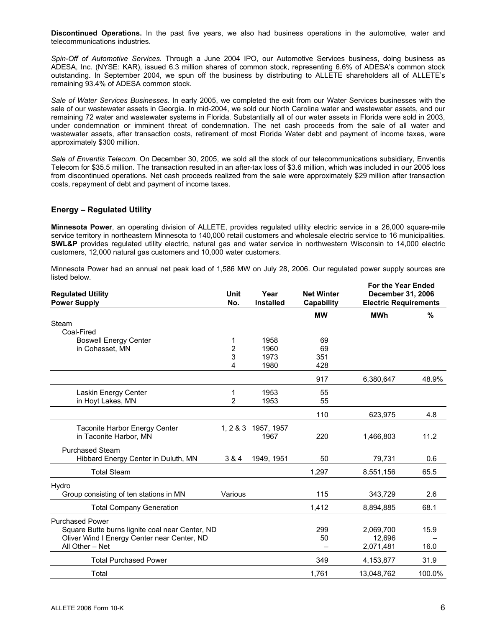**Discontinued Operations.** In the past five years, we also had business operations in the automotive, water and telecommunications industries.

*Spin-Off of Automotive Services.* Through a June 2004 IPO, our Automotive Services business, doing business as ADESA, Inc. (NYSE: KAR), issued 6.3 million shares of common stock, representing 6.6% of ADESA's common stock outstanding. In September 2004, we spun off the business by distributing to ALLETE shareholders all of ALLETE's remaining 93.4% of ADESA common stock.

*Sale of Water Services Businesses.* In early 2005, we completed the exit from our Water Services businesses with the sale of our wastewater assets in Georgia. In mid-2004, we sold our North Carolina water and wastewater assets, and our remaining 72 water and wastewater systems in Florida. Substantially all of our water assets in Florida were sold in 2003, under condemnation or imminent threat of condemnation. The net cash proceeds from the sale of all water and wastewater assets, after transaction costs, retirement of most Florida Water debt and payment of income taxes, were approximately \$300 million.

*Sale of Enventis Telecom.* On December 30, 2005, we sold all the stock of our telecommunications subsidiary, Enventis Telecom for \$35.5 million. The transaction resulted in an after-tax loss of \$3.6 million, which was included in our 2005 loss from discontinued operations. Net cash proceeds realized from the sale were approximately \$29 million after transaction costs, repayment of debt and payment of income taxes.

#### **Energy – Regulated Utility**

**Minnesota Power**, an operating division of ALLETE, provides regulated utility electric service in a 26,000 square-mile service territory in northeastern Minnesota to 140,000 retail customers and wholesale electric service to 16 municipalities. **SWL&P** provides regulated utility electric, natural gas and water service in northwestern Wisconsin to 14,000 electric customers, 12,000 natural gas customers and 10,000 water customers.

Minnesota Power had an annual net peak load of 1,586 MW on July 28, 2006. Our regulated power supply sources are listed below.

| <b>Unit</b><br>Year<br>No.<br><b>Installed</b> |                                                                          | <b>Net Winter</b><br>Capability                     | For the Year Ended<br><b>December 31, 2006</b><br><b>Electric Requirements</b> |               |
|------------------------------------------------|--------------------------------------------------------------------------|-----------------------------------------------------|--------------------------------------------------------------------------------|---------------|
|                                                |                                                                          | <b>MW</b>                                           | <b>MWh</b>                                                                     | $\frac{0}{0}$ |
|                                                |                                                                          |                                                     |                                                                                |               |
|                                                |                                                                          |                                                     |                                                                                |               |
| 1                                              |                                                                          |                                                     |                                                                                |               |
|                                                |                                                                          |                                                     |                                                                                |               |
|                                                |                                                                          |                                                     |                                                                                |               |
|                                                |                                                                          |                                                     |                                                                                |               |
|                                                |                                                                          | 917                                                 | 6,380,647                                                                      | 48.9%         |
| 1                                              | 1953                                                                     | 55                                                  |                                                                                |               |
| $\overline{2}$                                 | 1953                                                                     | 55                                                  |                                                                                |               |
|                                                |                                                                          | 110                                                 | 623,975                                                                        | 4.8           |
|                                                |                                                                          |                                                     |                                                                                |               |
|                                                | 1967                                                                     | 220                                                 | 1,466,803                                                                      | 11.2          |
|                                                |                                                                          |                                                     |                                                                                |               |
| 3 & 4                                          | 1949, 1951                                                               | 50                                                  | 79,731                                                                         | 0.6           |
|                                                |                                                                          | 1,297                                               | 8,551,156                                                                      | 65.5          |
|                                                |                                                                          |                                                     |                                                                                |               |
| Various                                        |                                                                          | 115                                                 | 343,729                                                                        | 2.6           |
|                                                |                                                                          | 1,412                                               | 8,894,885                                                                      | 68.1          |
|                                                |                                                                          |                                                     |                                                                                |               |
|                                                |                                                                          | 299                                                 |                                                                                | 15.9          |
|                                                |                                                                          | 50                                                  | 12.696                                                                         |               |
|                                                |                                                                          |                                                     | 2,071,481                                                                      | 16.0          |
|                                                |                                                                          | 349                                                 | 4,153,877                                                                      | 31.9          |
|                                                |                                                                          | 1,761                                               | 13,048,762                                                                     | 100.0%        |
|                                                | 2<br>$\mathsf 3$<br>4<br>Square Butte burns lignite coal near Center, ND | 1958<br>1960<br>1973<br>1980<br>1, 2 & 3 1957, 1957 | 69<br>69<br>351<br>428                                                         | 2,069,700     |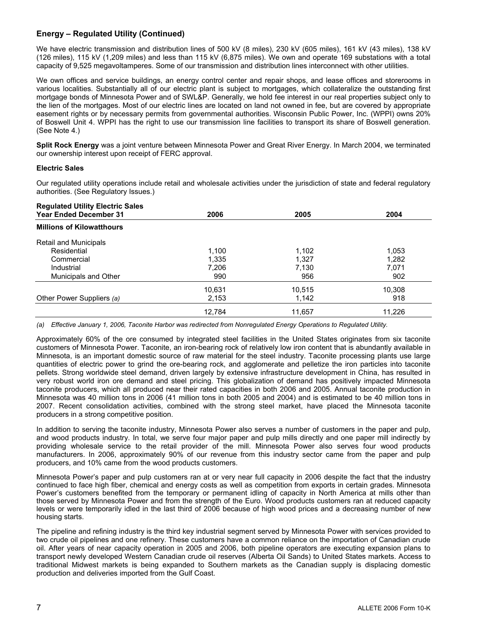We have electric transmission and distribution lines of 500 kV (8 miles), 230 kV (605 miles), 161 kV (43 miles), 138 kV (126 miles), 115 kV (1,209 miles) and less than 115 kV (6,875 miles). We own and operate 169 substations with a total capacity of 9,525 megavoltamperes. Some of our transmission and distribution lines interconnect with other utilities.

We own offices and service buildings, an energy control center and repair shops, and lease offices and storerooms in various localities. Substantially all of our electric plant is subject to mortgages, which collateralize the outstanding first mortgage bonds of Minnesota Power and of SWL&P. Generally, we hold fee interest in our real properties subject only to the lien of the mortgages. Most of our electric lines are located on land not owned in fee, but are covered by appropriate easement rights or by necessary permits from governmental authorities. Wisconsin Public Power, Inc. (WPPI) owns 20% of Boswell Unit 4. WPPI has the right to use our transmission line facilities to transport its share of Boswell generation. (See Note 4.)

**Split Rock Energy** was a joint venture between Minnesota Power and Great River Energy. In March 2004, we terminated our ownership interest upon receipt of FERC approval.

#### **Electric Sales**

Our regulated utility operations include retail and wholesale activities under the jurisdiction of state and federal regulatory authorities. (See Regulatory Issues.)

| <b>Regulated Utility Electric Sales</b><br><b>Year Ended December 31</b> | 2006   | 2005   | 2004   |
|--------------------------------------------------------------------------|--------|--------|--------|
| <b>Millions of Kilowatthours</b>                                         |        |        |        |
| Retail and Municipals                                                    |        |        |        |
| Residential                                                              | 1,100  | 1,102  | 1,053  |
| Commercial                                                               | 1,335  | 1,327  | 1,282  |
| Industrial                                                               | 7,206  | 7,130  | 7.071  |
| Municipals and Other                                                     | 990    | 956    | 902    |
|                                                                          | 10,631 | 10,515 | 10,308 |
| Other Power Suppliers (a)                                                | 2,153  | 1,142  | 918    |
|                                                                          | 12.784 | 11,657 | 11,226 |

*(a) Effective January 1, 2006, Taconite Harbor was redirected from Nonregulated Energy Operations to Regulated Utility.* 

Approximately 60% of the ore consumed by integrated steel facilities in the United States originates from six taconite customers of Minnesota Power. Taconite, an iron-bearing rock of relatively low iron content that is abundantly available in Minnesota, is an important domestic source of raw material for the steel industry. Taconite processing plants use large quantities of electric power to grind the ore-bearing rock, and agglomerate and pelletize the iron particles into taconite pellets. Strong worldwide steel demand, driven largely by extensive infrastructure development in China, has resulted in very robust world iron ore demand and steel pricing. This globalization of demand has positively impacted Minnesota taconite producers, which all produced near their rated capacities in both 2006 and 2005. Annual taconite production in Minnesota was 40 million tons in 2006 (41 million tons in both 2005 and 2004) and is estimated to be 40 million tons in 2007. Recent consolidation activities, combined with the strong steel market, have placed the Minnesota taconite producers in a strong competitive position.

In addition to serving the taconite industry, Minnesota Power also serves a number of customers in the paper and pulp, and wood products industry. In total, we serve four major paper and pulp mills directly and one paper mill indirectly by providing wholesale service to the retail provider of the mill. Minnesota Power also serves four wood products manufacturers. In 2006, approximately 90% of our revenue from this industry sector came from the paper and pulp producers, and 10% came from the wood products customers.

Minnesota Power's paper and pulp customers ran at or very near full capacity in 2006 despite the fact that the industry continued to face high fiber, chemical and energy costs as well as competition from exports in certain grades. Minnesota Power's customers benefited from the temporary or permanent idling of capacity in North America at mills other than those served by Minnesota Power and from the strength of the Euro. Wood products customers ran at reduced capacity levels or were temporarily idled in the last third of 2006 because of high wood prices and a decreasing number of new housing starts.

The pipeline and refining industry is the third key industrial segment served by Minnesota Power with services provided to two crude oil pipelines and one refinery. These customers have a common reliance on the importation of Canadian crude oil. After years of near capacity operation in 2005 and 2006, both pipeline operators are executing expansion plans to transport newly developed Western Canadian crude oil reserves (Alberta Oil Sands) to United States markets. Access to traditional Midwest markets is being expanded to Southern markets as the Canadian supply is displacing domestic production and deliveries imported from the Gulf Coast.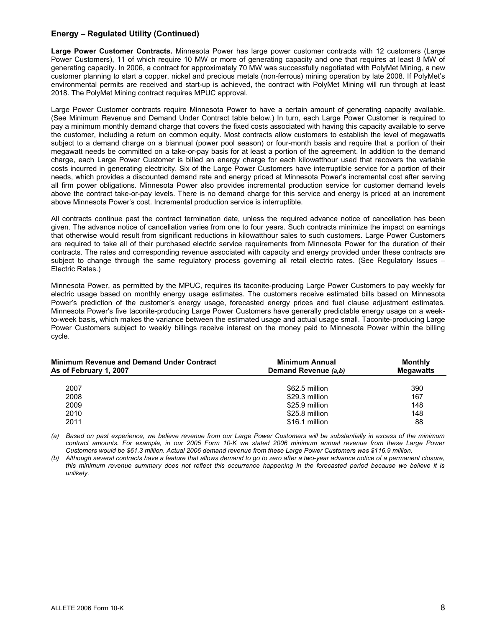**Large Power Customer Contracts.** Minnesota Power has large power customer contracts with 12 customers (Large Power Customers), 11 of which require 10 MW or more of generating capacity and one that requires at least 8 MW of generating capacity. In 2006, a contract for approximately 70 MW was successfully negotiated with PolyMet Mining, a new customer planning to start a copper, nickel and precious metals (non-ferrous) mining operation by late 2008. If PolyMet's environmental permits are received and start-up is achieved, the contract with PolyMet Mining will run through at least 2018. The PolyMet Mining contract requires MPUC approval.

Large Power Customer contracts require Minnesota Power to have a certain amount of generating capacity available. (See Minimum Revenue and Demand Under Contract table below.) In turn, each Large Power Customer is required to pay a minimum monthly demand charge that covers the fixed costs associated with having this capacity available to serve the customer, including a return on common equity. Most contracts allow customers to establish the level of megawatts subject to a demand charge on a biannual (power pool season) or four-month basis and require that a portion of their megawatt needs be committed on a take-or-pay basis for at least a portion of the agreement. In addition to the demand charge, each Large Power Customer is billed an energy charge for each kilowatthour used that recovers the variable costs incurred in generating electricity. Six of the Large Power Customers have interruptible service for a portion of their needs, which provides a discounted demand rate and energy priced at Minnesota Power's incremental cost after serving all firm power obligations. Minnesota Power also provides incremental production service for customer demand levels above the contract take-or-pay levels. There is no demand charge for this service and energy is priced at an increment above Minnesota Power's cost. Incremental production service is interruptible.

All contracts continue past the contract termination date, unless the required advance notice of cancellation has been given. The advance notice of cancellation varies from one to four years. Such contracts minimize the impact on earnings that otherwise would result from significant reductions in kilowatthour sales to such customers. Large Power Customers are required to take all of their purchased electric service requirements from Minnesota Power for the duration of their contracts. The rates and corresponding revenue associated with capacity and energy provided under these contracts are subject to change through the same regulatory process governing all retail electric rates. (See Regulatory Issues – Electric Rates.)

Minnesota Power, as permitted by the MPUC, requires its taconite-producing Large Power Customers to pay weekly for electric usage based on monthly energy usage estimates. The customers receive estimated bills based on Minnesota Power's prediction of the customer's energy usage, forecasted energy prices and fuel clause adjustment estimates. Minnesota Power's five taconite-producing Large Power Customers have generally predictable energy usage on a weekto-week basis, which makes the variance between the estimated usage and actual usage small. Taconite-producing Large Power Customers subject to weekly billings receive interest on the money paid to Minnesota Power within the billing cycle.

| Minimum Annual<br>Demand Revenue (a,b) | <b>Monthly</b><br><b>Megawatts</b> |  |
|----------------------------------------|------------------------------------|--|
|                                        | 390                                |  |
| \$29.3 million                         | 167                                |  |
| \$25.9 million                         | 148                                |  |
| \$25.8 million                         | 148                                |  |
| \$16.1 million                         | 88                                 |  |
|                                        | \$62.5 million                     |  |

*(a) Based on past experience, we believe revenue from our Large Power Customers will be substantially in excess of the minimum contract amounts. For example, in our 2005 Form 10-K we stated 2006 minimum annual revenue from these Large Power Customers would be \$61.3 million. Actual 2006 demand revenue from these Large Power Customers was \$116.9 million.* 

*(b) Although several contracts have a feature that allows demand to go to zero after a two-year advance notice of a permanent closure, this minimum revenue summary does not reflect this occurrence happening in the forecasted period because we believe it is unlikely.*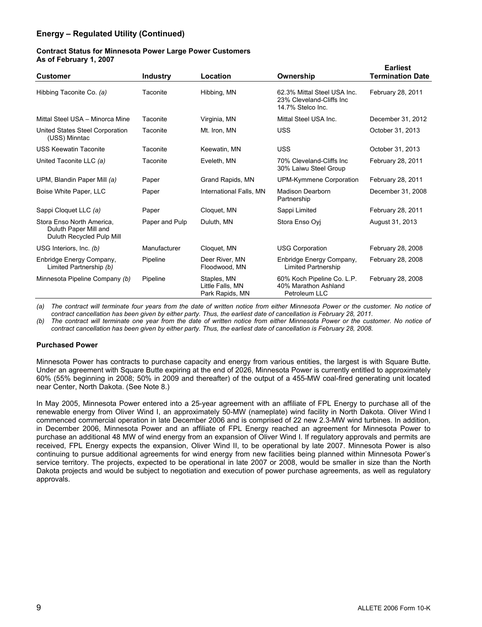#### **Contract Status for Minnesota Power Large Power Customers As of February 1, 2007**

|                                                                                 |                 |                                                    |                                                                              | <b>Earliest</b>         |
|---------------------------------------------------------------------------------|-----------------|----------------------------------------------------|------------------------------------------------------------------------------|-------------------------|
| <b>Customer</b>                                                                 | <b>Industry</b> | Location                                           | Ownership                                                                    | <b>Termination Date</b> |
| Hibbing Taconite Co. (a)                                                        | Taconite        | Hibbing, MN                                        | 62.3% Mittal Steel USA Inc.<br>23% Cleveland-Cliffs Inc<br>14.7% Stelco Inc. | February 28, 2011       |
| Mittal Steel USA - Minorca Mine                                                 | Taconite        | Virginia, MN                                       | Mittal Steel USA Inc.                                                        | December 31, 2012       |
| United States Steel Corporation<br>(USS) Minntac                                | Taconite        | Mt. Iron, MN                                       | <b>USS</b>                                                                   | October 31, 2013        |
| <b>USS Keewatin Taconite</b>                                                    | Taconite        | Keewatin, MN                                       | <b>USS</b>                                                                   | October 31, 2013        |
| United Taconite LLC (a)                                                         | Taconite        | Eveleth, MN                                        | 70% Cleveland-Cliffs Inc<br>30% Laiwu Steel Group                            | February 28, 2011       |
| UPM, Blandin Paper Mill (a)                                                     | Paper           | Grand Rapids, MN                                   | UPM-Kymmene Corporation                                                      | February 28, 2011       |
| Boise White Paper, LLC                                                          | Paper           | International Falls, MN                            | <b>Madison Dearborn</b><br>Partnership                                       | December 31, 2008       |
| Sappi Cloquet LLC (a)                                                           | Paper           | Cloquet, MN                                        | Sappi Limited                                                                | February 28, 2011       |
| Stora Enso North America,<br>Duluth Paper Mill and<br>Duluth Recycled Pulp Mill | Paper and Pulp  | Duluth, MN                                         | Stora Enso Ovi                                                               | August 31, 2013         |
| USG Interiors, Inc. (b)                                                         | Manufacturer    | Cloquet, MN                                        | <b>USG Corporation</b>                                                       | February 28, 2008       |
| Enbridge Energy Company,<br>Limited Partnership (b)                             | Pipeline        | Deer River, MN<br>Floodwood, MN                    | Enbridge Energy Company,<br>Limited Partnership                              | February 28, 2008       |
| Minnesota Pipeline Company (b)                                                  | Pipeline        | Staples, MN<br>Little Falls, MN<br>Park Rapids, MN | 60% Koch Pipeline Co. L.P.<br>40% Marathon Ashland<br>Petroleum LLC          | February 28, 2008       |

*(a) The contract will terminate four years from the date of written notice from either Minnesota Power or the customer. No notice of*  contract cancellation has been given by either party. Thus, the earliest date of cancellation is February 28, 2011.

*(b) The contract will terminate one year from the date of written notice from either Minnesota Power or the customer. No notice of*  contract cancellation has been given by either party. Thus, the earliest date of cancellation is February 28, 2008.

#### **Purchased Power**

Minnesota Power has contracts to purchase capacity and energy from various entities, the largest is with Square Butte. Under an agreement with Square Butte expiring at the end of 2026, Minnesota Power is currently entitled to approximately 60% (55% beginning in 2008; 50% in 2009 and thereafter) of the output of a 455-MW coal-fired generating unit located near Center, North Dakota. (See Note 8.)

In May 2005, Minnesota Power entered into a 25-year agreement with an affiliate of FPL Energy to purchase all of the renewable energy from Oliver Wind I, an approximately 50-MW (nameplate) wind facility in North Dakota. Oliver Wind I commenced commercial operation in late December 2006 and is comprised of 22 new 2.3-MW wind turbines. In addition, in December 2006, Minnesota Power and an affiliate of FPL Energy reached an agreement for Minnesota Power to purchase an additional 48 MW of wind energy from an expansion of Oliver Wind I. If regulatory approvals and permits are received, FPL Energy expects the expansion, Oliver Wind II, to be operational by late 2007. Minnesota Power is also continuing to pursue additional agreements for wind energy from new facilities being planned within Minnesota Power's service territory. The projects, expected to be operational in late 2007 or 2008, would be smaller in size than the North Dakota projects and would be subject to negotiation and execution of power purchase agreements, as well as regulatory approvals.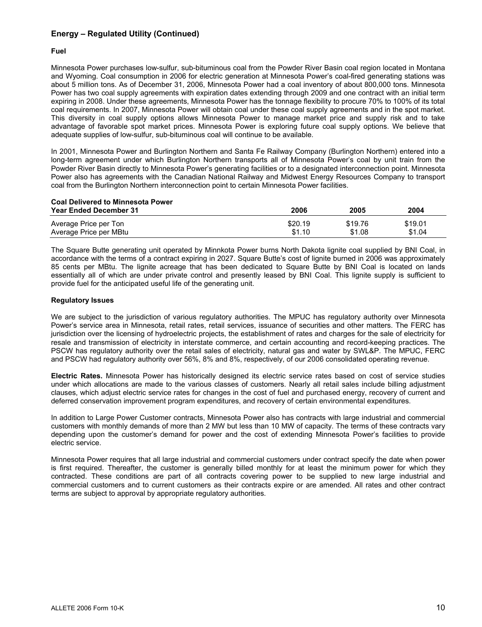#### **Fuel**

Minnesota Power purchases low-sulfur, sub-bituminous coal from the Powder River Basin coal region located in Montana and Wyoming. Coal consumption in 2006 for electric generation at Minnesota Power's coal-fired generating stations was about 5 million tons. As of December 31, 2006, Minnesota Power had a coal inventory of about 800,000 tons. Minnesota Power has two coal supply agreements with expiration dates extending through 2009 and one contract with an initial term expiring in 2008. Under these agreements, Minnesota Power has the tonnage flexibility to procure 70% to 100% of its total coal requirements. In 2007, Minnesota Power will obtain coal under these coal supply agreements and in the spot market. This diversity in coal supply options allows Minnesota Power to manage market price and supply risk and to take advantage of favorable spot market prices. Minnesota Power is exploring future coal supply options. We believe that adequate supplies of low-sulfur, sub-bituminous coal will continue to be available.

In 2001, Minnesota Power and Burlington Northern and Santa Fe Railway Company (Burlington Northern) entered into a long-term agreement under which Burlington Northern transports all of Minnesota Power's coal by unit train from the Powder River Basin directly to Minnesota Power's generating facilities or to a designated interconnection point. Minnesota Power also has agreements with the Canadian National Railway and Midwest Energy Resources Company to transport coal from the Burlington Northern interconnection point to certain Minnesota Power facilities.

# **Coal Delivered to Minnesota Power**

| <b>Year Ended December 31</b>                   | 2006              | 2005              | 2004              |
|-------------------------------------------------|-------------------|-------------------|-------------------|
| Average Price per Ton<br>Average Price per MBtu | \$20.19<br>\$1.10 | \$19.76<br>\$1.08 | \$19.01<br>\$1.04 |
|                                                 |                   |                   |                   |

The Square Butte generating unit operated by Minnkota Power burns North Dakota lignite coal supplied by BNI Coal, in accordance with the terms of a contract expiring in 2027. Square Butte's cost of lignite burned in 2006 was approximately 85 cents per MBtu. The lignite acreage that has been dedicated to Square Butte by BNI Coal is located on lands essentially all of which are under private control and presently leased by BNI Coal. This lignite supply is sufficient to provide fuel for the anticipated useful life of the generating unit.

#### **Regulatory Issues**

We are subject to the jurisdiction of various regulatory authorities. The MPUC has regulatory authority over Minnesota Power's service area in Minnesota, retail rates, retail services, issuance of securities and other matters. The FERC has jurisdiction over the licensing of hydroelectric projects, the establishment of rates and charges for the sale of electricity for resale and transmission of electricity in interstate commerce, and certain accounting and record-keeping practices. The PSCW has regulatory authority over the retail sales of electricity, natural gas and water by SWL&P. The MPUC, FERC and PSCW had regulatory authority over 56%, 8% and 8%, respectively, of our 2006 consolidated operating revenue.

**Electric Rates.** Minnesota Power has historically designed its electric service rates based on cost of service studies under which allocations are made to the various classes of customers. Nearly all retail sales include billing adjustment clauses, which adjust electric service rates for changes in the cost of fuel and purchased energy, recovery of current and deferred conservation improvement program expenditures, and recovery of certain environmental expenditures.

In addition to Large Power Customer contracts, Minnesota Power also has contracts with large industrial and commercial customers with monthly demands of more than 2 MW but less than 10 MW of capacity. The terms of these contracts vary depending upon the customer's demand for power and the cost of extending Minnesota Power's facilities to provide electric service.

Minnesota Power requires that all large industrial and commercial customers under contract specify the date when power is first required. Thereafter, the customer is generally billed monthly for at least the minimum power for which they contracted. These conditions are part of all contracts covering power to be supplied to new large industrial and commercial customers and to current customers as their contracts expire or are amended. All rates and other contract terms are subject to approval by appropriate regulatory authorities.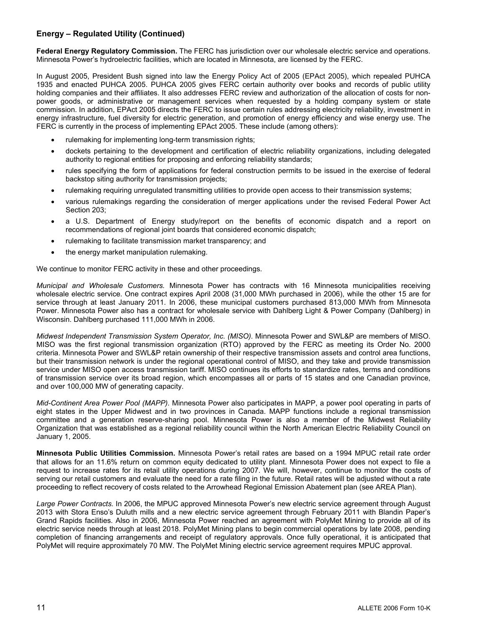**Federal Energy Regulatory Commission.** The FERC has jurisdiction over our wholesale electric service and operations. Minnesota Power's hydroelectric facilities, which are located in Minnesota, are licensed by the FERC.

In August 2005, President Bush signed into law the Energy Policy Act of 2005 (EPAct 2005), which repealed PUHCA 1935 and enacted PUHCA 2005. PUHCA 2005 gives FERC certain authority over books and records of public utility holding companies and their affiliates. It also addresses FERC review and authorization of the allocation of costs for nonpower goods, or administrative or management services when requested by a holding company system or state commission. In addition, EPAct 2005 directs the FERC to issue certain rules addressing electricity reliability, investment in energy infrastructure, fuel diversity for electric generation, and promotion of energy efficiency and wise energy use. The FERC is currently in the process of implementing EPAct 2005. These include (among others):

- rulemaking for implementing long-term transmission rights;
- dockets pertaining to the development and certification of electric reliability organizations, including delegated authority to regional entities for proposing and enforcing reliability standards;
- rules specifying the form of applications for federal construction permits to be issued in the exercise of federal backstop siting authority for transmission projects;
- rulemaking requiring unregulated transmitting utilities to provide open access to their transmission systems;
- various rulemakings regarding the consideration of merger applications under the revised Federal Power Act Section 203;
- a U.S. Department of Energy study/report on the benefits of economic dispatch and a report on recommendations of regional joint boards that considered economic dispatch;
- rulemaking to facilitate transmission market transparency; and
- the energy market manipulation rulemaking.

We continue to monitor FERC activity in these and other proceedings.

*Municipal and Wholesale Customers.* Minnesota Power has contracts with 16 Minnesota municipalities receiving wholesale electric service. One contract expires April 2008 (31,000 MWh purchased in 2006), while the other 15 are for service through at least January 2011. In 2006, these municipal customers purchased 813,000 MWh from Minnesota Power. Minnesota Power also has a contract for wholesale service with Dahlberg Light & Power Company (Dahlberg) in Wisconsin. Dahlberg purchased 111,000 MWh in 2006.

*Midwest Independent Transmission System Operator, Inc. (MISO).* Minnesota Power and SWL&P are members of MISO. MISO was the first regional transmission organization (RTO) approved by the FERC as meeting its Order No. 2000 criteria. Minnesota Power and SWL&P retain ownership of their respective transmission assets and control area functions, but their transmission network is under the regional operational control of MISO, and they take and provide transmission service under MISO open access transmission tariff. MISO continues its efforts to standardize rates, terms and conditions of transmission service over its broad region, which encompasses all or parts of 15 states and one Canadian province, and over 100,000 MW of generating capacity.

*Mid-Continent Area Power Pool (MAPP).* Minnesota Power also participates in MAPP, a power pool operating in parts of eight states in the Upper Midwest and in two provinces in Canada. MAPP functions include a regional transmission committee and a generation reserve-sharing pool. Minnesota Power is also a member of the Midwest Reliability Organization that was established as a regional reliability council within the North American Electric Reliability Council on January 1, 2005.

**Minnesota Public Utilities Commission.** Minnesota Power's retail rates are based on a 1994 MPUC retail rate order that allows for an 11.6% return on common equity dedicated to utility plant. Minnesota Power does not expect to file a request to increase rates for its retail utility operations during 2007. We will, however, continue to monitor the costs of serving our retail customers and evaluate the need for a rate filing in the future. Retail rates will be adjusted without a rate proceeding to reflect recovery of costs related to the Arrowhead Regional Emission Abatement plan (see AREA Plan).

*Large Power Contracts.* In 2006, the MPUC approved Minnesota Power's new electric service agreement through August 2013 with Stora Enso's Duluth mills and a new electric service agreement through February 2011 with Blandin Paper's Grand Rapids facilities. Also in 2006, Minnesota Power reached an agreement with PolyMet Mining to provide all of its electric service needs through at least 2018. PolyMet Mining plans to begin commercial operations by late 2008, pending completion of financing arrangements and receipt of regulatory approvals. Once fully operational, it is anticipated that PolyMet will require approximately 70 MW. The PolyMet Mining electric service agreement requires MPUC approval.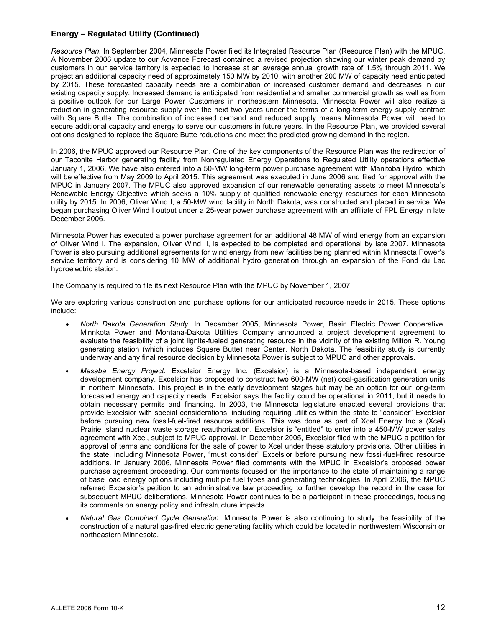*Resource Plan.* In September 2004, Minnesota Power filed its Integrated Resource Plan (Resource Plan) with the MPUC. A November 2006 update to our Advance Forecast contained a revised projection showing our winter peak demand by customers in our service territory is expected to increase at an average annual growth rate of 1.5% through 2011. We project an additional capacity need of approximately 150 MW by 2010, with another 200 MW of capacity need anticipated by 2015. These forecasted capacity needs are a combination of increased customer demand and decreases in our existing capacity supply. Increased demand is anticipated from residential and smaller commercial growth as well as from a positive outlook for our Large Power Customers in northeastern Minnesota. Minnesota Power will also realize a reduction in generating resource supply over the next two years under the terms of a long-term energy supply contract with Square Butte. The combination of increased demand and reduced supply means Minnesota Power will need to secure additional capacity and energy to serve our customers in future years. In the Resource Plan, we provided several options designed to replace the Square Butte reductions and meet the predicted growing demand in the region.

In 2006, the MPUC approved our Resource Plan. One of the key components of the Resource Plan was the redirection of our Taconite Harbor generating facility from Nonregulated Energy Operations to Regulated Utility operations effective January 1, 2006. We have also entered into a 50-MW long-term power purchase agreement with Manitoba Hydro, which will be effective from May 2009 to April 2015. This agreement was executed in June 2006 and filed for approval with the MPUC in January 2007. The MPUC also approved expansion of our renewable generating assets to meet Minnesota's Renewable Energy Objective which seeks a 10% supply of qualified renewable energy resources for each Minnesota utility by 2015. In 2006, Oliver Wind I, a 50-MW wind facility in North Dakota, was constructed and placed in service. We began purchasing Oliver Wind I output under a 25-year power purchase agreement with an affiliate of FPL Energy in late December 2006.

Minnesota Power has executed a power purchase agreement for an additional 48 MW of wind energy from an expansion of Oliver Wind I. The expansion, Oliver Wind II, is expected to be completed and operational by late 2007. Minnesota Power is also pursuing additional agreements for wind energy from new facilities being planned within Minnesota Power's service territory and is considering 10 MW of additional hydro generation through an expansion of the Fond du Lac hydroelectric station.

The Company is required to file its next Resource Plan with the MPUC by November 1, 2007.

We are exploring various construction and purchase options for our anticipated resource needs in 2015. These options include:

- *North Dakota Generation Study*. In December 2005, Minnesota Power, Basin Electric Power Cooperative, Minnkota Power and Montana-Dakota Utilities Company announced a project development agreement to evaluate the feasibility of a joint lignite-fueled generating resource in the vicinity of the existing Milton R. Young generating station (which includes Square Butte) near Center, North Dakota. The feasibility study is currently underway and any final resource decision by Minnesota Power is subject to MPUC and other approvals.
- *Mesaba Energy Project.* Excelsior Energy Inc. (Excelsior) is a Minnesota-based independent energy development company. Excelsior has proposed to construct two 600-MW (net) coal-gasification generation units in northern Minnesota. This project is in the early development stages but may be an option for our long-term forecasted energy and capacity needs. Excelsior says the facility could be operational in 2011, but it needs to obtain necessary permits and financing. In 2003, the Minnesota legislature enacted several provisions that provide Excelsior with special considerations, including requiring utilities within the state to "consider" Excelsior before pursuing new fossil-fuel-fired resource additions. This was done as part of Xcel Energy Inc.'s (Xcel) Prairie Island nuclear waste storage reauthorization. Excelsior is "entitled" to enter into a 450-MW power sales agreement with Xcel, subject to MPUC approval. In December 2005, Excelsior filed with the MPUC a petition for approval of terms and conditions for the sale of power to Xcel under these statutory provisions. Other utilities in the state, including Minnesota Power, "must consider" Excelsior before pursuing new fossil-fuel-fired resource additions. In January 2006, Minnesota Power filed comments with the MPUC in Excelsior's proposed power purchase agreement proceeding. Our comments focused on the importance to the state of maintaining a range of base load energy options including multiple fuel types and generating technologies. In April 2006, the MPUC referred Excelsior's petition to an administrative law proceeding to further develop the record in the case for subsequent MPUC deliberations. Minnesota Power continues to be a participant in these proceedings, focusing its comments on energy policy and infrastructure impacts.
- *Natural Gas Combined Cycle Generation.* Minnesota Power is also continuing to study the feasibility of the construction of a natural gas-fired electric generating facility which could be located in northwestern Wisconsin or northeastern Minnesota.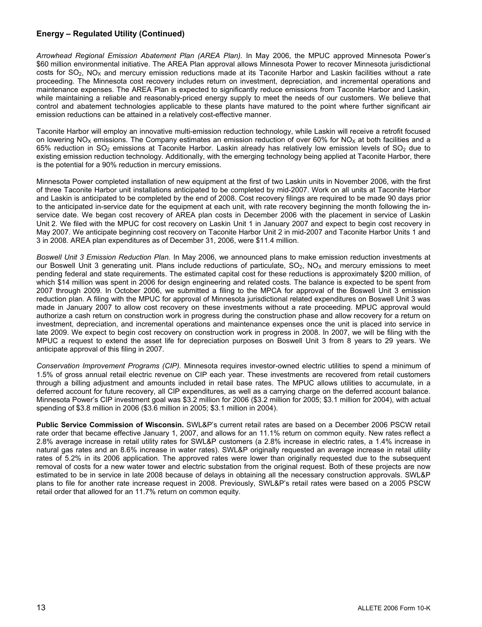*Arrowhead Regional Emission Abatement Plan (AREA Plan).* In May 2006, the MPUC approved Minnesota Power's \$60 million environmental initiative. The AREA Plan approval allows Minnesota Power to recover Minnesota jurisdictional costs for  $SO_2$ ,  $NO<sub>X</sub>$  and mercury emission reductions made at its Taconite Harbor and Laskin facilities without a rate proceeding. The Minnesota cost recovery includes return on investment, depreciation, and incremental operations and maintenance expenses. The AREA Plan is expected to significantly reduce emissions from Taconite Harbor and Laskin, while maintaining a reliable and reasonably-priced energy supply to meet the needs of our customers. We believe that control and abatement technologies applicable to these plants have matured to the point where further significant air emission reductions can be attained in a relatively cost-effective manner.

Taconite Harbor will employ an innovative multi-emission reduction technology, while Laskin will receive a retrofit focused on lowering NO<sub>X</sub> emissions. The Company estimates an emission reduction of over 60% for NO<sub>X</sub> at both facilities and a 65% reduction in SO<sub>2</sub> emissions at Taconite Harbor. Laskin already has relatively low emission levels of SO<sub>2</sub> due to existing emission reduction technology. Additionally, with the emerging technology being applied at Taconite Harbor, there is the potential for a 90% reduction in mercury emissions.

Minnesota Power completed installation of new equipment at the first of two Laskin units in November 2006, with the first of three Taconite Harbor unit installations anticipated to be completed by mid-2007. Work on all units at Taconite Harbor and Laskin is anticipated to be completed by the end of 2008. Cost recovery filings are required to be made 90 days prior to the anticipated in-service date for the equipment at each unit, with rate recovery beginning the month following the inservice date. We began cost recovery of AREA plan costs in December 2006 with the placement in service of Laskin Unit 2. We filed with the MPUC for cost recovery on Laskin Unit 1 in January 2007 and expect to begin cost recovery in May 2007. We anticipate beginning cost recovery on Taconite Harbor Unit 2 in mid-2007 and Taconite Harbor Units 1 and 3 in 2008. AREA plan expenditures as of December 31, 2006, were \$11.4 million.

*Boswell Unit 3 Emission Reduction Plan.* In May 2006, we announced plans to make emission reduction investments at our Boswell Unit 3 generating unit. Plans include reductions of particulate,  $SO_2$ ,  $NO<sub>X</sub>$  and mercury emissions to meet pending federal and state requirements. The estimated capital cost for these reductions is approximately \$200 million, of which \$14 million was spent in 2006 for design engineering and related costs. The balance is expected to be spent from 2007 through 2009. In October 2006, we submitted a filing to the MPCA for approval of the Boswell Unit 3 emission reduction plan. A filing with the MPUC for approval of Minnesota jurisdictional related expenditures on Boswell Unit 3 was made in January 2007 to allow cost recovery on these investments without a rate proceeding. MPUC approval would authorize a cash return on construction work in progress during the construction phase and allow recovery for a return on investment, depreciation, and incremental operations and maintenance expenses once the unit is placed into service in late 2009. We expect to begin cost recovery on construction work in progress in 2008. In 2007, we will be filing with the MPUC a request to extend the asset life for depreciation purposes on Boswell Unit 3 from 8 years to 29 years. We anticipate approval of this filing in 2007.

*Conservation Improvement Programs (CIP).* Minnesota requires investor-owned electric utilities to spend a minimum of 1.5% of gross annual retail electric revenue on CIP each year. These investments are recovered from retail customers through a billing adjustment and amounts included in retail base rates. The MPUC allows utilities to accumulate, in a deferred account for future recovery, all CIP expenditures, as well as a carrying charge on the deferred account balance. Minnesota Power's CIP investment goal was \$3.2 million for 2006 (\$3.2 million for 2005; \$3.1 million for 2004), with actual spending of \$3.8 million in 2006 (\$3.6 million in 2005; \$3.1 million in 2004).

**Public Service Commission of Wisconsin.** SWL&P's current retail rates are based on a December 2006 PSCW retail rate order that became effective January 1, 2007, and allows for an 11.1% return on common equity. New rates reflect a 2.8% average increase in retail utility rates for SWL&P customers (a 2.8% increase in electric rates, a 1.4% increase in natural gas rates and an 8.6% increase in water rates). SWL&P originally requested an average increase in retail utility rates of 5.2% in its 2006 application. The approved rates were lower than originally requested due to the subsequent removal of costs for a new water tower and electric substation from the original request. Both of these projects are now estimated to be in service in late 2008 because of delays in obtaining all the necessary construction approvals. SWL&P plans to file for another rate increase request in 2008. Previously, SWL&P's retail rates were based on a 2005 PSCW retail order that allowed for an 11.7% return on common equity.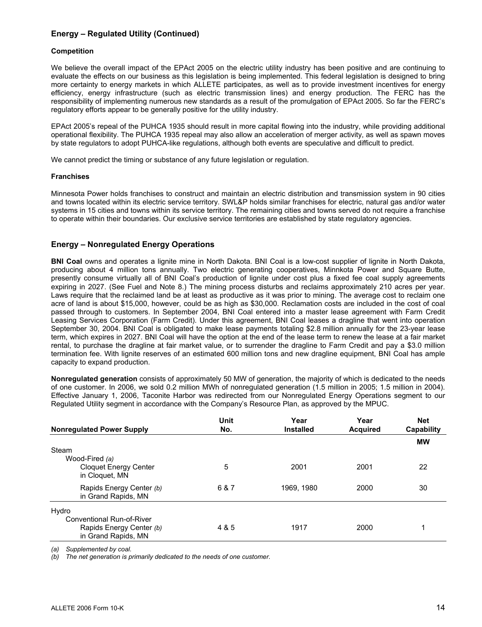#### **Competition**

We believe the overall impact of the EPAct 2005 on the electric utility industry has been positive and are continuing to evaluate the effects on our business as this legislation is being implemented. This federal legislation is designed to bring more certainty to energy markets in which ALLETE participates, as well as to provide investment incentives for energy efficiency, energy infrastructure (such as electric transmission lines) and energy production. The FERC has the responsibility of implementing numerous new standards as a result of the promulgation of EPAct 2005. So far the FERC's regulatory efforts appear to be generally positive for the utility industry.

EPAct 2005's repeal of the PUHCA 1935 should result in more capital flowing into the industry, while providing additional operational flexibility. The PUHCA 1935 repeal may also allow an acceleration of merger activity, as well as spawn moves by state regulators to adopt PUHCA-like regulations, although both events are speculative and difficult to predict.

We cannot predict the timing or substance of any future legislation or regulation.

#### **Franchises**

Minnesota Power holds franchises to construct and maintain an electric distribution and transmission system in 90 cities and towns located within its electric service territory. SWL&P holds similar franchises for electric, natural gas and/or water systems in 15 cities and towns within its service territory. The remaining cities and towns served do not require a franchise to operate within their boundaries. Our exclusive service territories are established by state regulatory agencies.

#### **Energy – Nonregulated Energy Operations**

**BNI Coal** owns and operates a lignite mine in North Dakota. BNI Coal is a low-cost supplier of lignite in North Dakota, producing about 4 million tons annually. Two electric generating cooperatives, Minnkota Power and Square Butte, presently consume virtually all of BNI Coal's production of lignite under cost plus a fixed fee coal supply agreements expiring in 2027. (See Fuel and Note 8.) The mining process disturbs and reclaims approximately 210 acres per year. Laws require that the reclaimed land be at least as productive as it was prior to mining. The average cost to reclaim one acre of land is about \$15,000, however, could be as high as \$30,000. Reclamation costs are included in the cost of coal passed through to customers. In September 2004, BNI Coal entered into a master lease agreement with Farm Credit Leasing Services Corporation (Farm Credit). Under this agreement, BNI Coal leases a dragline that went into operation September 30, 2004. BNI Coal is obligated to make lease payments totaling \$2.8 million annually for the 23-year lease term, which expires in 2027. BNI Coal will have the option at the end of the lease term to renew the lease at a fair market rental, to purchase the dragline at fair market value, or to surrender the dragline to Farm Credit and pay a \$3.0 million termination fee. With lignite reserves of an estimated 600 million tons and new dragline equipment, BNI Coal has ample capacity to expand production.

**Nonregulated generation** consists of approximately 50 MW of generation, the majority of which is dedicated to the needs of one customer. In 2006, we sold 0.2 million MWh of nonregulated generation (1.5 million in 2005; 1.5 million in 2004). Effective January 1, 2006, Taconite Harbor was redirected from our Nonregulated Energy Operations segment to our Regulated Utility segment in accordance with the Company's Resource Plan, as approved by the MPUC.

| <b>Nonregulated Power Supply</b>                | Unit<br>No. | Year<br><b>Installed</b> | Year<br><b>Acquired</b> | <b>Net</b><br>Capability |
|-------------------------------------------------|-------------|--------------------------|-------------------------|--------------------------|
|                                                 |             |                          |                         | <b>MW</b>                |
| Steam                                           |             |                          |                         |                          |
| Wood-Fired (a)                                  |             |                          |                         |                          |
| <b>Cloquet Energy Center</b><br>in Cloquet, MN  | 5           | 2001                     | 2001                    | 22                       |
| Rapids Energy Center (b)<br>in Grand Rapids, MN | 6 & 7       | 1969. 1980               | 2000                    | 30                       |
| Hydro                                           |             |                          |                         |                          |
| Conventional Run-of-River                       |             |                          |                         |                          |
| Rapids Energy Center (b)<br>in Grand Rapids, MN | 4 & 5       | 1917                     | 2000                    |                          |

*(a) Supplemented by coal.* 

*(b) The net generation is primarily dedicated to the needs of one customer.*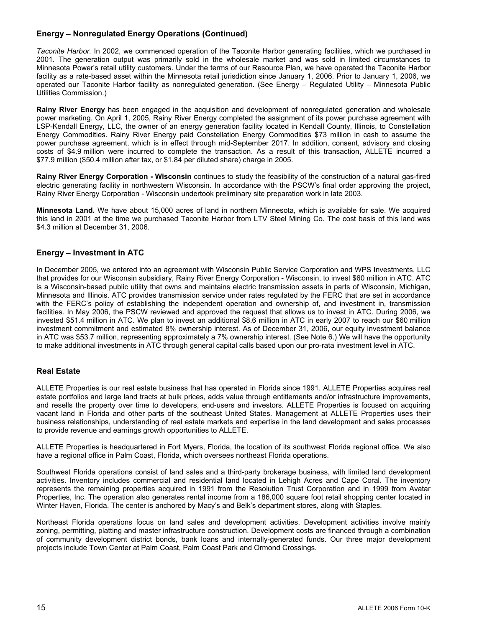# **Energy – Nonregulated Energy Operations (Continued)**

*Taconite Harbor.* In 2002, we commenced operation of the Taconite Harbor generating facilities, which we purchased in 2001. The generation output was primarily sold in the wholesale market and was sold in limited circumstances to Minnesota Power's retail utility customers. Under the terms of our Resource Plan, we have operated the Taconite Harbor facility as a rate-based asset within the Minnesota retail jurisdiction since January 1, 2006. Prior to January 1, 2006, we operated our Taconite Harbor facility as nonregulated generation. (See Energy – Regulated Utility – Minnesota Public Utilities Commission.)

**Rainy River Energy** has been engaged in the acquisition and development of nonregulated generation and wholesale power marketing. On April 1, 2005, Rainy River Energy completed the assignment of its power purchase agreement with LSP-Kendall Energy, LLC, the owner of an energy generation facility located in Kendall County, Illinois, to Constellation Energy Commodities. Rainy River Energy paid Constellation Energy Commodities \$73 million in cash to assume the power purchase agreement, which is in effect through mid-September 2017. In addition, consent, advisory and closing costs of \$4.9 million were incurred to complete the transaction. As a result of this transaction, ALLETE incurred a \$77.9 million (\$50.4 million after tax, or \$1.84 per diluted share) charge in 2005.

**Rainy River Energy Corporation - Wisconsin** continues to study the feasibility of the construction of a natural gas-fired electric generating facility in northwestern Wisconsin. In accordance with the PSCW's final order approving the project, Rainy River Energy Corporation - Wisconsin undertook preliminary site preparation work in late 2003.

**Minnesota Land.** We have about 15,000 acres of land in northern Minnesota, which is available for sale. We acquired this land in 2001 at the time we purchased Taconite Harbor from LTV Steel Mining Co. The cost basis of this land was \$4.3 million at December 31, 2006.

# **Energy – Investment in ATC**

In December 2005, we entered into an agreement with Wisconsin Public Service Corporation and WPS Investments, LLC that provides for our Wisconsin subsidiary, Rainy River Energy Corporation - Wisconsin, to invest \$60 million in ATC. ATC is a Wisconsin-based public utility that owns and maintains electric transmission assets in parts of Wisconsin, Michigan, Minnesota and Illinois. ATC provides transmission service under rates regulated by the FERC that are set in accordance with the FERC's policy of establishing the independent operation and ownership of, and investment in, transmission facilities. In May 2006, the PSCW reviewed and approved the request that allows us to invest in ATC. During 2006, we invested \$51.4 million in ATC. We plan to invest an additional \$8.6 million in ATC in early 2007 to reach our \$60 million investment commitment and estimated 8% ownership interest. As of December 31, 2006, our equity investment balance in ATC was \$53.7 million, representing approximately a 7% ownership interest. (See Note 6.) We will have the opportunity to make additional investments in ATC through general capital calls based upon our pro-rata investment level in ATC.

#### **Real Estate**

ALLETE Properties is our real estate business that has operated in Florida since 1991. ALLETE Properties acquires real estate portfolios and large land tracts at bulk prices, adds value through entitlements and/or infrastructure improvements, and resells the property over time to developers, end-users and investors. ALLETE Properties is focused on acquiring vacant land in Florida and other parts of the southeast United States. Management at ALLETE Properties uses their business relationships, understanding of real estate markets and expertise in the land development and sales processes to provide revenue and earnings growth opportunities to ALLETE.

ALLETE Properties is headquartered in Fort Myers, Florida, the location of its southwest Florida regional office. We also have a regional office in Palm Coast, Florida, which oversees northeast Florida operations.

Southwest Florida operations consist of land sales and a third-party brokerage business, with limited land development activities. Inventory includes commercial and residential land located in Lehigh Acres and Cape Coral. The inventory represents the remaining properties acquired in 1991 from the Resolution Trust Corporation and in 1999 from Avatar Properties, Inc. The operation also generates rental income from a 186,000 square foot retail shopping center located in Winter Haven, Florida. The center is anchored by Macy's and Belk's department stores, along with Staples.

Northeast Florida operations focus on land sales and development activities. Development activities involve mainly zoning, permitting, platting and master infrastructure construction. Development costs are financed through a combination of community development district bonds, bank loans and internally-generated funds. Our three major development projects include Town Center at Palm Coast, Palm Coast Park and Ormond Crossings.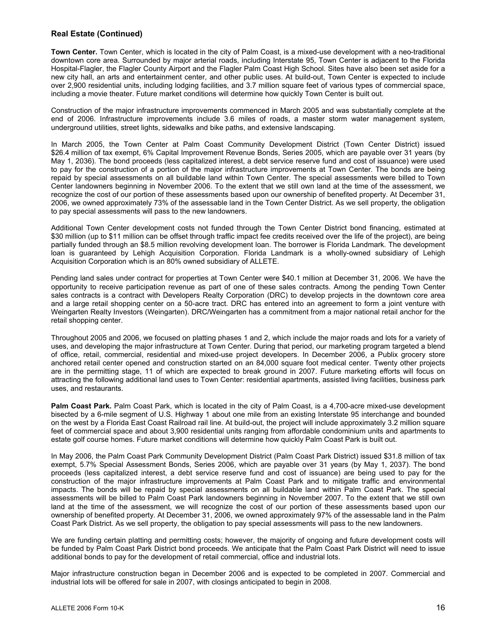**Town Center.** Town Center, which is located in the city of Palm Coast, is a mixed-use development with a neo-traditional downtown core area. Surrounded by major arterial roads, including Interstate 95, Town Center is adjacent to the Florida Hospital-Flagler, the Flagler County Airport and the Flagler Palm Coast High School. Sites have also been set aside for a new city hall, an arts and entertainment center, and other public uses. At build-out, Town Center is expected to include over 2,900 residential units, including lodging facilities, and 3.7 million square feet of various types of commercial space, including a movie theater. Future market conditions will determine how quickly Town Center is built out.

Construction of the major infrastructure improvements commenced in March 2005 and was substantially complete at the end of 2006. Infrastructure improvements include 3.6 miles of roads, a master storm water management system, underground utilities, street lights, sidewalks and bike paths, and extensive landscaping.

In March 2005, the Town Center at Palm Coast Community Development District (Town Center District) issued \$26.4 million of tax exempt, 6% Capital Improvement Revenue Bonds, Series 2005, which are payable over 31 years (by May 1, 2036). The bond proceeds (less capitalized interest, a debt service reserve fund and cost of issuance) were used to pay for the construction of a portion of the major infrastructure improvements at Town Center. The bonds are being repaid by special assessments on all buildable land within Town Center. The special assessments were billed to Town Center landowners beginning in November 2006. To the extent that we still own land at the time of the assessment, we recognize the cost of our portion of these assessments based upon our ownership of benefited property. At December 31, 2006, we owned approximately 73% of the assessable land in the Town Center District. As we sell property, the obligation to pay special assessments will pass to the new landowners.

Additional Town Center development costs not funded through the Town Center District bond financing, estimated at \$30 million (up to \$11 million can be offset through traffic impact fee credits received over the life of the project), are being partially funded through an \$8.5 million revolving development loan. The borrower is Florida Landmark. The development loan is guaranteed by Lehigh Acquisition Corporation. Florida Landmark is a wholly-owned subsidiary of Lehigh Acquisition Corporation which is an 80% owned subsidiary of ALLETE.

Pending land sales under contract for properties at Town Center were \$40.1 million at December 31, 2006. We have the opportunity to receive participation revenue as part of one of these sales contracts. Among the pending Town Center sales contracts is a contract with Developers Realty Corporation (DRC) to develop projects in the downtown core area and a large retail shopping center on a 50-acre tract. DRC has entered into an agreement to form a joint venture with Weingarten Realty Investors (Weingarten). DRC/Weingarten has a commitment from a major national retail anchor for the retail shopping center.

Throughout 2005 and 2006, we focused on platting phases 1 and 2, which include the major roads and lots for a variety of uses, and developing the major infrastructure at Town Center. During that period, our marketing program targeted a blend of office, retail, commercial, residential and mixed-use project developers. In December 2006, a Publix grocery store anchored retail center opened and construction started on an 84,000 square foot medical center. Twenty other projects are in the permitting stage, 11 of which are expected to break ground in 2007. Future marketing efforts will focus on attracting the following additional land uses to Town Center: residential apartments, assisted living facilities, business park uses, and restaurants.

**Palm Coast Park.** Palm Coast Park, which is located in the city of Palm Coast, is a 4,700-acre mixed-use development bisected by a 6-mile segment of U.S. Highway 1 about one mile from an existing Interstate 95 interchange and bounded on the west by a Florida East Coast Railroad rail line. At build-out, the project will include approximately 3.2 million square feet of commercial space and about 3,900 residential units ranging from affordable condominium units and apartments to estate golf course homes. Future market conditions will determine how quickly Palm Coast Park is built out.

In May 2006, the Palm Coast Park Community Development District (Palm Coast Park District) issued \$31.8 million of tax exempt, 5.7% Special Assessment Bonds, Series 2006, which are payable over 31 years (by May 1, 2037). The bond proceeds (less capitalized interest, a debt service reserve fund and cost of issuance) are being used to pay for the construction of the major infrastructure improvements at Palm Coast Park and to mitigate traffic and environmental impacts. The bonds will be repaid by special assessments on all buildable land within Palm Coast Park. The special assessments will be billed to Palm Coast Park landowners beginning in November 2007. To the extent that we still own land at the time of the assessment, we will recognize the cost of our portion of these assessments based upon our ownership of benefited property. At December 31, 2006, we owned approximately 97% of the assessable land in the Palm Coast Park District. As we sell property, the obligation to pay special assessments will pass to the new landowners.

We are funding certain platting and permitting costs; however, the majority of ongoing and future development costs will be funded by Palm Coast Park District bond proceeds. We anticipate that the Palm Coast Park District will need to issue additional bonds to pay for the development of retail commercial, office and industrial lots.

Major infrastructure construction began in December 2006 and is expected to be completed in 2007. Commercial and industrial lots will be offered for sale in 2007, with closings anticipated to begin in 2008.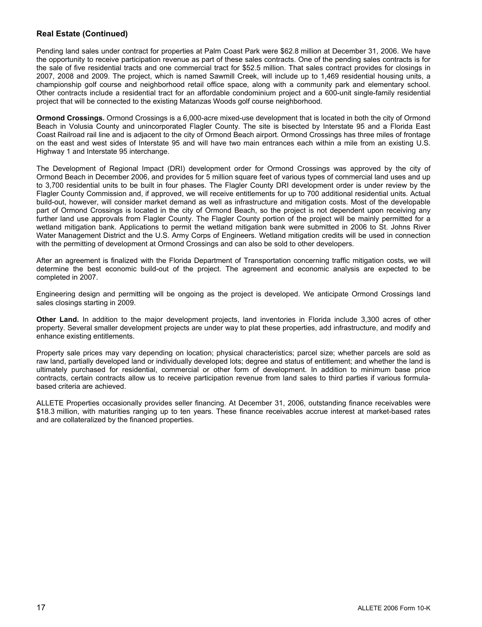Pending land sales under contract for properties at Palm Coast Park were \$62.8 million at December 31, 2006. We have the opportunity to receive participation revenue as part of these sales contracts. One of the pending sales contracts is for the sale of five residential tracts and one commercial tract for \$52.5 million. That sales contract provides for closings in 2007, 2008 and 2009. The project, which is named Sawmill Creek, will include up to 1,469 residential housing units, a championship golf course and neighborhood retail office space, along with a community park and elementary school. Other contracts include a residential tract for an affordable condominium project and a 600-unit single-family residential project that will be connected to the existing Matanzas Woods golf course neighborhood.

**Ormond Crossings.** Ormond Crossings is a 6,000-acre mixed-use development that is located in both the city of Ormond Beach in Volusia County and unincorporated Flagler County. The site is bisected by Interstate 95 and a Florida East Coast Railroad rail line and is adjacent to the city of Ormond Beach airport. Ormond Crossings has three miles of frontage on the east and west sides of Interstate 95 and will have two main entrances each within a mile from an existing U.S. Highway 1 and Interstate 95 interchange.

The Development of Regional Impact (DRI) development order for Ormond Crossings was approved by the city of Ormond Beach in December 2006, and provides for 5 million square feet of various types of commercial land uses and up to 3,700 residential units to be built in four phases. The Flagler County DRI development order is under review by the Flagler County Commission and, if approved, we will receive entitlements for up to 700 additional residential units. Actual build-out, however, will consider market demand as well as infrastructure and mitigation costs. Most of the developable part of Ormond Crossings is located in the city of Ormond Beach, so the project is not dependent upon receiving any further land use approvals from Flagler County. The Flagler County portion of the project will be mainly permitted for a wetland mitigation bank. Applications to permit the wetland mitigation bank were submitted in 2006 to St. Johns River Water Management District and the U.S. Army Corps of Engineers. Wetland mitigation credits will be used in connection with the permitting of development at Ormond Crossings and can also be sold to other developers.

After an agreement is finalized with the Florida Department of Transportation concerning traffic mitigation costs, we will determine the best economic build-out of the project. The agreement and economic analysis are expected to be completed in 2007.

Engineering design and permitting will be ongoing as the project is developed. We anticipate Ormond Crossings land sales closings starting in 2009.

**Other Land.** In addition to the major development projects, land inventories in Florida include 3,300 acres of other property. Several smaller development projects are under way to plat these properties, add infrastructure, and modify and enhance existing entitlements.

Property sale prices may vary depending on location; physical characteristics; parcel size; whether parcels are sold as raw land, partially developed land or individually developed lots; degree and status of entitlement; and whether the land is ultimately purchased for residential, commercial or other form of development. In addition to minimum base price contracts, certain contracts allow us to receive participation revenue from land sales to third parties if various formulabased criteria are achieved.

ALLETE Properties occasionally provides seller financing. At December 31, 2006, outstanding finance receivables were \$18.3 million, with maturities ranging up to ten years. These finance receivables accrue interest at market-based rates and are collateralized by the financed properties.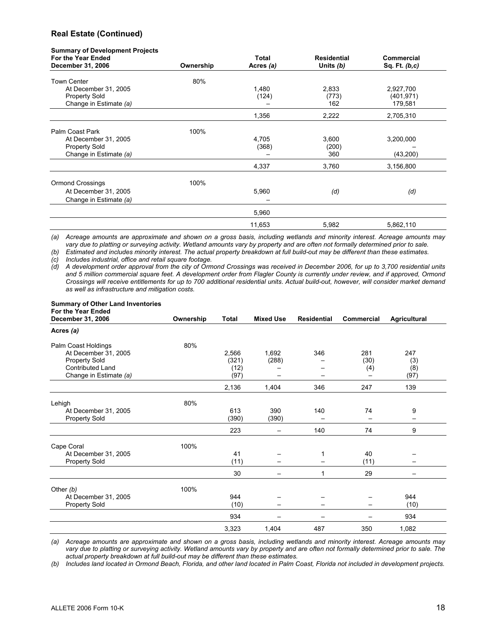| <b>Summary of Development Projects</b><br>For the Year Ended<br>December 31, 2006 | Ownership | Total<br>Acres (a) | Residential<br>Units (b) | Commercial<br>Sq. Ft. $(b, c)$ |
|-----------------------------------------------------------------------------------|-----------|--------------------|--------------------------|--------------------------------|
|                                                                                   |           |                    |                          |                                |
| <b>Town Center</b>                                                                | 80%       |                    |                          |                                |
| At December 31, 2005                                                              |           | 1,480              | 2,833                    | 2,927,700                      |
| Property Sold                                                                     |           | (124)              | (773)                    | (401, 971)                     |
| Change in Estimate (a)                                                            |           |                    | 162                      | 179,581                        |
|                                                                                   |           | 1,356              | 2,222                    | 2,705,310                      |
| Palm Coast Park                                                                   | 100%      |                    |                          |                                |
| At December 31, 2005                                                              |           | 4,705              | 3,600                    | 3,200,000                      |
| <b>Property Sold</b>                                                              |           | (368)              | (200)                    |                                |
| Change in Estimate (a)                                                            |           |                    | 360                      | (43,200)                       |
|                                                                                   |           | 4,337              | 3,760                    | 3,156,800                      |
| <b>Ormond Crossings</b>                                                           | 100%      |                    |                          |                                |
| At December 31, 2005                                                              |           | 5,960              | (d)                      | (d)                            |
| Change in Estimate (a)                                                            |           |                    |                          |                                |
|                                                                                   |           | 5,960              |                          |                                |
|                                                                                   |           | 11,653             | 5,982                    | 5,862,110                      |

*(a) Acreage amounts are approximate and shown on a gross basis, including wetlands and minority interest. Acreage amounts may vary due to platting or surveying activity. Wetland amounts vary by property and are often not formally determined prior to sale.* 

*(b) Estimated and includes minority interest. The actual property breakdown at full build-out may be different than these estimates.* 

*(c) Includes industrial, office and retail square footage.* 

*(d) A development order approval from the city of Ormond Crossings was received in December 2006, for up to 3,700 residential units and 5 million commercial square feet. A development order from Flagler County is currently under review, and if approved, Ormond Crossings will receive entitlements for up to 700 additional residential units*. *Actual build-out, however, will consider market demand as well as infrastructure and mitigation costs.* 

# **Summary of Other Land Inventories For the Year Ended**

| December 31, 2006       | Ownership | <b>Total</b> | <b>Mixed Use</b>         | <b>Residential</b> | Commercial               | <b>Agricultural</b>      |
|-------------------------|-----------|--------------|--------------------------|--------------------|--------------------------|--------------------------|
| Acres (a)               |           |              |                          |                    |                          |                          |
| Palm Coast Holdings     | 80%       |              |                          |                    |                          |                          |
| At December 31, 2005    |           | 2,566        | 1,692                    | 346                | 281                      | 247                      |
| <b>Property Sold</b>    |           | (321)        | (288)                    |                    | (30)                     | (3)                      |
| <b>Contributed Land</b> |           | (12)         |                          |                    | (4)                      | (8)                      |
| Change in Estimate (a)  |           | (97)         |                          |                    | —                        | (97)                     |
|                         |           | 2,136        | 1,404                    | 346                | 247                      | 139                      |
| Lehigh                  | 80%       |              |                          |                    |                          |                          |
| At December 31, 2005    |           | 613          | 390                      | 140                | 74                       | 9                        |
| <b>Property Sold</b>    |           | (390)        | (390)                    |                    | $\overline{\phantom{0}}$ | $\overline{\phantom{0}}$ |
|                         |           |              |                          |                    |                          |                          |
|                         |           | 223          | $\overline{\phantom{0}}$ | 140                | 74                       | 9                        |
| Cape Coral              | 100%      |              |                          |                    |                          |                          |
| At December 31, 2005    |           | 41           |                          | 1                  | 40                       |                          |
| Property Sold           |           | (11)         |                          |                    | (11)                     |                          |
|                         |           | 30           |                          | 1                  | 29                       | $\overline{\phantom{0}}$ |
| Other $(b)$             | 100%      |              |                          |                    |                          |                          |
| At December 31, 2005    |           | 944          |                          |                    |                          | 944                      |
| Property Sold           |           | (10)         |                          |                    |                          | (10)                     |
|                         |           | 934          |                          |                    |                          | 934                      |
|                         |           | 3,323        | 1,404                    | 487                | 350                      | 1,082                    |

*(a) Acreage amounts are approximate and shown on a gross basis, including wetlands and minority interest. Acreage amounts may vary due to platting or surveying activity. Wetland amounts vary by property and are often not formally determined prior to sale. The actual property breakdown at full build-out may be different than these estimates.* 

*(b) Includes land located in Ormond Beach, Florida, and other land located in Palm Coast, Florida not included in development projects.*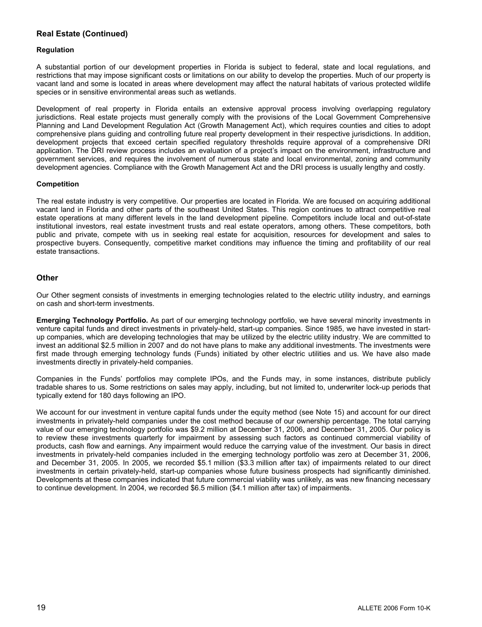#### **Regulation**

A substantial portion of our development properties in Florida is subject to federal, state and local regulations, and restrictions that may impose significant costs or limitations on our ability to develop the properties. Much of our property is vacant land and some is located in areas where development may affect the natural habitats of various protected wildlife species or in sensitive environmental areas such as wetlands.

Development of real property in Florida entails an extensive approval process involving overlapping regulatory jurisdictions. Real estate projects must generally comply with the provisions of the Local Government Comprehensive Planning and Land Development Regulation Act (Growth Management Act), which requires counties and cities to adopt comprehensive plans guiding and controlling future real property development in their respective jurisdictions. In addition, development projects that exceed certain specified regulatory thresholds require approval of a comprehensive DRI application. The DRI review process includes an evaluation of a project's impact on the environment, infrastructure and government services, and requires the involvement of numerous state and local environmental, zoning and community development agencies. Compliance with the Growth Management Act and the DRI process is usually lengthy and costly.

#### **Competition**

The real estate industry is very competitive. Our properties are located in Florida. We are focused on acquiring additional vacant land in Florida and other parts of the southeast United States. This region continues to attract competitive real estate operations at many different levels in the land development pipeline. Competitors include local and out-of-state institutional investors, real estate investment trusts and real estate operators, among others. These competitors, both public and private, compete with us in seeking real estate for acquisition, resources for development and sales to prospective buyers. Consequently, competitive market conditions may influence the timing and profitability of our real estate transactions.

#### **Other**

Our Other segment consists of investments in emerging technologies related to the electric utility industry, and earnings on cash and short-term investments.

**Emerging Technology Portfolio.** As part of our emerging technology portfolio, we have several minority investments in venture capital funds and direct investments in privately-held, start-up companies. Since 1985, we have invested in startup companies, which are developing technologies that may be utilized by the electric utility industry. We are committed to invest an additional \$2.5 million in 2007 and do not have plans to make any additional investments. The investments were first made through emerging technology funds (Funds) initiated by other electric utilities and us. We have also made investments directly in privately-held companies.

Companies in the Funds' portfolios may complete IPOs, and the Funds may, in some instances, distribute publicly tradable shares to us. Some restrictions on sales may apply, including, but not limited to, underwriter lock-up periods that typically extend for 180 days following an IPO.

We account for our investment in venture capital funds under the equity method (see Note 15) and account for our direct investments in privately-held companies under the cost method because of our ownership percentage. The total carrying value of our emerging technology portfolio was \$9.2 million at December 31, 2006, and December 31, 2005. Our policy is to review these investments quarterly for impairment by assessing such factors as continued commercial viability of products, cash flow and earnings. Any impairment would reduce the carrying value of the investment. Our basis in direct investments in privately-held companies included in the emerging technology portfolio was zero at December 31, 2006, and December 31, 2005. In 2005, we recorded \$5.1 million (\$3.3 million after tax) of impairments related to our direct investments in certain privately-held, start-up companies whose future business prospects had significantly diminished. Developments at these companies indicated that future commercial viability was unlikely, as was new financing necessary to continue development. In 2004, we recorded \$6.5 million (\$4.1 million after tax) of impairments.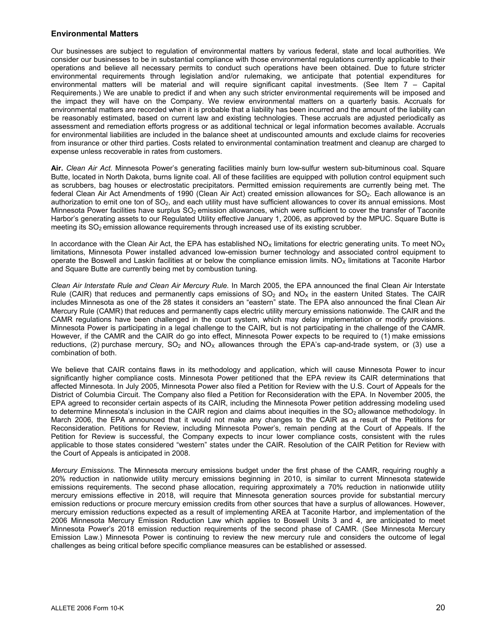#### **Environmental Matters**

Our businesses are subject to regulation of environmental matters by various federal, state and local authorities. We consider our businesses to be in substantial compliance with those environmental regulations currently applicable to their operations and believe all necessary permits to conduct such operations have been obtained. Due to future stricter environmental requirements through legislation and/or rulemaking, we anticipate that potential expenditures for environmental matters will be material and will require significant capital investments. (See Item 7 – Capital Requirements.) We are unable to predict if and when any such stricter environmental requirements will be imposed and the impact they will have on the Company. We review environmental matters on a quarterly basis. Accruals for environmental matters are recorded when it is probable that a liability has been incurred and the amount of the liability can be reasonably estimated, based on current law and existing technologies. These accruals are adjusted periodically as assessment and remediation efforts progress or as additional technical or legal information becomes available. Accruals for environmental liabilities are included in the balance sheet at undiscounted amounts and exclude claims for recoveries from insurance or other third parties. Costs related to environmental contamination treatment and cleanup are charged to expense unless recoverable in rates from customers.

**Air.** *Clean Air Act.* Minnesota Power's generating facilities mainly burn low-sulfur western sub-bituminous coal. Square Butte, located in North Dakota, burns lignite coal. All of these facilities are equipped with pollution control equipment such as scrubbers, bag houses or electrostatic precipitators. Permitted emission requirements are currently being met. The federal Clean Air Act Amendments of 1990 (Clean Air Act) created emission allowances for SO<sub>2</sub>. Each allowance is an authorization to emit one ton of  $SO<sub>2</sub>$ , and each utility must have sufficient allowances to cover its annual emissions. Most Minnesota Power facilities have surplus  $SO<sub>2</sub>$  emission allowances, which were sufficient to cover the transfer of Taconite Harbor's generating assets to our Regulated Utility effective January 1, 2006, as approved by the MPUC. Square Butte is meeting its  $SO<sub>2</sub>$  emission allowance requirements through increased use of its existing scrubber.

In accordance with the Clean Air Act, the EPA has established  $NO_x$  limitations for electric generating units. To meet  $NO_x$ limitations, Minnesota Power installed advanced low-emission burner technology and associated control equipment to operate the Boswell and Laskin facilities at or below the compliance emission limits.  $NO<sub>X</sub>$  limitations at Taconite Harbor and Square Butte are currently being met by combustion tuning.

*Clean Air Interstate Rule and Clean Air Mercury Rule.* In March 2005, the EPA announced the final Clean Air Interstate Rule (CAIR) that reduces and permanently caps emissions of  $SO_2$  and  $NO<sub>X</sub>$  in the eastern United States. The CAIR includes Minnesota as one of the 28 states it considers an "eastern" state. The EPA also announced the final Clean Air Mercury Rule (CAMR) that reduces and permanently caps electric utility mercury emissions nationwide. The CAIR and the CAMR regulations have been challenged in the court system, which may delay implementation or modify provisions. Minnesota Power is participating in a legal challenge to the CAIR, but is not participating in the challenge of the CAMR. However, if the CAMR and the CAIR do go into effect, Minnesota Power expects to be required to (1) make emissions reductions, (2) purchase mercury,  $SO_2$  and  $NO<sub>X</sub>$  allowances through the EPA's cap-and-trade system, or (3) use a combination of both.

We believe that CAIR contains flaws in its methodology and application, which will cause Minnesota Power to incur significantly higher compliance costs. Minnesota Power petitioned that the EPA review its CAIR determinations that affected Minnesota. In July 2005, Minnesota Power also filed a Petition for Review with the U.S. Court of Appeals for the District of Columbia Circuit. The Company also filed a Petition for Reconsideration with the EPA. In November 2005, the EPA agreed to reconsider certain aspects of its CAIR, including the Minnesota Power petition addressing modeling used to determine Minnesota's inclusion in the CAIR region and claims about inequities in the  $SO<sub>2</sub>$  allowance methodology. In March 2006, the EPA announced that it would not make any changes to the CAIR as a result of the Petitions for Reconsideration. Petitions for Review, including Minnesota Power's, remain pending at the Court of Appeals. If the Petition for Review is successful, the Company expects to incur lower compliance costs, consistent with the rules applicable to those states considered "western" states under the CAIR. Resolution of the CAIR Petition for Review with the Court of Appeals is anticipated in 2008.

*Mercury Emissions.* The Minnesota mercury emissions budget under the first phase of the CAMR, requiring roughly a 20% reduction in nationwide utility mercury emissions beginning in 2010, is similar to current Minnesota statewide emissions requirements. The second phase allocation, requiring approximately a 70% reduction in nationwide utility mercury emissions effective in 2018, will require that Minnesota generation sources provide for substantial mercury emission reductions or procure mercury emission credits from other sources that have a surplus of allowances. However, mercury emission reductions expected as a result of implementing AREA at Taconite Harbor, and implementation of the 2006 Minnesota Mercury Emission Reduction Law which applies to Boswell Units 3 and 4, are anticipated to meet Minnesota Power's 2018 emission reduction requirements of the second phase of CAMR. (See Minnesota Mercury Emission Law.) Minnesota Power is continuing to review the new mercury rule and considers the outcome of legal challenges as being critical before specific compliance measures can be established or assessed.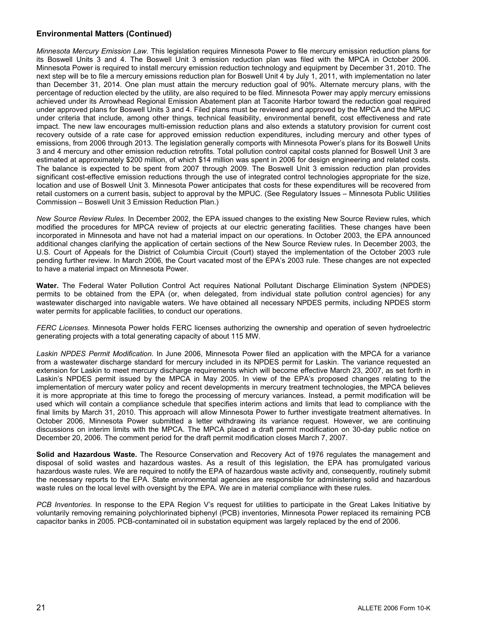# **Environmental Matters (Continued)**

*Minnesota Mercury Emission Law.* This legislation requires Minnesota Power to file mercury emission reduction plans for its Boswell Units 3 and 4. The Boswell Unit 3 emission reduction plan was filed with the MPCA in October 2006. Minnesota Power is required to install mercury emission reduction technology and equipment by December 31, 2010. The next step will be to file a mercury emissions reduction plan for Boswell Unit 4 by July 1, 2011, with implementation no later than December 31, 2014. One plan must attain the mercury reduction goal of 90%. Alternate mercury plans, with the percentage of reduction elected by the utility, are also required to be filed. Minnesota Power may apply mercury emissions achieved under its Arrowhead Regional Emission Abatement plan at Taconite Harbor toward the reduction goal required under approved plans for Boswell Units 3 and 4. Filed plans must be reviewed and approved by the MPCA and the MPUC under criteria that include, among other things, technical feasibility, environmental benefit, cost effectiveness and rate impact. The new law encourages multi-emission reduction plans and also extends a statutory provision for current cost recovery outside of a rate case for approved emission reduction expenditures, including mercury and other types of emissions, from 2006 through 2013. The legislation generally comports with Minnesota Power's plans for its Boswell Units 3 and 4 mercury and other emission reduction retrofits. Total pollution control capital costs planned for Boswell Unit 3 are estimated at approximately \$200 million, of which \$14 million was spent in 2006 for design engineering and related costs. The balance is expected to be spent from 2007 through 2009. The Boswell Unit 3 emission reduction plan provides significant cost-effective emission reductions through the use of integrated control technologies appropriate for the size, location and use of Boswell Unit 3. Minnesota Power anticipates that costs for these expenditures will be recovered from retail customers on a current basis, subject to approval by the MPUC. (See Regulatory Issues – Minnesota Public Utilities Commission – Boswell Unit 3 Emission Reduction Plan.)

*New Source Review Rules.* In December 2002, the EPA issued changes to the existing New Source Review rules, which modified the procedures for MPCA review of projects at our electric generating facilities. These changes have been incorporated in Minnesota and have not had a material impact on our operations. In October 2003, the EPA announced additional changes clarifying the application of certain sections of the New Source Review rules. In December 2003, the U.S. Court of Appeals for the District of Columbia Circuit (Court) stayed the implementation of the October 2003 rule pending further review. In March 2006, the Court vacated most of the EPA's 2003 rule. These changes are not expected to have a material impact on Minnesota Power.

**Water.** The Federal Water Pollution Control Act requires National Pollutant Discharge Elimination System (NPDES) permits to be obtained from the EPA (or, when delegated, from individual state pollution control agencies) for any wastewater discharged into navigable waters. We have obtained all necessary NPDES permits, including NPDES storm water permits for applicable facilities, to conduct our operations.

*FERC Licenses.* Minnesota Power holds FERC licenses authorizing the ownership and operation of seven hydroelectric generating projects with a total generating capacity of about 115 MW.

*Laskin NPDES Permit Modification.* In June 2006, Minnesota Power filed an application with the MPCA for a variance from a wastewater discharge standard for mercury included in its NPDES permit for Laskin. The variance requested an extension for Laskin to meet mercury discharge requirements which will become effective March 23, 2007, as set forth in Laskin's NPDES permit issued by the MPCA in May 2005. In view of the EPA's proposed changes relating to the implementation of mercury water policy and recent developments in mercury treatment technologies, the MPCA believes it is more appropriate at this time to forego the processing of mercury variances. Instead, a permit modification will be used which will contain a compliance schedule that specifies interim actions and limits that lead to compliance with the final limits by March 31, 2010. This approach will allow Minnesota Power to further investigate treatment alternatives. In October 2006, Minnesota Power submitted a letter withdrawing its variance request. However, we are continuing discussions on interim limits with the MPCA. The MPCA placed a draft permit modification on 30-day public notice on December 20, 2006. The comment period for the draft permit modification closes March 7, 2007.

**Solid and Hazardous Waste.** The Resource Conservation and Recovery Act of 1976 regulates the management and disposal of solid wastes and hazardous wastes. As a result of this legislation, the EPA has promulgated various hazardous waste rules. We are required to notify the EPA of hazardous waste activity and, consequently, routinely submit the necessary reports to the EPA. State environmental agencies are responsible for administering solid and hazardous waste rules on the local level with oversight by the EPA. We are in material compliance with these rules.

*PCB Inventories.* In response to the EPA Region V's request for utilities to participate in the Great Lakes Initiative by voluntarily removing remaining polychlorinated biphenyl (PCB) inventories, Minnesota Power replaced its remaining PCB capacitor banks in 2005. PCB-contaminated oil in substation equipment was largely replaced by the end of 2006.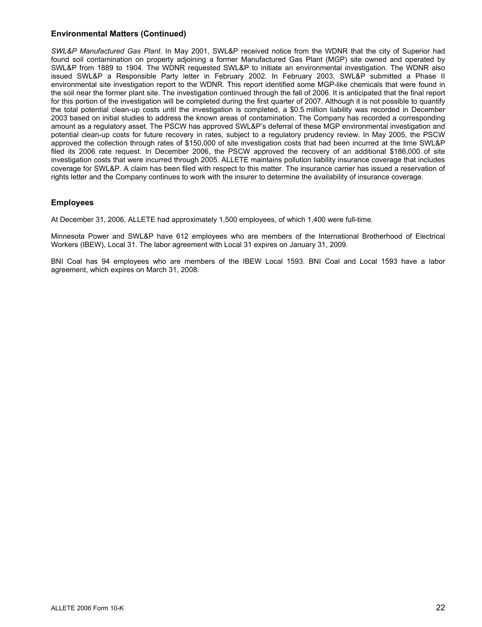# **Environmental Matters (Continued)**

*SWL&P Manufactured Gas Plant.* In May 2001, SWL&P received notice from the WDNR that the city of Superior had found soil contamination on property adjoining a former Manufactured Gas Plant (MGP) site owned and operated by SWL&P from 1889 to 1904. The WDNR requested SWL&P to initiate an environmental investigation. The WDNR also issued SWL&P a Responsible Party letter in February 2002. In February 2003, SWL&P submitted a Phase II environmental site investigation report to the WDNR. This report identified some MGP-like chemicals that were found in the soil near the former plant site. The investigation continued through the fall of 2006. It is anticipated that the final report for this portion of the investigation will be completed during the first quarter of 2007. Although it is not possible to quantify the total potential clean-up costs until the investigation is completed, a \$0.5 million liability was recorded in December 2003 based on initial studies to address the known areas of contamination. The Company has recorded a corresponding amount as a regulatory asset. The PSCW has approved SWL&P's deferral of these MGP environmental investigation and potential clean-up costs for future recovery in rates, subject to a regulatory prudency review. In May 2005, the PSCW approved the collection through rates of \$150,000 of site investigation costs that had been incurred at the time SWL&P filed its 2006 rate request. In December 2006, the PSCW approved the recovery of an additional \$186,000 of site investigation costs that were incurred through 2005. ALLETE maintains pollution liability insurance coverage that includes coverage for SWL&P. A claim has been filed with respect to this matter. The insurance carrier has issued a reservation of rights letter and the Company continues to work with the insurer to determine the availability of insurance coverage.

#### **Employees**

At December 31, 2006, ALLETE had approximately 1,500 employees, of which 1,400 were full-time.

Minnesota Power and SWL&P have 612 employees who are members of the International Brotherhood of Electrical Workers (IBEW), Local 31. The labor agreement with Local 31 expires on January 31, 2009.

BNI Coal has 94 employees who are members of the IBEW Local 1593. BNI Coal and Local 1593 have a labor agreement, which expires on March 31, 2008.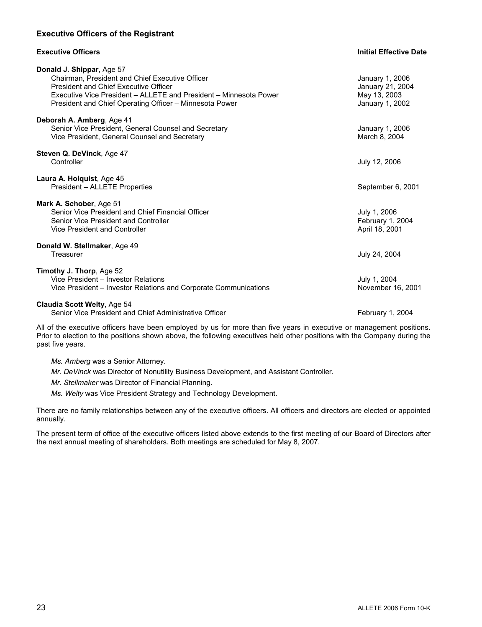# **Executive Officers of the Registrant**

| Donald J. Shippar, Age 57<br>Chairman. President and Chief Executive Officer<br><b>President and Chief Executive Officer</b><br>Executive Vice President – ALLETE and President – Minnesota Power<br>President and Chief Operating Officer - Minnesota Power | January 1, 2006<br>January 21, 2004<br>May 13, 2003<br>January 1, 2002 |
|--------------------------------------------------------------------------------------------------------------------------------------------------------------------------------------------------------------------------------------------------------------|------------------------------------------------------------------------|
| Deborah A. Amberg, Age 41<br>Senior Vice President, General Counsel and Secretary<br>Vice President, General Counsel and Secretary                                                                                                                           | January 1, 2006<br>March 8, 2004                                       |
| Steven Q. DeVinck, Age 47<br>Controller                                                                                                                                                                                                                      | July 12, 2006                                                          |
| Laura A. Holquist, Age 45<br>President - ALLETE Properties                                                                                                                                                                                                   | September 6, 2001                                                      |
| Mark A. Schober, Age 51<br>Senior Vice President and Chief Financial Officer<br>Senior Vice President and Controller<br>Vice President and Controller                                                                                                        | July 1, 2006<br>February 1, 2004<br>April 18, 2001                     |
| Donald W. Stellmaker, Age 49<br>Treasurer                                                                                                                                                                                                                    | July 24, 2004                                                          |
| Timothy J. Thorp, Age 52<br>Vice President - Investor Relations<br>Vice President - Investor Relations and Corporate Communications                                                                                                                          | July 1, 2004<br>November 16, 2001                                      |
| Claudia Scott Welty, Age 54<br>Senior Vice President and Chief Administrative Officer                                                                                                                                                                        | February 1, 2004                                                       |

All of the executive officers have been employed by us for more than five years in executive or management positions. Prior to election to the positions shown above, the following executives held other positions with the Company during the past five years.

*Ms. Amberg* was a Senior Attorney.

*Mr. DeVinck* was Director of Nonutility Business Development, and Assistant Controller*.*

*Mr. Stellmaker* was Director of Financial Planning.

*Ms. Welty* was Vice President Strategy and Technology Development.

There are no family relationships between any of the executive officers. All officers and directors are elected or appointed annually.

The present term of office of the executive officers listed above extends to the first meeting of our Board of Directors after the next annual meeting of shareholders. Both meetings are scheduled for May 8, 2007.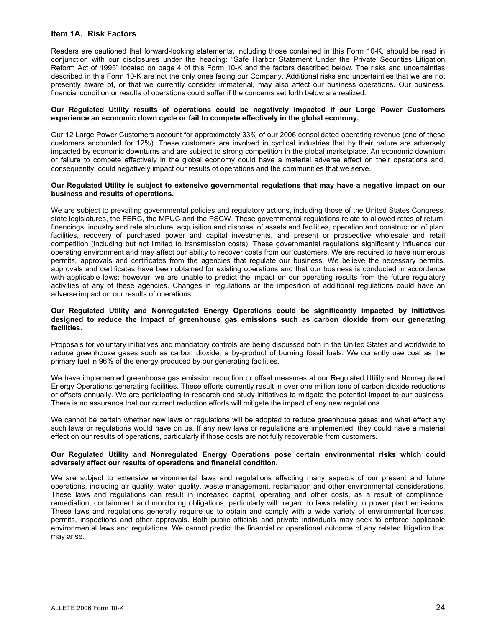#### **Item 1A. Risk Factors**

Readers are cautioned that forward-looking statements, including those contained in this Form 10-K, should be read in conjunction with our disclosures under the heading: "Safe Harbor Statement Under the Private Securities Litigation Reform Act of 1995" located on page 4 of this Form 10-K and the factors described below. The risks and uncertainties described in this Form 10-K are not the only ones facing our Company. Additional risks and uncertainties that we are not presently aware of, or that we currently consider immaterial, may also affect our business operations. Our business, financial condition or results of operations could suffer if the concerns set forth below are realized.

#### **Our Regulated Utility results of operations could be negatively impacted if our Large Power Customers experience an economic down cycle or fail to compete effectively in the global economy.**

Our 12 Large Power Customers account for approximately 33% of our 2006 consolidated operating revenue (one of these customers accounted for 12%). These customers are involved in cyclical industries that by their nature are adversely impacted by economic downturns and are subject to strong competition in the global marketplace. An economic downturn or failure to compete effectively in the global economy could have a material adverse effect on their operations and, consequently, could negatively impact our results of operations and the communities that we serve.

#### **Our Regulated Utility is subject to extensive governmental regulations that may have a negative impact on our business and results of operations.**

We are subject to prevailing governmental policies and regulatory actions, including those of the United States Congress, state legislatures, the FERC, the MPUC and the PSCW. These governmental regulations relate to allowed rates of return, financings, industry and rate structure, acquisition and disposal of assets and facilities, operation and construction of plant facilities, recovery of purchased power and capital investments, and present or prospective wholesale and retail competition (including but not limited to transmission costs). These governmental regulations significantly influence our operating environment and may affect our ability to recover costs from our customers. We are required to have numerous permits, approvals and certificates from the agencies that regulate our business. We believe the necessary permits, approvals and certificates have been obtained for existing operations and that our business is conducted in accordance with applicable laws; however, we are unable to predict the impact on our operating results from the future regulatory activities of any of these agencies. Changes in regulations or the imposition of additional regulations could have an adverse impact on our results of operations.

#### **Our Regulated Utility and Nonregulated Energy Operations could be significantly impacted by initiatives designed to reduce the impact of greenhouse gas emissions such as carbon dioxide from our generating facilities.**

Proposals for voluntary initiatives and mandatory controls are being discussed both in the United States and worldwide to reduce greenhouse gases such as carbon dioxide, a by-product of burning fossil fuels. We currently use coal as the primary fuel in 96% of the energy produced by our generating facilities.

We have implemented greenhouse gas emission reduction or offset measures at our Regulated Utility and Nonregulated Energy Operations generating facilities. These efforts currently result in over one million tons of carbon dioxide reductions or offsets annually. We are participating in research and study initiatives to mitigate the potential impact to our business. There is no assurance that our current reduction efforts will mitigate the impact of any new regulations.

We cannot be certain whether new laws or regulations will be adopted to reduce greenhouse gases and what effect any such laws or regulations would have on us. If any new laws or regulations are implemented, they could have a material effect on our results of operations, particularly if those costs are not fully recoverable from customers.

#### **Our Regulated Utility and Nonregulated Energy Operations pose certain environmental risks which could adversely affect our results of operations and financial condition.**

We are subject to extensive environmental laws and regulations affecting many aspects of our present and future operations, including air quality, water quality, waste management, reclamation and other environmental considerations. These laws and regulations can result in increased capital, operating and other costs, as a result of compliance, remediation, containment and monitoring obligations, particularly with regard to laws relating to power plant emissions. These laws and regulations generally require us to obtain and comply with a wide variety of environmental licenses, permits, inspections and other approvals. Both public officials and private individuals may seek to enforce applicable environmental laws and regulations. We cannot predict the financial or operational outcome of any related litigation that may arise.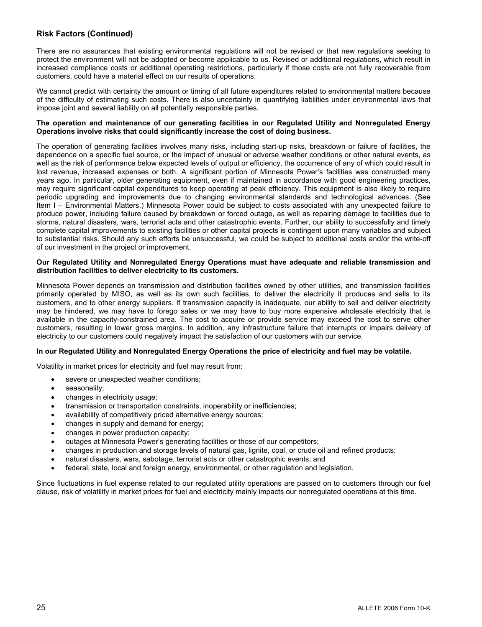# **Risk Factors (Continued)**

There are no assurances that existing environmental regulations will not be revised or that new regulations seeking to protect the environment will not be adopted or become applicable to us. Revised or additional regulations, which result in increased compliance costs or additional operating restrictions, particularly if those costs are not fully recoverable from customers, could have a material effect on our results of operations.

We cannot predict with certainty the amount or timing of all future expenditures related to environmental matters because of the difficulty of estimating such costs. There is also uncertainty in quantifying liabilities under environmental laws that impose joint and several liability on all potentially responsible parties.

#### **The operation and maintenance of our generating facilities in our Regulated Utility and Nonregulated Energy Operations involve risks that could significantly increase the cost of doing business.**

The operation of generating facilities involves many risks, including start-up risks, breakdown or failure of facilities, the dependence on a specific fuel source, or the impact of unusual or adverse weather conditions or other natural events, as well as the risk of performance below expected levels of output or efficiency, the occurrence of any of which could result in lost revenue, increased expenses or both. A significant portion of Minnesota Power's facilities was constructed many years ago. In particular, older generating equipment, even if maintained in accordance with good engineering practices, may require significant capital expenditures to keep operating at peak efficiency. This equipment is also likely to require periodic upgrading and improvements due to changing environmental standards and technological advances. (See Item I – Environmental Matters.) Minnesota Power could be subject to costs associated with any unexpected failure to produce power, including failure caused by breakdown or forced outage, as well as repairing damage to facilities due to storms, natural disasters, wars, terrorist acts and other catastrophic events. Further, our ability to successfully and timely complete capital improvements to existing facilities or other capital projects is contingent upon many variables and subject to substantial risks. Should any such efforts be unsuccessful, we could be subject to additional costs and/or the write-off of our investment in the project or improvement.

#### **Our Regulated Utility and Nonregulated Energy Operations must have adequate and reliable transmission and distribution facilities to deliver electricity to its customers.**

Minnesota Power depends on transmission and distribution facilities owned by other utilities, and transmission facilities primarily operated by MISO, as well as its own such facilities, to deliver the electricity it produces and sells to its customers, and to other energy suppliers. If transmission capacity is inadequate, our ability to sell and deliver electricity may be hindered, we may have to forego sales or we may have to buy more expensive wholesale electricity that is available in the capacity-constrained area. The cost to acquire or provide service may exceed the cost to serve other customers, resulting in lower gross margins. In addition, any infrastructure failure that interrupts or impairs delivery of electricity to our customers could negatively impact the satisfaction of our customers with our service.

#### **In our Regulated Utility and Nonregulated Energy Operations the price of electricity and fuel may be volatile.**

Volatility in market prices for electricity and fuel may result from:

- severe or unexpected weather conditions;
- seasonality;
- changes in electricity usage:
- transmission or transportation constraints, inoperability or inefficiencies;
- availability of competitively priced alternative energy sources;
- changes in supply and demand for energy;
- changes in power production capacity;
- outages at Minnesota Power's generating facilities or those of our competitors;
- changes in production and storage levels of natural gas, lignite, coal, or crude oil and refined products;
- natural disasters, wars, sabotage, terrorist acts or other catastrophic events; and
- federal, state, local and foreign energy, environmental, or other regulation and legislation.

Since fluctuations in fuel expense related to our regulated utility operations are passed on to customers through our fuel clause, risk of volatility in market prices for fuel and electricity mainly impacts our nonregulated operations at this time.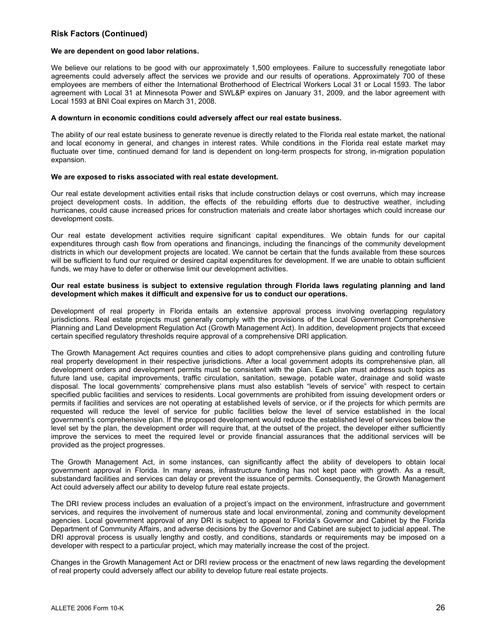# **Risk Factors (Continued)**

#### **We are dependent on good labor relations.**

We believe our relations to be good with our approximately 1,500 employees. Failure to successfully renegotiate labor agreements could adversely affect the services we provide and our results of operations. Approximately 700 of these employees are members of either the International Brotherhood of Electrical Workers Local 31 or Local 1593. The labor agreement with Local 31 at Minnesota Power and SWL&P expires on January 31, 2009, and the labor agreement with Local 1593 at BNI Coal expires on March 31, 2008.

#### **A downturn in economic conditions could adversely affect our real estate business.**

The ability of our real estate business to generate revenue is directly related to the Florida real estate market, the national and local economy in general, and changes in interest rates. While conditions in the Florida real estate market may fluctuate over time, continued demand for land is dependent on long-term prospects for strong, in-migration population expansion.

#### **We are exposed to risks associated with real estate development.**

Our real estate development activities entail risks that include construction delays or cost overruns, which may increase project development costs. In addition, the effects of the rebuilding efforts due to destructive weather, including hurricanes, could cause increased prices for construction materials and create labor shortages which could increase our development costs.

Our real estate development activities require significant capital expenditures. We obtain funds for our capital expenditures through cash flow from operations and financings, including the financings of the community development districts in which our development projects are located. We cannot be certain that the funds available from these sources will be sufficient to fund our required or desired capital expenditures for development. If we are unable to obtain sufficient funds, we may have to defer or otherwise limit our development activities.

#### **Our real estate business is subject to extensive regulation through Florida laws regulating planning and land development which makes it difficult and expensive for us to conduct our operations.**

Development of real property in Florida entails an extensive approval process involving overlapping regulatory jurisdictions. Real estate projects must generally comply with the provisions of the Local Government Comprehensive Planning and Land Development Regulation Act (Growth Management Act). In addition, development projects that exceed certain specified regulatory thresholds require approval of a comprehensive DRI application.

The Growth Management Act requires counties and cities to adopt comprehensive plans guiding and controlling future real property development in their respective jurisdictions. After a local government adopts its comprehensive plan, all development orders and development permits must be consistent with the plan. Each plan must address such topics as future land use, capital improvements, traffic circulation, sanitation, sewage, potable water, drainage and solid waste disposal. The local governments' comprehensive plans must also establish "levels of service" with respect to certain specified public facilities and services to residents. Local governments are prohibited from issuing development orders or permits if facilities and services are not operating at established levels of service, or if the projects for which permits are requested will reduce the level of service for public facilities below the level of service established in the local government's comprehensive plan. If the proposed development would reduce the established level of services below the level set by the plan, the development order will require that, at the outset of the project, the developer either sufficiently improve the services to meet the required level or provide financial assurances that the additional services will be provided as the project progresses.

The Growth Management Act, in some instances, can significantly affect the ability of developers to obtain local government approval in Florida. In many areas, infrastructure funding has not kept pace with growth. As a result, substandard facilities and services can delay or prevent the issuance of permits. Consequently, the Growth Management Act could adversely affect our ability to develop future real estate projects.

The DRI review process includes an evaluation of a project's impact on the environment, infrastructure and government services, and requires the involvement of numerous state and local environmental, zoning and community development agencies. Local government approval of any DRI is subject to appeal to Florida's Governor and Cabinet by the Florida Department of Community Affairs, and adverse decisions by the Governor and Cabinet are subject to judicial appeal. The DRI approval process is usually lengthy and costly, and conditions, standards or requirements may be imposed on a developer with respect to a particular project, which may materially increase the cost of the project.

Changes in the Growth Management Act or DRI review process or the enactment of new laws regarding the development of real property could adversely affect our ability to develop future real estate projects.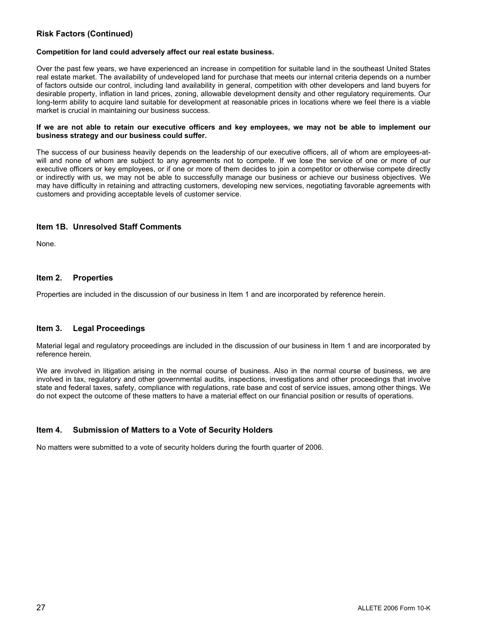# **Risk Factors (Continued)**

#### **Competition for land could adversely affect our real estate business.**

Over the past few years, we have experienced an increase in competition for suitable land in the southeast United States real estate market. The availability of undeveloped land for purchase that meets our internal criteria depends on a number of factors outside our control, including land availability in general, competition with other developers and land buyers for desirable property, inflation in land prices, zoning, allowable development density and other regulatory requirements. Our long-term ability to acquire land suitable for development at reasonable prices in locations where we feel there is a viable market is crucial in maintaining our business success.

#### **If we are not able to retain our executive officers and key employees, we may not be able to implement our business strategy and our business could suffer.**

The success of our business heavily depends on the leadership of our executive officers, all of whom are employees-atwill and none of whom are subject to any agreements not to compete. If we lose the service of one or more of our executive officers or key employees, or if one or more of them decides to join a competitor or otherwise compete directly or indirectly with us, we may not be able to successfully manage our business or achieve our business objectives. We may have difficulty in retaining and attracting customers, developing new services, negotiating favorable agreements with customers and providing acceptable levels of customer service.

# **Item 1B. Unresolved Staff Comments**

None.

# **Item 2. Properties**

Properties are included in the discussion of our business in Item 1 and are incorporated by reference herein.

#### **Item 3. Legal Proceedings**

Material legal and regulatory proceedings are included in the discussion of our business in Item 1 and are incorporated by reference herein.

We are involved in litigation arising in the normal course of business. Also in the normal course of business, we are involved in tax, regulatory and other governmental audits, inspections, investigations and other proceedings that involve state and federal taxes, safety, compliance with regulations, rate base and cost of service issues, among other things. We do not expect the outcome of these matters to have a material effect on our financial position or results of operations.

# **Item 4. Submission of Matters to a Vote of Security Holders**

No matters were submitted to a vote of security holders during the fourth quarter of 2006.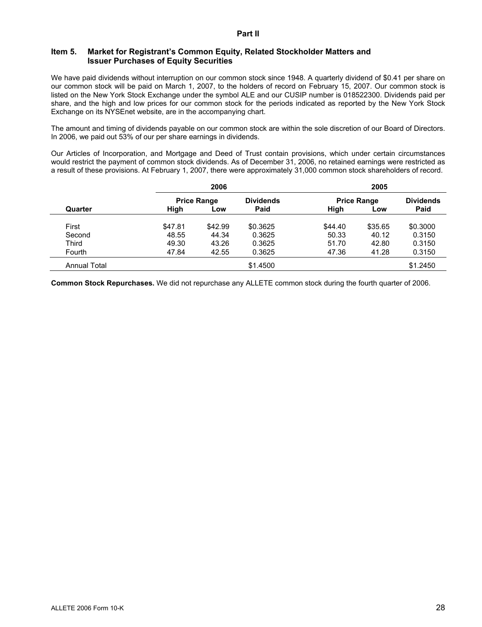#### **Part II**

#### **Item 5. Market for Registrant's Common Equity, Related Stockholder Matters and Issuer Purchases of Equity Securities**

We have paid dividends without interruption on our common stock since 1948. A quarterly dividend of \$0.41 per share on our common stock will be paid on March 1, 2007, to the holders of record on February 15, 2007. Our common stock is listed on the New York Stock Exchange under the symbol ALE and our CUSIP number is 018522300. Dividends paid per share, and the high and low prices for our common stock for the periods indicated as reported by the New York Stock Exchange on its NYSEnet website, are in the accompanying chart.

The amount and timing of dividends payable on our common stock are within the sole discretion of our Board of Directors. In 2006, we paid out 53% of our per share earnings in dividends.

Our Articles of Incorporation, and Mortgage and Deed of Trust contain provisions, which under certain circumstances would restrict the payment of common stock dividends. As of December 31, 2006, no retained earnings were restricted as a result of these provisions. At February 1, 2007, there were approximately 31,000 common stock shareholders of record.

| Quarter      | 2006               |         |                  | 2005               |         |                  |  |
|--------------|--------------------|---------|------------------|--------------------|---------|------------------|--|
|              | <b>Price Range</b> |         | <b>Dividends</b> | <b>Price Range</b> |         | <b>Dividends</b> |  |
|              | High               | Low     | Paid             | High               | Low     | Paid             |  |
| First        | \$47.81            | \$42.99 | \$0.3625         | \$44.40            | \$35.65 | \$0.3000         |  |
| Second       | 48.55              | 44.34   | 0.3625           | 50.33              | 40.12   | 0.3150           |  |
| <b>Third</b> | 49.30              | 43.26   | 0.3625           | 51.70              | 42.80   | 0.3150           |  |
| Fourth       | 47.84              | 42.55   | 0.3625           | 47.36              | 41.28   | 0.3150           |  |
| Annual Total |                    |         | \$1.4500         |                    |         | \$1.2450         |  |

**Common Stock Repurchases.** We did not repurchase any ALLETE common stock during the fourth quarter of 2006.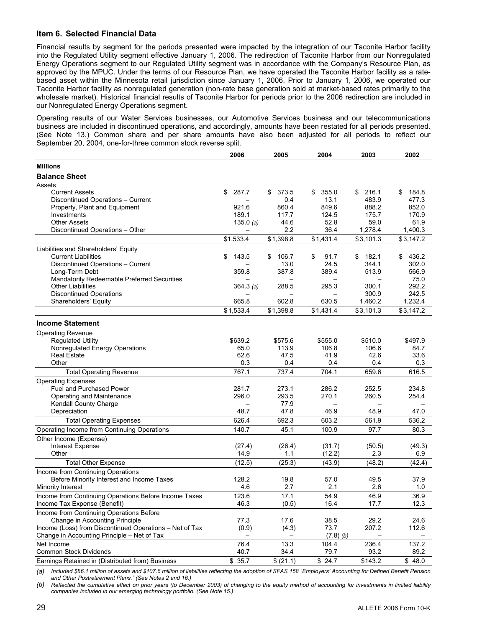#### **Item 6. Selected Financial Data**

Financial results by segment for the periods presented were impacted by the integration of our Taconite Harbor facility into the Regulated Utility segment effective January 1, 2006. The redirection of Taconite Harbor from our Nonregulated Energy Operations segment to our Regulated Utility segment was in accordance with the Company's Resource Plan, as approved by the MPUC. Under the terms of our Resource Plan, we have operated the Taconite Harbor facility as a ratebased asset within the Minnesota retail jurisdiction since January 1, 2006. Prior to January 1, 2006, we operated our Taconite Harbor facility as nonregulated generation (non-rate base generation sold at market-based rates primarily to the wholesale market). Historical financial results of Taconite Harbor for periods prior to the 2006 redirection are included in our Nonregulated Energy Operations segment.

Operating results of our Water Services businesses, our Automotive Services business and our telecommunications business are included in discontinued operations, and accordingly, amounts have been restated for all periods presented. (See Note 13.) Common share and per share amounts have also been adjusted for all periods to reflect our September 20, 2004, one-for-three common stock reverse split.

|                                                         | 2006                     | 2005                     | 2004        | 2003                     | 2002        |
|---------------------------------------------------------|--------------------------|--------------------------|-------------|--------------------------|-------------|
| <b>Millions</b>                                         |                          |                          |             |                          |             |
| <b>Balance Sheet</b>                                    |                          |                          |             |                          |             |
| Assets                                                  |                          |                          |             |                          |             |
| <b>Current Assets</b>                                   | \$<br>287.7              | 373.5<br>\$              | 355.0<br>\$ | 216.1<br>\$              | 184.8<br>\$ |
| Discontinued Operations - Current                       |                          | 0.4                      | 13.1        | 483.9                    | 477.3       |
| Property, Plant and Equipment                           | 921.6                    | 860.4                    | 849.6       | 888.2                    | 852.0       |
| Investments                                             | 189.1                    | 117.7                    | 124.5       | 175.7                    | 170.9       |
| <b>Other Assets</b>                                     | 135.0 $(a)$              | 44.6                     | 52.8        | 59.0                     | 61.9        |
| Discontinued Operations - Other                         |                          | 2.2                      | 36.4        | 1,278.4                  | 1,400.3     |
|                                                         | \$1,533.4                | \$1,398.8                | \$1,431.4   | \$3,101.3                | \$3,147.2   |
| Liabilities and Shareholders' Equity                    |                          |                          |             |                          |             |
| <b>Current Liabilities</b>                              | \$<br>143.5              | \$<br>106.7              | \$<br>91.7  | \$<br>182.1              | \$<br>436.2 |
| Discontinued Operations - Current                       |                          | 13.0                     | 24.5        | 344.1                    | 302.0       |
| Long-Term Debt                                          | 359.8                    | 387.8                    | 389.4       | 513.9                    | 566.9       |
| Mandatorily Redeemable Preferred Securities             |                          |                          |             |                          | 75.0        |
| <b>Other Liabilities</b>                                | 364.3(a)                 | 288.5                    | 295.3       | 300.1                    | 292.2       |
| <b>Discontinued Operations</b>                          |                          |                          |             | 300.9                    | 242.5       |
| Shareholders' Equity                                    | 665.8                    | 602.8                    | 630.5       | 1,460.2                  | 1,232.4     |
|                                                         | \$1,533.4                | \$1,398.8                | \$1,431.4   | \$3,101.3                | \$3,147.2   |
| <b>Income Statement</b>                                 |                          |                          |             |                          |             |
| <b>Operating Revenue</b>                                |                          |                          |             |                          |             |
| <b>Regulated Utility</b>                                | \$639.2                  | \$575.6                  | \$555.0     | \$510.0                  | \$497.9     |
| Nonregulated Energy Operations                          | 65.0                     | 113.9                    | 106.8       | 106.6                    | 84.7        |
| <b>Real Estate</b>                                      | 62.6                     | 47.5                     | 41.9        | 42.6                     | 33.6        |
| Other                                                   | 0.3                      | 0.4                      | 0.4         | 0.4                      | 0.3         |
| <b>Total Operating Revenue</b>                          | 767.1                    | 737.4                    | 704.1       | 659.6                    | 616.5       |
| <b>Operating Expenses</b>                               |                          |                          |             |                          |             |
| Fuel and Purchased Power                                | 281.7                    | 273.1                    | 286.2       | 252.5                    | 234.8       |
| Operating and Maintenance                               | 296.0                    | 293.5                    | 270.1       | 260.5                    | 254.4       |
| Kendall County Charge                                   | 48.7                     | 77.9<br>47.8             | 46.9        | 48.9                     | 47.0        |
| Depreciation                                            |                          |                          |             |                          |             |
| <b>Total Operating Expenses</b>                         | 626.4                    | 692.3                    | 603.2       | 561.9                    | 536.2       |
| Operating Income from Continuing Operations             | 140.7                    | 45.1                     | 100.9       | 97.7                     | 80.3        |
| Other Income (Expense)                                  |                          |                          |             |                          |             |
| <b>Interest Expense</b>                                 | (27.4)                   | (26.4)                   | (31.7)      | (50.5)                   | (49.3)      |
| Other                                                   | 14.9                     | 1.1                      | (12.2)      | 2.3                      | 6.9         |
| <b>Total Other Expense</b>                              | (12.5)                   | (25.3)                   | (43.9)      | (48.2)                   | (42.4)      |
| Income from Continuing Operations                       |                          |                          |             |                          |             |
| Before Minority Interest and Income Taxes               | 128.2                    | 19.8                     | 57.0        | 49.5                     | 37.9        |
| Minority Interest                                       | 4.6                      | 2.7                      | 2.1         | 2.6                      | 1.0         |
| Income from Continuing Operations Before Income Taxes   | 123.6                    | 17.1                     | 54.9        | 46.9                     | 36.9        |
| Income Tax Expense (Benefit)                            | 46.3                     | (0.5)                    | 16.4        | 17.7                     | 12.3        |
| Income from Continuing Operations Before                |                          |                          |             |                          |             |
| Change in Accounting Principle                          | 77.3                     | 17.6                     | 38.5        | 29.2                     | 24.6        |
| Income (Loss) from Discontinued Operations - Net of Tax | (0.9)                    | (4.3)                    | 73.7        | 207.2                    | 112.6       |
| Change in Accounting Principle - Net of Tax             | $\overline{\phantom{a}}$ | $\overline{\phantom{m}}$ | $(7.8)$ (b) | $\overline{\phantom{0}}$ |             |
| Net Income                                              | 76.4                     | 13.3                     | 104.4       | 236.4                    | 137.2       |
| <b>Common Stock Dividends</b>                           | 40.7                     | 34.4                     | 79.7        | 93.2                     | 89.2        |
| Earnings Retained in (Distributed from) Business        | 35.7<br>\$               | \$(21.1)                 | \$24.7      | \$143.2                  | \$48.0      |

*(a) Included \$86.1 million of assets and \$107.6 million of liabilities reflecting the adoption of SFAS 158 "Employers' Accounting for Defined Benefit Pension and Other Postretirement Plans." (See Notes 2 and 16.)* 

*(b) Reflected the cumulative effect on prior years (to December 2003) of changing to the equity method of accounting for investments in limited liability companies included in our emerging technology portfolio. (See Note 15.)*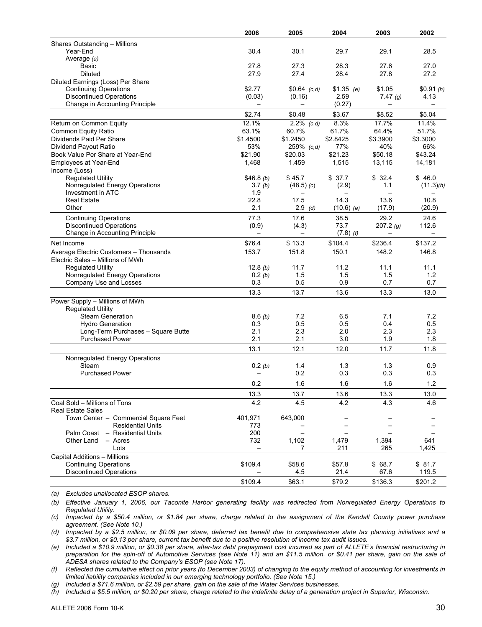|                                                                   | 2006              | 2005              | 2004         | 2003                     | 2002         |
|-------------------------------------------------------------------|-------------------|-------------------|--------------|--------------------------|--------------|
| Shares Outstanding - Millions                                     |                   |                   |              |                          |              |
| Year-End                                                          | 30.4              | 30.1              | 29.7         | 29.1                     | 28.5         |
| Average (a)                                                       |                   |                   |              |                          |              |
| Basic                                                             | 27.8              | 27.3              | 28.3         | 27.6                     | 27.0         |
| <b>Diluted</b>                                                    | 27.9              | 27.4              | 28.4         | 27.8                     | 27.2         |
| Diluted Earnings (Loss) Per Share<br><b>Continuing Operations</b> | \$2.77            | $$0.64$ (c,d)     | $$1.35$ (e)  | \$1.05                   | \$0.91(h)    |
| <b>Discontinued Operations</b>                                    | (0.03)            | (0.16)            | 2.59         | 7.47(g)                  | 4.13         |
| Change in Accounting Principle                                    | $\qquad \qquad -$ | $\qquad \qquad -$ | (0.27)       | $\overline{\phantom{0}}$ |              |
|                                                                   | \$2.74            | \$0.48            | \$3.67       | \$8.52                   | \$5.04       |
| Return on Common Equity                                           | 12.1%             | $2.2\%$ (c,d)     | 8.3%         | 17.7%                    | 11.4%        |
| Common Equity Ratio                                               | 63.1%             | 60.7%             | 61.7%        | 64.4%                    | 51.7%        |
| Dividends Paid Per Share                                          | \$1.4500          | \$1.2450          | \$2.8425     | \$3.3900                 | \$3.3000     |
| Dividend Payout Ratio                                             | 53%               | 259% (c,d)        | 77%          | 40%                      | 66%          |
| Book Value Per Share at Year-End                                  | \$21.90           | \$20.03           | \$21.23      | \$50.18                  | \$43.24      |
| Employees at Year-End                                             | 1,468             | 1,459             | 1,515        | 13,115                   | 14,181       |
| Income (Loss)                                                     |                   |                   |              |                          |              |
| <b>Regulated Utility</b>                                          | \$46.8(h)         | \$45.7            | \$37.7       | \$32.4                   | \$46.0       |
| Nonregulated Energy Operations                                    | 3.7(b)            | $(48.5)$ (c)      | (2.9)        | 1.1                      | $(11.3)$ (h) |
| Investment in ATC                                                 | 1.9               |                   |              |                          |              |
| <b>Real Estate</b>                                                | 22.8              | 17 <sub>5</sub>   | 14.3         | 13.6                     | 10.8         |
| Other                                                             | 2.1               | $2.9$ (d)         | $(10.6)$ (e) | (17.9)                   | (20.9)       |
| <b>Continuing Operations</b>                                      | 77.3              | 17.6              | 38.5         | 29.2                     | 24.6         |
| <b>Discontinued Operations</b>                                    | (0.9)             | (4.3)             | 73.7         | 207.2(g)                 | 112.6        |
| Change in Accounting Principle                                    |                   |                   | $(7.8)$ (f)  |                          |              |
| Net Income                                                        | \$76.4            | \$13.3            | \$104.4      | \$236.4                  | \$137.2      |
| Average Electric Customers - Thousands                            | 153.7             | 151.8             | 150.1        | 148.2                    | 146.8        |
| Electric Sales - Millions of MWh                                  |                   |                   |              |                          |              |
| <b>Regulated Utility</b>                                          | 12.8 (b)          | 11.7              | 11.2         | 11.1                     | 11.1         |
| Nonregulated Energy Operations                                    | 0.2(b)            | 1.5               | 1.5          | 1.5                      | 1.2          |
| Company Use and Losses                                            | 0.3               | 0.5               | 0.9          | 0.7                      | 0.7          |
|                                                                   | 13.3              | 13.7              | 13.6         | 13.3                     | 13.0         |
| Power Supply - Millions of MWh                                    |                   |                   |              |                          |              |
| <b>Regulated Utility</b>                                          |                   |                   |              |                          |              |
| <b>Steam Generation</b>                                           | 8.6(h)            | 7.2               | 6.5          | 7.1                      | 7.2          |
| <b>Hydro Generation</b>                                           | 0.3               | 0.5               | 0.5          | 0.4                      | 0.5          |
| Long-Term Purchases - Square Butte<br><b>Purchased Power</b>      | 2.1<br>2.1        | 2.3<br>2.1        | 2.0<br>3.0   | 2.3<br>1.9               | 2.3<br>1.8   |
|                                                                   |                   |                   |              |                          |              |
|                                                                   | 13.1              | 12.1              | 12.0         | 11.7                     | 11.8         |
| Nonregulated Energy Operations                                    |                   |                   |              |                          |              |
| Steam                                                             | 0.2(b)            | 1.4               | 1.3          | 1.3                      | 0.9          |
| <b>Purchased Power</b>                                            |                   | 0.2               | 0.3          | 0.3                      | 0.3          |
|                                                                   | 0.2               | 1.6               | 1.6          | 1.6                      | 1.2          |
|                                                                   | 13.3              | 13.7              | 13.6         | 13.3                     | 13.0         |
| Coal Sold - Millions of Tons                                      | 4.2               | 4.5               | 4.2          | 4.3                      | 4.6          |
| <b>Real Estate Sales</b>                                          |                   |                   |              |                          |              |
| Town Center - Commercial Square Feet                              | 401,971           | 643,000           |              |                          |              |
| <b>Residential Units</b>                                          | 773               |                   |              |                          |              |
| Palm Coast - Residential Units                                    | 200               |                   |              |                          |              |
| Other Land<br>- Acres                                             | 732               | 1,102             | 1,479        | 1,394                    | 641          |
| Lots                                                              | $\qquad \qquad -$ | 7                 | 211          | 265                      | 1,425        |
| <b>Capital Additions - Millions</b>                               |                   |                   |              |                          |              |
| <b>Continuing Operations</b>                                      | \$109.4           | \$58.6            | \$57.8       | \$68.7                   | \$81.7       |
| <b>Discontinued Operations</b>                                    |                   | 4.5               | 21.4         | 67.6                     | 119.5        |
|                                                                   | \$109.4           | \$63.1            | \$79.2       | \$136.3                  | \$201.2      |

*(a) Excludes unallocated ESOP shares.* 

*(b) Effective January 1, 2006, our Taconite Harbor generating facility was redirected from Nonregulated Energy Operations to Regulated Utility.* 

*(c) Impacted by a \$50.4 million, or \$1.84 per share, charge related to the assignment of the Kendall County power purchase agreement. (See Note 10.)* 

*(d) Impacted by a \$2.5 million, or \$0.09 per share, deferred tax benefit due to comprehensive state tax planning initiatives and a \$3.7 million, or \$0.13 per share, current tax benefit due to a positive resolution of income tax audit issues.* 

*(e) Included a \$10.9 million, or \$0.38 per share, after-tax debt prepayment cost incurred as part of ALLETE's financial restructuring in preparation for the spin-off of Automotive Services (see Note 11) and an \$11.5 million, or \$0.41 per share, gain on the sale of ADESA shares related to the Company's ESOP (see Note 17).* 

*(f) Reflected the cumulative effect on prior years (to December 2003) of changing to the equity method of accounting for investments in limited liability companies included in our emerging technology portfolio. (See Note 15.)* 

*(g) Included a \$71.6 million, or \$2.59 per share, gain on the sale of the Water Services businesses.* 

*(h) Included a \$5.5 million, or \$0.20 per share, charge related to the indefinite delay of a generation project in Superior, Wisconsin.*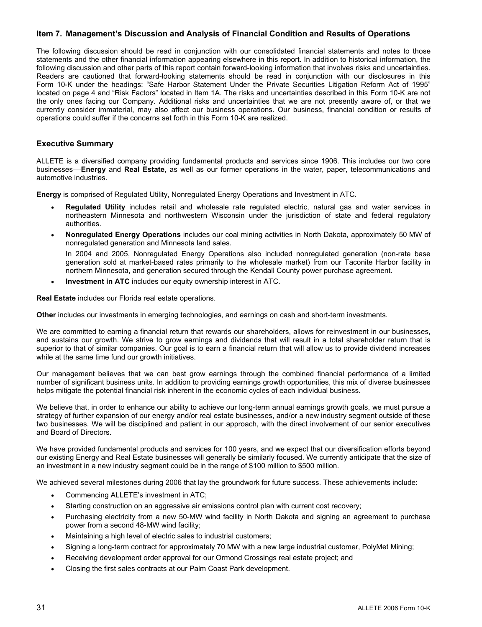# **Item 7. Management's Discussion and Analysis of Financial Condition and Results of Operations**

The following discussion should be read in conjunction with our consolidated financial statements and notes to those statements and the other financial information appearing elsewhere in this report. In addition to historical information, the following discussion and other parts of this report contain forward-looking information that involves risks and uncertainties. Readers are cautioned that forward-looking statements should be read in conjunction with our disclosures in this Form 10-K under the headings: "Safe Harbor Statement Under the Private Securities Litigation Reform Act of 1995" located on page 4 and "Risk Factors" located in Item 1A. The risks and uncertainties described in this Form 10-K are not the only ones facing our Company. Additional risks and uncertainties that we are not presently aware of, or that we currently consider immaterial, may also affect our business operations. Our business, financial condition or results of operations could suffer if the concerns set forth in this Form 10-K are realized.

#### **Executive Summary**

ALLETE is a diversified company providing fundamental products and services since 1906. This includes our two core businesses––**Energy** and **Real Estate**, as well as our former operations in the water, paper, telecommunications and automotive industries.

**Energy** is comprised of Regulated Utility, Nonregulated Energy Operations and Investment in ATC.

- **Regulated Utility** includes retail and wholesale rate regulated electric, natural gas and water services in northeastern Minnesota and northwestern Wisconsin under the jurisdiction of state and federal regulatory authorities.
- **Nonregulated Energy Operations** includes our coal mining activities in North Dakota, approximately 50 MW of nonregulated generation and Minnesota land sales.

In 2004 and 2005, Nonregulated Energy Operations also included nonregulated generation (non-rate base generation sold at market-based rates primarily to the wholesale market) from our Taconite Harbor facility in northern Minnesota, and generation secured through the Kendall County power purchase agreement.

**Investment in ATC** includes our equity ownership interest in ATC.

**Real Estate** includes our Florida real estate operations.

**Other** includes our investments in emerging technologies, and earnings on cash and short-term investments.

We are committed to earning a financial return that rewards our shareholders, allows for reinvestment in our businesses, and sustains our growth. We strive to grow earnings and dividends that will result in a total shareholder return that is superior to that of similar companies. Our goal is to earn a financial return that will allow us to provide dividend increases while at the same time fund our growth initiatives.

Our management believes that we can best grow earnings through the combined financial performance of a limited number of significant business units. In addition to providing earnings growth opportunities, this mix of diverse businesses helps mitigate the potential financial risk inherent in the economic cycles of each individual business.

We believe that, in order to enhance our ability to achieve our long-term annual earnings growth goals, we must pursue a strategy of further expansion of our energy and/or real estate businesses, and/or a new industry segment outside of these two businesses. We will be disciplined and patient in our approach, with the direct involvement of our senior executives and Board of Directors.

We have provided fundamental products and services for 100 years, and we expect that our diversification efforts beyond our existing Energy and Real Estate businesses will generally be similarly focused. We currently anticipate that the size of an investment in a new industry segment could be in the range of \$100 million to \$500 million.

We achieved several milestones during 2006 that lay the groundwork for future success. These achievements include:

- Commencing ALLETE's investment in ATC;
- Starting construction on an aggressive air emissions control plan with current cost recovery;
- Purchasing electricity from a new 50-MW wind facility in North Dakota and signing an agreement to purchase power from a second 48-MW wind facility;
- Maintaining a high level of electric sales to industrial customers;
- Signing a long-term contract for approximately 70 MW with a new large industrial customer, PolyMet Mining;
- Receiving development order approval for our Ormond Crossings real estate project; and
- Closing the first sales contracts at our Palm Coast Park development.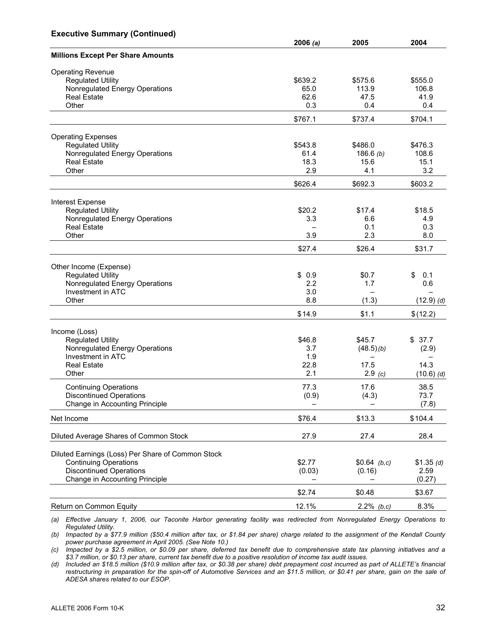# **Executive Summary (Continued)**

|                                                   | 2006(a)     | 2005          | 2004         |
|---------------------------------------------------|-------------|---------------|--------------|
| <b>Millions Except Per Share Amounts</b>          |             |               |              |
| <b>Operating Revenue</b>                          |             |               |              |
| <b>Regulated Utility</b>                          | \$639.2     | \$575.6       | \$555.0      |
| Nonregulated Energy Operations                    | 65.0        | 113.9         | 106.8        |
| <b>Real Estate</b>                                | 62.6        | 47.5          | 41.9         |
| Other                                             | 0.3         | 0.4           | 0.4          |
|                                                   | \$767.1     | \$737.4       | \$704.1      |
|                                                   |             |               |              |
| <b>Operating Expenses</b>                         |             |               |              |
| <b>Regulated Utility</b>                          | \$543.8     | \$486.0       | \$476.3      |
| Nonregulated Energy Operations                    | 61.4        | 186.6 $(b)$   | 108.6        |
| <b>Real Estate</b><br>Other                       | 18.3<br>2.9 | 15.6<br>4.1   | 15.1<br>3.2  |
|                                                   |             |               |              |
|                                                   | \$626.4     | \$692.3       | \$603.2      |
| Interest Expense                                  |             |               |              |
| <b>Regulated Utility</b>                          | \$20.2      | \$17.4        | \$18.5       |
| Nonregulated Energy Operations                    | 3.3         | 6.6           | 4.9          |
| <b>Real Estate</b>                                |             | 0.1           | 0.3          |
| Other                                             | 3.9         | 2.3           | 8.0          |
|                                                   | \$27.4      | \$26.4        | \$31.7       |
|                                                   |             |               |              |
| Other Income (Expense)                            |             |               |              |
| <b>Regulated Utility</b>                          | \$<br>0.9   | \$0.7         | \$<br>0.1    |
| Nonregulated Energy Operations                    | 2.2         | 1.7           | 0.6          |
| Investment in ATC                                 | 3.0         |               |              |
| Other                                             | 8.8         | (1.3)         | $(12.9)$ (d) |
|                                                   | \$14.9      | \$1.1         | \$(12.2)     |
| Income (Loss)                                     |             |               |              |
| <b>Regulated Utility</b>                          | \$46.8      | \$45.7        | \$37.7       |
| Nonregulated Energy Operations                    | 3.7         | $(48.5)$ (b)  | (2.9)        |
| Investment in ATC                                 | 1.9         |               |              |
| <b>Real Estate</b>                                | 22.8        | 17.5          | 14.3         |
| Other                                             | 2.1         | $2.9$ (c)     | $(10.6)$ (d) |
| <b>Continuing Operations</b>                      | 77.3        | 17.6          | 38.5         |
| <b>Discontinued Operations</b>                    | (0.9)       | (4.3)         | 73.7         |
| Change in Accounting Principle                    |             |               | (7.8)        |
| Net Income                                        | \$76.4      | \$13.3        | \$104.4      |
|                                                   |             |               |              |
| Diluted Average Shares of Common Stock            | 27.9        | 27.4          | 28.4         |
| Diluted Earnings (Loss) Per Share of Common Stock |             |               |              |
| <b>Continuing Operations</b>                      | \$2.77      | $$0.64$ (b,c) | \$1.35(d)    |
| <b>Discontinued Operations</b>                    | (0.03)      | (0.16)        | 2.59         |
| Change in Accounting Principle                    | —           |               | (0.27)       |
|                                                   | \$2.74      | \$0.48        | \$3.67       |
| Return on Common Equity                           | 12.1%       | $2.2\%$ (b,c) | 8.3%         |
|                                                   |             |               |              |

*(a) Effective January 1, 2006, our Taconite Harbor generating facility was redirected from Nonregulated Energy Operations to Regulated Utility.* 

*(b) Impacted by a \$77.9 million (\$50.4 million after tax, or \$1.84 per share) charge related to the assignment of the Kendall County power purchase agreement in April 2005. (See Note 10.)* 

*(c) Impacted by a \$2.5 million, or \$0.09 per share, deferred tax benefit due to comprehensive state tax planning initiatives and a \$3.7 million, or \$0.13 per share, current tax benefit due to a positive resolution of income tax audit issues.* 

*(d) Included an \$18.5 million (\$10.9 million after tax, or \$0.38 per share) debt prepayment cost incurred as part of ALLETE's financial restructuring in preparation for the spin-off of Automotive Services and an \$11.5 million, or \$0.41 per share, gain on the sale of ADESA shares related to our ESOP.*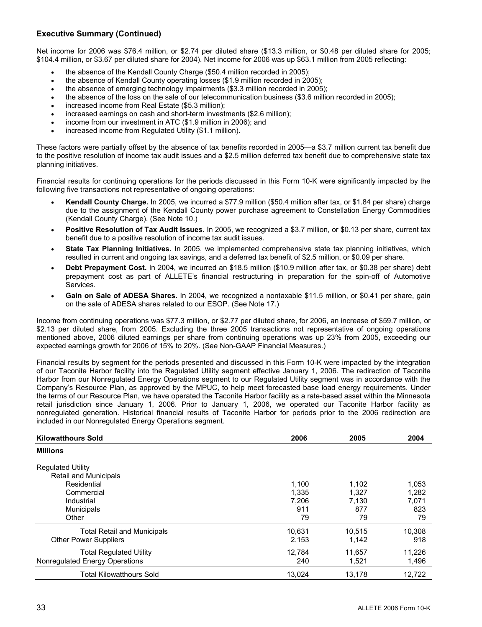# **Executive Summary (Continued)**

Net income for 2006 was \$76.4 million, or \$2.74 per diluted share (\$13.3 million, or \$0.48 per diluted share for 2005; \$104.4 million, or \$3.67 per diluted share for 2004). Net income for 2006 was up \$63.1 million from 2005 reflecting:

- the absence of the Kendall County Charge (\$50.4 million recorded in 2005);
- the absence of Kendall County operating losses (\$1.9 million recorded in 2005);
- the absence of emerging technology impairments (\$3.3 million recorded in 2005);
- the absence of the loss on the sale of our telecommunication business (\$3.6 million recorded in 2005);
- increased income from Real Estate (\$5.3 million);
- increased earnings on cash and short-term investments (\$2.6 million);
- income from our investment in ATC (\$1.9 million in 2006); and
- increased income from Regulated Utility (\$1.1 million).

These factors were partially offset by the absence of tax benefits recorded in 2005—a \$3.7 million current tax benefit due to the positive resolution of income tax audit issues and a \$2.5 million deferred tax benefit due to comprehensive state tax planning initiatives.

Financial results for continuing operations for the periods discussed in this Form 10-K were significantly impacted by the following five transactions not representative of ongoing operations:

- **Kendall County Charge.** In 2005, we incurred a \$77.9 million (\$50.4 million after tax, or \$1.84 per share) charge due to the assignment of the Kendall County power purchase agreement to Constellation Energy Commodities (Kendall County Charge). (See Note 10.)
- **Positive Resolution of Tax Audit Issues.** In 2005, we recognized a \$3.7 million, or \$0.13 per share, current tax benefit due to a positive resolution of income tax audit issues.
- **State Tax Planning Initiatives.** In 2005, we implemented comprehensive state tax planning initiatives, which resulted in current and ongoing tax savings, and a deferred tax benefit of \$2.5 million, or \$0.09 per share.
- **Debt Prepayment Cost.** In 2004, we incurred an \$18.5 million (\$10.9 million after tax, or \$0.38 per share) debt prepayment cost as part of ALLETE's financial restructuring in preparation for the spin-off of Automotive Services.
- **Gain on Sale of ADESA Shares.** In 2004, we recognized a nontaxable \$11.5 million, or \$0.41 per share, gain on the sale of ADESA shares related to our ESOP. (See Note 17.)

Income from continuing operations was \$77.3 million, or \$2.77 per diluted share, for 2006, an increase of \$59.7 million, or \$2.13 per diluted share, from 2005. Excluding the three 2005 transactions not representative of ongoing operations mentioned above, 2006 diluted earnings per share from continuing operations was up 23% from 2005, exceeding our expected earnings growth for 2006 of 15% to 20%. (See Non-GAAP Financial Measures.)

Financial results by segment for the periods presented and discussed in this Form 10-K were impacted by the integration of our Taconite Harbor facility into the Regulated Utility segment effective January 1, 2006. The redirection of Taconite Harbor from our Nonregulated Energy Operations segment to our Regulated Utility segment was in accordance with the Company's Resource Plan, as approved by the MPUC, to help meet forecasted base load energy requirements. Under the terms of our Resource Plan, we have operated the Taconite Harbor facility as a rate-based asset within the Minnesota retail jurisdiction since January 1, 2006. Prior to January 1, 2006, we operated our Taconite Harbor facility as nonregulated generation. Historical financial results of Taconite Harbor for periods prior to the 2006 redirection are included in our Nonregulated Energy Operations segment.

| <b>Kilowatthours Sold</b>          | 2006   | 2005   | 2004   |
|------------------------------------|--------|--------|--------|
| <b>Millions</b>                    |        |        |        |
| <b>Regulated Utility</b>           |        |        |        |
| <b>Retail and Municipals</b>       |        |        |        |
| Residential                        | 1,100  | 1,102  | 1,053  |
| Commercial                         | 1,335  | 1.327  | 1,282  |
| Industrial                         | 7,206  | 7.130  | 7.071  |
| <b>Municipals</b>                  | 911    | 877    | 823    |
| Other                              | 79     | 79     | 79     |
| <b>Total Retail and Municipals</b> | 10,631 | 10,515 | 10,308 |
| <b>Other Power Suppliers</b>       | 2,153  | 1,142  | 918    |
| <b>Total Regulated Utility</b>     | 12.784 | 11,657 | 11,226 |
| Nonregulated Energy Operations     | 240    | 1,521  | 1,496  |
| <b>Total Kilowatthours Sold</b>    | 13.024 | 13.178 | 12.722 |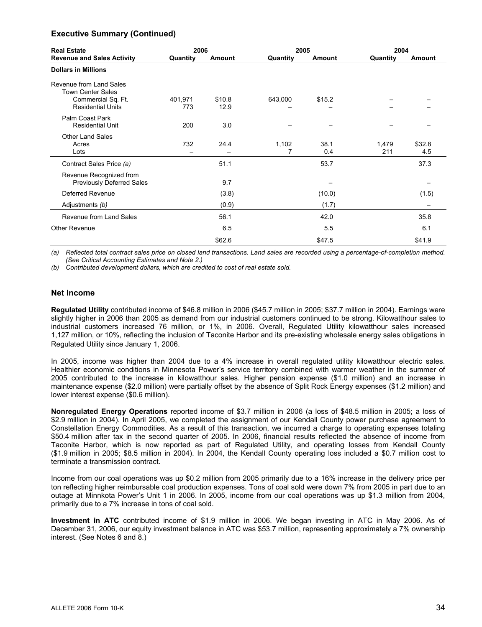# **Executive Summary (Continued)**

| <b>Real Estate</b>                                          | 2006     |               |            | 2005        |              | 2004          |  |
|-------------------------------------------------------------|----------|---------------|------------|-------------|--------------|---------------|--|
| <b>Revenue and Sales Activity</b>                           | Quantity | <b>Amount</b> | Quantity   | Amount      | Quantity     | <b>Amount</b> |  |
| <b>Dollars in Millions</b>                                  |          |               |            |             |              |               |  |
| Revenue from Land Sales<br><b>Town Center Sales</b>         |          |               |            |             |              |               |  |
| Commercial Sq. Ft.                                          | 401,971  | \$10.8        | 643,000    | \$15.2      |              |               |  |
| <b>Residential Units</b>                                    | 773      | 12.9          |            |             |              |               |  |
| Palm Coast Park<br><b>Residential Unit</b>                  | 200      | 3.0           |            |             |              |               |  |
| <b>Other Land Sales</b><br>Acres<br>Lots                    | 732      | 24.4          | 1,102<br>7 | 38.1<br>0.4 | 1,479<br>211 | \$32.8<br>4.5 |  |
| Contract Sales Price (a)                                    |          | 51.1          |            | 53.7        |              | 37.3          |  |
| Revenue Recognized from<br><b>Previously Deferred Sales</b> |          | 9.7           |            |             |              |               |  |
| Deferred Revenue                                            |          | (3.8)         |            | (10.0)      |              | (1.5)         |  |
| Adjustments (b)                                             |          | (0.9)         |            | (1.7)       |              |               |  |
| Revenue from Land Sales                                     |          | 56.1          |            | 42.0        |              | 35.8          |  |
| <b>Other Revenue</b>                                        |          | 6.5           |            | 5.5         |              | 6.1           |  |
|                                                             |          | \$62.6        |            | \$47.5      |              | \$41.9        |  |

*(a) Reflected total contract sales price on closed land transactions. Land sales are recorded using a percentage-of-completion method. (See Critical Accounting Estimates and Note 2.)* 

*(b) Contributed development dollars, which are credited to cost of real estate sold.* 

# **Net Income**

**Regulated Utility** contributed income of \$46.8 million in 2006 (\$45.7 million in 2005; \$37.7 million in 2004). Earnings were slightly higher in 2006 than 2005 as demand from our industrial customers continued to be strong. Kilowatthour sales to industrial customers increased 76 million, or 1%, in 2006. Overall, Regulated Utility kilowatthour sales increased 1,127 million, or 10%, reflecting the inclusion of Taconite Harbor and its pre-existing wholesale energy sales obligations in Regulated Utility since January 1, 2006.

In 2005, income was higher than 2004 due to a 4% increase in overall regulated utility kilowatthour electric sales. Healthier economic conditions in Minnesota Power's service territory combined with warmer weather in the summer of 2005 contributed to the increase in kilowatthour sales. Higher pension expense (\$1.0 million) and an increase in maintenance expense (\$2.0 million) were partially offset by the absence of Split Rock Energy expenses (\$1.2 million) and lower interest expense (\$0.6 million).

**Nonregulated Energy Operations** reported income of \$3.7 million in 2006 (a loss of \$48.5 million in 2005; a loss of \$2.9 million in 2004). In April 2005, we completed the assignment of our Kendall County power purchase agreement to Constellation Energy Commodities. As a result of this transaction, we incurred a charge to operating expenses totaling \$50.4 million after tax in the second quarter of 2005. In 2006, financial results reflected the absence of income from Taconite Harbor, which is now reported as part of Regulated Utility, and operating losses from Kendall County (\$1.9 million in 2005; \$8.5 million in 2004). In 2004, the Kendall County operating loss included a \$0.7 million cost to terminate a transmission contract.

Income from our coal operations was up \$0.2 million from 2005 primarily due to a 16% increase in the delivery price per ton reflecting higher reimbursable coal production expenses. Tons of coal sold were down 7% from 2005 in part due to an outage at Minnkota Power's Unit 1 in 2006. In 2005, income from our coal operations was up \$1.3 million from 2004, primarily due to a 7% increase in tons of coal sold.

**Investment in ATC** contributed income of \$1.9 million in 2006. We began investing in ATC in May 2006. As of December 31, 2006, our equity investment balance in ATC was \$53.7 million, representing approximately a 7% ownership interest. (See Notes 6 and 8.)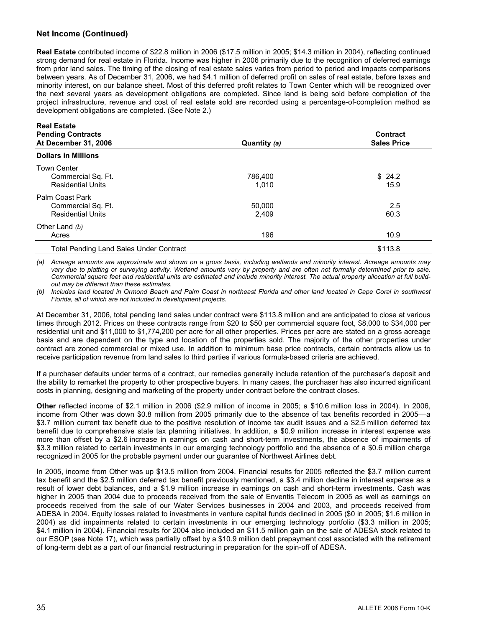# **Net Income (Continued)**

**Real Estate** contributed income of \$22.8 million in 2006 (\$17.5 million in 2005; \$14.3 million in 2004), reflecting continued strong demand for real estate in Florida. Income was higher in 2006 primarily due to the recognition of deferred earnings from prior land sales. The timing of the closing of real estate sales varies from period to period and impacts comparisons between years. As of December 31, 2006, we had \$4.1 million of deferred profit on sales of real estate, before taxes and minority interest, on our balance sheet. Most of this deferred profit relates to Town Center which will be recognized over the next several years as development obligations are completed. Since land is being sold before completion of the project infrastructure, revenue and cost of real estate sold are recorded using a percentage-of-completion method as development obligations are completed. (See Note 2.)

| <b>Real Estate</b><br><b>Pending Contracts</b><br><b>At December 31, 2006</b> | Quantity (a)     | Contract<br><b>Sales Price</b> |
|-------------------------------------------------------------------------------|------------------|--------------------------------|
| <b>Dollars in Millions</b>                                                    |                  |                                |
| <b>Town Center</b><br>Commercial Sq. Ft.<br><b>Residential Units</b>          | 786.400<br>1,010 | \$24.2<br>15.9                 |
| Palm Coast Park<br>Commercial Sq. Ft.<br><b>Residential Units</b>             | 50,000<br>2.409  | 2.5<br>60.3                    |
| Other Land (b)<br>Acres                                                       | 196              | 10.9                           |
| <b>Total Pending Land Sales Under Contract</b>                                |                  | \$113.8                        |

*(a) Acreage amounts are approximate and shown on a gross basis, including wetlands and minority interest. Acreage amounts may*  vary due to platting or surveying activity. Wetland amounts vary by property and are often not formally determined prior to sale. *Commercial square feet and residential units are estimated and include minority interest. The actual property allocation at full buildout may be different than these estimates.* 

*(b) Includes land located in Ormond Beach and Palm Coast in northeast Florida and other land located in Cape Coral in southwest Florida, all of which are not included in development projects.* 

At December 31, 2006, total pending land sales under contract were \$113.8 million and are anticipated to close at various times through 2012. Prices on these contracts range from \$20 to \$50 per commercial square foot, \$8,000 to \$34,000 per residential unit and \$11,000 to \$1,774,200 per acre for all other properties. Prices per acre are stated on a gross acreage basis and are dependent on the type and location of the properties sold. The majority of the other properties under contract are zoned commercial or mixed use. In addition to minimum base price contracts, certain contracts allow us to receive participation revenue from land sales to third parties if various formula-based criteria are achieved.

If a purchaser defaults under terms of a contract, our remedies generally include retention of the purchaser's deposit and the ability to remarket the property to other prospective buyers. In many cases, the purchaser has also incurred significant costs in planning, designing and marketing of the property under contract before the contract closes.

**Other** reflected income of \$2.1 million in 2006 (\$2.9 million of income in 2005; a \$10.6 million loss in 2004). In 2006, income from Other was down \$0.8 million from 2005 primarily due to the absence of tax benefits recorded in 2005––a \$3.7 million current tax benefit due to the positive resolution of income tax audit issues and a \$2.5 million deferred tax benefit due to comprehensive state tax planning initiatives. In addition, a \$0.9 million increase in interest expense was more than offset by a \$2.6 increase in earnings on cash and short-term investments, the absence of impairments of \$3.3 million related to certain investments in our emerging technology portfolio and the absence of a \$0.6 million charge recognized in 2005 for the probable payment under our guarantee of Northwest Airlines debt.

In 2005, income from Other was up \$13.5 million from 2004. Financial results for 2005 reflected the \$3.7 million current tax benefit and the \$2.5 million deferred tax benefit previously mentioned, a \$3.4 million decline in interest expense as a result of lower debt balances, and a \$1.9 million increase in earnings on cash and short-term investments. Cash was higher in 2005 than 2004 due to proceeds received from the sale of Enventis Telecom in 2005 as well as earnings on proceeds received from the sale of our Water Services businesses in 2004 and 2003, and proceeds received from ADESA in 2004. Equity losses related to investments in venture capital funds declined in 2005 (\$0 in 2005; \$1.6 million in 2004) as did impairments related to certain investments in our emerging technology portfolio (\$3.3 million in 2005; \$4.1 million in 2004). Financial results for 2004 also included an \$11.5 million gain on the sale of ADESA stock related to our ESOP (see Note 17), which was partially offset by a \$10.9 million debt prepayment cost associated with the retirement of long-term debt as a part of our financial restructuring in preparation for the spin-off of ADESA.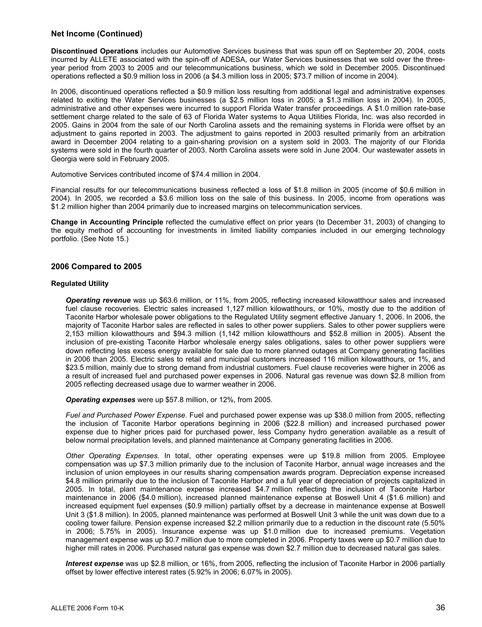# **Net Income (Continued)**

**Discontinued Operations** includes our Automotive Services business that was spun off on September 20, 2004, costs incurred by ALLETE associated with the spin-off of ADESA, our Water Services businesses that we sold over the threeyear period from 2003 to 2005 and our telecommunications business, which we sold in December 2005. Discontinued operations reflected a \$0.9 million loss in 2006 (a \$4.3 million loss in 2005; \$73.7 million of income in 2004).

In 2006, discontinued operations reflected a \$0.9 million loss resulting from additional legal and administrative expenses related to exiting the Water Services businesses (a \$2.5 million loss in 2005; a \$1.3 million loss in 2004). In 2005, administrative and other expenses were incurred to support Florida Water transfer proceedings. A \$1.0 million rate-base settlement charge related to the sale of 63 of Florida Water systems to Aqua Utilities Florida, Inc. was also recorded in 2005. Gains in 2004 from the sale of our North Carolina assets and the remaining systems in Florida were offset by an adjustment to gains reported in 2003. The adjustment to gains reported in 2003 resulted primarily from an arbitration award in December 2004 relating to a gain-sharing provision on a system sold in 2003. The majority of our Florida systems were sold in the fourth quarter of 2003. North Carolina assets were sold in June 2004. Our wastewater assets in Georgia were sold in February 2005.

Automotive Services contributed income of \$74.4 million in 2004.

Financial results for our telecommunications business reflected a loss of \$1.8 million in 2005 (income of \$0.6 million in 2004). In 2005, we recorded a \$3.6 million loss on the sale of this business. In 2005, income from operations was \$1.2 million higher than 2004 primarily due to increased margins on telecommunication services.

**Change in Accounting Principle** reflected the cumulative effect on prior years (to December 31, 2003) of changing to the equity method of accounting for investments in limited liability companies included in our emerging technology portfolio. (See Note 15.)

### **2006 Compared to 2005**

#### **Regulated Utility**

*Operating revenue* was up \$63.6 million, or 11%, from 2005, reflecting increased kilowatthour sales and increased fuel clause recoveries. Electric sales increased 1,127 million kilowatthours, or 10%, mostly due to the addition of Taconite Harbor wholesale power obligations to the Regulated Utility segment effective January 1, 2006. In 2006, the majority of Taconite Harbor sales are reflected in sales to other power suppliers. Sales to other power suppliers were 2,153 million kilowatthours and \$94.3 million (1,142 million kilowatthours and \$52.8 million in 2005). Absent the inclusion of pre-existing Taconite Harbor wholesale energy sales obligations, sales to other power suppliers were down reflecting less excess energy available for sale due to more planned outages at Company generating facilities in 2006 than 2005. Electric sales to retail and municipal customers increased 116 million kilowatthours, or 1%, and \$23.5 million, mainly due to strong demand from industrial customers. Fuel clause recoveries were higher in 2006 as a result of increased fuel and purchased power expenses in 2006. Natural gas revenue was down \$2.8 million from 2005 reflecting decreased usage due to warmer weather in 2006.

*Operating expenses* were up \$57.8 million, or 12%, from 2005.

*Fuel and Purchased Power Expense.* Fuel and purchased power expense was up \$38.0 million from 2005, reflecting the inclusion of Taconite Harbor operations beginning in 2006 (\$22.8 million) and increased purchased power expense due to higher prices paid for purchased power, less Company hydro generation available as a result of below normal precipitation levels, and planned maintenance at Company generating facilities in 2006.

*Other Operating Expenses.* In total, other operating expenses were up \$19.8 million from 2005. Employee compensation was up \$7.3 million primarily due to the inclusion of Taconite Harbor, annual wage increases and the inclusion of union employees in our results sharing compensation awards program. Depreciation expense increased \$4.8 million primarily due to the inclusion of Taconite Harbor and a full year of depreciation of projects capitalized in 2005. In total, plant maintenance expense increased \$4.7 million reflecting the inclusion of Taconite Harbor maintenance in 2006 (\$4.0 million), increased planned maintenance expense at Boswell Unit 4 (\$1.6 million) and increased equipment fuel expenses (\$0.9 million) partially offset by a decrease in maintenance expense at Boswell Unit 3 (\$1.8 million). In 2005, planned maintenance was performed at Boswell Unit 3 while the unit was down due to a cooling tower failure. Pension expense increased \$2.2 million primarily due to a reduction in the discount rate (5.50% in 2006; 5.75% in 2005). Insurance expense was up \$1.0 million due to increased premiums. Vegetation management expense was up \$0.7 million due to more completed in 2006. Property taxes were up \$0.7 million due to higher mill rates in 2006. Purchased natural gas expense was down \$2.7 million due to decreased natural gas sales.

*Interest expense* was up \$2.8 million, or 16%, from 2005, reflecting the inclusion of Taconite Harbor in 2006 partially offset by lower effective interest rates (5.92% in 2006; 6.07% in 2005).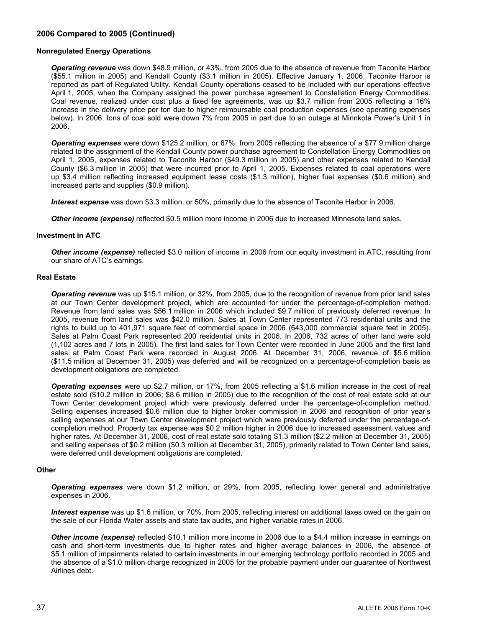# **2006 Compared to 2005 (Continued)**

### **Nonregulated Energy Operations**

*Operating revenue* was down \$48.9 million, or 43%, from 2005 due to the absence of revenue from Taconite Harbor (\$55.1 million in 2005) and Kendall County (\$3.1 million in 2005). Effective January 1, 2006, Taconite Harbor is reported as part of Regulated Utility. Kendall County operations ceased to be included with our operations effective April 1, 2005, when the Company assigned the power purchase agreement to Constellation Energy Commodities. Coal revenue, realized under cost plus a fixed fee agreements, was up \$3.7 million from 2005 reflecting a 16% increase in the delivery price per ton due to higher reimbursable coal production expenses (see operating expenses below). In 2006, tons of coal sold were down 7% from 2005 in part due to an outage at Minnkota Power's Unit 1 in 2006.

*Operating expenses* were down \$125.2 million, or 67%, from 2005 reflecting the absence of a \$77.9 million charge related to the assignment of the Kendall County power purchase agreement to Constellation Energy Commodities on April 1, 2005, expenses related to Taconite Harbor (\$49.3 million in 2005) and other expenses related to Kendall County (\$6.3 million in 2005) that were incurred prior to April 1, 2005. Expenses related to coal operations were up \$3.4 million reflecting increased equipment lease costs (\$1.3 million), higher fuel expenses (\$0.6 million) and increased parts and supplies (\$0.9 million).

*Interest expense* was down \$3.3 million, or 50%, primarily due to the absence of Taconite Harbor in 2006.

*Other income (expense)* reflected \$0.5 million more income in 2006 due to increased Minnesota land sales.

### **Investment in ATC**

*Other income (expense)* reflected \$3.0 million of income in 2006 from our equity investment in ATC, resulting from our share of ATC's earnings.

#### **Real Estate**

*Operating revenue* was up \$15.1 million, or 32%, from 2005, due to the recognition of revenue from prior land sales at our Town Center development project, which are accounted for under the percentage-of-completion method. Revenue from land sales was \$56.1 million in 2006 which included \$9.7 million of previously deferred revenue. In 2005, revenue from land sales was \$42.0 million. Sales at Town Center represented 773 residential units and the rights to build up to 401,971 square feet of commercial space in 2006 (643,000 commercial square feet in 2005). Sales at Palm Coast Park represented 200 residential units in 2006. In 2006, 732 acres of other land were sold (1,102 acres and 7 lots in 2005). The first land sales for Town Center were recorded in June 2005 and the first land sales at Palm Coast Park were recorded in August 2006. At December 31, 2006, revenue of \$5.6 million (\$11.5 million at December 31, 2005) was deferred and will be recognized on a percentage-of-completion basis as development obligations are completed.

*Operating expenses* were up \$2.7 million, or 17%, from 2005 reflecting a \$1.6 million increase in the cost of real estate sold (\$10.2 million in 2006; \$8.6 million in 2005) due to the recognition of the cost of real estate sold at our Town Center development project which were previously deferred under the percentage-of-completion method. Selling expenses increased \$0.6 million due to higher broker commission in 2006 and recognition of prior year's selling expenses at our Town Center development project which were previously deferred under the percentage-ofcompletion method. Property tax expense was \$0.2 million higher in 2006 due to increased assessment values and higher rates. At December 31, 2006, cost of real estate sold totaling \$1.3 million (\$2.2 million at December 31, 2005) and selling expenses of \$0.2 million (\$0.3 million at December 31, 2005), primarily related to Town Center land sales, were deferred until development obligations are completed.

#### **Other**

*Operating expenses* were down \$1.2 million, or 29%, from 2005, reflecting lower general and administrative expenses in 2006.

*Interest expense* was up \$1.6 million, or 70%, from 2005, reflecting interest on additional taxes owed on the gain on the sale of our Florida Water assets and state tax audits, and higher variable rates in 2006.

*Other income (expense)* reflected \$10.1 million more income in 2006 due to a \$4.4 million increase in earnings on cash and short-term investments due to higher rates and higher average balances in 2006, the absence of \$5.1 million of impairments related to certain investments in our emerging technology portfolio recorded in 2005 and the absence of a \$1.0 million charge recognized in 2005 for the probable payment under our guarantee of Northwest Airlines debt.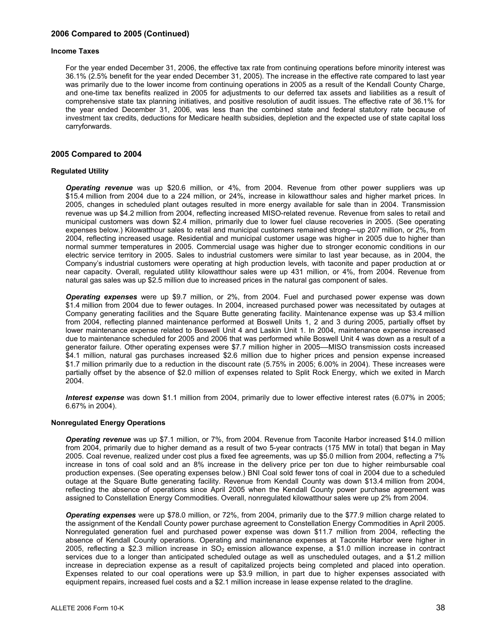# **2006 Compared to 2005 (Continued)**

### **Income Taxes**

For the year ended December 31, 2006, the effective tax rate from continuing operations before minority interest was 36.1% (2.5% benefit for the year ended December 31, 2005). The increase in the effective rate compared to last year was primarily due to the lower income from continuing operations in 2005 as a result of the Kendall County Charge, and one-time tax benefits realized in 2005 for adjustments to our deferred tax assets and liabilities as a result of comprehensive state tax planning initiatives, and positive resolution of audit issues. The effective rate of 36.1% for the year ended December 31, 2006, was less than the combined state and federal statutory rate because of investment tax credits, deductions for Medicare health subsidies, depletion and the expected use of state capital loss carryforwards.

### **2005 Compared to 2004**

#### **Regulated Utility**

*Operating revenue* was up \$20.6 million, or 4%, from 2004. Revenue from other power suppliers was up \$15.4 million from 2004 due to a 224 million, or 24%, increase in kilowatthour sales and higher market prices. In 2005, changes in scheduled plant outages resulted in more energy available for sale than in 2004. Transmission revenue was up \$4.2 million from 2004, reflecting increased MISO-related revenue. Revenue from sales to retail and municipal customers was down \$2.4 million, primarily due to lower fuel clause recoveries in 2005. (See operating expenses below.) Kilowatthour sales to retail and municipal customers remained strong—up 207 million, or 2%, from 2004, reflecting increased usage. Residential and municipal customer usage was higher in 2005 due to higher than normal summer temperatures in 2005. Commercial usage was higher due to stronger economic conditions in our electric service territory in 2005. Sales to industrial customers were similar to last year because, as in 2004, the Company's industrial customers were operating at high production levels, with taconite and paper production at or near capacity. Overall, regulated utility kilowatthour sales were up 431 million, or 4%, from 2004. Revenue from natural gas sales was up \$2.5 million due to increased prices in the natural gas component of sales.

*Operating expenses* were up \$9.7 million, or 2%, from 2004. Fuel and purchased power expense was down \$1.4 million from 2004 due to fewer outages. In 2004, increased purchased power was necessitated by outages at Company generating facilities and the Square Butte generating facility. Maintenance expense was up \$3.4 million from 2004, reflecting planned maintenance performed at Boswell Units 1, 2 and 3 during 2005, partially offset by lower maintenance expense related to Boswell Unit 4 and Laskin Unit 1. In 2004, maintenance expense increased due to maintenance scheduled for 2005 and 2006 that was performed while Boswell Unit 4 was down as a result of a generator failure. Other operating expenses were \$7.7 million higher in 2005––MISO transmission costs increased \$4.1 million, natural gas purchases increased \$2.6 million due to higher prices and pension expense increased \$1.7 million primarily due to a reduction in the discount rate (5.75% in 2005; 6.00% in 2004). These increases were partially offset by the absence of \$2.0 million of expenses related to Split Rock Energy, which we exited in March 2004.

*Interest expense* was down \$1.1 million from 2004, primarily due to lower effective interest rates (6.07% in 2005; 6.67% in 2004).

#### **Nonregulated Energy Operations**

*Operating revenue* was up \$7.1 million, or 7%, from 2004. Revenue from Taconite Harbor increased \$14.0 million from 2004, primarily due to higher demand as a result of two 5-year contracts (175 MW in total) that began in May 2005. Coal revenue, realized under cost plus a fixed fee agreements, was up \$5.0 million from 2004, reflecting a 7% increase in tons of coal sold and an 8% increase in the delivery price per ton due to higher reimbursable coal production expenses. (See operating expenses below.) BNI Coal sold fewer tons of coal in 2004 due to a scheduled outage at the Square Butte generating facility. Revenue from Kendall County was down \$13.4 million from 2004, reflecting the absence of operations since April 2005 when the Kendall County power purchase agreement was assigned to Constellation Energy Commodities. Overall, nonregulated kilowatthour sales were up 2% from 2004.

*Operating expenses* were up \$78.0 million, or 72%, from 2004, primarily due to the \$77.9 million charge related to the assignment of the Kendall County power purchase agreement to Constellation Energy Commodities in April 2005. Nonregulated generation fuel and purchased power expense was down \$11.7 million from 2004, reflecting the absence of Kendall County operations. Operating and maintenance expenses at Taconite Harbor were higher in 2005, reflecting a \$2.3 million increase in  $SO_2$  emission allowance expense, a \$1.0 million increase in contract services due to a longer than anticipated scheduled outage as well as unscheduled outages, and a \$1.2 million increase in depreciation expense as a result of capitalized projects being completed and placed into operation. Expenses related to our coal operations were up \$3.9 million, in part due to higher expenses associated with equipment repairs, increased fuel costs and a \$2.1 million increase in lease expense related to the dragline.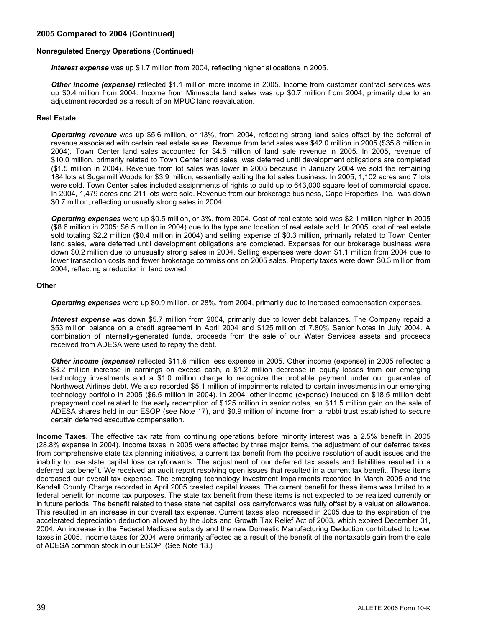# **2005 Compared to 2004 (Continued)**

### **Nonregulated Energy Operations (Continued)**

*Interest expense* was up \$1.7 million from 2004, reflecting higher allocations in 2005.

*Other income (expense)* reflected \$1.1 million more income in 2005. Income from customer contract services was up \$0.4 million from 2004. Income from Minnesota land sales was up \$0.7 million from 2004, primarily due to an adjustment recorded as a result of an MPUC land reevaluation.

### **Real Estate**

*Operating revenue* was up \$5.6 million, or 13%, from 2004, reflecting strong land sales offset by the deferral of revenue associated with certain real estate sales. Revenue from land sales was \$42.0 million in 2005 (\$35.8 million in 2004). Town Center land sales accounted for \$4.5 million of land sale revenue in 2005. In 2005, revenue of \$10.0 million, primarily related to Town Center land sales, was deferred until development obligations are completed (\$1.5 million in 2004). Revenue from lot sales was lower in 2005 because in January 2004 we sold the remaining 184 lots at Sugarmill Woods for \$3.9 million, essentially exiting the lot sales business. In 2005, 1,102 acres and 7 lots were sold. Town Center sales included assignments of rights to build up to 643,000 square feet of commercial space. In 2004, 1,479 acres and 211 lots were sold. Revenue from our brokerage business, Cape Properties, Inc., was down \$0.7 million, reflecting unusually strong sales in 2004.

*Operating expenses* were up \$0.5 million, or 3%, from 2004. Cost of real estate sold was \$2.1 million higher in 2005 (\$8.6 million in 2005; \$6.5 million in 2004) due to the type and location of real estate sold. In 2005, cost of real estate sold totaling \$2.2 million (\$0.4 million in 2004) and selling expense of \$0.3 million, primarily related to Town Center land sales, were deferred until development obligations are completed. Expenses for our brokerage business were down \$0.2 million due to unusually strong sales in 2004. Selling expenses were down \$1.1 million from 2004 due to lower transaction costs and fewer brokerage commissions on 2005 sales. Property taxes were down \$0.3 million from 2004, reflecting a reduction in land owned.

### **Other**

*Operating expenses* were up \$0.9 million, or 28%, from 2004, primarily due to increased compensation expenses.

*Interest expense* was down \$5.7 million from 2004, primarily due to lower debt balances. The Company repaid a \$53 million balance on a credit agreement in April 2004 and \$125 million of 7.80% Senior Notes in July 2004. A combination of internally-generated funds, proceeds from the sale of our Water Services assets and proceeds received from ADESA were used to repay the debt.

*Other income (expense)* reflected \$11.6 million less expense in 2005. Other income (expense) in 2005 reflected a \$3.2 million increase in earnings on excess cash, a \$1.2 million decrease in equity losses from our emerging technology investments and a \$1.0 million charge to recognize the probable payment under our guarantee of Northwest Airlines debt. We also recorded \$5.1 million of impairments related to certain investments in our emerging technology portfolio in 2005 (\$6.5 million in 2004). In 2004, other income (expense) included an \$18.5 million debt prepayment cost related to the early redemption of \$125 million in senior notes, an \$11.5 million gain on the sale of ADESA shares held in our ESOP (see Note 17), and \$0.9 million of income from a rabbi trust established to secure certain deferred executive compensation.

**Income Taxes.** The effective tax rate from continuing operations before minority interest was a 2.5% benefit in 2005 (28.8% expense in 2004). Income taxes in 2005 were affected by three major items, the adjustment of our deferred taxes from comprehensive state tax planning initiatives, a current tax benefit from the positive resolution of audit issues and the inability to use state capital loss carryforwards. The adjustment of our deferred tax assets and liabilities resulted in a deferred tax benefit. We received an audit report resolving open issues that resulted in a current tax benefit. These items decreased our overall tax expense. The emerging technology investment impairments recorded in March 2005 and the Kendall County Charge recorded in April 2005 created capital losses. The current benefit for these items was limited to a federal benefit for income tax purposes. The state tax benefit from these items is not expected to be realized currently or in future periods. The benefit related to these state net capital loss carryforwards was fully offset by a valuation allowance. This resulted in an increase in our overall tax expense. Current taxes also increased in 2005 due to the expiration of the accelerated depreciation deduction allowed by the Jobs and Growth Tax Relief Act of 2003, which expired December 31, 2004. An increase in the Federal Medicare subsidy and the new Domestic Manufacturing Deduction contributed to lower taxes in 2005. Income taxes for 2004 were primarily affected as a result of the benefit of the nontaxable gain from the sale of ADESA common stock in our ESOP. (See Note 13.)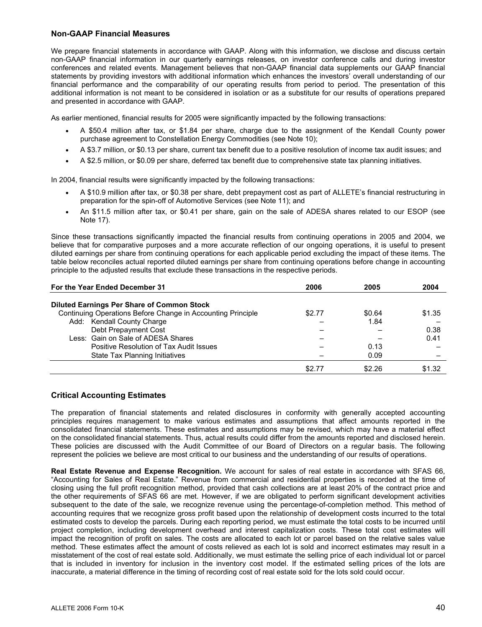# **Non-GAAP Financial Measures**

We prepare financial statements in accordance with GAAP. Along with this information, we disclose and discuss certain non-GAAP financial information in our quarterly earnings releases, on investor conference calls and during investor conferences and related events. Management believes that non-GAAP financial data supplements our GAAP financial statements by providing investors with additional information which enhances the investors' overall understanding of our financial performance and the comparability of our operating results from period to period. The presentation of this additional information is not meant to be considered in isolation or as a substitute for our results of operations prepared and presented in accordance with GAAP.

As earlier mentioned, financial results for 2005 were significantly impacted by the following transactions:

- A \$50.4 million after tax, or \$1.84 per share, charge due to the assignment of the Kendall County power purchase agreement to Constellation Energy Commodities (see Note 10);
- A \$3.7 million, or \$0.13 per share, current tax benefit due to a positive resolution of income tax audit issues; and
- A \$2.5 million, or \$0.09 per share, deferred tax benefit due to comprehensive state tax planning initiatives.

In 2004, financial results were significantly impacted by the following transactions:

- A \$10.9 million after tax, or \$0.38 per share, debt prepayment cost as part of ALLETE's financial restructuring in preparation for the spin-off of Automotive Services (see Note 11); and
- An \$11.5 million after tax, or \$0.41 per share, gain on the sale of ADESA shares related to our ESOP (see Note 17).

Since these transactions significantly impacted the financial results from continuing operations in 2005 and 2004, we believe that for comparative purposes and a more accurate reflection of our ongoing operations, it is useful to present diluted earnings per share from continuing operations for each applicable period excluding the impact of these items. The table below reconciles actual reported diluted earnings per share from continuing operations before change in accounting principle to the adjusted results that exclude these transactions in the respective periods.

| For the Year Ended December 31                              | 2006   | 2005   | 2004   |
|-------------------------------------------------------------|--------|--------|--------|
| <b>Diluted Earnings Per Share of Common Stock</b>           |        |        |        |
| Continuing Operations Before Change in Accounting Principle | \$2.77 | \$0.64 | \$1.35 |
| Add: Kendall County Charge                                  |        | 1.84   |        |
| Debt Prepayment Cost                                        |        |        | 0.38   |
| Less: Gain on Sale of ADESA Shares                          |        |        | 0.41   |
| Positive Resolution of Tax Audit Issues                     |        | 0.13   |        |
| State Tax Planning Initiatives                              |        | 0.09   |        |
|                                                             | \$2.77 | \$2.26 | \$1.32 |

### **Critical Accounting Estimates**

The preparation of financial statements and related disclosures in conformity with generally accepted accounting principles requires management to make various estimates and assumptions that affect amounts reported in the consolidated financial statements. These estimates and assumptions may be revised, which may have a material effect on the consolidated financial statements. Thus, actual results could differ from the amounts reported and disclosed herein. These policies are discussed with the Audit Committee of our Board of Directors on a regular basis. The following represent the policies we believe are most critical to our business and the understanding of our results of operations.

**Real Estate Revenue and Expense Recognition.** We account for sales of real estate in accordance with SFAS 66, "Accounting for Sales of Real Estate." Revenue from commercial and residential properties is recorded at the time of closing using the full profit recognition method, provided that cash collections are at least 20% of the contract price and the other requirements of SFAS 66 are met. However, if we are obligated to perform significant development activities subsequent to the date of the sale, we recognize revenue using the percentage-of-completion method. This method of accounting requires that we recognize gross profit based upon the relationship of development costs incurred to the total estimated costs to develop the parcels. During each reporting period, we must estimate the total costs to be incurred until project completion, including development overhead and interest capitalization costs. These total cost estimates will impact the recognition of profit on sales. The costs are allocated to each lot or parcel based on the relative sales value method. These estimates affect the amount of costs relieved as each lot is sold and incorrect estimates may result in a misstatement of the cost of real estate sold. Additionally, we must estimate the selling price of each individual lot or parcel that is included in inventory for inclusion in the inventory cost model. If the estimated selling prices of the lots are inaccurate, a material difference in the timing of recording cost of real estate sold for the lots sold could occur.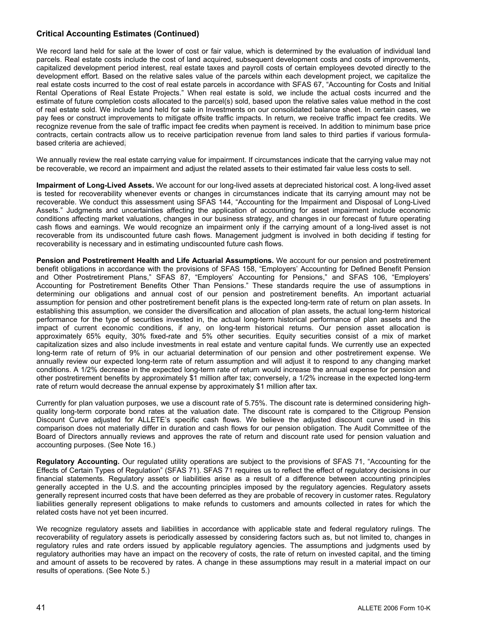# **Critical Accounting Estimates (Continued)**

We record land held for sale at the lower of cost or fair value, which is determined by the evaluation of individual land parcels. Real estate costs include the cost of land acquired, subsequent development costs and costs of improvements, capitalized development period interest, real estate taxes and payroll costs of certain employees devoted directly to the development effort. Based on the relative sales value of the parcels within each development project, we capitalize the real estate costs incurred to the cost of real estate parcels in accordance with SFAS 67, "Accounting for Costs and Initial Rental Operations of Real Estate Projects." When real estate is sold, we include the actual costs incurred and the estimate of future completion costs allocated to the parcel(s) sold, based upon the relative sales value method in the cost of real estate sold. We include land held for sale in Investments on our consolidated balance sheet. In certain cases, we pay fees or construct improvements to mitigate offsite traffic impacts. In return, we receive traffic impact fee credits. We recognize revenue from the sale of traffic impact fee credits when payment is received. In addition to minimum base price contracts, certain contracts allow us to receive participation revenue from land sales to third parties if various formulabased criteria are achieved.

We annually review the real estate carrying value for impairment. If circumstances indicate that the carrying value may not be recoverable, we record an impairment and adjust the related assets to their estimated fair value less costs to sell.

**Impairment of Long-Lived Assets.** We account for our long-lived assets at depreciated historical cost. A long-lived asset is tested for recoverability whenever events or changes in circumstances indicate that its carrying amount may not be recoverable. We conduct this assessment using SFAS 144, "Accounting for the Impairment and Disposal of Long-Lived Assets." Judgments and uncertainties affecting the application of accounting for asset impairment include economic conditions affecting market valuations, changes in our business strategy, and changes in our forecast of future operating cash flows and earnings. We would recognize an impairment only if the carrying amount of a long-lived asset is not recoverable from its undiscounted future cash flows. Management judgment is involved in both deciding if testing for recoverability is necessary and in estimating undiscounted future cash flows.

**Pension and Postretirement Health and Life Actuarial Assumptions.** We account for our pension and postretirement benefit obligations in accordance with the provisions of SFAS 158, "Employers' Accounting for Defined Benefit Pension and Other Postretirement Plans," SFAS 87, "Employers' Accounting for Pensions," and SFAS 106, "Employers' Accounting for Postretirement Benefits Other Than Pensions." These standards require the use of assumptions in determining our obligations and annual cost of our pension and postretirement benefits. An important actuarial assumption for pension and other postretirement benefit plans is the expected long-term rate of return on plan assets. In establishing this assumption, we consider the diversification and allocation of plan assets, the actual long-term historical performance for the type of securities invested in, the actual long-term historical performance of plan assets and the impact of current economic conditions, if any, on long-term historical returns. Our pension asset allocation is approximately 65% equity, 30% fixed-rate and 5% other securities. Equity securities consist of a mix of market capitalization sizes and also include investments in real estate and venture capital funds. We currently use an expected long-term rate of return of 9% in our actuarial determination of our pension and other postretirement expense. We annually review our expected long-term rate of return assumption and will adjust it to respond to any changing market conditions. A 1/2% decrease in the expected long-term rate of return would increase the annual expense for pension and other postretirement benefits by approximately \$1 million after tax; conversely, a 1/2% increase in the expected long-term rate of return would decrease the annual expense by approximately \$1 million after tax.

Currently for plan valuation purposes, we use a discount rate of 5.75%. The discount rate is determined considering highquality long-term corporate bond rates at the valuation date. The discount rate is compared to the Citigroup Pension Discount Curve adjusted for ALLETE's specific cash flows. We believe the adjusted discount curve used in this comparison does not materially differ in duration and cash flows for our pension obligation. The Audit Committee of the Board of Directors annually reviews and approves the rate of return and discount rate used for pension valuation and accounting purposes. (See Note 16.)

**Regulatory Accounting.** Our regulated utility operations are subject to the provisions of SFAS 71, "Accounting for the Effects of Certain Types of Regulation" (SFAS 71). SFAS 71 requires us to reflect the effect of regulatory decisions in our financial statements. Regulatory assets or liabilities arise as a result of a difference between accounting principles generally accepted in the U.S. and the accounting principles imposed by the regulatory agencies. Regulatory assets generally represent incurred costs that have been deferred as they are probable of recovery in customer rates. Regulatory liabilities generally represent obligations to make refunds to customers and amounts collected in rates for which the related costs have not yet been incurred.

We recognize regulatory assets and liabilities in accordance with applicable state and federal regulatory rulings. The recoverability of regulatory assets is periodically assessed by considering factors such as, but not limited to, changes in regulatory rules and rate orders issued by applicable regulatory agencies. The assumptions and judgments used by regulatory authorities may have an impact on the recovery of costs, the rate of return on invested capital, and the timing and amount of assets to be recovered by rates. A change in these assumptions may result in a material impact on our results of operations. (See Note 5.)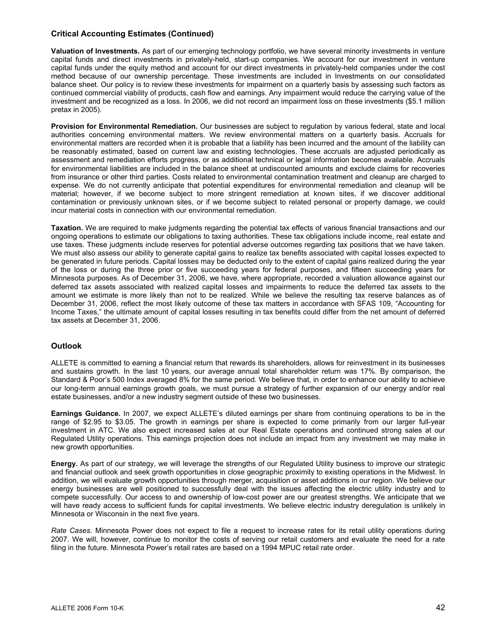# **Critical Accounting Estimates (Continued)**

**Valuation of Investments.** As part of our emerging technology portfolio, we have several minority investments in venture capital funds and direct investments in privately-held, start-up companies. We account for our investment in venture capital funds under the equity method and account for our direct investments in privately-held companies under the cost method because of our ownership percentage. These investments are included in Investments on our consolidated balance sheet. Our policy is to review these investments for impairment on a quarterly basis by assessing such factors as continued commercial viability of products, cash flow and earnings. Any impairment would reduce the carrying value of the investment and be recognized as a loss. In 2006, we did not record an impairment loss on these investments (\$5.1 million pretax in 2005).

**Provision for Environmental Remediation.** Our businesses are subject to regulation by various federal, state and local authorities concerning environmental matters. We review environmental matters on a quarterly basis. Accruals for environmental matters are recorded when it is probable that a liability has been incurred and the amount of the liability can be reasonably estimated, based on current law and existing technologies. These accruals are adjusted periodically as assessment and remediation efforts progress, or as additional technical or legal information becomes available. Accruals for environmental liabilities are included in the balance sheet at undiscounted amounts and exclude claims for recoveries from insurance or other third parties. Costs related to environmental contamination treatment and cleanup are charged to expense. We do not currently anticipate that potential expenditures for environmental remediation and cleanup will be material; however, if we become subject to more stringent remediation at known sites, if we discover additional contamination or previously unknown sites, or if we become subject to related personal or property damage, we could incur material costs in connection with our environmental remediation.

**Taxation.** We are required to make judgments regarding the potential tax effects of various financial transactions and our ongoing operations to estimate our obligations to taxing authorities. These tax obligations include income, real estate and use taxes. These judgments include reserves for potential adverse outcomes regarding tax positions that we have taken. We must also assess our ability to generate capital gains to realize tax benefits associated with capital losses expected to be generated in future periods. Capital losses may be deducted only to the extent of capital gains realized during the year of the loss or during the three prior or five succeeding years for federal purposes, and fifteen succeeding years for Minnesota purposes. As of December 31, 2006, we have, where appropriate, recorded a valuation allowance against our deferred tax assets associated with realized capital losses and impairments to reduce the deferred tax assets to the amount we estimate is more likely than not to be realized. While we believe the resulting tax reserve balances as of December 31, 2006, reflect the most likely outcome of these tax matters in accordance with SFAS 109, "Accounting for Income Taxes," the ultimate amount of capital losses resulting in tax benefits could differ from the net amount of deferred tax assets at December 31, 2006.

### **Outlook**

ALLETE is committed to earning a financial return that rewards its shareholders, allows for reinvestment in its businesses and sustains growth. In the last 10 years, our average annual total shareholder return was 17%. By comparison, the Standard & Poor's 500 Index averaged 8% for the same period. We believe that, in order to enhance our ability to achieve our long-term annual earnings growth goals, we must pursue a strategy of further expansion of our energy and/or real estate businesses, and/or a new industry segment outside of these two businesses.

**Earnings Guidance.** In 2007, we expect ALLETE's diluted earnings per share from continuing operations to be in the range of \$2.95 to \$3.05. The growth in earnings per share is expected to come primarily from our larger full-year investment in ATC. We also expect increased sales at our Real Estate operations and continued strong sales at our Regulated Utility operations. This earnings projection does not include an impact from any investment we may make in new growth opportunities.

**Energy.** As part of our strategy, we will leverage the strengths of our Regulated Utility business to improve our strategic and financial outlook and seek growth opportunities in close geographic proximity to existing operations in the Midwest. In addition, we will evaluate growth opportunities through merger, acquisition or asset additions in our region. We believe our energy businesses are well positioned to successfully deal with the issues affecting the electric utility industry and to compete successfully. Our access to and ownership of low-cost power are our greatest strengths. We anticipate that we will have ready access to sufficient funds for capital investments. We believe electric industry deregulation is unlikely in Minnesota or Wisconsin in the next five years.

*Rate Cases*. Minnesota Power does not expect to file a request to increase rates for its retail utility operations during 2007. We will, however, continue to monitor the costs of serving our retail customers and evaluate the need for a rate filing in the future. Minnesota Power's retail rates are based on a 1994 MPUC retail rate order.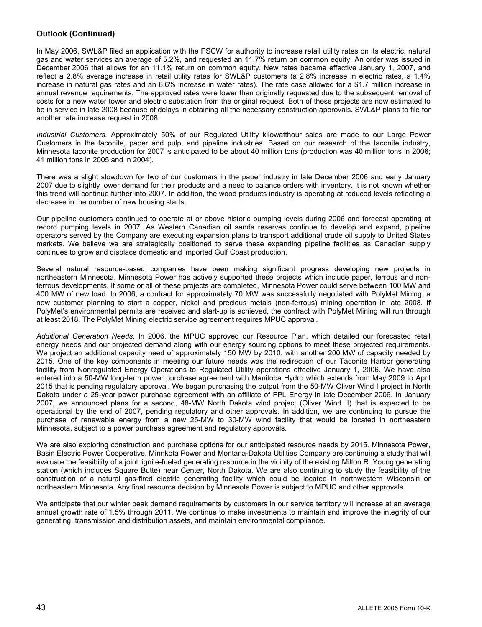In May 2006, SWL&P filed an application with the PSCW for authority to increase retail utility rates on its electric, natural gas and water services an average of 5.2%, and requested an 11.7% return on common equity. An order was issued in December 2006 that allows for an 11.1% return on common equity. New rates became effective January 1, 2007, and reflect a 2.8% average increase in retail utility rates for SWL&P customers (a 2.8% increase in electric rates, a 1.4% increase in natural gas rates and an 8.6% increase in water rates). The rate case allowed for a \$1.7 million increase in annual revenue requirements. The approved rates were lower than originally requested due to the subsequent removal of costs for a new water tower and electric substation from the original request. Both of these projects are now estimated to be in service in late 2008 because of delays in obtaining all the necessary construction approvals. SWL&P plans to file for another rate increase request in 2008.

*Industrial Customers.* Approximately 50% of our Regulated Utility kilowatthour sales are made to our Large Power Customers in the taconite, paper and pulp, and pipeline industries. Based on our research of the taconite industry, Minnesota taconite production for 2007 is anticipated to be about 40 million tons (production was 40 million tons in 2006; 41 million tons in 2005 and in 2004).

There was a slight slowdown for two of our customers in the paper industry in late December 2006 and early January 2007 due to slightly lower demand for their products and a need to balance orders with inventory. It is not known whether this trend will continue further into 2007. In addition, the wood products industry is operating at reduced levels reflecting a decrease in the number of new housing starts.

Our pipeline customers continued to operate at or above historic pumping levels during 2006 and forecast operating at record pumping levels in 2007. As Western Canadian oil sands reserves continue to develop and expand, pipeline operators served by the Company are executing expansion plans to transport additional crude oil supply to United States markets. We believe we are strategically positioned to serve these expanding pipeline facilities as Canadian supply continues to grow and displace domestic and imported Gulf Coast production.

Several natural resource-based companies have been making significant progress developing new projects in northeastern Minnesota. Minnesota Power has actively supported these projects which include paper, ferrous and nonferrous developments. If some or all of these projects are completed, Minnesota Power could serve between 100 MW and 400 MW of new load. In 2006, a contract for approximately 70 MW was successfully negotiated with PolyMet Mining, a new customer planning to start a copper, nickel and precious metals (non-ferrous) mining operation in late 2008. If PolyMet's environmental permits are received and start-up is achieved, the contract with PolyMet Mining will run through at least 2018. The PolyMet Mining electric service agreement requires MPUC approval.

*Additional Generation Needs.* In 2006, the MPUC approved our Resource Plan, which detailed our forecasted retail energy needs and our projected demand along with our energy sourcing options to meet these projected requirements. We project an additional capacity need of approximately 150 MW by 2010, with another 200 MW of capacity needed by 2015. One of the key components in meeting our future needs was the redirection of our Taconite Harbor generating facility from Nonregulated Energy Operations to Regulated Utility operations effective January 1, 2006. We have also entered into a 50-MW long-term power purchase agreement with Manitoba Hydro which extends from May 2009 to April 2015 that is pending regulatory approval. We began purchasing the output from the 50-MW Oliver Wind I project in North Dakota under a 25-year power purchase agreement with an affiliate of FPL Energy in late December 2006. In January 2007, we announced plans for a second, 48-MW North Dakota wind project (Oliver Wind II) that is expected to be operational by the end of 2007, pending regulatory and other approvals. In addition, we are continuing to pursue the purchase of renewable energy from a new 25-MW to 30-MW wind facility that would be located in northeastern Minnesota, subject to a power purchase agreement and regulatory approvals.

We are also exploring construction and purchase options for our anticipated resource needs by 2015. Minnesota Power, Basin Electric Power Cooperative, Minnkota Power and Montana-Dakota Utilities Company are continuing a study that will evaluate the feasibility of a joint lignite-fueled generating resource in the vicinity of the existing Milton R. Young generating station (which includes Square Butte) near Center, North Dakota. We are also continuing to study the feasibility of the construction of a natural gas-fired electric generating facility which could be located in northwestern Wisconsin or northeastern Minnesota. Any final resource decision by Minnesota Power is subject to MPUC and other approvals.

We anticipate that our winter peak demand requirements by customers in our service territory will increase at an average annual growth rate of 1.5% through 2011. We continue to make investments to maintain and improve the integrity of our generating, transmission and distribution assets, and maintain environmental compliance.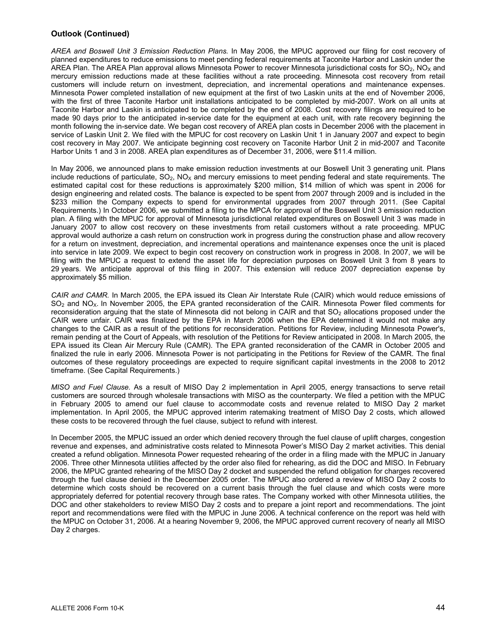*AREA and Boswell Unit 3 Emission Reduction Plans.* In May 2006, the MPUC approved our filing for cost recovery of planned expenditures to reduce emissions to meet pending federal requirements at Taconite Harbor and Laskin under the AREA Plan. The AREA Plan approval allows Minnesota Power to recover Minnesota jurisdictional costs for SO<sub>2</sub>, NO<sub>X</sub> and mercury emission reductions made at these facilities without a rate proceeding. Minnesota cost recovery from retail customers will include return on investment, depreciation, and incremental operations and maintenance expenses. Minnesota Power completed installation of new equipment at the first of two Laskin units at the end of November 2006, with the first of three Taconite Harbor unit installations anticipated to be completed by mid-2007. Work on all units at Taconite Harbor and Laskin is anticipated to be completed by the end of 2008. Cost recovery filings are required to be made 90 days prior to the anticipated in-service date for the equipment at each unit, with rate recovery beginning the month following the in-service date. We began cost recovery of AREA plan costs in December 2006 with the placement in service of Laskin Unit 2. We filed with the MPUC for cost recovery on Laskin Unit 1 in January 2007 and expect to begin cost recovery in May 2007. We anticipate beginning cost recovery on Taconite Harbor Unit 2 in mid-2007 and Taconite Harbor Units 1 and 3 in 2008. AREA plan expenditures as of December 31, 2006, were \$11.4 million.

In May 2006, we announced plans to make emission reduction investments at our Boswell Unit 3 generating unit. Plans include reductions of particulate,  $SO_2$ ,  $NO<sub>X</sub>$  and mercury emissions to meet pending federal and state requirements. The estimated capital cost for these reductions is approximately \$200 million, \$14 million of which was spent in 2006 for design engineering and related costs. The balance is expected to be spent from 2007 through 2009 and is included in the \$233 million the Company expects to spend for environmental upgrades from 2007 through 2011. (See Capital Requirements.) In October 2006, we submitted a filing to the MPCA for approval of the Boswell Unit 3 emission reduction plan. A filing with the MPUC for approval of Minnesota jurisdictional related expenditures on Boswell Unit 3 was made in January 2007 to allow cost recovery on these investments from retail customers without a rate proceeding. MPUC approval would authorize a cash return on construction work in progress during the construction phase and allow recovery for a return on investment, depreciation, and incremental operations and maintenance expenses once the unit is placed into service in late 2009. We expect to begin cost recovery on construction work in progress in 2008. In 2007, we will be filing with the MPUC a request to extend the asset life for depreciation purposes on Boswell Unit 3 from 8 years to 29 years. We anticipate approval of this filing in 2007. This extension will reduce 2007 depreciation expense by approximately \$5 million.

*CAIR and CAMR.* In March 2005, the EPA issued its Clean Air Interstate Rule (CAIR) which would reduce emissions of SO<sub>2</sub> and NO<sub>X</sub>. In November 2005, the EPA granted reconsideration of the CAIR. Minnesota Power filed comments for reconsideration arguing that the state of Minnesota did not belong in CAIR and that  $SO<sub>2</sub>$  allocations proposed under the CAIR were unfair. CAIR was finalized by the EPA in March 2006 when the EPA determined it would not make any changes to the CAIR as a result of the petitions for reconsideration. Petitions for Review, including Minnesota Power's, remain pending at the Court of Appeals, with resolution of the Petitions for Review anticipated in 2008. In March 2005, the EPA issued its Clean Air Mercury Rule (CAMR). The EPA granted reconsideration of the CAMR in October 2005 and finalized the rule in early 2006. Minnesota Power is not participating in the Petitions for Review of the CAMR. The final outcomes of these regulatory proceedings are expected to require significant capital investments in the 2008 to 2012 timeframe. (See Capital Requirements.)

*MISO and Fuel Clause.* As a result of MISO Day 2 implementation in April 2005, energy transactions to serve retail customers are sourced through wholesale transactions with MISO as the counterparty. We filed a petition with the MPUC in February 2005 to amend our fuel clause to accommodate costs and revenue related to MISO Day 2 market implementation. In April 2005, the MPUC approved interim ratemaking treatment of MISO Day 2 costs, which allowed these costs to be recovered through the fuel clause, subject to refund with interest.

In December 2005, the MPUC issued an order which denied recovery through the fuel clause of uplift charges, congestion revenue and expenses, and administrative costs related to Minnesota Power's MISO Day 2 market activities. This denial created a refund obligation. Minnesota Power requested rehearing of the order in a filing made with the MPUC in January 2006. Three other Minnesota utilities affected by the order also filed for rehearing, as did the DOC and MISO. In February 2006, the MPUC granted rehearing of the MISO Day 2 docket and suspended the refund obligation for charges recovered through the fuel clause denied in the December 2005 order. The MPUC also ordered a review of MISO Day 2 costs to determine which costs should be recovered on a current basis through the fuel clause and which costs were more appropriately deferred for potential recovery through base rates. The Company worked with other Minnesota utilities, the DOC and other stakeholders to review MISO Day 2 costs and to prepare a joint report and recommendations. The joint report and recommendations were filed with the MPUC in June 2006. A technical conference on the report was held with the MPUC on October 31, 2006. At a hearing November 9, 2006, the MPUC approved current recovery of nearly all MISO Day 2 charges.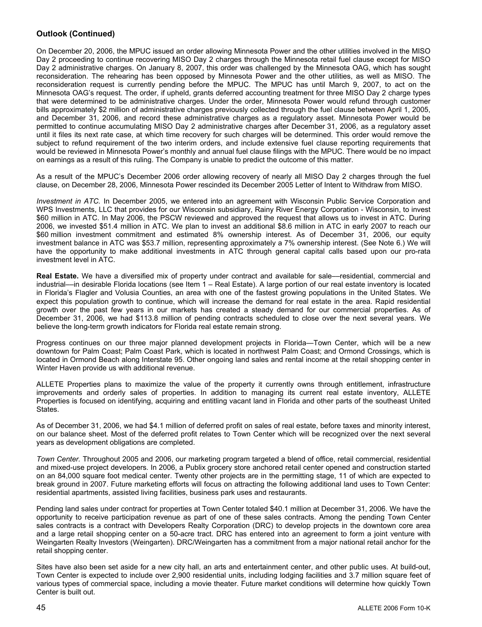On December 20, 2006, the MPUC issued an order allowing Minnesota Power and the other utilities involved in the MISO Day 2 proceeding to continue recovering MISO Day 2 charges through the Minnesota retail fuel clause except for MISO Day 2 administrative charges. On January 8, 2007, this order was challenged by the Minnesota OAG, which has sought reconsideration. The rehearing has been opposed by Minnesota Power and the other utilities, as well as MISO. The reconsideration request is currently pending before the MPUC. The MPUC has until March 9, 2007, to act on the Minnesota OAG's request. The order, if upheld, grants deferred accounting treatment for three MISO Day 2 charge types that were determined to be administrative charges. Under the order, Minnesota Power would refund through customer bills approximately \$2 million of administrative charges previously collected through the fuel clause between April 1, 2005, and December 31, 2006, and record these administrative charges as a regulatory asset. Minnesota Power would be permitted to continue accumulating MISO Day 2 administrative charges after December 31, 2006, as a regulatory asset until it files its next rate case, at which time recovery for such charges will be determined. This order would remove the subject to refund requirement of the two interim orders, and include extensive fuel clause reporting requirements that would be reviewed in Minnesota Power's monthly and annual fuel clause filings with the MPUC. There would be no impact on earnings as a result of this ruling. The Company is unable to predict the outcome of this matter.

As a result of the MPUC's December 2006 order allowing recovery of nearly all MISO Day 2 charges through the fuel clause, on December 28, 2006, Minnesota Power rescinded its December 2005 Letter of Intent to Withdraw from MISO.

*Investment in ATC.* In December 2005, we entered into an agreement with Wisconsin Public Service Corporation and WPS Investments, LLC that provides for our Wisconsin subsidiary, Rainy River Energy Corporation - Wisconsin, to invest \$60 million in ATC. In May 2006, the PSCW reviewed and approved the request that allows us to invest in ATC. During 2006, we invested \$51.4 million in ATC. We plan to invest an additional \$8.6 million in ATC in early 2007 to reach our \$60 million investment commitment and estimated 8% ownership interest. As of December 31, 2006, our equity investment balance in ATC was \$53.7 million, representing approximately a 7% ownership interest. (See Note 6.) We will have the opportunity to make additional investments in ATC through general capital calls based upon our pro-rata investment level in ATC.

**Real Estate.** We have a diversified mix of property under contract and available for sale––residential, commercial and industrial––in desirable Florida locations (see Item 1 – Real Estate). A large portion of our real estate inventory is located in Florida's Flagler and Volusia Counties, an area with one of the fastest growing populations in the United States. We expect this population growth to continue, which will increase the demand for real estate in the area. Rapid residential growth over the past few years in our markets has created a steady demand for our commercial properties. As of December 31, 2006, we had \$113.8 million of pending contracts scheduled to close over the next several years. We believe the long-term growth indicators for Florida real estate remain strong.

Progress continues on our three major planned development projects in Florida—Town Center, which will be a new downtown for Palm Coast; Palm Coast Park, which is located in northwest Palm Coast; and Ormond Crossings, which is located in Ormond Beach along Interstate 95. Other ongoing land sales and rental income at the retail shopping center in Winter Haven provide us with additional revenue.

ALLETE Properties plans to maximize the value of the property it currently owns through entitlement, infrastructure improvements and orderly sales of properties. In addition to managing its current real estate inventory, ALLETE Properties is focused on identifying, acquiring and entitling vacant land in Florida and other parts of the southeast United States.

As of December 31, 2006, we had \$4.1 million of deferred profit on sales of real estate, before taxes and minority interest, on our balance sheet. Most of the deferred profit relates to Town Center which will be recognized over the next several years as development obligations are completed.

*Town Center.* Throughout 2005 and 2006, our marketing program targeted a blend of office, retail commercial, residential and mixed-use project developers. In 2006, a Publix grocery store anchored retail center opened and construction started on an 84,000 square foot medical center. Twenty other projects are in the permitting stage, 11 of which are expected to break ground in 2007. Future marketing efforts will focus on attracting the following additional land uses to Town Center: residential apartments, assisted living facilities, business park uses and restaurants.

Pending land sales under contract for properties at Town Center totaled \$40.1 million at December 31, 2006. We have the opportunity to receive participation revenue as part of one of these sales contracts. Among the pending Town Center sales contracts is a contract with Developers Realty Corporation (DRC) to develop projects in the downtown core area and a large retail shopping center on a 50-acre tract. DRC has entered into an agreement to form a joint venture with Weingarten Realty Investors (Weingarten). DRC/Weingarten has a commitment from a major national retail anchor for the retail shopping center.

Sites have also been set aside for a new city hall, an arts and entertainment center, and other public uses. At build-out, Town Center is expected to include over 2,900 residential units, including lodging facilities and 3.7 million square feet of various types of commercial space, including a movie theater. Future market conditions will determine how quickly Town Center is built out.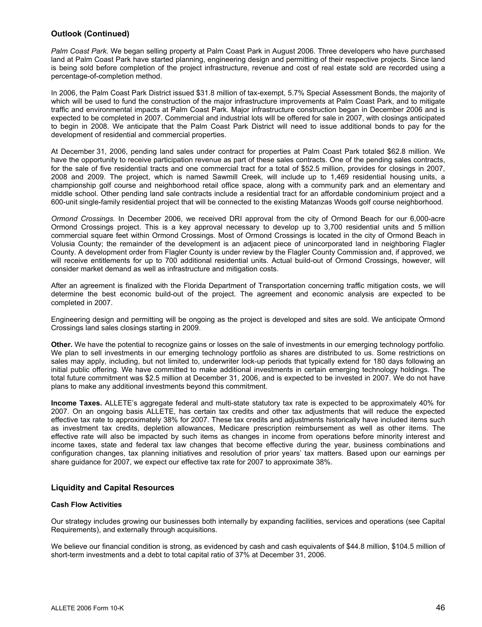*Palm Coast Park.* We began selling property at Palm Coast Park in August 2006. Three developers who have purchased land at Palm Coast Park have started planning, engineering design and permitting of their respective projects. Since land is being sold before completion of the project infrastructure, revenue and cost of real estate sold are recorded using a percentage-of-completion method.

In 2006, the Palm Coast Park District issued \$31.8 million of tax-exempt, 5.7% Special Assessment Bonds, the majority of which will be used to fund the construction of the major infrastructure improvements at Palm Coast Park, and to mitigate traffic and environmental impacts at Palm Coast Park. Major infrastructure construction began in December 2006 and is expected to be completed in 2007. Commercial and industrial lots will be offered for sale in 2007, with closings anticipated to begin in 2008. We anticipate that the Palm Coast Park District will need to issue additional bonds to pay for the development of residential and commercial properties.

At December 31, 2006, pending land sales under contract for properties at Palm Coast Park totaled \$62.8 million. We have the opportunity to receive participation revenue as part of these sales contracts. One of the pending sales contracts, for the sale of five residential tracts and one commercial tract for a total of \$52.5 million, provides for closings in 2007, 2008 and 2009. The project, which is named Sawmill Creek, will include up to 1,469 residential housing units, a championship golf course and neighborhood retail office space, along with a community park and an elementary and middle school. Other pending land sale contracts include a residential tract for an affordable condominium project and a 600-unit single-family residential project that will be connected to the existing Matanzas Woods golf course neighborhood.

*Ormond Crossings.* In December 2006, we received DRI approval from the city of Ormond Beach for our 6,000-acre Ormond Crossings project. This is a key approval necessary to develop up to 3,700 residential units and 5 million commercial square feet within Ormond Crossings. Most of Ormond Crossings is located in the city of Ormond Beach in Volusia County; the remainder of the development is an adjacent piece of unincorporated land in neighboring Flagler County. A development order from Flagler County is under review by the Flagler County Commission and, if approved, we will receive entitlements for up to 700 additional residential units. Actual build-out of Ormond Crossings, however, will consider market demand as well as infrastructure and mitigation costs.

After an agreement is finalized with the Florida Department of Transportation concerning traffic mitigation costs, we will determine the best economic build-out of the project. The agreement and economic analysis are expected to be completed in 2007.

Engineering design and permitting will be ongoing as the project is developed and sites are sold. We anticipate Ormond Crossings land sales closings starting in 2009.

**Other.** We have the potential to recognize gains or losses on the sale of investments in our emerging technology portfolio. We plan to sell investments in our emerging technology portfolio as shares are distributed to us. Some restrictions on sales may apply, including, but not limited to, underwriter lock-up periods that typically extend for 180 days following an initial public offering. We have committed to make additional investments in certain emerging technology holdings. The total future commitment was \$2.5 million at December 31, 2006, and is expected to be invested in 2007. We do not have plans to make any additional investments beyond this commitment.

**Income Taxes.** ALLETE's aggregate federal and multi-state statutory tax rate is expected to be approximately 40% for 2007. On an ongoing basis ALLETE, has certain tax credits and other tax adjustments that will reduce the expected effective tax rate to approximately 38% for 2007. These tax credits and adjustments historically have included items such as investment tax credits, depletion allowances, Medicare prescription reimbursement as well as other items. The effective rate will also be impacted by such items as changes in income from operations before minority interest and income taxes, state and federal tax law changes that become effective during the year, business combinations and configuration changes, tax planning initiatives and resolution of prior years' tax matters. Based upon our earnings per share guidance for 2007, we expect our effective tax rate for 2007 to approximate 38%.

### **Liquidity and Capital Resources**

#### **Cash Flow Activities**

Our strategy includes growing our businesses both internally by expanding facilities, services and operations (see Capital Requirements), and externally through acquisitions.

We believe our financial condition is strong, as evidenced by cash and cash equivalents of \$44.8 million, \$104.5 million of short-term investments and a debt to total capital ratio of 37% at December 31, 2006.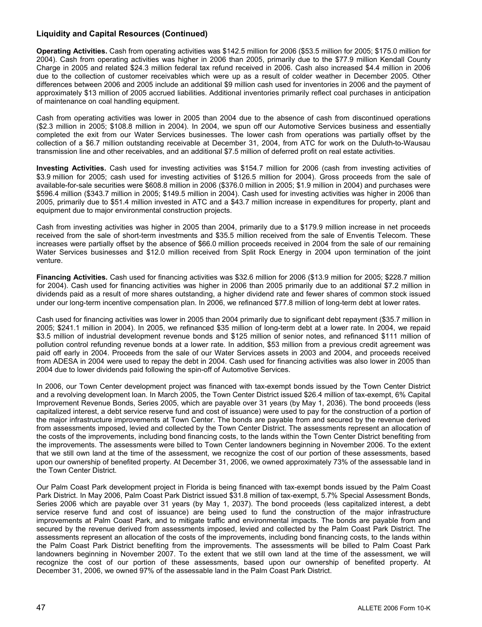# **Liquidity and Capital Resources (Continued)**

**Operating Activities.** Cash from operating activities was \$142.5 million for 2006 (\$53.5 million for 2005; \$175.0 million for 2004). Cash from operating activities was higher in 2006 than 2005, primarily due to the \$77.9 million Kendall County Charge in 2005 and related \$24.3 million federal tax refund received in 2006. Cash also increased \$4.4 million in 2006 due to the collection of customer receivables which were up as a result of colder weather in December 2005. Other differences between 2006 and 2005 include an additional \$9 million cash used for inventories in 2006 and the payment of approximately \$13 million of 2005 accrued liabilities. Additional inventories primarily reflect coal purchases in anticipation of maintenance on coal handling equipment.

Cash from operating activities was lower in 2005 than 2004 due to the absence of cash from discontinued operations (\$2.3 million in 2005; \$108.8 million in 2004). In 2004, we spun off our Automotive Services business and essentially completed the exit from our Water Services businesses. The lower cash from operations was partially offset by the collection of a \$6.7 million outstanding receivable at December 31, 2004, from ATC for work on the Duluth-to-Wausau transmission line and other receivables, and an additional \$7.5 million of deferred profit on real estate activities.

**Investing Activities.** Cash used for investing activities was \$154.7 million for 2006 (cash from investing activities of \$3.9 million for 2005; cash used for investing activities of \$126.5 million for 2004). Gross proceeds from the sale of available-for-sale securities were \$608.8 million in 2006 (\$376.0 million in 2005; \$1.9 million in 2004) and purchases were \$596.4 million (\$343.7 million in 2005; \$149.5 million in 2004). Cash used for investing activities was higher in 2006 than 2005, primarily due to \$51.4 million invested in ATC and a \$43.7 million increase in expenditures for property, plant and equipment due to major environmental construction projects.

Cash from investing activities was higher in 2005 than 2004, primarily due to a \$179.9 million increase in net proceeds received from the sale of short-term investments and \$35.5 million received from the sale of Enventis Telecom. These increases were partially offset by the absence of \$66.0 million proceeds received in 2004 from the sale of our remaining Water Services businesses and \$12.0 million received from Split Rock Energy in 2004 upon termination of the joint venture.

**Financing Activities.** Cash used for financing activities was \$32.6 million for 2006 (\$13.9 million for 2005; \$228.7 million for 2004). Cash used for financing activities was higher in 2006 than 2005 primarily due to an additional \$7.2 million in dividends paid as a result of more shares outstanding, a higher dividend rate and fewer shares of common stock issued under our long-term incentive compensation plan. In 2006, we refinanced \$77.8 million of long-term debt at lower rates.

Cash used for financing activities was lower in 2005 than 2004 primarily due to significant debt repayment (\$35.7 million in 2005; \$241.1 million in 2004). In 2005, we refinanced \$35 million of long-term debt at a lower rate. In 2004, we repaid \$3.5 million of industrial development revenue bonds and \$125 million of senior notes, and refinanced \$111 million of pollution control refunding revenue bonds at a lower rate. In addition, \$53 million from a previous credit agreement was paid off early in 2004. Proceeds from the sale of our Water Services assets in 2003 and 2004, and proceeds received from ADESA in 2004 were used to repay the debt in 2004. Cash used for financing activities was also lower in 2005 than 2004 due to lower dividends paid following the spin-off of Automotive Services.

In 2006, our Town Center development project was financed with tax-exempt bonds issued by the Town Center District and a revolving development loan. In March 2005, the Town Center District issued \$26.4 million of tax-exempt, 6% Capital Improvement Revenue Bonds, Series 2005, which are payable over 31 years (by May 1, 2036). The bond proceeds (less capitalized interest, a debt service reserve fund and cost of issuance) were used to pay for the construction of a portion of the major infrastructure improvements at Town Center. The bonds are payable from and secured by the revenue derived from assessments imposed, levied and collected by the Town Center District. The assessments represent an allocation of the costs of the improvements, including bond financing costs, to the lands within the Town Center District benefiting from the improvements. The assessments were billed to Town Center landowners beginning in November 2006. To the extent that we still own land at the time of the assessment, we recognize the cost of our portion of these assessments, based upon our ownership of benefited property. At December 31, 2006, we owned approximately 73% of the assessable land in the Town Center District.

Our Palm Coast Park development project in Florida is being financed with tax-exempt bonds issued by the Palm Coast Park District. In May 2006, Palm Coast Park District issued \$31.8 million of tax-exempt, 5.7% Special Assessment Bonds, Series 2006 which are payable over 31 years (by May 1, 2037). The bond proceeds (less capitalized interest, a debt service reserve fund and cost of issuance) are being used to fund the construction of the major infrastructure improvements at Palm Coast Park, and to mitigate traffic and environmental impacts. The bonds are payable from and secured by the revenue derived from assessments imposed, levied and collected by the Palm Coast Park District. The assessments represent an allocation of the costs of the improvements, including bond financing costs, to the lands within the Palm Coast Park District benefiting from the improvements. The assessments will be billed to Palm Coast Park landowners beginning in November 2007. To the extent that we still own land at the time of the assessment, we will recognize the cost of our portion of these assessments, based upon our ownership of benefited property. At December 31, 2006, we owned 97% of the assessable land in the Palm Coast Park District.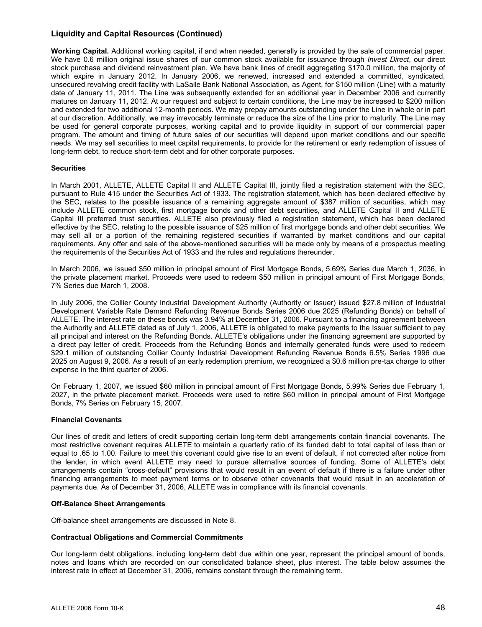# **Liquidity and Capital Resources (Continued)**

**Working Capital.** Additional working capital, if and when needed, generally is provided by the sale of commercial paper. We have 0.6 million original issue shares of our common stock available for issuance through *Invest Direct*, our direct stock purchase and dividend reinvestment plan. We have bank lines of credit aggregating \$170.0 million, the majority of which expire in January 2012. In January 2006, we renewed, increased and extended a committed, syndicated, unsecured revolving credit facility with LaSalle Bank National Association, as Agent, for \$150 million (Line) with a maturity date of January 11, 2011. The Line was subsequently extended for an additional year in December 2006 and currently matures on January 11, 2012. At our request and subject to certain conditions, the Line may be increased to \$200 million and extended for two additional 12-month periods. We may prepay amounts outstanding under the Line in whole or in part at our discretion. Additionally, we may irrevocably terminate or reduce the size of the Line prior to maturity. The Line may be used for general corporate purposes, working capital and to provide liquidity in support of our commercial paper program. The amount and timing of future sales of our securities will depend upon market conditions and our specific needs. We may sell securities to meet capital requirements, to provide for the retirement or early redemption of issues of long-term debt, to reduce short-term debt and for other corporate purposes.

#### **Securities**

In March 2001, ALLETE, ALLETE Capital II and ALLETE Capital III, jointly filed a registration statement with the SEC, pursuant to Rule 415 under the Securities Act of 1933. The registration statement, which has been declared effective by the SEC, relates to the possible issuance of a remaining aggregate amount of \$387 million of securities, which may include ALLETE common stock, first mortgage bonds and other debt securities, and ALLETE Capital II and ALLETE Capital III preferred trust securities. ALLETE also previously filed a registration statement, which has been declared effective by the SEC, relating to the possible issuance of \$25 million of first mortgage bonds and other debt securities. We may sell all or a portion of the remaining registered securities if warranted by market conditions and our capital requirements. Any offer and sale of the above-mentioned securities will be made only by means of a prospectus meeting the requirements of the Securities Act of 1933 and the rules and regulations thereunder.

In March 2006, we issued \$50 million in principal amount of First Mortgage Bonds, 5.69% Series due March 1, 2036, in the private placement market. Proceeds were used to redeem \$50 million in principal amount of First Mortgage Bonds, 7% Series due March 1, 2008.

In July 2006, the Collier County Industrial Development Authority (Authority or Issuer) issued \$27.8 million of Industrial Development Variable Rate Demand Refunding Revenue Bonds Series 2006 due 2025 (Refunding Bonds) on behalf of ALLETE. The interest rate on these bonds was 3.94% at December 31, 2006. Pursuant to a financing agreement between the Authority and ALLETE dated as of July 1, 2006, ALLETE is obligated to make payments to the Issuer sufficient to pay all principal and interest on the Refunding Bonds. ALLETE's obligations under the financing agreement are supported by a direct pay letter of credit. Proceeds from the Refunding Bonds and internally generated funds were used to redeem \$29.1 million of outstanding Collier County Industrial Development Refunding Revenue Bonds 6.5% Series 1996 due 2025 on August 9, 2006. As a result of an early redemption premium, we recognized a \$0.6 million pre-tax charge to other expense in the third quarter of 2006.

On February 1, 2007, we issued \$60 million in principal amount of First Mortgage Bonds, 5.99% Series due February 1, 2027, in the private placement market. Proceeds were used to retire \$60 million in principal amount of First Mortgage Bonds, 7% Series on February 15, 2007.

#### **Financial Covenants**

Our lines of credit and letters of credit supporting certain long-term debt arrangements contain financial covenants. The most restrictive covenant requires ALLETE to maintain a quarterly ratio of its funded debt to total capital of less than or equal to .65 to 1.00. Failure to meet this covenant could give rise to an event of default, if not corrected after notice from the lender, in which event ALLETE may need to pursue alternative sources of funding. Some of ALLETE's debt arrangements contain "cross-default" provisions that would result in an event of default if there is a failure under other financing arrangements to meet payment terms or to observe other covenants that would result in an acceleration of payments due. As of December 31, 2006, ALLETE was in compliance with its financial covenants.

#### **Off-Balance Sheet Arrangements**

Off-balance sheet arrangements are discussed in Note 8.

#### **Contractual Obligations and Commercial Commitments**

Our long-term debt obligations, including long-term debt due within one year, represent the principal amount of bonds, notes and loans which are recorded on our consolidated balance sheet, plus interest. The table below assumes the interest rate in effect at December 31, 2006, remains constant through the remaining term.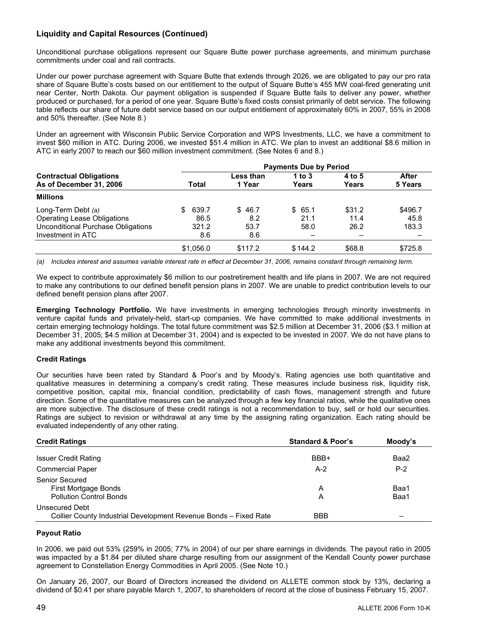# **Liquidity and Capital Resources (Continued)**

Unconditional purchase obligations represent our Square Butte power purchase agreements, and minimum purchase commitments under coal and rail contracts.

Under our power purchase agreement with Square Butte that extends through 2026, we are obligated to pay our pro rata share of Square Butte's costs based on our entitlement to the output of Square Butte's 455 MW coal-fired generating unit near Center, North Dakota. Our payment obligation is suspended if Square Butte fails to deliver any power, whether produced or purchased, for a period of one year. Square Butte's fixed costs consist primarily of debt service. The following table reflects our share of future debt service based on our output entitlement of approximately 60% in 2007, 55% in 2008 and 50% thereafter. (See Note 8.)

Under an agreement with Wisconsin Public Service Corporation and WPS Investments, LLC, we have a commitment to invest \$60 million in ATC. During 2006, we invested \$51.4 million in ATC. We plan to invest an additional \$8.6 million in ATC in early 2007 to reach our \$60 million investment commitment. (See Notes 6 and 8.)

|                                           |           |                  | <b>Payments Due by Period</b> |        |              |
|-------------------------------------------|-----------|------------------|-------------------------------|--------|--------------|
| <b>Contractual Obligations</b>            |           | <b>Less than</b> | 1 to $3$                      | 4 to 5 | <b>After</b> |
| As of December 31, 2006                   | Total     | 1 Year           | Years                         | Years  | 5 Years      |
| <b>Millions</b>                           |           |                  |                               |        |              |
| Long-Term Debt $(a)$                      | 639.7     | \$46.7           | \$65.1                        | \$31.2 | \$496.7      |
| Operating Lease Obligations               | 86.5      | 8.2              | 21.1                          | 11.4   | 45.8         |
| <b>Unconditional Purchase Obligations</b> | 321.2     | 53.7             | 58.0                          | 26.2   | 183.3        |
| Investment in ATC                         | 8.6       | 8.6              |                               |        |              |
|                                           | \$1.056.0 | \$117.2          | \$144.2                       | \$68.8 | \$725.8      |

*(a) Includes interest and assumes variable interest rate in effect at December 31, 2006, remains constant through remaining term.* 

We expect to contribute approximately \$6 million to our postretirement health and life plans in 2007. We are not required to make any contributions to our defined benefit pension plans in 2007. We are unable to predict contribution levels to our defined benefit pension plans after 2007.

**Emerging Technology Portfolio.** We have investments in emerging technologies through minority investments in venture capital funds and privately-held, start-up companies. We have committed to make additional investments in certain emerging technology holdings. The total future commitment was \$2.5 million at December 31, 2006 (\$3.1 million at December 31, 2005; \$4.5 million at December 31, 2004) and is expected to be invested in 2007. We do not have plans to make any additional investments beyond this commitment.

### **Credit Ratings**

Our securities have been rated by Standard & Poor's and by Moody's. Rating agencies use both quantitative and qualitative measures in determining a company's credit rating. These measures include business risk, liquidity risk, competitive position, capital mix, financial condition, predictability of cash flows, management strength and future direction. Some of the quantitative measures can be analyzed through a few key financial ratios, while the qualitative ones are more subjective. The disclosure of these credit ratings is not a recommendation to buy, sell or hold our securities. Ratings are subject to revision or withdrawal at any time by the assigning rating organization. Each rating should be evaluated independently of any other rating.

| <b>Credit Ratings</b>                                                              | <b>Standard &amp; Poor's</b> | Moody's      |
|------------------------------------------------------------------------------------|------------------------------|--------------|
| <b>Issuer Credit Rating</b>                                                        | BBB+                         | Baa2         |
| <b>Commercial Paper</b>                                                            | $A-2$                        | $P-2$        |
| Senior Secured<br>First Mortgage Bonds<br><b>Pollution Control Bonds</b>           | A<br>A                       | Baa1<br>Baa1 |
| Unsecured Debt<br>Collier County Industrial Development Revenue Bonds - Fixed Rate | <b>BBB</b>                   |              |

### **Payout Ratio**

In 2006, we paid out 53% (259% in 2005; 77% in 2004) of our per share earnings in dividends. The payout ratio in 2005 was impacted by a \$1.84 per diluted share charge resulting from our assignment of the Kendall County power purchase agreement to Constellation Energy Commodities in April 2005. (See Note 10.)

On January 26, 2007, our Board of Directors increased the dividend on ALLETE common stock by 13%, declaring a dividend of \$0.41 per share payable March 1, 2007, to shareholders of record at the close of business February 15, 2007.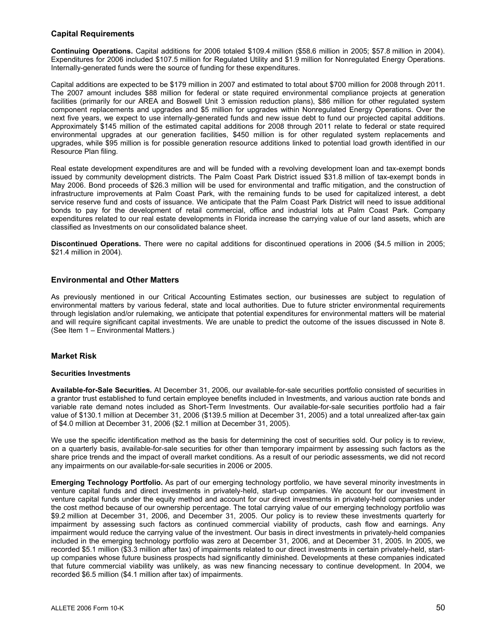# **Capital Requirements**

**Continuing Operations.** Capital additions for 2006 totaled \$109.4 million (\$58.6 million in 2005; \$57.8 million in 2004). Expenditures for 2006 included \$107.5 million for Regulated Utility and \$1.9 million for Nonregulated Energy Operations. Internally-generated funds were the source of funding for these expenditures.

Capital additions are expected to be \$179 million in 2007 and estimated to total about \$700 million for 2008 through 2011. The 2007 amount includes \$88 million for federal or state required environmental compliance projects at generation facilities (primarily for our AREA and Boswell Unit 3 emission reduction plans), \$86 million for other regulated system component replacements and upgrades and \$5 million for upgrades within Nonregulated Energy Operations. Over the next five years, we expect to use internally-generated funds and new issue debt to fund our projected capital additions. Approximately \$145 million of the estimated capital additions for 2008 through 2011 relate to federal or state required environmental upgrades at our generation facilities, \$450 million is for other regulated system replacements and upgrades, while \$95 million is for possible generation resource additions linked to potential load growth identified in our Resource Plan filing.

Real estate development expenditures are and will be funded with a revolving development loan and tax-exempt bonds issued by community development districts. The Palm Coast Park District issued \$31.8 million of tax-exempt bonds in May 2006. Bond proceeds of \$26.3 million will be used for environmental and traffic mitigation, and the construction of infrastructure improvements at Palm Coast Park, with the remaining funds to be used for capitalized interest, a debt service reserve fund and costs of issuance. We anticipate that the Palm Coast Park District will need to issue additional bonds to pay for the development of retail commercial, office and industrial lots at Palm Coast Park. Company expenditures related to our real estate developments in Florida increase the carrying value of our land assets, which are classified as Investments on our consolidated balance sheet.

**Discontinued Operations.** There were no capital additions for discontinued operations in 2006 (\$4.5 million in 2005; \$21.4 million in 2004).

### **Environmental and Other Matters**

As previously mentioned in our Critical Accounting Estimates section, our businesses are subject to regulation of environmental matters by various federal, state and local authorities. Due to future stricter environmental requirements through legislation and/or rulemaking, we anticipate that potential expenditures for environmental matters will be material and will require significant capital investments. We are unable to predict the outcome of the issues discussed in Note 8. (See Item 1 – Environmental Matters.)

### **Market Risk**

#### **Securities Investments**

**Available-for-Sale Securities.** At December 31, 2006, our available-for-sale securities portfolio consisted of securities in a grantor trust established to fund certain employee benefits included in Investments, and various auction rate bonds and variable rate demand notes included as Short-Term Investments. Our available-for-sale securities portfolio had a fair value of \$130.1 million at December 31, 2006 (\$139.5 million at December 31, 2005) and a total unrealized after-tax gain of \$4.0 million at December 31, 2006 (\$2.1 million at December 31, 2005).

We use the specific identification method as the basis for determining the cost of securities sold. Our policy is to review, on a quarterly basis, available-for-sale securities for other than temporary impairment by assessing such factors as the share price trends and the impact of overall market conditions. As a result of our periodic assessments, we did not record any impairments on our available-for-sale securities in 2006 or 2005.

**Emerging Technology Portfolio.** As part of our emerging technology portfolio, we have several minority investments in venture capital funds and direct investments in privately-held, start-up companies. We account for our investment in venture capital funds under the equity method and account for our direct investments in privately-held companies under the cost method because of our ownership percentage. The total carrying value of our emerging technology portfolio was \$9.2 million at December 31, 2006, and December 31, 2005. Our policy is to review these investments quarterly for impairment by assessing such factors as continued commercial viability of products, cash flow and earnings. Any impairment would reduce the carrying value of the investment. Our basis in direct investments in privately-held companies included in the emerging technology portfolio was zero at December 31, 2006, and at December 31, 2005. In 2005, we recorded \$5.1 million (\$3.3 million after tax) of impairments related to our direct investments in certain privately-held, startup companies whose future business prospects had significantly diminished. Developments at these companies indicated that future commercial viability was unlikely, as was new financing necessary to continue development. In 2004, we recorded \$6.5 million (\$4.1 million after tax) of impairments.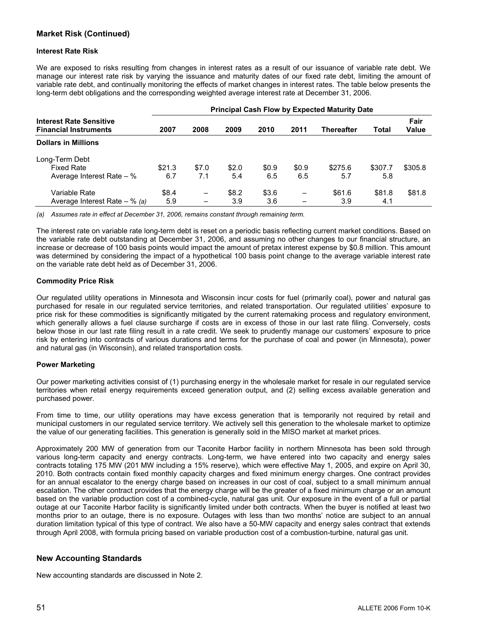# **Market Risk (Continued)**

### **Interest Rate Risk**

We are exposed to risks resulting from changes in interest rates as a result of our issuance of variable rate debt. We manage our interest rate risk by varying the issuance and maturity dates of our fixed rate debt, limiting the amount of variable rate debt, and continually monitoring the effects of market changes in interest rates. The table below presents the long-term debt obligations and the corresponding weighted average interest rate at December 31, 2006.

|                                                                | <b>Principal Cash Flow by Expected Maturity Date</b>               |       |       |       |       |               |         |         |
|----------------------------------------------------------------|--------------------------------------------------------------------|-------|-------|-------|-------|---------------|---------|---------|
| <b>Interest Rate Sensitive</b><br><b>Financial Instruments</b> | 2008<br>2009<br>2010<br>2011<br>2007<br><b>Thereafter</b><br>Total |       |       |       |       | Fair<br>Value |         |         |
| <b>Dollars in Millions</b>                                     |                                                                    |       |       |       |       |               |         |         |
| Long-Term Debt                                                 |                                                                    |       |       |       |       |               |         |         |
| <b>Fixed Rate</b>                                              | \$21.3                                                             | \$7.0 | \$2.0 | \$0.9 | \$0.9 | \$275.6       | \$307.7 | \$305.8 |
| Average Interest Rate - %                                      | 6.7                                                                | 7.1   | 5.4   | 6.5   | 6.5   | 5.7           | 5.8     |         |
| Variable Rate                                                  | \$8.4                                                              | -     | \$8.2 | \$3.6 | -     | \$61.6        | \$81.8  | \$81.8  |
| Average Interest Rate $-$ % (a)                                | 5.9                                                                |       | 3.9   | 3.6   |       | 3.9           | 4.1     |         |

*(a) Assumes rate in effect at December 31, 2006, remains constant through remaining term.* 

The interest rate on variable rate long-term debt is reset on a periodic basis reflecting current market conditions. Based on the variable rate debt outstanding at December 31, 2006, and assuming no other changes to our financial structure, an increase or decrease of 100 basis points would impact the amount of pretax interest expense by \$0.8 million. This amount was determined by considering the impact of a hypothetical 100 basis point change to the average variable interest rate on the variable rate debt held as of December 31, 2006.

### **Commodity Price Risk**

Our regulated utility operations in Minnesota and Wisconsin incur costs for fuel (primarily coal), power and natural gas purchased for resale in our regulated service territories, and related transportation. Our regulated utilities' exposure to price risk for these commodities is significantly mitigated by the current ratemaking process and regulatory environment, which generally allows a fuel clause surcharge if costs are in excess of those in our last rate filing. Conversely, costs below those in our last rate filing result in a rate credit. We seek to prudently manage our customers' exposure to price risk by entering into contracts of various durations and terms for the purchase of coal and power (in Minnesota), power and natural gas (in Wisconsin), and related transportation costs.

### **Power Marketing**

Our power marketing activities consist of (1) purchasing energy in the wholesale market for resale in our regulated service territories when retail energy requirements exceed generation output, and (2) selling excess available generation and purchased power.

From time to time, our utility operations may have excess generation that is temporarily not required by retail and municipal customers in our regulated service territory. We actively sell this generation to the wholesale market to optimize the value of our generating facilities. This generation is generally sold in the MISO market at market prices.

Approximately 200 MW of generation from our Taconite Harbor facility in northern Minnesota has been sold through various long-term capacity and energy contracts. Long-term, we have entered into two capacity and energy sales contracts totaling 175 MW (201 MW including a 15% reserve), which were effective May 1, 2005, and expire on April 30, 2010. Both contracts contain fixed monthly capacity charges and fixed minimum energy charges. One contract provides for an annual escalator to the energy charge based on increases in our cost of coal, subject to a small minimum annual escalation. The other contract provides that the energy charge will be the greater of a fixed minimum charge or an amount based on the variable production cost of a combined-cycle, natural gas unit. Our exposure in the event of a full or partial outage at our Taconite Harbor facility is significantly limited under both contracts. When the buyer is notified at least two months prior to an outage, there is no exposure. Outages with less than two months' notice are subject to an annual duration limitation typical of this type of contract. We also have a 50-MW capacity and energy sales contract that extends through April 2008, with formula pricing based on variable production cost of a combustion-turbine, natural gas unit.

### **New Accounting Standards**

New accounting standards are discussed in Note 2.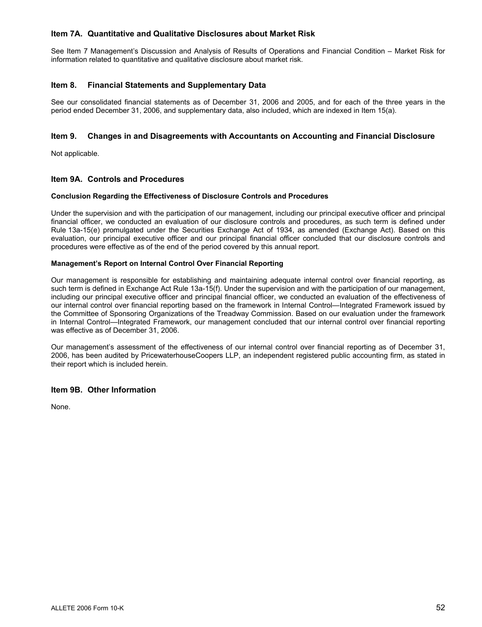# **Item 7A. Quantitative and Qualitative Disclosures about Market Risk**

See Item 7 Management's Discussion and Analysis of Results of Operations and Financial Condition – Market Risk for information related to quantitative and qualitative disclosure about market risk.

# **Item 8. Financial Statements and Supplementary Data**

See our consolidated financial statements as of December 31, 2006 and 2005, and for each of the three years in the period ended December 31, 2006, and supplementary data, also included, which are indexed in Item 15(a).

# **Item 9. Changes in and Disagreements with Accountants on Accounting and Financial Disclosure**

Not applicable.

### **Item 9A. Controls and Procedures**

#### **Conclusion Regarding the Effectiveness of Disclosure Controls and Procedures**

Under the supervision and with the participation of our management, including our principal executive officer and principal financial officer, we conducted an evaluation of our disclosure controls and procedures, as such term is defined under Rule 13a-15(e) promulgated under the Securities Exchange Act of 1934, as amended (Exchange Act). Based on this evaluation, our principal executive officer and our principal financial officer concluded that our disclosure controls and procedures were effective as of the end of the period covered by this annual report.

#### **Management's Report on Internal Control Over Financial Reporting**

Our management is responsible for establishing and maintaining adequate internal control over financial reporting, as such term is defined in Exchange Act Rule 13a-15(f). Under the supervision and with the participation of our management, including our principal executive officer and principal financial officer, we conducted an evaluation of the effectiveness of our internal control over financial reporting based on the framework in Internal Control—Integrated Framework issued by the Committee of Sponsoring Organizations of the Treadway Commission. Based on our evaluation under the framework in Internal Control—Integrated Framework, our management concluded that our internal control over financial reporting was effective as of December 31, 2006.

Our management's assessment of the effectiveness of our internal control over financial reporting as of December 31, 2006, has been audited by PricewaterhouseCoopers LLP, an independent registered public accounting firm, as stated in their report which is included herein.

# **Item 9B. Other Information**

None.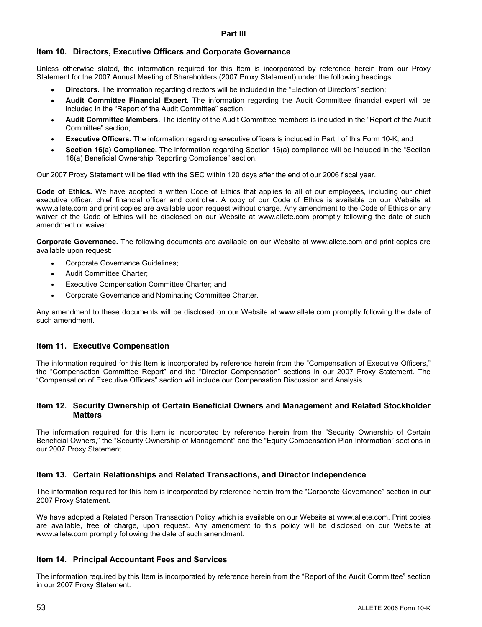# **Item 10. Directors, Executive Officers and Corporate Governance**

Unless otherwise stated, the information required for this Item is incorporated by reference herein from our Proxy Statement for the 2007 Annual Meeting of Shareholders (2007 Proxy Statement) under the following headings:

- **Directors.** The information regarding directors will be included in the "Election of Directors" section;
- **Audit Committee Financial Expert.** The information regarding the Audit Committee financial expert will be included in the "Report of the Audit Committee" section;
- **Audit Committee Members.** The identity of the Audit Committee members is included in the "Report of the Audit Committee" section;
- **Executive Officers.** The information regarding executive officers is included in Part I of this Form 10-K; and
- **Section 16(a) Compliance.** The information regarding Section 16(a) compliance will be included in the "Section 16(a) Beneficial Ownership Reporting Compliance" section.

Our 2007 Proxy Statement will be filed with the SEC within 120 days after the end of our 2006 fiscal year.

**Code of Ethics.** We have adopted a written Code of Ethics that applies to all of our employees, including our chief executive officer, chief financial officer and controller. A copy of our Code of Ethics is available on our Website at www.allete.com and print copies are available upon request without charge. Any amendment to the Code of Ethics or any waiver of the Code of Ethics will be disclosed on our Website at www.allete.com promptly following the date of such amendment or waiver.

**Corporate Governance.** The following documents are available on our Website at www.allete.com and print copies are available upon request:

- Corporate Governance Guidelines;
- Audit Committee Charter;
- Executive Compensation Committee Charter; and
- Corporate Governance and Nominating Committee Charter.

Any amendment to these documents will be disclosed on our Website at www.allete.com promptly following the date of such amendment.

### **Item 11. Executive Compensation**

The information required for this Item is incorporated by reference herein from the "Compensation of Executive Officers," the "Compensation Committee Report" and the "Director Compensation" sections in our 2007 Proxy Statement. The "Compensation of Executive Officers" section will include our Compensation Discussion and Analysis.

### **Item 12. Security Ownership of Certain Beneficial Owners and Management and Related Stockholder Matters**

The information required for this Item is incorporated by reference herein from the "Security Ownership of Certain Beneficial Owners," the "Security Ownership of Management" and the "Equity Compensation Plan Information" sections in our 2007 Proxy Statement.

### **Item 13. Certain Relationships and Related Transactions, and Director Independence**

The information required for this Item is incorporated by reference herein from the "Corporate Governance" section in our 2007 Proxy Statement.

We have adopted a Related Person Transaction Policy which is available on our Website at www.allete.com. Print copies are available, free of charge, upon request. Any amendment to this policy will be disclosed on our Website at www.allete.com promptly following the date of such amendment.

### **Item 14. Principal Accountant Fees and Services**

The information required by this Item is incorporated by reference herein from the "Report of the Audit Committee" section in our 2007 Proxy Statement.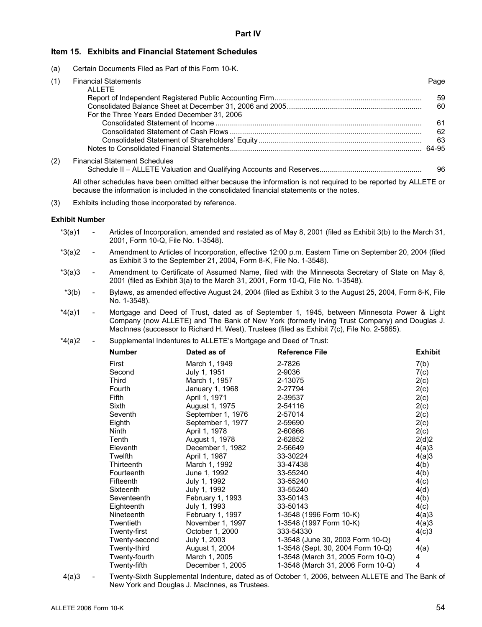# **Item 15. Exhibits and Financial Statement Schedules**

(a) Certain Documents Filed as Part of this Form 10-K.

| (1) | <b>Financial Statements</b>                 | Page |
|-----|---------------------------------------------|------|
|     | ALLETE                                      |      |
|     |                                             | 59   |
|     |                                             | 60   |
|     | For the Three Years Ended December 31, 2006 |      |
|     |                                             | 61   |
|     |                                             | 62   |
|     |                                             | 63   |
|     |                                             |      |
| (2) | <b>Financial Statement Schedules</b>        |      |
|     |                                             | 96   |

All other schedules have been omitted either because the information is not required to be reported by ALLETE or because the information is included in the consolidated financial statements or the notes.

(3) Exhibits including those incorporated by reference.

### **Exhibit Number**

- \*3(a)1 Articles of Incorporation, amended and restated as of May 8, 2001 (filed as Exhibit 3(b) to the March 31, 2001, Form 10-Q, File No. 1-3548).
- \*3(a)2 Amendment to Articles of Incorporation, effective 12:00 p.m. Eastern Time on September 20, 2004 (filed as Exhibit 3 to the September 21, 2004, Form 8-K, File No. 1-3548).
- \*3(a)3 Amendment to Certificate of Assumed Name, filed with the Minnesota Secretary of State on May 8, 2001 (filed as Exhibit 3(a) to the March 31, 2001, Form 10-Q, File No. 1-3548).
- \*3(b) Bylaws, as amended effective August 24, 2004 (filed as Exhibit 3 to the August 25, 2004, Form 8-K, File No. 1-3548).
- \*4(a)1 Mortgage and Deed of Trust, dated as of September 1, 1945, between Minnesota Power & Light Company (now ALLETE) and The Bank of New York (formerly Irving Trust Company) and Douglas J. MacInnes (successor to Richard H. West), Trustees (filed as Exhibit 7(c), File No. 2-5865).
- \*4(a)2 Supplemental Indentures to ALLETE's Mortgage and Deed of Trust:

| <b>Number</b> | Dated as of       | <b>Reference File</b>             | <b>Exhibit</b> |
|---------------|-------------------|-----------------------------------|----------------|
| First         | March 1, 1949     | 2-7826                            | 7(b)           |
| Second        | July 1, 1951      | 2-9036                            | 7(c)           |
| Third         | March 1, 1957     | 2-13075                           | 2(c)           |
| Fourth        | January 1, 1968   | 2-27794                           | 2(c)           |
| Fifth         | April 1, 1971     | 2-39537                           | 2(c)           |
| Sixth         | August 1, 1975    | 2-54116                           | 2(c)           |
| Seventh       | September 1, 1976 | 2-57014                           | 2(c)           |
| Eighth        | September 1, 1977 | 2-59690                           | 2(c)           |
| Ninth         | April 1, 1978     | 2-60866                           | 2(c)           |
| Tenth         | August 1, 1978    | 2-62852                           | 2(d)2          |
| Eleventh      | December 1, 1982  | 2-56649                           | 4(a)3          |
| Twelfth       | April 1, 1987     | 33-30224                          | 4(a)3          |
| Thirteenth    | March 1, 1992     | 33-47438                          | 4(b)           |
| Fourteenth    | June 1, 1992      | 33-55240                          | 4(b)           |
| Fifteenth     | July 1, 1992      | 33-55240                          | 4(c)           |
| Sixteenth     | July 1, 1992      | 33-55240                          | 4(d)           |
| Seventeenth   | February 1, 1993  | 33-50143                          | 4(b)           |
| Eighteenth    | July 1, 1993      | 33-50143                          | 4(c)           |
| Nineteenth    | February 1, 1997  | 1-3548 (1996 Form 10-K)           | 4(a)3          |
| Twentieth     | November 1, 1997  | 1-3548 (1997 Form 10-K)           | 4(a)3          |
| Twenty-first  | October 1, 2000   | 333-54330                         | 4(c)3          |
| Twenty-second | July 1, 2003      | 1-3548 (June 30, 2003 Form 10-Q)  | 4              |
| Twenty-third  | August 1, 2004    | 1-3548 (Sept. 30, 2004 Form 10-Q) | 4(a)           |
| Twenty-fourth | March 1, 2005     | 1-3548 (March 31, 2005 Form 10-Q) | 4              |
| Twenty-fifth  | December 1, 2005  | 1-3548 (March 31, 2006 Form 10-Q) | 4              |

 4(a)3 - Twenty-Sixth Supplemental Indenture, dated as of October 1, 2006, between ALLETE and The Bank of New York and Douglas J. MacInnes, as Trustees.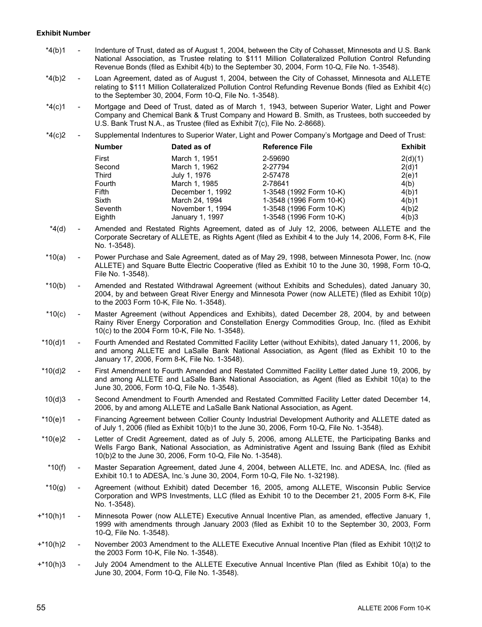- \*4(b)1 Indenture of Trust, dated as of August 1, 2004, between the City of Cohasset, Minnesota and U.S. Bank National Association, as Trustee relating to \$111 Million Collateralized Pollution Control Refunding Revenue Bonds (filed as Exhibit 4(b) to the September 30, 2004, Form 10-Q, File No. 1-3548).
- \*4(b)2 Loan Agreement, dated as of August 1, 2004, between the City of Cohasset, Minnesota and ALLETE relating to \$111 Million Collateralized Pollution Control Refunding Revenue Bonds (filed as Exhibit 4(c) to the September 30, 2004, Form 10-Q, File No. 1-3548).
- \*4(c)1 Mortgage and Deed of Trust, dated as of March 1, 1943, between Superior Water, Light and Power Company and Chemical Bank & Trust Company and Howard B. Smith, as Trustees, both succeeded by U.S. Bank Trust N.A., as Trustee (filed as Exhibit 7(c), File No. 2-8668).
- \*4(c)2 Supplemental Indentures to Superior Water, Light and Power Company's Mortgage and Deed of Trust:

| <b>Number</b> | Dated as of      | <b>Reference File</b>   | <b>Exhibit</b> |
|---------------|------------------|-------------------------|----------------|
| First         | March 1, 1951    | 2-59690                 | 2(d)(1)        |
| Second        | March 1, 1962    | 2-27794                 | 2(d)1          |
| Third         | July 1, 1976     | 2-57478                 | 2(e)1          |
| Fourth        | March 1, 1985    | 2-78641                 | 4(b)           |
| <b>Fifth</b>  | December 1, 1992 | 1-3548 (1992 Form 10-K) | 4(b)1          |
| Sixth         | March 24, 1994   | 1-3548 (1996 Form 10-K) | 4(b)1          |
| Seventh       | November 1, 1994 | 1-3548 (1996 Form 10-K) | 4(b)2          |
| Eighth        | January 1, 1997  | 1-3548 (1996 Form 10-K) | 4(b)3          |

- \*4(d) Amended and Restated Rights Agreement, dated as of July 12, 2006, between ALLETE and the Corporate Secretary of ALLETE, as Rights Agent (filed as Exhibit 4 to the July 14, 2006, Form 8-K, File No. 1-3548).
- \*10(a) Power Purchase and Sale Agreement, dated as of May 29, 1998, between Minnesota Power, Inc. (now ALLETE) and Square Butte Electric Cooperative (filed as Exhibit 10 to the June 30, 1998, Form 10-Q, File No. 1-3548).
- \*10(b) Amended and Restated Withdrawal Agreement (without Exhibits and Schedules), dated January 30, 2004, by and between Great River Energy and Minnesota Power (now ALLETE) (filed as Exhibit 10(p) to the 2003 Form 10-K, File No. 1-3548).
- \*10(c) Master Agreement (without Appendices and Exhibits), dated December 28, 2004, by and between Rainy River Energy Corporation and Constellation Energy Commodities Group, Inc. (filed as Exhibit 10(c) to the 2004 Form 10-K, File No. 1-3548).
- \*10(d)1 Fourth Amended and Restated Committed Facility Letter (without Exhibits), dated January 11, 2006, by and among ALLETE and LaSalle Bank National Association, as Agent (filed as Exhibit 10 to the January 17, 2006, Form 8-K, File No. 1-3548).
- \*10(d)2 First Amendment to Fourth Amended and Restated Committed Facility Letter dated June 19, 2006, by and among ALLETE and LaSalle Bank National Association, as Agent (filed as Exhibit 10(a) to the June 30, 2006, Form 10-Q, File No. 1-3548).
- 10(d)3 Second Amendment to Fourth Amended and Restated Committed Facility Letter dated December 14, 2006, by and among ALLETE and LaSalle Bank National Association, as Agent.
- \*10(e)1 Financing Agreement between Collier County Industrial Development Authority and ALLETE dated as of July 1, 2006 (filed as Exhibit 10(b)1 to the June 30, 2006, Form 10-Q, File No. 1-3548).
- \*10(e)2 Letter of Credit Agreement, dated as of July 5, 2006, among ALLETE, the Participating Banks and Wells Fargo Bank, National Association, as Administrative Agent and Issuing Bank (filed as Exhibit 10(b)2 to the June 30, 2006, Form 10-Q, File No. 1-3548).
- \*10(f) Master Separation Agreement, dated June 4, 2004, between ALLETE, Inc. and ADESA, Inc. (filed as Exhibit 10.1 to ADESA, Inc.'s June 30, 2004, Form 10-Q, File No. 1-32198).
- \*10(g) Agreement (without Exhibit) dated December 16, 2005, among ALLETE, Wisconsin Public Service Corporation and WPS Investments, LLC (filed as Exhibit 10 to the December 21, 2005 Form 8-K, File No. 1-3548).
- +\*10(h)1 Minnesota Power (now ALLETE) Executive Annual Incentive Plan, as amended, effective January 1, 1999 with amendments through January 2003 (filed as Exhibit 10 to the September 30, 2003, Form 10-Q, File No. 1-3548).
- +\*10(h)2 November 2003 Amendment to the ALLETE Executive Annual Incentive Plan (filed as Exhibit 10(t)2 to the 2003 Form 10-K, File No. 1-3548).
- +\*10(h)3 July 2004 Amendment to the ALLETE Executive Annual Incentive Plan (filed as Exhibit 10(a) to the June 30, 2004, Form 10-Q, File No. 1-3548).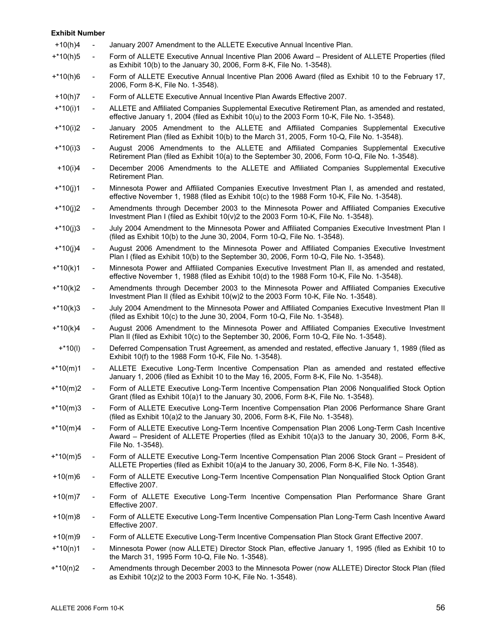### **Exhibit Number**

| $+10(h)4$  | $\frac{1}{2}$                | January 2007 Amendment to the ALLETE Executive Annual Incentive Plan.                                                                                                                                                   |
|------------|------------------------------|-------------------------------------------------------------------------------------------------------------------------------------------------------------------------------------------------------------------------|
| $+*10(h)5$ | $\overline{\phantom{0}}$     | Form of ALLETE Executive Annual Incentive Plan 2006 Award – President of ALLETE Properties (filed<br>as Exhibit 10(b) to the January 30, 2006, Form 8-K, File No. 1-3548).                                              |
| $+*10(h)6$ | $\overline{\phantom{a}}$     | Form of ALLETE Executive Annual Incentive Plan 2006 Award (filed as Exhibit 10 to the February 17,<br>2006, Form 8-K, File No. 1-3548).                                                                                 |
| $+10(h)7$  | $\overline{\phantom{a}}$     | Form of ALLETE Executive Annual Incentive Plan Awards Effective 2007.                                                                                                                                                   |
| $+*10(i)1$ |                              | ALLETE and Affiliated Companies Supplemental Executive Retirement Plan, as amended and restated,<br>effective January 1, 2004 (filed as Exhibit 10(u) to the 2003 Form 10-K, File No. 1-3548).                          |
| $+*10(i)2$ | $\overline{\phantom{a}}$     | January 2005 Amendment to the ALLETE and Affiliated Companies Supplemental Executive<br>Retirement Plan (filed as Exhibit 10(b) to the March 31, 2005, Form 10-Q, File No. 1-3548).                                     |
| $+*10(i)3$ | $\overline{\phantom{a}}$     | August 2006 Amendments to the ALLETE and Affiliated Companies Supplemental Executive<br>Retirement Plan (filed as Exhibit 10(a) to the September 30, 2006, Form 10-Q, File No. 1-3548).                                 |
| $+10(i)4$  | $\qquad \qquad \blacksquare$ | December 2006 Amendments to the ALLETE and Affiliated Companies Supplemental Executive<br>Retirement Plan.                                                                                                              |
| $+*10(j)1$ | $\overline{\phantom{a}}$     | Minnesota Power and Affiliated Companies Executive Investment Plan I, as amended and restated,<br>effective November 1, 1988 (filed as Exhibit 10(c) to the 1988 Form 10-K, File No. 1-3548).                           |
| $+*10(j)2$ | $\blacksquare$               | Amendments through December 2003 to the Minnesota Power and Affiliated Companies Executive<br>Investment Plan I (filed as Exhibit 10(v)2 to the 2003 Form 10-K, File No. 1-3548).                                       |
| $+*10(j)3$ | $\overline{\phantom{a}}$     | July 2004 Amendment to the Minnesota Power and Affiliated Companies Executive Investment Plan I<br>(filed as Exhibit 10(b) to the June 30, 2004, Form 10-Q, File No. 1-3548).                                           |
| $+*10(j)4$ | $\overline{\phantom{a}}$     | August 2006 Amendment to the Minnesota Power and Affiliated Companies Executive Investment<br>Plan I (filed as Exhibit 10(b) to the September 30, 2006, Form 10-Q, File No. 1-3548).                                    |
| $+*10(k)1$ |                              | Minnesota Power and Affiliated Companies Executive Investment Plan II, as amended and restated,<br>effective November 1, 1988 (filed as Exhibit 10(d) to the 1988 Form 10-K, File No. 1-3548).                          |
| $+*10(k)2$ | $\overline{\phantom{a}}$     | Amendments through December 2003 to the Minnesota Power and Affiliated Companies Executive<br>Investment Plan II (filed as Exhibit 10(w)2 to the 2003 Form 10-K, File No. 1-3548).                                      |
| $+*10(k)3$ | $\qquad \qquad -$            | July 2004 Amendment to the Minnesota Power and Affiliated Companies Executive Investment Plan II<br>(filed as Exhibit 10(c) to the June 30, 2004, Form 10-Q, File No. 1-3548).                                          |
| $+*10(k)4$ |                              | August 2006 Amendment to the Minnesota Power and Affiliated Companies Executive Investment<br>Plan II (filed as Exhibit 10(c) to the September 30, 2006, Form 10-Q, File No. 1-3548).                                   |
| $+*10(l)$  | $\overline{\phantom{0}}$     | Deferred Compensation Trust Agreement, as amended and restated, effective January 1, 1989 (filed as<br>Exhibit 10(f) to the 1988 Form 10-K, File No. 1-3548).                                                           |
| $+*10(m)1$ | $\blacksquare$               | ALLETE Executive Long-Term Incentive Compensation Plan as amended and restated effective<br>January 1, 2006 (filed as Exhibit 10 to the May 16, 2005, Form 8-K, File No. 1-3548).                                       |
| $+*10(m)2$ |                              | Form of ALLETE Executive Long-Term Incentive Compensation Plan 2006 Nonqualified Stock Option<br>Grant (filed as Exhibit 10(a)1 to the January 30, 2006, Form 8-K, File No. 1-3548).                                    |
| $+*10(m)3$ | $\overline{\phantom{a}}$     | Form of ALLETE Executive Long-Term Incentive Compensation Plan 2006 Performance Share Grant<br>(filed as Exhibit 10(a)2 to the January 30, 2006, Form 8-K, File No. 1-3548).                                            |
| $+*10(m)4$ | $\overline{\phantom{0}}$     | Form of ALLETE Executive Long-Term Incentive Compensation Plan 2006 Long-Term Cash Incentive<br>Award – President of ALLETE Properties (filed as Exhibit 10(a)3 to the January 30, 2006, Form 8-K,<br>File No. 1-3548). |
| $+*10(m)5$ | $\blacksquare$               | Form of ALLETE Executive Long-Term Incentive Compensation Plan 2006 Stock Grant - President of<br>ALLETE Properties (filed as Exhibit 10(a)4 to the January 30, 2006, Form 8-K, File No. 1-3548).                       |
| $+10(m)6$  | $\overline{\phantom{a}}$     | Form of ALLETE Executive Long-Term Incentive Compensation Plan Nonqualified Stock Option Grant<br>Effective 2007.                                                                                                       |
| $+10(m)7$  | $\blacksquare$               | Form of ALLETE Executive Long-Term Incentive Compensation Plan Performance Share Grant<br>Effective 2007.                                                                                                               |
| $+10(m)8$  | $\blacksquare$               | Form of ALLETE Executive Long-Term Incentive Compensation Plan Long-Term Cash Incentive Award<br>Effective 2007.                                                                                                        |
| $+10(m)9$  | $\overline{\phantom{a}}$     | Form of ALLETE Executive Long-Term Incentive Compensation Plan Stock Grant Effective 2007.                                                                                                                              |
| $+*10(n)1$ | $\overline{\phantom{0}}$     | Minnesota Power (now ALLETE) Director Stock Plan, effective January 1, 1995 (filed as Exhibit 10 to<br>the March 31, 1995 Form 10-Q, File No. 1-3548).                                                                  |
| $+*10(n)2$ | $\overline{\phantom{a}}$     | Amendments through December 2003 to the Minnesota Power (now ALLETE) Director Stock Plan (filed<br>as Exhibit 10(z)2 to the 2003 Form 10-K, File No. 1-3548).                                                           |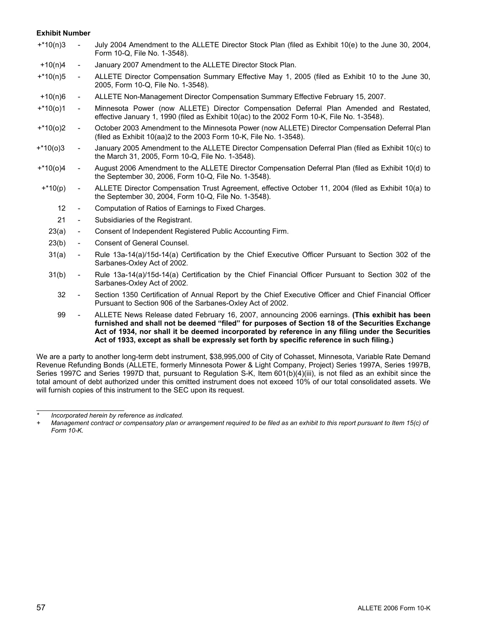### **Exhibit Number**

| $+*10(n)3$ |                          | July 2004 Amendment to the ALLETE Director Stock Plan (filed as Exhibit 10(e) to the June 30, 2004,<br>Form 10-Q, File No. 1-3548).                                                                                                                                                                                                                                                                |
|------------|--------------------------|----------------------------------------------------------------------------------------------------------------------------------------------------------------------------------------------------------------------------------------------------------------------------------------------------------------------------------------------------------------------------------------------------|
| $+10(n)4$  | $\overline{\phantom{a}}$ | January 2007 Amendment to the ALLETE Director Stock Plan.                                                                                                                                                                                                                                                                                                                                          |
| $+*10(n)5$ | $\overline{\phantom{0}}$ | ALLETE Director Compensation Summary Effective May 1, 2005 (filed as Exhibit 10 to the June 30,<br>2005, Form 10-Q, File No. 1-3548).                                                                                                                                                                                                                                                              |
| $+10(n)6$  | $\blacksquare$           | ALLETE Non-Management Director Compensation Summary Effective February 15, 2007.                                                                                                                                                                                                                                                                                                                   |
| $+*10(0)1$ | $\overline{\phantom{a}}$ | Minnesota Power (now ALLETE) Director Compensation Deferral Plan Amended and Restated,<br>effective January 1, 1990 (filed as Exhibit 10(ac) to the 2002 Form 10-K, File No. 1-3548).                                                                                                                                                                                                              |
| $+*10(0)2$ | $\overline{\phantom{a}}$ | October 2003 Amendment to the Minnesota Power (now ALLETE) Director Compensation Deferral Plan<br>(filed as Exhibit 10(aa)2 to the 2003 Form 10-K, File No. 1-3548).                                                                                                                                                                                                                               |
| $+*10(0)3$ |                          | January 2005 Amendment to the ALLETE Director Compensation Deferral Plan (filed as Exhibit 10(c) to<br>the March 31, 2005, Form 10-Q, File No. 1-3548).                                                                                                                                                                                                                                            |
| $+*10(0)4$ |                          | August 2006 Amendment to the ALLETE Director Compensation Deferral Plan (filed as Exhibit 10(d) to<br>the September 30, 2006, Form 10-Q, File No. 1-3548).                                                                                                                                                                                                                                         |
| $+*10(p)$  | $\overline{\phantom{a}}$ | ALLETE Director Compensation Trust Agreement, effective October 11, 2004 (filed as Exhibit 10(a) to<br>the September 30, 2004, Form 10-Q, File No. 1-3548).                                                                                                                                                                                                                                        |
| 12         | $\overline{\phantom{a}}$ | Computation of Ratios of Earnings to Fixed Charges.                                                                                                                                                                                                                                                                                                                                                |
| 21         | $\blacksquare$           | Subsidiaries of the Registrant.                                                                                                                                                                                                                                                                                                                                                                    |
| 23(a)      | $\overline{\phantom{a}}$ | Consent of Independent Registered Public Accounting Firm.                                                                                                                                                                                                                                                                                                                                          |
| 23(b)      | $\overline{\phantom{a}}$ | Consent of General Counsel.                                                                                                                                                                                                                                                                                                                                                                        |
| 31(a)      | $\overline{\phantom{a}}$ | Rule 13a-14(a)/15d-14(a) Certification by the Chief Executive Officer Pursuant to Section 302 of the<br>Sarbanes-Oxley Act of 2002.                                                                                                                                                                                                                                                                |
| 31(b)      | $\overline{\phantom{a}}$ | Rule 13a-14(a)/15d-14(a) Certification by the Chief Financial Officer Pursuant to Section 302 of the<br>Sarbanes-Oxley Act of 2002.                                                                                                                                                                                                                                                                |
| 32         | $\overline{\phantom{a}}$ | Section 1350 Certification of Annual Report by the Chief Executive Officer and Chief Financial Officer<br>Pursuant to Section 906 of the Sarbanes-Oxley Act of 2002.                                                                                                                                                                                                                               |
| 99         | $\overline{\phantom{a}}$ | ALLETE News Release dated February 16, 2007, announcing 2006 earnings. (This exhibit has been<br>furnished and shall not be deemed "filed" for purposes of Section 18 of the Securities Exchange<br>Act of 1934, nor shall it be deemed incorporated by reference in any filing under the Securities<br>Act of 1933, except as shall be expressly set forth by specific reference in such filing.) |

We are a party to another long-term debt instrument, \$38,995,000 of City of Cohasset, Minnesota, Variable Rate Demand Revenue Refunding Bonds (ALLETE, formerly Minnesota Power & Light Company, Project) Series 1997A, Series 1997B, Series 1997C and Series 1997D that, pursuant to Regulation S-K, Item 601(b)(4)(iii), is not filed as an exhibit since the total amount of debt authorized under this omitted instrument does not exceed 10% of our total consolidated assets. We will furnish copies of this instrument to the SEC upon its request.

 $\overline{\phantom{a}}$ *\* Incorporated herein by reference as indicated.* 

*<sup>+</sup> Management contract or compensatory plan or arrangement required to be filed as an exhibit to this report pursuant to Item 15(c) of Form 10-K.*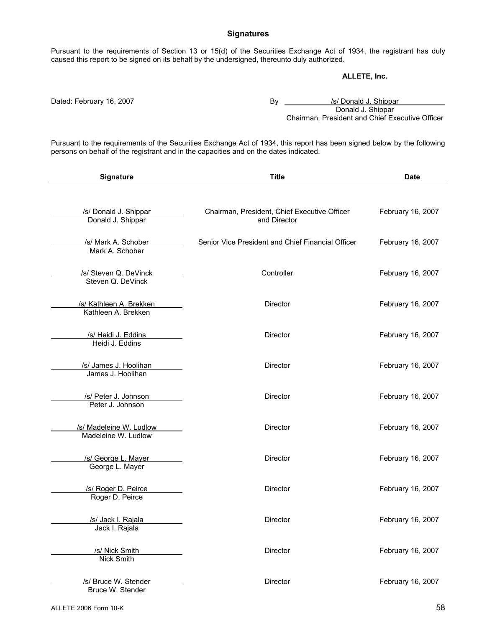### **Signatures**

Pursuant to the requirements of Section 13 or 15(d) of the Securities Exchange Act of 1934, the registrant has duly caused this report to be signed on its behalf by the undersigned, thereunto duly authorized.

# **ALLETE, Inc.**

Dated: February 16, 2007 By By *Isl Donald J. Shippar* Donald J. Shippar

Chairman, President and Chief Executive Officer

Pursuant to the requirements of the Securities Exchange Act of 1934, this report has been signed below by the following persons on behalf of the registrant and in the capacities and on the dates indicated.

| Signature                                      | <b>Title</b>                                      | <b>Date</b>       |
|------------------------------------------------|---------------------------------------------------|-------------------|
| /s/ Donald J. Shippar                          | Chairman, President, Chief Executive Officer      | February 16, 2007 |
| Donald J. Shippar                              | and Director                                      |                   |
| /s/ Mark A. Schober<br>Mark A. Schober         | Senior Vice President and Chief Financial Officer | February 16, 2007 |
| /s/ Steven Q. DeVinck<br>Steven Q. DeVinck     | Controller                                        | February 16, 2007 |
| /s/ Kathleen A. Brekken<br>Kathleen A. Brekken | <b>Director</b>                                   | February 16, 2007 |
| /s/ Heidi J. Eddins<br>Heidi J. Eddins         | Director                                          | February 16, 2007 |
| /s/ James J. Hoolihan<br>James J. Hoolihan     | Director                                          | February 16, 2007 |
| /s/ Peter J. Johnson<br>Peter J. Johnson       | Director                                          | February 16, 2007 |
| /s/ Madeleine W. Ludlow<br>Madeleine W. Ludlow | Director                                          | February 16, 2007 |
| /s/ George L. Mayer<br>George L. Mayer         | Director                                          | February 16, 2007 |
| /s/ Roger D. Peirce<br>Roger D. Peirce         | Director                                          | February 16, 2007 |
| <u>/s/ Jack I. Rajala</u><br>Jack I. Rajala    | Director                                          | February 16, 2007 |
| /s/ Nick Smith<br><b>Nick Smith</b>            | <b>Director</b>                                   | February 16, 2007 |
| /s/ Bruce W. Stender<br>Bruce W. Stender       | <b>Director</b>                                   | February 16, 2007 |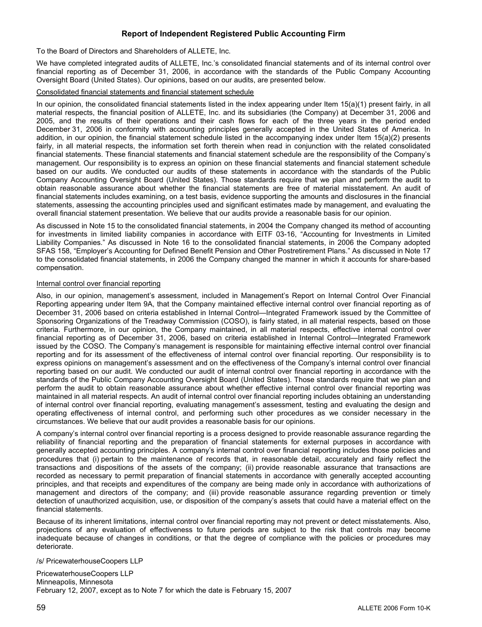# **Report of Independent Registered Public Accounting Firm**

To the Board of Directors and Shareholders of ALLETE, Inc.

We have completed integrated audits of ALLETE, Inc.'s consolidated financial statements and of its internal control over financial reporting as of December 31, 2006, in accordance with the standards of the Public Company Accounting Oversight Board (United States). Our opinions, based on our audits, are presented below.

#### Consolidated financial statements and financial statement schedule

In our opinion, the consolidated financial statements listed in the index appearing under Item 15(a)(1) present fairly, in all material respects, the financial position of ALLETE, Inc. and its subsidiaries (the Company) at December 31, 2006 and 2005, and the results of their operations and their cash flows for each of the three years in the period ended December 31, 2006 in conformity with accounting principles generally accepted in the United States of America. In addition, in our opinion, the financial statement schedule listed in the accompanying index under Item 15(a)(2) presents fairly, in all material respects, the information set forth therein when read in conjunction with the related consolidated financial statements. These financial statements and financial statement schedule are the responsibility of the Company's management. Our responsibility is to express an opinion on these financial statements and financial statement schedule based on our audits. We conducted our audits of these statements in accordance with the standards of the Public Company Accounting Oversight Board (United States). Those standards require that we plan and perform the audit to obtain reasonable assurance about whether the financial statements are free of material misstatement. An audit of financial statements includes examining, on a test basis, evidence supporting the amounts and disclosures in the financial statements, assessing the accounting principles used and significant estimates made by management, and evaluating the overall financial statement presentation. We believe that our audits provide a reasonable basis for our opinion.

As discussed in Note 15 to the consolidated financial statements, in 2004 the Company changed its method of accounting for investments in limited liability companies in accordance with EITF 03-16, "Accounting for Investments in Limited Liability Companies." As discussed in Note 16 to the consolidated financial statements, in 2006 the Company adopted SFAS 158, "Employer's Accounting for Defined Benefit Pension and Other Postretirement Plans." As discussed in Note 17 to the consolidated financial statements, in 2006 the Company changed the manner in which it accounts for share-based compensation.

#### Internal control over financial reporting

Also, in our opinion, management's assessment, included in Management's Report on Internal Control Over Financial Reporting appearing under Item 9A, that the Company maintained effective internal control over financial reporting as of December 31, 2006 based on criteria established in Internal Control—Integrated Framework issued by the Committee of Sponsoring Organizations of the Treadway Commission (COSO), is fairly stated, in all material respects, based on those criteria. Furthermore, in our opinion, the Company maintained, in all material respects, effective internal control over financial reporting as of December 31, 2006, based on criteria established in Internal Control—Integrated Framework issued by the COSO. The Company's management is responsible for maintaining effective internal control over financial reporting and for its assessment of the effectiveness of internal control over financial reporting. Our responsibility is to express opinions on management's assessment and on the effectiveness of the Company's internal control over financial reporting based on our audit. We conducted our audit of internal control over financial reporting in accordance with the standards of the Public Company Accounting Oversight Board (United States). Those standards require that we plan and perform the audit to obtain reasonable assurance about whether effective internal control over financial reporting was maintained in all material respects. An audit of internal control over financial reporting includes obtaining an understanding of internal control over financial reporting, evaluating management's assessment, testing and evaluating the design and operating effectiveness of internal control, and performing such other procedures as we consider necessary in the circumstances. We believe that our audit provides a reasonable basis for our opinions.

A company's internal control over financial reporting is a process designed to provide reasonable assurance regarding the reliability of financial reporting and the preparation of financial statements for external purposes in accordance with generally accepted accounting principles. A company's internal control over financial reporting includes those policies and procedures that (i) pertain to the maintenance of records that, in reasonable detail, accurately and fairly reflect the transactions and dispositions of the assets of the company; (ii) provide reasonable assurance that transactions are recorded as necessary to permit preparation of financial statements in accordance with generally accepted accounting principles, and that receipts and expenditures of the company are being made only in accordance with authorizations of management and directors of the company; and (iii) provide reasonable assurance regarding prevention or timely detection of unauthorized acquisition, use, or disposition of the company's assets that could have a material effect on the financial statements.

Because of its inherent limitations, internal control over financial reporting may not prevent or detect misstatements. Also, projections of any evaluation of effectiveness to future periods are subject to the risk that controls may become inadequate because of changes in conditions, or that the degree of compliance with the policies or procedures may deteriorate.

/s/ PricewaterhouseCoopers LLP

PricewaterhouseCoopers LLP Minneapolis, Minnesota February 12, 2007, except as to Note 7 for which the date is February 15, 2007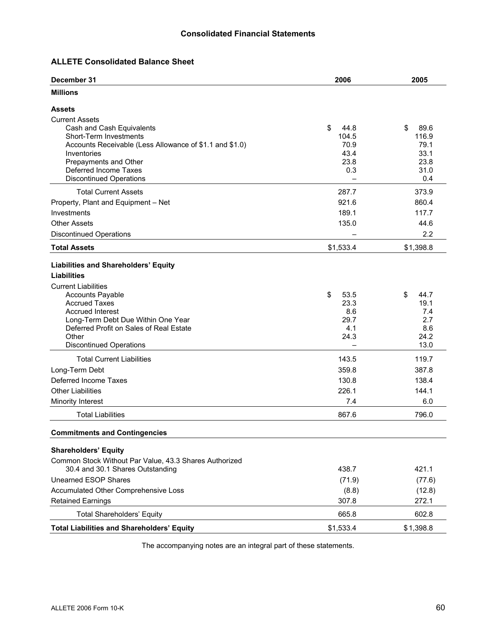# **Consolidated Financial Statements**

# **ALLETE Consolidated Balance Sheet**

| December 31                                                                                                                                                                                                                                                                                                                                                                                                                               | 2006                                                                                        | 2005                                                                                               |
|-------------------------------------------------------------------------------------------------------------------------------------------------------------------------------------------------------------------------------------------------------------------------------------------------------------------------------------------------------------------------------------------------------------------------------------------|---------------------------------------------------------------------------------------------|----------------------------------------------------------------------------------------------------|
| <b>Millions</b>                                                                                                                                                                                                                                                                                                                                                                                                                           |                                                                                             |                                                                                                    |
| <b>Assets</b>                                                                                                                                                                                                                                                                                                                                                                                                                             |                                                                                             |                                                                                                    |
| <b>Current Assets</b><br>Cash and Cash Equivalents<br>Short-Term Investments<br>Accounts Receivable (Less Allowance of \$1.1 and \$1.0)<br>Inventories<br>Prepayments and Other<br>Deferred Income Taxes<br><b>Discontinued Operations</b>                                                                                                                                                                                                | \$<br>44.8<br>104.5<br>70.9<br>43.4<br>23.8<br>0.3                                          | \$<br>89.6<br>116.9<br>79.1<br>33.1<br>23.8<br>31.0<br>0.4                                         |
|                                                                                                                                                                                                                                                                                                                                                                                                                                           |                                                                                             |                                                                                                    |
| <b>Total Current Assets</b><br>Property, Plant and Equipment - Net<br>Investments<br><b>Other Assets</b><br><b>Discontinued Operations</b>                                                                                                                                                                                                                                                                                                | 287.7<br>921.6<br>189.1<br>135.0                                                            | 373.9<br>860.4<br>117.7<br>44.6<br>2.2                                                             |
| <b>Total Assets</b>                                                                                                                                                                                                                                                                                                                                                                                                                       | \$1,533.4                                                                                   | \$1,398.8                                                                                          |
| <b>Liabilities and Shareholders' Equity</b><br><b>Liabilities</b><br><b>Current Liabilities</b><br><b>Accounts Payable</b><br><b>Accrued Taxes</b><br><b>Accrued Interest</b><br>Long-Term Debt Due Within One Year<br>Deferred Profit on Sales of Real Estate<br>Other<br><b>Discontinued Operations</b><br><b>Total Current Liabilities</b><br>Long-Term Debt<br>Deferred Income Taxes<br><b>Other Liabilities</b><br>Minority Interest | \$<br>53.5<br>23.3<br>8.6<br>29.7<br>4.1<br>24.3<br>143.5<br>359.8<br>130.8<br>226.1<br>7.4 | \$<br>44.7<br>19.1<br>7.4<br>2.7<br>8.6<br>24.2<br>13.0<br>119.7<br>387.8<br>138.4<br>144.1<br>6.0 |
| <b>Total Liabilities</b>                                                                                                                                                                                                                                                                                                                                                                                                                  | 867.6                                                                                       | 796.0                                                                                              |
| <b>Commitments and Contingencies</b>                                                                                                                                                                                                                                                                                                                                                                                                      |                                                                                             |                                                                                                    |
| <b>Shareholders' Equity</b><br>Common Stock Without Par Value, 43.3 Shares Authorized<br>30.4 and 30.1 Shares Outstanding<br><b>Unearned ESOP Shares</b><br>Accumulated Other Comprehensive Loss<br><b>Retained Earnings</b>                                                                                                                                                                                                              | 438.7<br>(71.9)<br>(8.8)<br>307.8                                                           | 421.1<br>(77.6)<br>(12.8)<br>272.1                                                                 |
| <b>Total Shareholders' Equity</b>                                                                                                                                                                                                                                                                                                                                                                                                         | 665.8                                                                                       | 602.8                                                                                              |
| <b>Total Liabilities and Shareholders' Equity</b>                                                                                                                                                                                                                                                                                                                                                                                         | \$1,533.4                                                                                   | \$1,398.8                                                                                          |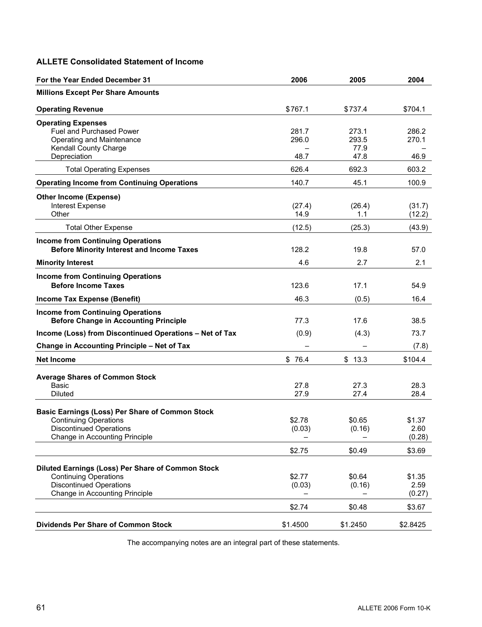# **ALLETE Consolidated Statement of Income**

| For the Year Ended December 31                                   | 2006     | 2005     | 2004           |
|------------------------------------------------------------------|----------|----------|----------------|
| <b>Millions Except Per Share Amounts</b>                         |          |          |                |
| <b>Operating Revenue</b>                                         | \$767.1  | \$737.4  | \$704.1        |
| <b>Operating Expenses</b>                                        |          |          |                |
| <b>Fuel and Purchased Power</b>                                  | 281.7    | 273.1    | 286.2          |
| Operating and Maintenance                                        | 296.0    | 293.5    | 270.1          |
| Kendall County Charge                                            |          | 77.9     |                |
| Depreciation                                                     | 48.7     | 47.8     | 46.9           |
| <b>Total Operating Expenses</b>                                  | 626.4    | 692.3    | 603.2          |
| <b>Operating Income from Continuing Operations</b>               | 140.7    | 45.1     | 100.9          |
| <b>Other Income (Expense)</b>                                    |          |          |                |
| Interest Expense                                                 | (27.4)   | (26.4)   | (31.7)         |
| Other                                                            | 14.9     | 1.1      | (12.2)         |
| <b>Total Other Expense</b>                                       | (12.5)   | (25.3)   | (43.9)         |
| <b>Income from Continuing Operations</b>                         |          |          |                |
| <b>Before Minority Interest and Income Taxes</b>                 | 128.2    | 19.8     | 57.0           |
| <b>Minority Interest</b>                                         | 4.6      | 2.7      | 2.1            |
| <b>Income from Continuing Operations</b>                         |          |          |                |
| <b>Before Income Taxes</b>                                       | 123.6    | 17.1     | 54.9           |
| <b>Income Tax Expense (Benefit)</b>                              | 46.3     | (0.5)    | 16.4           |
| <b>Income from Continuing Operations</b>                         |          |          |                |
| <b>Before Change in Accounting Principle</b>                     | 77.3     | 17.6     | 38.5           |
| Income (Loss) from Discontinued Operations - Net of Tax          | (0.9)    | (4.3)    | 73.7           |
| Change in Accounting Principle - Net of Tax                      |          |          | (7.8)          |
| <b>Net Income</b>                                                | \$76.4   | \$13.3   | \$104.4        |
|                                                                  |          |          |                |
| <b>Average Shares of Common Stock</b><br><b>Basic</b>            | 27.8     | 27.3     | 28.3           |
| <b>Diluted</b>                                                   | 27.9     | 27.4     | 28.4           |
|                                                                  |          |          |                |
| <b>Basic Earnings (Loss) Per Share of Common Stock</b>           |          |          |                |
| <b>Continuing Operations</b>                                     | \$2.78   | \$0.65   | \$1.37         |
| <b>Discontinued Operations</b><br>Change in Accounting Principle | (0.03)   | (0.16)   | 2.60<br>(0.28) |
|                                                                  |          |          |                |
|                                                                  | \$2.75   | \$0.49   | \$3.69         |
| Diluted Earnings (Loss) Per Share of Common Stock                |          |          |                |
| <b>Continuing Operations</b>                                     | \$2.77   | \$0.64   | \$1.35         |
| <b>Discontinued Operations</b>                                   | (0.03)   | (0.16)   | 2.59           |
| Change in Accounting Principle                                   |          |          | (0.27)         |
|                                                                  | \$2.74   | \$0.48   | \$3.67         |
| <b>Dividends Per Share of Common Stock</b>                       | \$1.4500 | \$1.2450 | \$2.8425       |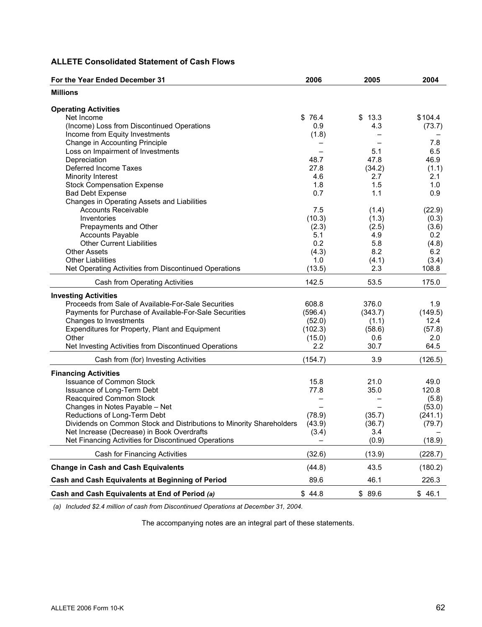# **ALLETE Consolidated Statement of Cash Flows**

| For the Year Ended December 31                                                   | 2006              | 2005        | 2004             |
|----------------------------------------------------------------------------------|-------------------|-------------|------------------|
| <b>Millions</b>                                                                  |                   |             |                  |
| <b>Operating Activities</b>                                                      |                   |             |                  |
| Net Income                                                                       | \$76.4            | \$13.3      | \$104.4          |
| (Income) Loss from Discontinued Operations                                       | 0.9               | 4.3         | (73.7)           |
| Income from Equity Investments                                                   | (1.8)             | -           |                  |
| Change in Accounting Principle                                                   | $\qquad \qquad$   |             | 7.8              |
| Loss on Impairment of Investments                                                |                   | 5.1         | 6.5              |
| Depreciation                                                                     | 48.7              | 47.8        | 46.9             |
| Deferred Income Taxes                                                            | 27.8              | (34.2)      | (1.1)            |
| Minority Interest                                                                | 4.6               | 2.7         | 2.1              |
| <b>Stock Compensation Expense</b>                                                | 1.8               | 1.5         | 1.0              |
| <b>Bad Debt Expense</b>                                                          | 0.7               | 1.1         | 0.9              |
| Changes in Operating Assets and Liabilities                                      |                   |             |                  |
| <b>Accounts Receivable</b>                                                       | 7.5               | (1.4)       | (22.9)           |
| Inventories                                                                      | (10.3)            | (1.3)       | (0.3)            |
| Prepayments and Other                                                            | (2.3)             | (2.5)       | (3.6)            |
| <b>Accounts Payable</b>                                                          | 5.1               | 4.9         | 0.2 <sub>0</sub> |
| <b>Other Current Liabilities</b>                                                 | 0.2               | 5.8         | (4.8)            |
| <b>Other Assets</b>                                                              | (4.3)             | 8.2         | 6.2              |
| <b>Other Liabilities</b>                                                         | 1.0               | (4.1)       | (3.4)            |
| Net Operating Activities from Discontinued Operations                            | (13.5)            | 2.3         | 108.8            |
| Cash from Operating Activities                                                   | 142.5             | 53.5        | 175.0            |
| <b>Investing Activities</b>                                                      |                   |             |                  |
| Proceeds from Sale of Available-For-Sale Securities                              | 608.8             | 376.0       | 1.9              |
|                                                                                  |                   |             |                  |
| Payments for Purchase of Available-For-Sale Securities<br>Changes to Investments | (596.4)           | (343.7)     | (149.5)<br>12.4  |
| Expenditures for Property, Plant and Equipment                                   | (52.0)<br>(102.3) | (1.1)       |                  |
| Other                                                                            |                   | (58.6)      | (57.8)           |
| Net Investing Activities from Discontinued Operations                            | (15.0)<br>2.2     | 0.6<br>30.7 | 2.0<br>64.5      |
|                                                                                  |                   |             |                  |
| Cash from (for) Investing Activities                                             | (154.7)           | 3.9         | (126.5)          |
| <b>Financing Activities</b>                                                      |                   |             |                  |
| <b>Issuance of Common Stock</b>                                                  | 15.8              | 21.0        | 49.0             |
| Issuance of Long-Term Debt                                                       | 77.8              | 35.0        | 120.8            |
| Reacquired Common Stock                                                          |                   |             | (5.8)            |
| Changes in Notes Payable - Net                                                   |                   |             | (53.0)           |
| Reductions of Long-Term Debt                                                     | (78.9)            | (35.7)      | (241.1)          |
| Dividends on Common Stock and Distributions to Minority Shareholders             | (43.9)            | (36.7)      | (79.7)           |
| Net Increase (Decrease) in Book Overdrafts                                       | (3.4)             | 3.4         |                  |
| Net Financing Activities for Discontinued Operations                             |                   | (0.9)       | (18.9)           |
| Cash for Financing Activities                                                    | (32.6)            | (13.9)      | (228.7)          |
| <b>Change in Cash and Cash Equivalents</b>                                       | (44.8)            | 43.5        | (180.2)          |
| Cash and Cash Equivalents at Beginning of Period                                 | 89.6              | 46.1        | 226.3            |
| Cash and Cash Equivalents at End of Period (a)                                   | \$44.8            | \$89.6      | \$46.1           |

*(a) Included \$2.4 million of cash from Discontinued Operations at December 31, 2004.*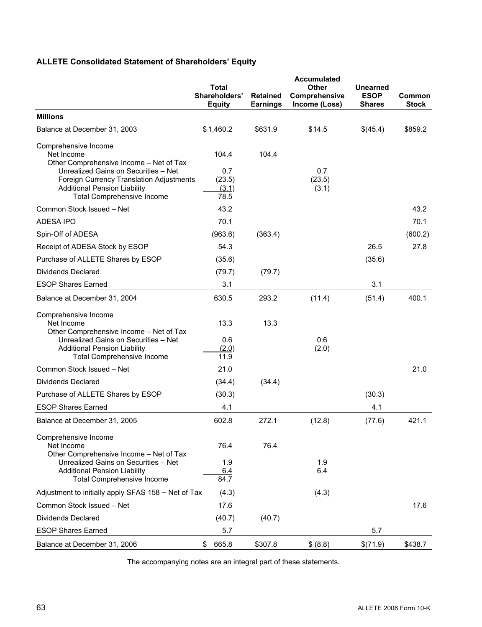# **ALLETE Consolidated Statement of Shareholders' Equity**

|                                                                                                                                                              | Total<br>Shareholders'<br><b>Equity</b> | <b>Retained</b><br><b>Earnings</b> | <b>Accumulated</b><br>Other<br>Comprehensive<br>Income (Loss) | <b>Unearned</b><br><b>ESOP</b><br><b>Shares</b> | Common<br><b>Stock</b> |
|--------------------------------------------------------------------------------------------------------------------------------------------------------------|-----------------------------------------|------------------------------------|---------------------------------------------------------------|-------------------------------------------------|------------------------|
| <b>Millions</b>                                                                                                                                              |                                         |                                    |                                                               |                                                 |                        |
| Balance at December 31, 2003                                                                                                                                 | \$1,460.2                               | \$631.9                            | \$14.5                                                        | \$(45.4)                                        | \$859.2                |
| Comprehensive Income<br>Net Income<br>Other Comprehensive Income - Net of Tax                                                                                | 104.4                                   | 104.4                              |                                                               |                                                 |                        |
| Unrealized Gains on Securities - Net<br>Foreign Currency Translation Adjustments<br><b>Additional Pension Liability</b><br><b>Total Comprehensive Income</b> | 0.7<br>(23.5)<br>(3.1)<br>78.5          |                                    | 0.7<br>(23.5)<br>(3.1)                                        |                                                 |                        |
| Common Stock Issued - Net                                                                                                                                    | 43.2                                    |                                    |                                                               |                                                 | 43.2                   |
| <b>ADESA IPO</b>                                                                                                                                             | 70.1                                    |                                    |                                                               |                                                 | 70.1                   |
| Spin-Off of ADESA                                                                                                                                            | (963.6)                                 | (363.4)                            |                                                               |                                                 | (600.2)                |
| Receipt of ADESA Stock by ESOP                                                                                                                               | 54.3                                    |                                    |                                                               | 26.5                                            | 27.8                   |
| Purchase of ALLETE Shares by ESOP                                                                                                                            | (35.6)                                  |                                    |                                                               | (35.6)                                          |                        |
| <b>Dividends Declared</b>                                                                                                                                    | (79.7)                                  | (79.7)                             |                                                               |                                                 |                        |
| <b>ESOP Shares Earned</b>                                                                                                                                    | 3.1                                     |                                    |                                                               | 3.1                                             |                        |
| Balance at December 31, 2004                                                                                                                                 | 630.5                                   | 293.2                              | (11.4)                                                        | (51.4)                                          | 400.1                  |
| Comprehensive Income<br>Net Income<br>Other Comprehensive Income - Net of Tax                                                                                | 13.3                                    | 13.3                               |                                                               |                                                 |                        |
| Unrealized Gains on Securities - Net<br><b>Additional Pension Liability</b><br><b>Total Comprehensive Income</b>                                             | 0.6<br>(2.0)<br>11.9                    |                                    | 0.6<br>(2.0)                                                  |                                                 |                        |
| Common Stock Issued - Net                                                                                                                                    | 21.0                                    |                                    |                                                               |                                                 | 21.0                   |
| Dividends Declared                                                                                                                                           | (34.4)                                  | (34.4)                             |                                                               |                                                 |                        |
| Purchase of ALLETE Shares by ESOP                                                                                                                            | (30.3)                                  |                                    |                                                               | (30.3)                                          |                        |
| <b>ESOP Shares Earned</b>                                                                                                                                    | 4.1                                     |                                    |                                                               | 4.1                                             |                        |
| Balance at December 31, 2005                                                                                                                                 | 602.8                                   | 272.1                              | (12.8)                                                        | (77.6)                                          | 421.1                  |
| Comprehensive Income<br>Net Income<br>Other Comprehensive Income – Net of Tax                                                                                | 76.4                                    | 76.4                               |                                                               |                                                 |                        |
| Unrealized Gains on Securities - Net<br><b>Additional Pension Liability</b><br><b>Total Comprehensive Income</b>                                             | 1.9<br>6.4<br>84.7                      |                                    | 1.9<br>6.4                                                    |                                                 |                        |
| Adjustment to initially apply SFAS 158 - Net of Tax                                                                                                          | (4.3)                                   |                                    | (4.3)                                                         |                                                 |                        |
| Common Stock Issued - Net                                                                                                                                    | 17.6                                    |                                    |                                                               |                                                 | 17.6                   |
| Dividends Declared                                                                                                                                           | (40.7)                                  | (40.7)                             |                                                               |                                                 |                        |
| <b>ESOP Shares Earned</b>                                                                                                                                    | 5.7                                     |                                    |                                                               | 5.7                                             |                        |
| Balance at December 31, 2006                                                                                                                                 | \$<br>665.8                             | \$307.8                            | \$ (8.8)                                                      | \$(71.9)                                        | \$438.7                |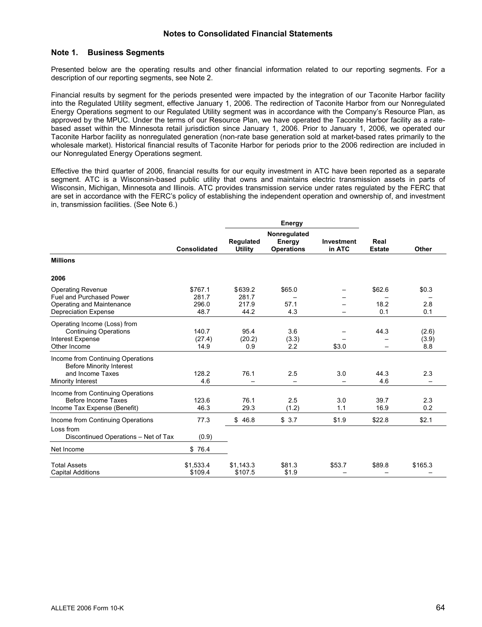# **Note 1. Business Segments**

Presented below are the operating results and other financial information related to our reporting segments. For a description of our reporting segments, see Note 2.

Financial results by segment for the periods presented were impacted by the integration of our Taconite Harbor facility into the Regulated Utility segment, effective January 1, 2006. The redirection of Taconite Harbor from our Nonregulated Energy Operations segment to our Regulated Utility segment was in accordance with the Company's Resource Plan, as approved by the MPUC. Under the terms of our Resource Plan, we have operated the Taconite Harbor facility as a ratebased asset within the Minnesota retail jurisdiction since January 1, 2006. Prior to January 1, 2006, we operated our Taconite Harbor facility as nonregulated generation (non-rate base generation sold at market-based rates primarily to the wholesale market). Historical financial results of Taconite Harbor for periods prior to the 2006 redirection are included in our Nonregulated Energy Operations segment.

Effective the third quarter of 2006, financial results for our equity investment in ATC have been reported as a separate segment. ATC is a Wisconsin-based public utility that owns and maintains electric transmission assets in parts of Wisconsin, Michigan, Minnesota and Illinois. ATC provides transmission service under rates regulated by the FERC that are set in accordance with the FERC's policy of establishing the independent operation and ownership of, and investment in, transmission facilities. (See Note 6.)

|                                                     |                     | Energy                      |                                             |                      |                       |         |
|-----------------------------------------------------|---------------------|-----------------------------|---------------------------------------------|----------------------|-----------------------|---------|
|                                                     | <b>Consolidated</b> | Regulated<br><b>Utility</b> | Nonregulated<br>Energy<br><b>Operations</b> | Investment<br>in ATC | Real<br><b>Estate</b> | Other   |
| <b>Millions</b>                                     |                     |                             |                                             |                      |                       |         |
| 2006                                                |                     |                             |                                             |                      |                       |         |
| <b>Operating Revenue</b>                            | \$767.1             | \$639.2                     | \$65.0                                      |                      | \$62.6                | \$0.3   |
| <b>Fuel and Purchased Power</b>                     | 281.7               | 281.7                       |                                             |                      |                       |         |
| Operating and Maintenance                           | 296.0               | 217.9                       | 57.1                                        |                      | 18.2                  | 2.8     |
| <b>Depreciation Expense</b>                         | 48.7                | 44.2                        | 4.3                                         |                      | 0.1                   | 0.1     |
| Operating Income (Loss) from                        |                     |                             |                                             |                      |                       |         |
| <b>Continuing Operations</b>                        | 140.7               | 95.4                        | 3.6                                         |                      | 44.3                  | (2.6)   |
| <b>Interest Expense</b>                             | (27.4)              | (20.2)                      | (3.3)                                       |                      |                       | (3.9)   |
| Other Income                                        | 14.9                | 0.9                         | 2.2                                         | \$3.0                |                       | 8.8     |
| Income from Continuing Operations                   |                     |                             |                                             |                      |                       |         |
| <b>Before Minority Interest</b><br>and Income Taxes | 128.2               | 76.1                        | 2.5                                         | 3.0                  | 44.3                  | 2.3     |
| Minority Interest                                   | 4.6                 |                             |                                             |                      | 4.6                   |         |
|                                                     |                     |                             |                                             |                      |                       |         |
| Income from Continuing Operations                   |                     |                             |                                             |                      |                       |         |
| Before Income Taxes                                 | 123.6               | 76.1                        | 2.5                                         | 3.0                  | 39.7                  | 2.3     |
| Income Tax Expense (Benefit)                        | 46.3                | 29.3                        | (1.2)                                       | 1.1                  | 16.9                  | 0.2     |
| Income from Continuing Operations                   | 77.3                | \$46.8                      | \$3.7                                       | \$1.9                | \$22.8                | \$2.1   |
| Loss from                                           |                     |                             |                                             |                      |                       |         |
| Discontinued Operations - Net of Tax                | (0.9)               |                             |                                             |                      |                       |         |
| Net Income                                          | \$76.4              |                             |                                             |                      |                       |         |
| <b>Total Assets</b>                                 | \$1,533.4           | \$1,143.3                   | \$81.3                                      | \$53.7               | \$89.8                | \$165.3 |
| <b>Capital Additions</b>                            | \$109.4             | \$107.5                     | \$1.9                                       |                      |                       |         |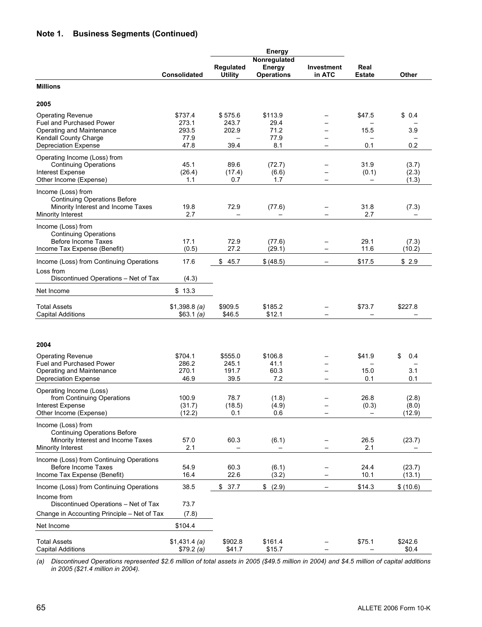# **Note 1. Business Segments (Continued)**

|                                                                                                                           |                             | Energy                            |                             |                      |                |                  |
|---------------------------------------------------------------------------------------------------------------------------|-----------------------------|-----------------------------------|-----------------------------|----------------------|----------------|------------------|
|                                                                                                                           |                             |                                   | Nonregulated                |                      |                |                  |
|                                                                                                                           | <b>Consolidated</b>         | Regulated<br><b>Utility</b>       | Energy<br><b>Operations</b> | Investment<br>in ATC | Real<br>Estate | Other            |
| <b>Millions</b>                                                                                                           |                             |                                   |                             |                      |                |                  |
| 2005                                                                                                                      |                             |                                   |                             |                      |                |                  |
| <b>Operating Revenue</b>                                                                                                  | \$737.4                     | \$575.6                           | \$113.9                     |                      | \$47.5         | \$0.4            |
| <b>Fuel and Purchased Power</b>                                                                                           | 273.1                       | 243.7                             | 29.4                        |                      |                |                  |
| Operating and Maintenance<br>Kendall County Charge                                                                        | 293.5<br>77.9               | 202.9<br>$\overline{\phantom{0}}$ | 71.2<br>77.9                |                      | 15.5           | 3.9              |
| <b>Depreciation Expense</b>                                                                                               | 47.8                        | 39.4                              | 8.1                         |                      | 0.1            | 0.2              |
| Operating Income (Loss) from                                                                                              |                             |                                   |                             |                      |                |                  |
| <b>Continuing Operations</b>                                                                                              | 45.1                        | 89.6                              | (72.7)                      |                      | 31.9           | (3.7)            |
| <b>Interest Expense</b>                                                                                                   | (26.4)                      | (17.4)                            | (6.6)                       |                      | (0.1)          | (2.3)            |
| Other Income (Expense)                                                                                                    | 1.1                         | 0.7                               | 1.7                         |                      |                | (1.3)            |
| Income (Loss) from                                                                                                        |                             |                                   |                             |                      |                |                  |
| <b>Continuing Operations Before</b>                                                                                       |                             |                                   |                             |                      |                |                  |
| Minority Interest and Income Taxes                                                                                        | 19.8                        | 72.9                              | (77.6)                      |                      | 31.8           | (7.3)            |
| Minority Interest                                                                                                         | 2.7                         |                                   |                             |                      | 2.7            |                  |
| Income (Loss) from                                                                                                        |                             |                                   |                             |                      |                |                  |
| <b>Continuing Operations</b><br>Before Income Taxes                                                                       | 17.1                        | 72.9                              | (77.6)                      |                      | 29.1           | (7.3)            |
| Income Tax Expense (Benefit)                                                                                              | (0.5)                       | 27.2                              | (29.1)                      |                      | 11.6           | (10.2)           |
|                                                                                                                           |                             |                                   |                             |                      |                |                  |
| Income (Loss) from Continuing Operations                                                                                  | 17.6                        | \$45.7                            | \$ (48.5)                   |                      | \$17.5         | \$2.9            |
| Loss from<br>Discontinued Operations - Net of Tax                                                                         | (4.3)                       |                                   |                             |                      |                |                  |
| Net Income                                                                                                                | \$13.3                      |                                   |                             |                      |                |                  |
|                                                                                                                           |                             |                                   |                             |                      |                |                  |
| <b>Total Assets</b><br><b>Capital Additions</b>                                                                           | $$1,398.8$ (a)<br>\$63.1(a) | \$909.5<br>\$46.5                 | \$185.2<br>\$12.1           |                      | \$73.7         | \$227.8          |
| 2004<br><b>Operating Revenue</b>                                                                                          | \$704.1                     | \$555.0                           | \$106.8                     |                      | \$41.9         | \$<br>0.4        |
| <b>Fuel and Purchased Power</b>                                                                                           | 286.2                       | 245.1                             | 41.1                        |                      |                |                  |
| Operating and Maintenance                                                                                                 | 270.1                       | 191.7                             | 60.3                        |                      | 15.0           | 3.1              |
| Depreciation Expense                                                                                                      | 46.9                        | 39.5                              | 7.2                         |                      | 0.1            | 0.1              |
| Operating Income (Loss)                                                                                                   |                             |                                   |                             |                      |                |                  |
| from Continuing Operations                                                                                                | 100.9                       | 78.7                              | (1.8)                       |                      | 26.8           | (2.8)            |
| <b>Interest Expense</b>                                                                                                   | (31.7)                      | (18.5)                            | (4.9)                       |                      | (0.3)          | (8.0)            |
| Other Income (Expense)<br>Income (Loss) from<br><b>Continuing Operations Before</b><br>Minority Interest and Income Taxes | (12.2)<br>57.0              | 0.1<br>60.3                       | 0.6<br>(6.1)                |                      | 26.5           | (12.9)<br>(23.7) |
| Minority Interest                                                                                                         | 2.1                         |                                   | $\overline{\phantom{0}}$    |                      | 2.1            |                  |
| Income (Loss) from Continuing Operations                                                                                  |                             |                                   |                             |                      |                |                  |
| <b>Before Income Taxes</b>                                                                                                | 54.9                        | 60.3                              | (6.1)                       |                      | 24.4           | (23.7)           |
| Income Tax Expense (Benefit)                                                                                              | 16.4                        | 22.6                              | (3.2)                       |                      | 10.1           | (13.1)           |
| Income (Loss) from Continuing Operations                                                                                  | 38.5                        | \$37.7                            | (2.9)<br>\$                 |                      | \$14.3         | \$(10.6)         |
| Income from                                                                                                               |                             |                                   |                             |                      |                |                  |
| Discontinued Operations - Net of Tax                                                                                      | 73.7                        |                                   |                             |                      |                |                  |
| Change in Accounting Principle - Net of Tax                                                                               | (7.8)                       |                                   |                             |                      |                |                  |
| Net Income                                                                                                                | \$104.4                     |                                   |                             |                      |                |                  |
| <b>Total Assets</b><br><b>Capital Additions</b>                                                                           | \$1,431.4(a)<br>\$79.2(a)   | \$902.8<br>\$41.7                 | \$161.4<br>\$15.7           |                      | \$75.1         | \$242.6<br>\$0.4 |

*(a) Discontinued Operations represented \$2.6 million of total assets in 2005 (\$49.5 million in 2004) and \$4.5 million of capital additions in 2005 (\$21.4 million in 2004).*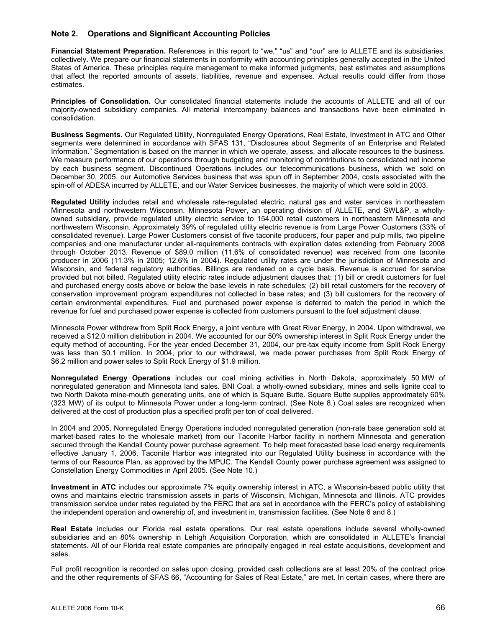# **Note 2. Operations and Significant Accounting Policies**

**Financial Statement Preparation.** References in this report to "we," "us" and "our" are to ALLETE and its subsidiaries, collectively. We prepare our financial statements in conformity with accounting principles generally accepted in the United States of America. These principles require management to make informed judgments, best estimates and assumptions that affect the reported amounts of assets, liabilities, revenue and expenses. Actual results could differ from those estimates.

**Principles of Consolidation.** Our consolidated financial statements include the accounts of ALLETE and all of our majority-owned subsidiary companies. All material intercompany balances and transactions have been eliminated in consolidation.

**Business Segments.** Our Regulated Utility, Nonregulated Energy Operations, Real Estate, Investment in ATC and Other segments were determined in accordance with SFAS 131, "Disclosures about Segments of an Enterprise and Related Information." Segmentation is based on the manner in which we operate, assess, and allocate resources to the business. We measure performance of our operations through budgeting and monitoring of contributions to consolidated net income by each business segment. Discontinued Operations includes our telecommunications business, which we sold on December 30, 2005, our Automotive Services business that was spun off in September 2004, costs associated with the spin-off of ADESA incurred by ALLETE, and our Water Services businesses, the majority of which were sold in 2003.

**Regulated Utility** includes retail and wholesale rate-regulated electric, natural gas and water services in northeastern Minnesota and northwestern Wisconsin. Minnesota Power, an operating division of ALLETE, and SWL&P, a whollyowned subsidiary, provide regulated utility electric service to 154,000 retail customers in northeastern Minnesota and northwestern Wisconsin. Approximately 39% of regulated utility electric revenue is from Large Power Customers (33% of consolidated revenue). Large Power Customers consist of five taconite producers, four paper and pulp mills, two pipeline companies and one manufacturer under all-requirements contracts with expiration dates extending from February 2008 through October 2013. Revenue of \$89.0 million (11.6% of consolidated revenue) was received from one taconite producer in 2006 (11.3% in 2005; 12.6% in 2004). Regulated utility rates are under the jurisdiction of Minnesota and Wisconsin, and federal regulatory authorities. Billings are rendered on a cycle basis. Revenue is accrued for service provided but not billed. Regulated utility electric rates include adjustment clauses that: (1) bill or credit customers for fuel and purchased energy costs above or below the base levels in rate schedules; (2) bill retail customers for the recovery of conservation improvement program expenditures not collected in base rates; and (3) bill customers for the recovery of certain environmental expenditures. Fuel and purchased power expense is deferred to match the period in which the revenue for fuel and purchased power expense is collected from customers pursuant to the fuel adjustment clause.

Minnesota Power withdrew from Split Rock Energy, a joint venture with Great River Energy, in 2004. Upon withdrawal, we received a \$12.0 million distribution in 2004. We accounted for our 50% ownership interest in Split Rock Energy under the equity method of accounting. For the year ended December 31, 2004, our pre-tax equity income from Split Rock Energy was less than \$0.1 million. In 2004, prior to our withdrawal, we made power purchases from Split Rock Energy of \$6.2 million and power sales to Split Rock Energy of \$1.9 million.

**Nonregulated Energy Operations** includes our coal mining activities in North Dakota, approximately 50 MW of nonregulated generation and Minnesota land sales. BNI Coal, a wholly-owned subsidiary, mines and sells lignite coal to two North Dakota mine-mouth generating units, one of which is Square Butte. Square Butte supplies approximately 60% (323 MW) of its output to Minnesota Power under a long-term contract. (See Note 8.) Coal sales are recognized when delivered at the cost of production plus a specified profit per ton of coal delivered.

In 2004 and 2005, Nonregulated Energy Operations included nonregulated generation (non-rate base generation sold at market-based rates to the wholesale market) from our Taconite Harbor facility in northern Minnesota and generation secured through the Kendall County power purchase agreement. To help meet forecasted base load energy requirements effective January 1, 2006, Taconite Harbor was integrated into our Regulated Utility business in accordance with the terms of our Resource Plan, as approved by the MPUC. The Kendall County power purchase agreement was assigned to Constellation Energy Commodities in April 2005. (See Note 10.)

**Investment in ATC** includes our approximate 7% equity ownership interest in ATC, a Wisconsin-based public utility that owns and maintains electric transmission assets in parts of Wisconsin, Michigan, Minnesota and Illinois. ATC provides transmission service under rates regulated by the FERC that are set in accordance with the FERC's policy of establishing the independent operation and ownership of, and investment in, transmission facilities. (See Note 6 and 8.)

**Real Estate** includes our Florida real estate operations. Our real estate operations include several wholly-owned subsidiaries and an 80% ownership in Lehigh Acquisition Corporation, which are consolidated in ALLETE's financial statements. All of our Florida real estate companies are principally engaged in real estate acquisitions, development and sales.

Full profit recognition is recorded on sales upon closing, provided cash collections are at least 20% of the contract price and the other requirements of SFAS 66, "Accounting for Sales of Real Estate," are met. In certain cases, where there are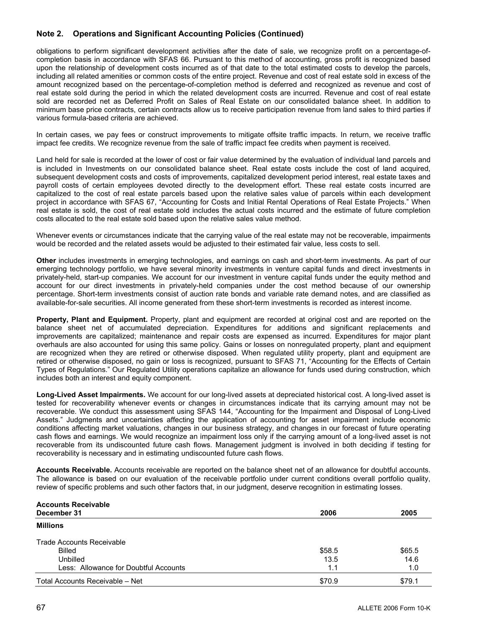# **Note 2. Operations and Significant Accounting Policies (Continued)**

obligations to perform significant development activities after the date of sale, we recognize profit on a percentage-ofcompletion basis in accordance with SFAS 66. Pursuant to this method of accounting, gross profit is recognized based upon the relationship of development costs incurred as of that date to the total estimated costs to develop the parcels, including all related amenities or common costs of the entire project. Revenue and cost of real estate sold in excess of the amount recognized based on the percentage-of-completion method is deferred and recognized as revenue and cost of real estate sold during the period in which the related development costs are incurred. Revenue and cost of real estate sold are recorded net as Deferred Profit on Sales of Real Estate on our consolidated balance sheet. In addition to minimum base price contracts, certain contracts allow us to receive participation revenue from land sales to third parties if various formula-based criteria are achieved.

In certain cases, we pay fees or construct improvements to mitigate offsite traffic impacts. In return, we receive traffic impact fee credits. We recognize revenue from the sale of traffic impact fee credits when payment is received.

Land held for sale is recorded at the lower of cost or fair value determined by the evaluation of individual land parcels and is included in Investments on our consolidated balance sheet. Real estate costs include the cost of land acquired, subsequent development costs and costs of improvements, capitalized development period interest, real estate taxes and payroll costs of certain employees devoted directly to the development effort. These real estate costs incurred are capitalized to the cost of real estate parcels based upon the relative sales value of parcels within each development project in accordance with SFAS 67, "Accounting for Costs and Initial Rental Operations of Real Estate Projects." When real estate is sold, the cost of real estate sold includes the actual costs incurred and the estimate of future completion costs allocated to the real estate sold based upon the relative sales value method.

Whenever events or circumstances indicate that the carrying value of the real estate may not be recoverable, impairments would be recorded and the related assets would be adjusted to their estimated fair value, less costs to sell.

**Other** includes investments in emerging technologies, and earnings on cash and short-term investments. As part of our emerging technology portfolio, we have several minority investments in venture capital funds and direct investments in privately-held, start-up companies. We account for our investment in venture capital funds under the equity method and account for our direct investments in privately-held companies under the cost method because of our ownership percentage. Short-term investments consist of auction rate bonds and variable rate demand notes, and are classified as available-for-sale securities. All income generated from these short-term investments is recorded as interest income.

**Property, Plant and Equipment.** Property, plant and equipment are recorded at original cost and are reported on the balance sheet net of accumulated depreciation. Expenditures for additions and significant replacements and improvements are capitalized; maintenance and repair costs are expensed as incurred. Expenditures for major plant overhauls are also accounted for using this same policy. Gains or losses on nonregulated property, plant and equipment are recognized when they are retired or otherwise disposed. When regulated utility property, plant and equipment are retired or otherwise disposed, no gain or loss is recognized, pursuant to SFAS 71, "Accounting for the Effects of Certain Types of Regulations." Our Regulated Utility operations capitalize an allowance for funds used during construction, which includes both an interest and equity component.

**Long-Lived Asset Impairments.** We account for our long-lived assets at depreciated historical cost. A long-lived asset is tested for recoverability whenever events or changes in circumstances indicate that its carrying amount may not be recoverable. We conduct this assessment using SFAS 144, "Accounting for the Impairment and Disposal of Long-Lived Assets." Judgments and uncertainties affecting the application of accounting for asset impairment include economic conditions affecting market valuations, changes in our business strategy, and changes in our forecast of future operating cash flows and earnings. We would recognize an impairment loss only if the carrying amount of a long-lived asset is not recoverable from its undiscounted future cash flows. Management judgment is involved in both deciding if testing for recoverability is necessary and in estimating undiscounted future cash flows.

**Accounts Receivable.** Accounts receivable are reported on the balance sheet net of an allowance for doubtful accounts. The allowance is based on our evaluation of the receivable portfolio under current conditions overall portfolio quality, review of specific problems and such other factors that, in our judgment, deserve recognition in estimating losses.

| ACCOUNTS Receivable<br>December 31    | 2006   | 2005   |
|---------------------------------------|--------|--------|
| <b>Millions</b>                       |        |        |
| Trade Accounts Receivable             |        |        |
| <b>Billed</b>                         | \$58.5 | \$65.5 |
| Unbilled                              | 13.5   | 14.6   |
| Less: Allowance for Doubtful Accounts | 1.1    | 1.0    |
| Total Accounts Receivable - Net       | \$70.9 | \$79.1 |

**Accounts Receivable**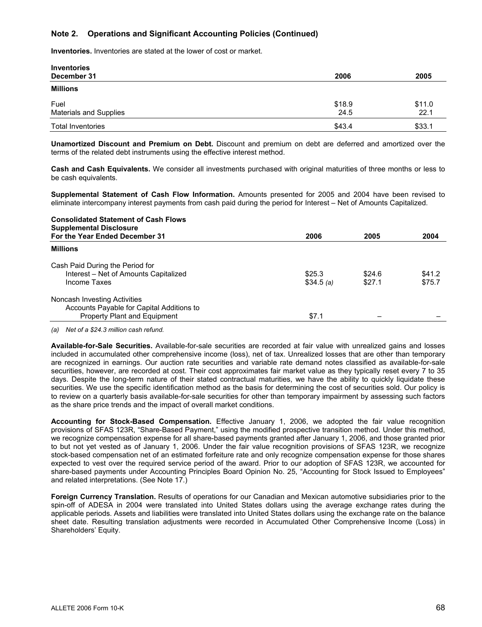# **Note 2. Operations and Significant Accounting Policies (Continued)**

**Inventories.** Inventories are stated at the lower of cost or market.

| Inventories<br>December 31            | 2006           | 2005           |
|---------------------------------------|----------------|----------------|
| <b>Millions</b>                       |                |                |
| Fuel<br><b>Materials and Supplies</b> | \$18.9<br>24.5 | \$11.0<br>22.1 |
| Total Inventories                     | \$43.4         | \$33.1         |

**Unamortized Discount and Premium on Debt.** Discount and premium on debt are deferred and amortized over the terms of the related debt instruments using the effective interest method.

**Cash and Cash Equivalents.** We consider all investments purchased with original maturities of three months or less to be cash equivalents.

**Supplemental Statement of Cash Flow Information.** Amounts presented for 2005 and 2004 have been revised to eliminate intercompany interest payments from cash paid during the period for Interest – Net of Amounts Capitalized.

| <b>Consolidated Statement of Cash Flows</b>                      |           |        |        |
|------------------------------------------------------------------|-----------|--------|--------|
| <b>Supplemental Disclosure</b><br>For the Year Ended December 31 | 2006      | 2005   | 2004   |
| <b>Millions</b>                                                  |           |        |        |
| Cash Paid During the Period for                                  |           |        |        |
| Interest - Net of Amounts Capitalized                            | \$25.3    | \$24.6 | \$41.2 |
| Income Taxes                                                     | \$34.5(a) | \$27.1 | \$75.7 |
| Noncash Investing Activities                                     |           |        |        |
| Accounts Payable for Capital Additions to                        |           |        |        |
| <b>Property Plant and Equipment</b>                              | \$7.1     |        |        |

*(a) Net of a \$24.3 million cash refund.* 

**Available-for-Sale Securities.** Available-for-sale securities are recorded at fair value with unrealized gains and losses included in accumulated other comprehensive income (loss), net of tax. Unrealized losses that are other than temporary are recognized in earnings. Our auction rate securities and variable rate demand notes classified as available-for-sale securities, however, are recorded at cost. Their cost approximates fair market value as they typically reset every 7 to 35 days. Despite the long-term nature of their stated contractual maturities, we have the ability to quickly liquidate these securities. We use the specific identification method as the basis for determining the cost of securities sold. Our policy is to review on a quarterly basis available-for-sale securities for other than temporary impairment by assessing such factors as the share price trends and the impact of overall market conditions.

**Accounting for Stock-Based Compensation.** Effective January 1, 2006, we adopted the fair value recognition provisions of SFAS 123R, "Share-Based Payment," using the modified prospective transition method. Under this method, we recognize compensation expense for all share-based payments granted after January 1, 2006, and those granted prior to but not yet vested as of January 1, 2006. Under the fair value recognition provisions of SFAS 123R, we recognize stock-based compensation net of an estimated forfeiture rate and only recognize compensation expense for those shares expected to vest over the required service period of the award. Prior to our adoption of SFAS 123R, we accounted for share-based payments under Accounting Principles Board Opinion No. 25, "Accounting for Stock Issued to Employees" and related interpretations. (See Note 17.)

**Foreign Currency Translation.** Results of operations for our Canadian and Mexican automotive subsidiaries prior to the spin-off of ADESA in 2004 were translated into United States dollars using the average exchange rates during the applicable periods. Assets and liabilities were translated into United States dollars using the exchange rate on the balance sheet date. Resulting translation adjustments were recorded in Accumulated Other Comprehensive Income (Loss) in Shareholders' Equity.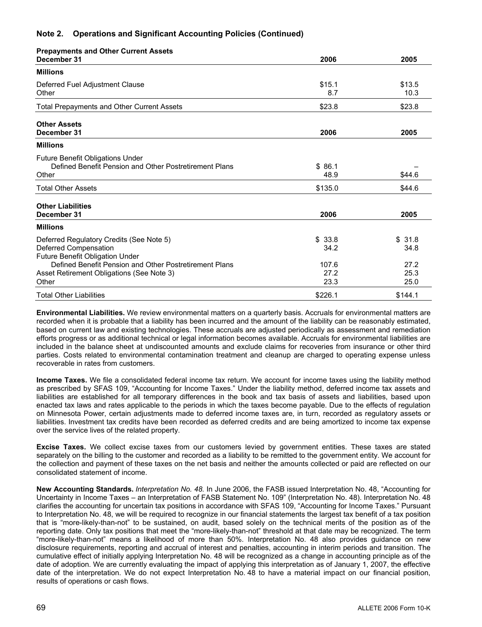# **Note 2. Operations and Significant Accounting Policies (Continued)**

| <b>Prepayments and Other Current Assets</b><br>December 31                                                   | 2006                  | 2005                 |
|--------------------------------------------------------------------------------------------------------------|-----------------------|----------------------|
| <b>Millions</b>                                                                                              |                       |                      |
| Deferred Fuel Adjustment Clause<br>Other                                                                     | \$15.1<br>8.7         | \$13.5<br>10.3       |
| <b>Total Prepayments and Other Current Assets</b>                                                            | \$23.8                | \$23.8               |
| <b>Other Assets</b><br>December 31                                                                           | 2006                  | 2005                 |
| <b>Millions</b>                                                                                              |                       |                      |
| <b>Future Benefit Obligations Under</b><br>Defined Benefit Pension and Other Postretirement Plans<br>Other   | \$86.1<br>48.9        | \$44.6               |
| <b>Total Other Assets</b>                                                                                    | \$135.0               | \$44.6               |
| <b>Other Liabilities</b><br>December 31                                                                      | 2006                  | 2005                 |
| <b>Millions</b>                                                                                              |                       |                      |
| Deferred Regulatory Credits (See Note 5)<br>Deferred Compensation<br>Future Benefit Obligation Under         | \$33.8<br>34.2        | \$31.8<br>34.8       |
| Defined Benefit Pension and Other Postretirement Plans<br>Asset Retirement Obligations (See Note 3)<br>Other | 107.6<br>27.2<br>23.3 | 27.2<br>25.3<br>25.0 |
| <b>Total Other Liabilities</b>                                                                               | \$226.1               | \$144.1              |

**Environmental Liabilities.** We review environmental matters on a quarterly basis. Accruals for environmental matters are recorded when it is probable that a liability has been incurred and the amount of the liability can be reasonably estimated, based on current law and existing technologies. These accruals are adjusted periodically as assessment and remediation efforts progress or as additional technical or legal information becomes available. Accruals for environmental liabilities are included in the balance sheet at undiscounted amounts and exclude claims for recoveries from insurance or other third parties. Costs related to environmental contamination treatment and cleanup are charged to operating expense unless recoverable in rates from customers.

**Income Taxes.** We file a consolidated federal income tax return. We account for income taxes using the liability method as prescribed by SFAS 109, "Accounting for Income Taxes." Under the liability method, deferred income tax assets and liabilities are established for all temporary differences in the book and tax basis of assets and liabilities, based upon enacted tax laws and rates applicable to the periods in which the taxes become payable. Due to the effects of regulation on Minnesota Power, certain adjustments made to deferred income taxes are, in turn, recorded as regulatory assets or liabilities. Investment tax credits have been recorded as deferred credits and are being amortized to income tax expense over the service lives of the related property.

**Excise Taxes.** We collect excise taxes from our customers levied by government entities. These taxes are stated separately on the billing to the customer and recorded as a liability to be remitted to the government entity. We account for the collection and payment of these taxes on the net basis and neither the amounts collected or paid are reflected on our consolidated statement of income.

**New Accounting Standards.** *Interpretation No. 48.* In June 2006, the FASB issued Interpretation No. 48, "Accounting for Uncertainty in Income Taxes – an Interpretation of FASB Statement No. 109" (Interpretation No. 48). Interpretation No. 48 clarifies the accounting for uncertain tax positions in accordance with SFAS 109, "Accounting for Income Taxes." Pursuant to Interpretation No. 48, we will be required to recognize in our financial statements the largest tax benefit of a tax position that is "more-likely-than-not" to be sustained, on audit, based solely on the technical merits of the position as of the reporting date. Only tax positions that meet the "more-likely-than-not" threshold at that date may be recognized. The term "more-likely-than-not" means a likelihood of more than 50%. Interpretation No. 48 also provides guidance on new disclosure requirements, reporting and accrual of interest and penalties, accounting in interim periods and transition. The cumulative effect of initially applying Interpretation No. 48 will be recognized as a change in accounting principle as of the date of adoption. We are currently evaluating the impact of applying this interpretation as of January 1, 2007, the effective date of the interpretation. We do not expect Interpretation No. 48 to have a material impact on our financial position, results of operations or cash flows.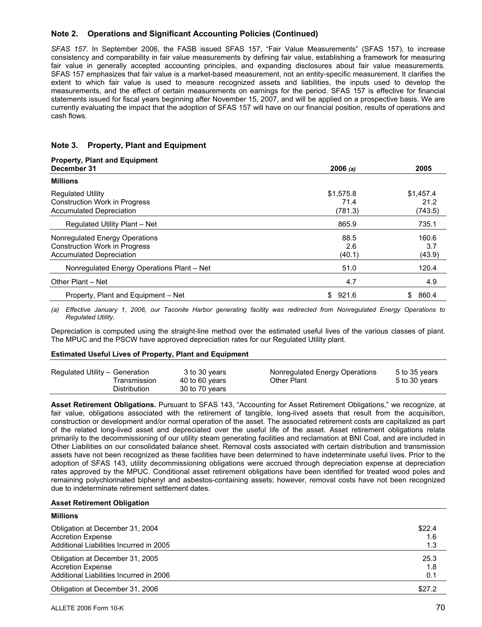## **Note 2. Operations and Significant Accounting Policies (Continued)**

*SFAS 157*. In September 2006, the FASB issued SFAS 157, "Fair Value Measurements" (SFAS 157), to increase consistency and comparability in fair value measurements by defining fair value, establishing a framework for measuring fair value in generally accepted accounting principles, and expanding disclosures about fair value measurements. SFAS 157 emphasizes that fair value is a market-based measurement, not an entity-specific measurement. It clarifies the extent to which fair value is used to measure recognized assets and liabilities, the inputs used to develop the measurements, and the effect of certain measurements on earnings for the period. SFAS 157 is effective for financial statements issued for fiscal years beginning after November 15, 2007, and will be applied on a prospective basis. We are currently evaluating the impact that the adoption of SFAS 157 will have on our financial position, results of operations and cash flows.

### **Note 3. Property, Plant and Equipment**

| <b>Property, Plant and Equipment</b>       |             |             |
|--------------------------------------------|-------------|-------------|
| December 31                                | 2006(a)     | 2005        |
| <b>Millions</b>                            |             |             |
| <b>Regulated Utility</b>                   | \$1,575.8   | \$1,457.4   |
| <b>Construction Work in Progress</b>       | 71.4        | 21.2        |
| <b>Accumulated Depreciation</b>            | (781.3)     | (743.5)     |
| Regulated Utility Plant - Net              | 865.9       | 735.1       |
| Nonregulated Energy Operations             | 88.5        | 160.6       |
| <b>Construction Work in Progress</b>       | 2.6         | 3.7         |
| <b>Accumulated Depreciation</b>            | (40.1)      | (43.9)      |
| Nonregulated Energy Operations Plant - Net | 51.0        | 120.4       |
| Other Plant - Net                          | 4.7         | 4.9         |
| Property, Plant and Equipment - Net        | 921.6<br>\$ | 860.4<br>\$ |
|                                            |             |             |

*(a) Effective January 1, 2006, our Taconite Harbor generating facility was redirected from Nonregulated Energy Operations to Regulated Utility.* 

Depreciation is computed using the straight-line method over the estimated useful lives of the various classes of plant. The MPUC and the PSCW have approved depreciation rates for our Regulated Utility plant.

### **Estimated Useful Lives of Property, Plant and Equipment**

| Regulated Utility – Generation | 3 to 30 years  | Nonregulated Energy Operations | 5 to 35 years |
|--------------------------------|----------------|--------------------------------|---------------|
| Transmission                   | 40 to 60 years | Other Plant                    | 5 to 30 years |
| Distribution                   | 30 to 70 years |                                |               |

**Asset Retirement Obligations.** Pursuant to SFAS 143, "Accounting for Asset Retirement Obligations," we recognize, at fair value, obligations associated with the retirement of tangible, long-lived assets that result from the acquisition, construction or development and/or normal operation of the asset. The associated retirement costs are capitalized as part of the related long-lived asset and depreciated over the useful life of the asset. Asset retirement obligations relate primarily to the decommissioning of our utility steam generating facilities and reclamation at BNI Coal, and are included in Other Liabilities on our consolidated balance sheet. Removal costs associated with certain distribution and transmission assets have not been recognized as these facilities have been determined to have indeterminate useful lives. Prior to the adoption of SFAS 143, utility decommissioning obligations were accrued through depreciation expense at depreciation rates approved by the MPUC. Conditional asset retirement obligations have been identified for treated wood poles and remaining polychlorinated biphenyl and asbestos-containing assets; however, removal costs have not been recognized due to indeterminate retirement settlement dates.

### **Asset Retirement Obligation**

| <b>Millions</b>                         |        |
|-----------------------------------------|--------|
| Obligation at December 31, 2004         | \$22.4 |
| <b>Accretion Expense</b>                | 1.6    |
| Additional Liabilities Incurred in 2005 | 1.3    |
| Obligation at December 31, 2005         | 25.3   |
| <b>Accretion Expense</b>                | 1.8    |
| Additional Liabilities Incurred in 2006 | 0.1    |
| Obligation at December 31, 2006         | \$27.2 |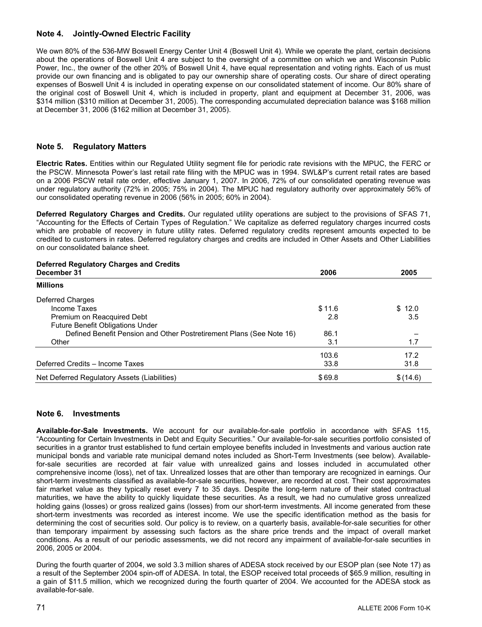## **Note 4. Jointly-Owned Electric Facility**

We own 80% of the 536-MW Boswell Energy Center Unit 4 (Boswell Unit 4). While we operate the plant, certain decisions about the operations of Boswell Unit 4 are subject to the oversight of a committee on which we and Wisconsin Public Power, Inc., the owner of the other 20% of Boswell Unit 4, have equal representation and voting rights. Each of us must provide our own financing and is obligated to pay our ownership share of operating costs. Our share of direct operating expenses of Boswell Unit 4 is included in operating expense on our consolidated statement of income. Our 80% share of the original cost of Boswell Unit 4, which is included in property, plant and equipment at December 31, 2006, was \$314 million (\$310 million at December 31, 2005). The corresponding accumulated depreciation balance was \$168 million at December 31, 2006 (\$162 million at December 31, 2005).

### **Note 5. Regulatory Matters**

**Electric Rates.** Entities within our Regulated Utility segment file for periodic rate revisions with the MPUC, the FERC or the PSCW. Minnesota Power's last retail rate filing with the MPUC was in 1994. SWL&P's current retail rates are based on a 2006 PSCW retail rate order, effective January 1, 2007. In 2006, 72% of our consolidated operating revenue was under regulatory authority (72% in 2005; 75% in 2004). The MPUC had regulatory authority over approximately 56% of our consolidated operating revenue in 2006 (56% in 2005; 60% in 2004).

**Deferred Regulatory Charges and Credits.** Our regulated utility operations are subject to the provisions of SFAS 71, "Accounting for the Effects of Certain Types of Regulation." We capitalize as deferred regulatory charges incurred costs which are probable of recovery in future utility rates. Deferred regulatory credits represent amounts expected to be credited to customers in rates. Deferred regulatory charges and credits are included in Other Assets and Other Liabilities on our consolidated balance sheet.

# **Deferred Regulatory Charges and Credits**

| December 31                                                          | 2006   | 2005     |
|----------------------------------------------------------------------|--------|----------|
| <b>Millions</b>                                                      |        |          |
| Deferred Charges                                                     |        |          |
| Income Taxes                                                         | \$11.6 | \$12.0   |
| Premium on Reacquired Debt                                           | 2.8    | 3.5      |
| <b>Future Benefit Obligations Under</b>                              |        |          |
| Defined Benefit Pension and Other Postretirement Plans (See Note 16) | 86.1   |          |
| Other                                                                | 3.1    | 1.7      |
|                                                                      | 103.6  | 17.2     |
| Deferred Credits - Income Taxes                                      | 33.8   | 31.8     |
| Net Deferred Regulatory Assets (Liabilities)                         | \$69.8 | \$(14.6) |

### **Note 6. Investments**

**Available-for-Sale Investments.** We account for our available-for-sale portfolio in accordance with SFAS 115, "Accounting for Certain Investments in Debt and Equity Securities." Our available-for-sale securities portfolio consisted of securities in a grantor trust established to fund certain employee benefits included in Investments and various auction rate municipal bonds and variable rate municipal demand notes included as Short-Term Investments (see below). Availablefor-sale securities are recorded at fair value with unrealized gains and losses included in accumulated other comprehensive income (loss), net of tax. Unrealized losses that are other than temporary are recognized in earnings. Our short-term investments classified as available-for-sale securities, however, are recorded at cost. Their cost approximates fair market value as they typically reset every 7 to 35 days. Despite the long-term nature of their stated contractual maturities, we have the ability to quickly liquidate these securities. As a result, we had no cumulative gross unrealized holding gains (losses) or gross realized gains (losses) from our short-term investments. All income generated from these short-term investments was recorded as interest income. We use the specific identification method as the basis for determining the cost of securities sold. Our policy is to review, on a quarterly basis, available-for-sale securities for other than temporary impairment by assessing such factors as the share price trends and the impact of overall market conditions. As a result of our periodic assessments, we did not record any impairment of available-for-sale securities in 2006, 2005 or 2004.

During the fourth quarter of 2004, we sold 3.3 million shares of ADESA stock received by our ESOP plan (see Note 17) as a result of the September 2004 spin-off of ADESA. In total, the ESOP received total proceeds of \$65.9 million, resulting in a gain of \$11.5 million, which we recognized during the fourth quarter of 2004. We accounted for the ADESA stock as available-for-sale.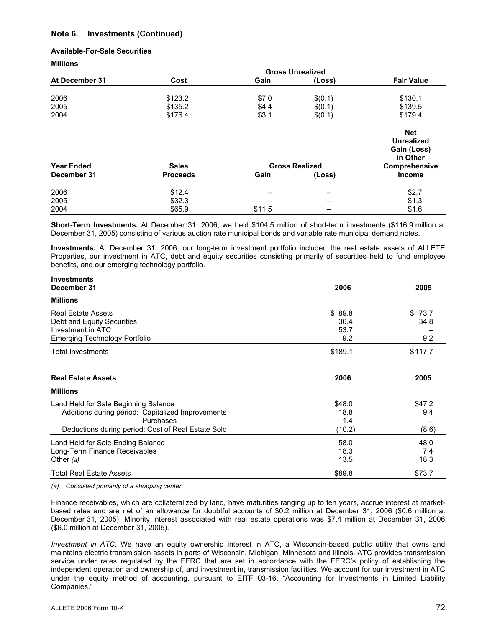## **Note 6. Investments (Continued)**

**Investments** 

| <b>Millions</b>   |                 |                         |         |                                                            |
|-------------------|-----------------|-------------------------|---------|------------------------------------------------------------|
|                   |                 | <b>Gross Unrealized</b> |         |                                                            |
| At December 31    | Cost            | Gain                    | (Loss)  | <b>Fair Value</b>                                          |
| 2006              | \$123.2         | \$7.0                   | \$(0.1) | \$130.1                                                    |
| 2005              | \$135.2         | \$4.4                   | \$(0.1) | \$139.5                                                    |
| 2004              | \$176.4         | \$3.1                   | \$(0.1) | \$179.4                                                    |
|                   |                 |                         |         | <b>Net</b><br><b>Unrealized</b><br>Gain (Loss)<br>in Other |
| <b>Year Ended</b> | <b>Sales</b>    | <b>Gross Realized</b>   |         | Comprehensive                                              |
| December 31       | <b>Proceeds</b> | Gain                    | (Loss)  | <b>Income</b>                                              |
| 2006              | \$12.4          |                         |         | \$2.7                                                      |
| 2005              | \$32.3          |                         |         | \$1.3                                                      |
| 2004              | \$65.9          | \$11.5                  |         | \$1.6                                                      |

**Short-Term Investments.** At December 31, 2006, we held \$104.5 million of short-term investments (\$116.9 million at December 31, 2005) consisting of various auction rate municipal bonds and variable rate municipal demand notes.

**Investments.** At December 31, 2006, our long-term investment portfolio included the real estate assets of ALLETE Properties, our investment in ATC, debt and equity securities consisting primarily of securities held to fund employee benefits, and our emerging technology portfolio.

| MVESUNENIS<br>December 31                                                                                                                                    | 2006                            | 2005                   |
|--------------------------------------------------------------------------------------------------------------------------------------------------------------|---------------------------------|------------------------|
| <b>Millions</b>                                                                                                                                              |                                 |                        |
| <b>Real Estate Assets</b><br>Debt and Equity Securities                                                                                                      | \$89.8<br>36.4                  | \$73.7<br>34.8         |
| Investment in ATC                                                                                                                                            | 53.7                            |                        |
| Emerging Technology Portfolio                                                                                                                                | 9.2                             | 9.2                    |
| <b>Total Investments</b>                                                                                                                                     | \$189.1                         | \$117.7                |
| <b>Real Estate Assets</b>                                                                                                                                    | 2006                            | 2005                   |
| <b>Millions</b>                                                                                                                                              |                                 |                        |
| Land Held for Sale Beginning Balance<br>Additions during period: Capitalized Improvements<br>Purchases<br>Deductions during period: Cost of Real Estate Sold | \$48.0<br>18.8<br>1.4<br>(10.2) | \$47.2<br>9.4<br>(8.6) |
| Land Held for Sale Ending Balance<br>Long-Term Finance Receivables                                                                                           | 58.0<br>18.3                    | 48.0<br>7.4            |
| Other $(a)$                                                                                                                                                  | 13.5                            | 18.3                   |
| <b>Total Real Estate Assets</b>                                                                                                                              | \$89.8                          | \$73.7                 |

*(a) Consisted primarily of a shopping center.* 

Finance receivables, which are collateralized by land, have maturities ranging up to ten years, accrue interest at marketbased rates and are net of an allowance for doubtful accounts of \$0.2 million at December 31, 2006 (\$0.6 million at December 31, 2005). Minority interest associated with real estate operations was \$7.4 million at December 31, 2006 (\$6.0 million at December 31, 2005).

*Investment in ATC.* We have an equity ownership interest in ATC, a Wisconsin-based public utility that owns and maintains electric transmission assets in parts of Wisconsin, Michigan, Minnesota and Illinois. ATC provides transmission service under rates regulated by the FERC that are set in accordance with the FERC's policy of establishing the independent operation and ownership of, and investment in, transmission facilities. We account for our investment in ATC under the equity method of accounting, pursuant to EITF 03-16, "Accounting for Investments in Limited Liability Companies."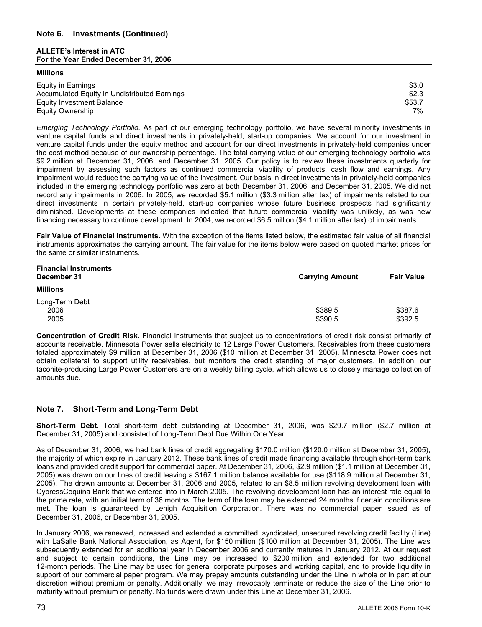# **Note 6. Investments (Continued)**

### **ALLETE's Interest in ATC For the Year Ended December 31, 2006**

**Millions** 

| Equity in Earnings                           | \$3.0  |
|----------------------------------------------|--------|
| Accumulated Equity in Undistributed Earnings | \$2.3  |
| Equity Investment Balance                    | \$53.7 |
| Equity Ownership                             | 7%     |

*Emerging Technology Portfolio.* As part of our emerging technology portfolio, we have several minority investments in venture capital funds and direct investments in privately-held, start-up companies. We account for our investment in venture capital funds under the equity method and account for our direct investments in privately-held companies under the cost method because of our ownership percentage. The total carrying value of our emerging technology portfolio was \$9.2 million at December 31, 2006, and December 31, 2005. Our policy is to review these investments quarterly for impairment by assessing such factors as continued commercial viability of products, cash flow and earnings. Any impairment would reduce the carrying value of the investment. Our basis in direct investments in privately-held companies included in the emerging technology portfolio was zero at both December 31, 2006, and December 31, 2005. We did not record any impairments in 2006. In 2005, we recorded \$5.1 million (\$3.3 million after tax) of impairments related to our direct investments in certain privately-held, start-up companies whose future business prospects had significantly diminished. Developments at these companies indicated that future commercial viability was unlikely, as was new financing necessary to continue development. In 2004, we recorded \$6.5 million (\$4.1 million after tax) of impairments.

**Fair Value of Financial Instruments.** With the exception of the items listed below, the estimated fair value of all financial instruments approximates the carrying amount. The fair value for the items below were based on quoted market prices for the same or similar instruments.

| <b>Financial Instruments</b><br>December 31 | <b>Carrying Amount</b> | <b>Fair Value</b> |
|---------------------------------------------|------------------------|-------------------|
| <b>Millions</b>                             |                        |                   |
| Long-Term Debt                              |                        |                   |
| 2006                                        | \$389.5                | \$387.6           |
| 2005                                        | \$390.5                | \$392.5           |

**Concentration of Credit Risk.** Financial instruments that subject us to concentrations of credit risk consist primarily of accounts receivable. Minnesota Power sells electricity to 12 Large Power Customers. Receivables from these customers totaled approximately \$9 million at December 31, 2006 (\$10 million at December 31, 2005). Minnesota Power does not obtain collateral to support utility receivables, but monitors the credit standing of major customers. In addition, our taconite-producing Large Power Customers are on a weekly billing cycle, which allows us to closely manage collection of amounts due.

### **Note 7. Short-Term and Long-Term Debt**

**Short-Term Debt.** Total short-term debt outstanding at December 31, 2006, was \$29.7 million (\$2.7 million at December 31, 2005) and consisted of Long-Term Debt Due Within One Year.

As of December 31, 2006, we had bank lines of credit aggregating \$170.0 million (\$120.0 million at December 31, 2005), the majority of which expire in January 2012. These bank lines of credit made financing available through short-term bank loans and provided credit support for commercial paper. At December 31, 2006, \$2.9 million (\$1.1 million at December 31, 2005) was drawn on our lines of credit leaving a \$167.1 million balance available for use (\$118.9 million at December 31, 2005). The drawn amounts at December 31, 2006 and 2005, related to an \$8.5 million revolving development loan with CypressCoquina Bank that we entered into in March 2005. The revolving development loan has an interest rate equal to the prime rate, with an initial term of 36 months. The term of the loan may be extended 24 months if certain conditions are met. The loan is guaranteed by Lehigh Acquisition Corporation. There was no commercial paper issued as of December 31, 2006, or December 31, 2005.

In January 2006, we renewed, increased and extended a committed, syndicated, unsecured revolving credit facility (Line) with LaSalle Bank National Association, as Agent, for \$150 million (\$100 million at December 31, 2005). The Line was subsequently extended for an additional year in December 2006 and currently matures in January 2012. At our request and subject to certain conditions, the Line may be increased to \$200 million and extended for two additional 12-month periods. The Line may be used for general corporate purposes and working capital, and to provide liquidity in support of our commercial paper program. We may prepay amounts outstanding under the Line in whole or in part at our discretion without premium or penalty. Additionally, we may irrevocably terminate or reduce the size of the Line prior to maturity without premium or penalty. No funds were drawn under this Line at December 31, 2006.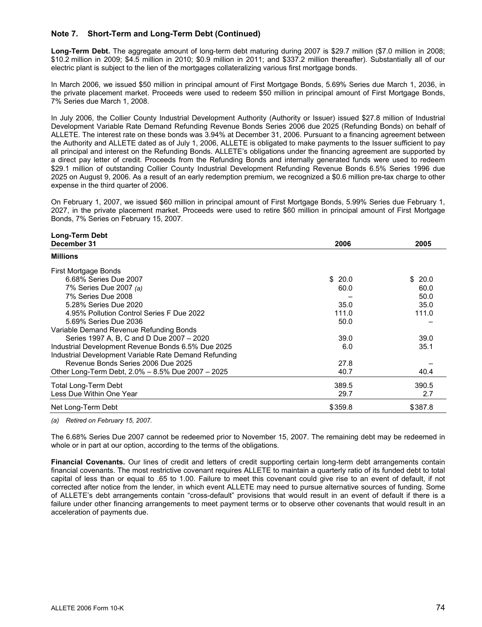# **Note 7. Short-Term and Long-Term Debt (Continued)**

**Long-Term Debt.** The aggregate amount of long-term debt maturing during 2007 is \$29.7 million (\$7.0 million in 2008; \$10.2 million in 2009; \$4.5 million in 2010; \$0.9 million in 2011; and \$337.2 million thereafter). Substantially all of our electric plant is subject to the lien of the mortgages collateralizing various first mortgage bonds.

In March 2006, we issued \$50 million in principal amount of First Mortgage Bonds, 5.69% Series due March 1, 2036, in the private placement market. Proceeds were used to redeem \$50 million in principal amount of First Mortgage Bonds, 7% Series due March 1, 2008.

In July 2006, the Collier County Industrial Development Authority (Authority or Issuer) issued \$27.8 million of Industrial Development Variable Rate Demand Refunding Revenue Bonds Series 2006 due 2025 (Refunding Bonds) on behalf of ALLETE. The interest rate on these bonds was 3.94% at December 31, 2006. Pursuant to a financing agreement between the Authority and ALLETE dated as of July 1, 2006, ALLETE is obligated to make payments to the Issuer sufficient to pay all principal and interest on the Refunding Bonds. ALLETE's obligations under the financing agreement are supported by a direct pay letter of credit. Proceeds from the Refunding Bonds and internally generated funds were used to redeem \$29.1 million of outstanding Collier County Industrial Development Refunding Revenue Bonds 6.5% Series 1996 due 2025 on August 9, 2006. As a result of an early redemption premium, we recognized a \$0.6 million pre-tax charge to other expense in the third quarter of 2006.

On February 1, 2007, we issued \$60 million in principal amount of First Mortgage Bonds, 5.99% Series due February 1, 2027, in the private placement market. Proceeds were used to retire \$60 million in principal amount of First Mortgage Bonds, 7% Series on February 15, 2007.

| <b>Long-Term Debt</b>                                 |         |         |
|-------------------------------------------------------|---------|---------|
| December 31                                           | 2006    | 2005    |
| <b>Millions</b>                                       |         |         |
| First Mortgage Bonds                                  |         |         |
| 6.68% Series Due 2007                                 | \$20.0  | \$20.0  |
| 7% Series Due 2007 (a)                                | 60.0    | 60.0    |
| 7% Series Due 2008                                    |         | 50.0    |
| 5.28% Series Due 2020                                 | 35.0    | 35.0    |
| 4.95% Pollution Control Series F Due 2022             | 111.0   | 111.0   |
| 5.69% Series Due 2036                                 | 50.0    |         |
| Variable Demand Revenue Refunding Bonds               |         |         |
| Series 1997 A, B, C and D Due 2007 - 2020             | 39.0    | 39.0    |
| Industrial Development Revenue Bonds 6.5% Due 2025    | 6.0     | 35.1    |
| Industrial Development Variable Rate Demand Refunding |         |         |
| Revenue Bonds Series 2006 Due 2025                    | 27.8    |         |
| Other Long-Term Debt, 2.0% - 8.5% Due 2007 - 2025     | 40.7    | 40.4    |
| Total Long-Term Debt                                  | 389.5   | 390.5   |
| Less Due Within One Year                              | 29.7    | 2.7     |
| Net Long-Term Debt                                    | \$359.8 | \$387.8 |

*(a) Retired on February 15, 2007.* 

The 6.68% Series Due 2007 cannot be redeemed prior to November 15, 2007. The remaining debt may be redeemed in whole or in part at our option, according to the terms of the obligations.

**Financial Covenants.** Our lines of credit and letters of credit supporting certain long-term debt arrangements contain financial covenants. The most restrictive covenant requires ALLETE to maintain a quarterly ratio of its funded debt to total capital of less than or equal to .65 to 1.00. Failure to meet this covenant could give rise to an event of default, if not corrected after notice from the lender, in which event ALLETE may need to pursue alternative sources of funding. Some of ALLETE's debt arrangements contain "cross-default" provisions that would result in an event of default if there is a failure under other financing arrangements to meet payment terms or to observe other covenants that would result in an acceleration of payments due.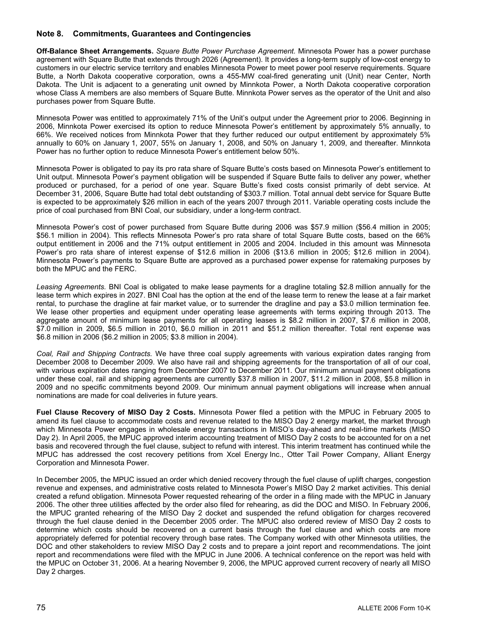## **Note 8. Commitments, Guarantees and Contingencies**

**Off-Balance Sheet Arrangements.** *Square Butte Power Purchase Agreement.* Minnesota Power has a power purchase agreement with Square Butte that extends through 2026 (Agreement). It provides a long-term supply of low-cost energy to customers in our electric service territory and enables Minnesota Power to meet power pool reserve requirements. Square Butte, a North Dakota cooperative corporation, owns a 455-MW coal-fired generating unit (Unit) near Center, North Dakota. The Unit is adjacent to a generating unit owned by Minnkota Power, a North Dakota cooperative corporation whose Class A members are also members of Square Butte. Minnkota Power serves as the operator of the Unit and also purchases power from Square Butte.

Minnesota Power was entitled to approximately 71% of the Unit's output under the Agreement prior to 2006. Beginning in 2006, Minnkota Power exercised its option to reduce Minnesota Power's entitlement by approximately 5% annually, to 66%. We received notices from Minnkota Power that they further reduced our output entitlement by approximately 5% annually to 60% on January 1, 2007, 55% on January 1, 2008, and 50% on January 1, 2009, and thereafter. Minnkota Power has no further option to reduce Minnesota Power's entitlement below 50%.

Minnesota Power is obligated to pay its pro rata share of Square Butte's costs based on Minnesota Power's entitlement to Unit output. Minnesota Power's payment obligation will be suspended if Square Butte fails to deliver any power, whether produced or purchased, for a period of one year. Square Butte's fixed costs consist primarily of debt service. At December 31, 2006, Square Butte had total debt outstanding of \$303.7 million. Total annual debt service for Square Butte is expected to be approximately \$26 million in each of the years 2007 through 2011. Variable operating costs include the price of coal purchased from BNI Coal, our subsidiary, under a long-term contract.

Minnesota Power's cost of power purchased from Square Butte during 2006 was \$57.9 million (\$56.4 million in 2005; \$56.1 million in 2004). This reflects Minnesota Power's pro rata share of total Square Butte costs, based on the 66% output entitlement in 2006 and the 71% output entitlement in 2005 and 2004. Included in this amount was Minnesota Power's pro rata share of interest expense of \$12.6 million in 2006 (\$13.6 million in 2005; \$12.6 million in 2004). Minnesota Power's payments to Square Butte are approved as a purchased power expense for ratemaking purposes by both the MPUC and the FERC.

*Leasing Agreements.* BNI Coal is obligated to make lease payments for a dragline totaling \$2.8 million annually for the lease term which expires in 2027. BNI Coal has the option at the end of the lease term to renew the lease at a fair market rental, to purchase the dragline at fair market value, or to surrender the dragline and pay a \$3.0 million termination fee. We lease other properties and equipment under operating lease agreements with terms expiring through 2013. The aggregate amount of minimum lease payments for all operating leases is \$8.2 million in 2007, \$7.6 million in 2008, \$7.0 million in 2009, \$6.5 million in 2010, \$6.0 million in 2011 and \$51.2 million thereafter. Total rent expense was \$6.8 million in 2006 (\$6.2 million in 2005; \$3.8 million in 2004).

*Coal, Rail and Shipping Contracts.* We have three coal supply agreements with various expiration dates ranging from December 2008 to December 2009. We also have rail and shipping agreements for the transportation of all of our coal, with various expiration dates ranging from December 2007 to December 2011. Our minimum annual payment obligations under these coal, rail and shipping agreements are currently \$37.8 million in 2007, \$11.2 million in 2008, \$5.8 million in 2009 and no specific commitments beyond 2009. Our minimum annual payment obligations will increase when annual nominations are made for coal deliveries in future years.

**Fuel Clause Recovery of MISO Day 2 Costs.** Minnesota Power filed a petition with the MPUC in February 2005 to amend its fuel clause to accommodate costs and revenue related to the MISO Day 2 energy market, the market through which Minnesota Power engages in wholesale energy transactions in MISO's day-ahead and real-time markets (MISO Day 2). In April 2005, the MPUC approved interim accounting treatment of MISO Day 2 costs to be accounted for on a net basis and recovered through the fuel clause, subject to refund with interest. This interim treatment has continued while the MPUC has addressed the cost recovery petitions from Xcel Energy Inc., Otter Tail Power Company, Alliant Energy Corporation and Minnesota Power.

In December 2005, the MPUC issued an order which denied recovery through the fuel clause of uplift charges, congestion revenue and expenses, and administrative costs related to Minnesota Power's MISO Day 2 market activities. This denial created a refund obligation. Minnesota Power requested rehearing of the order in a filing made with the MPUC in January 2006. The other three utilities affected by the order also filed for rehearing, as did the DOC and MISO. In February 2006, the MPUC granted rehearing of the MISO Day 2 docket and suspended the refund obligation for charges recovered through the fuel clause denied in the December 2005 order. The MPUC also ordered review of MISO Day 2 costs to determine which costs should be recovered on a current basis through the fuel clause and which costs are more appropriately deferred for potential recovery through base rates. The Company worked with other Minnesota utilities, the DOC and other stakeholders to review MISO Day 2 costs and to prepare a joint report and recommendations. The joint report and recommendations were filed with the MPUC in June 2006. A technical conference on the report was held with the MPUC on October 31, 2006. At a hearing November 9, 2006, the MPUC approved current recovery of nearly all MISO Day 2 charges.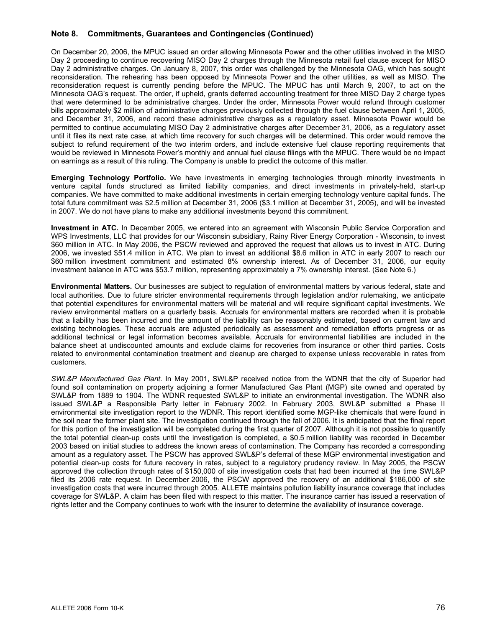### **Note 8. Commitments, Guarantees and Contingencies (Continued)**

On December 20, 2006, the MPUC issued an order allowing Minnesota Power and the other utilities involved in the MISO Day 2 proceeding to continue recovering MISO Day 2 charges through the Minnesota retail fuel clause except for MISO Day 2 administrative charges. On January 8, 2007, this order was challenged by the Minnesota OAG, which has sought reconsideration. The rehearing has been opposed by Minnesota Power and the other utilities, as well as MISO. The reconsideration request is currently pending before the MPUC. The MPUC has until March 9, 2007, to act on the Minnesota OAG's request. The order, if upheld, grants deferred accounting treatment for three MISO Day 2 charge types that were determined to be administrative charges. Under the order, Minnesota Power would refund through customer bills approximately \$2 million of administrative charges previously collected through the fuel clause between April 1, 2005, and December 31, 2006, and record these administrative charges as a regulatory asset. Minnesota Power would be permitted to continue accumulating MISO Day 2 administrative charges after December 31, 2006, as a regulatory asset until it files its next rate case, at which time recovery for such charges will be determined. This order would remove the subject to refund requirement of the two interim orders, and include extensive fuel clause reporting requirements that would be reviewed in Minnesota Power's monthly and annual fuel clause filings with the MPUC. There would be no impact on earnings as a result of this ruling. The Company is unable to predict the outcome of this matter.

**Emerging Technology Portfolio.** We have investments in emerging technologies through minority investments in venture capital funds structured as limited liability companies, and direct investments in privately-held, start-up companies. We have committed to make additional investments in certain emerging technology venture capital funds. The total future commitment was \$2.5 million at December 31, 2006 (\$3.1 million at December 31, 2005), and will be invested in 2007. We do not have plans to make any additional investments beyond this commitment.

**Investment in ATC.** In December 2005, we entered into an agreement with Wisconsin Public Service Corporation and WPS Investments, LLC that provides for our Wisconsin subsidiary, Rainy River Energy Corporation - Wisconsin, to invest \$60 million in ATC. In May 2006, the PSCW reviewed and approved the request that allows us to invest in ATC. During 2006, we invested \$51.4 million in ATC. We plan to invest an additional \$8.6 million in ATC in early 2007 to reach our \$60 million investment commitment and estimated 8% ownership interest. As of December 31, 2006, our equity investment balance in ATC was \$53.7 million, representing approximately a 7% ownership interest. (See Note 6.)

**Environmental Matters.** Our businesses are subject to regulation of environmental matters by various federal, state and local authorities. Due to future stricter environmental requirements through legislation and/or rulemaking, we anticipate that potential expenditures for environmental matters will be material and will require significant capital investments. We review environmental matters on a quarterly basis. Accruals for environmental matters are recorded when it is probable that a liability has been incurred and the amount of the liability can be reasonably estimated, based on current law and existing technologies. These accruals are adjusted periodically as assessment and remediation efforts progress or as additional technical or legal information becomes available. Accruals for environmental liabilities are included in the balance sheet at undiscounted amounts and exclude claims for recoveries from insurance or other third parties. Costs related to environmental contamination treatment and cleanup are charged to expense unless recoverable in rates from customers.

*SWL&P Manufactured Gas Plant*. In May 2001, SWL&P received notice from the WDNR that the city of Superior had found soil contamination on property adjoining a former Manufactured Gas Plant (MGP) site owned and operated by SWL&P from 1889 to 1904. The WDNR requested SWL&P to initiate an environmental investigation. The WDNR also issued SWL&P a Responsible Party letter in February 2002. In February 2003, SWL&P submitted a Phase II environmental site investigation report to the WDNR. This report identified some MGP-like chemicals that were found in the soil near the former plant site. The investigation continued through the fall of 2006. It is anticipated that the final report for this portion of the investigation will be completed during the first quarter of 2007. Although it is not possible to quantify the total potential clean-up costs until the investigation is completed, a \$0.5 million liability was recorded in December 2003 based on initial studies to address the known areas of contamination. The Company has recorded a corresponding amount as a regulatory asset. The PSCW has approved SWL&P's deferral of these MGP environmental investigation and potential clean-up costs for future recovery in rates, subject to a regulatory prudency review. In May 2005, the PSCW approved the collection through rates of \$150,000 of site investigation costs that had been incurred at the time SWL&P filed its 2006 rate request. In December 2006, the PSCW approved the recovery of an additional \$186,000 of site investigation costs that were incurred through 2005. ALLETE maintains pollution liability insurance coverage that includes coverage for SWL&P. A claim has been filed with respect to this matter. The insurance carrier has issued a reservation of rights letter and the Company continues to work with the insurer to determine the availability of insurance coverage.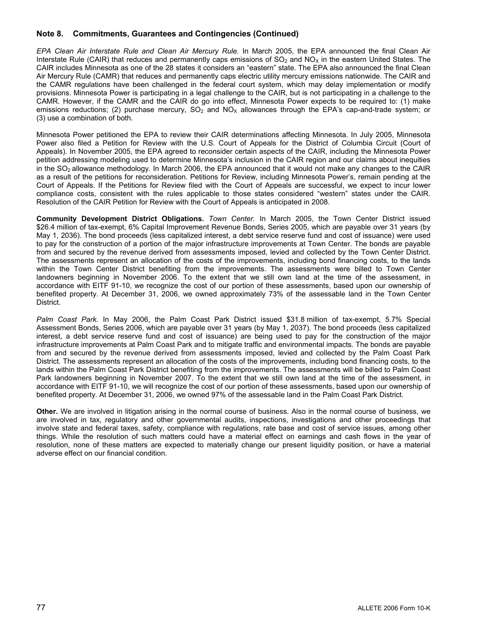### **Note 8. Commitments, Guarantees and Contingencies (Continued)**

*EPA Clean Air Interstate Rule and Clean Air Mercury Rule.* In March 2005, the EPA announced the final Clean Air Interstate Rule (CAIR) that reduces and permanently caps emissions of  $SO<sub>2</sub>$  and  $NO<sub>X</sub>$  in the eastern United States. The CAIR includes Minnesota as one of the 28 states it considers an "eastern" state. The EPA also announced the final Clean Air Mercury Rule (CAMR) that reduces and permanently caps electric utility mercury emissions nationwide. The CAIR and the CAMR regulations have been challenged in the federal court system, which may delay implementation or modify provisions. Minnesota Power is participating in a legal challenge to the CAIR, but is not participating in a challenge to the CAMR. However, if the CAMR and the CAIR do go into effect, Minnesota Power expects to be required to: (1) make emissions reductions; (2) purchase mercury,  $SO_2$  and  $NO<sub>X</sub>$  allowances through the EPA's cap-and-trade system; or (3) use a combination of both.

Minnesota Power petitioned the EPA to review their CAIR determinations affecting Minnesota. In July 2005, Minnesota Power also filed a Petition for Review with the U.S. Court of Appeals for the District of Columbia Circuit (Court of Appeals). In November 2005, the EPA agreed to reconsider certain aspects of the CAIR, including the Minnesota Power petition addressing modeling used to determine Minnesota's inclusion in the CAIR region and our claims about inequities in the SO<sub>2</sub> allowance methodology. In March 2006, the EPA announced that it would not make any changes to the CAIR as a result of the petitions for reconsideration. Petitions for Review, including Minnesota Power's, remain pending at the Court of Appeals. If the Petitions for Review filed with the Court of Appeals are successful, we expect to incur lower compliance costs, consistent with the rules applicable to those states considered "western" states under the CAIR. Resolution of the CAIR Petition for Review with the Court of Appeals is anticipated in 2008.

**Community Development District Obligations.** *Town Center.* In March 2005, the Town Center District issued \$26.4 million of tax-exempt, 6% Capital Improvement Revenue Bonds, Series 2005, which are payable over 31 years (by May 1, 2036). The bond proceeds (less capitalized interest, a debt service reserve fund and cost of issuance) were used to pay for the construction of a portion of the major infrastructure improvements at Town Center. The bonds are payable from and secured by the revenue derived from assessments imposed, levied and collected by the Town Center District. The assessments represent an allocation of the costs of the improvements, including bond financing costs, to the lands within the Town Center District benefiting from the improvements. The assessments were billed to Town Center landowners beginning in November 2006. To the extent that we still own land at the time of the assessment, in accordance with EITF 91-10, we recognize the cost of our portion of these assessments, based upon our ownership of benefited property. At December 31, 2006, we owned approximately 73% of the assessable land in the Town Center District.

*Palm Coast Park.* In May 2006, the Palm Coast Park District issued \$31.8 million of tax-exempt, 5.7% Special Assessment Bonds, Series 2006, which are payable over 31 years (by May 1, 2037). The bond proceeds (less capitalized interest, a debt service reserve fund and cost of issuance) are being used to pay for the construction of the major infrastructure improvements at Palm Coast Park and to mitigate traffic and environmental impacts. The bonds are payable from and secured by the revenue derived from assessments imposed, levied and collected by the Palm Coast Park District. The assessments represent an allocation of the costs of the improvements, including bond financing costs, to the lands within the Palm Coast Park District benefiting from the improvements. The assessments will be billed to Palm Coast Park landowners beginning in November 2007. To the extent that we still own land at the time of the assessment, in accordance with EITF 91-10, we will recognize the cost of our portion of these assessments, based upon our ownership of benefited property. At December 31, 2006, we owned 97% of the assessable land in the Palm Coast Park District.

**Other.** We are involved in litigation arising in the normal course of business. Also in the normal course of business, we are involved in tax, regulatory and other governmental audits, inspections, investigations and other proceedings that involve state and federal taxes, safety, compliance with regulations, rate base and cost of service issues, among other things. While the resolution of such matters could have a material effect on earnings and cash flows in the year of resolution, none of these matters are expected to materially change our present liquidity position, or have a material adverse effect on our financial condition.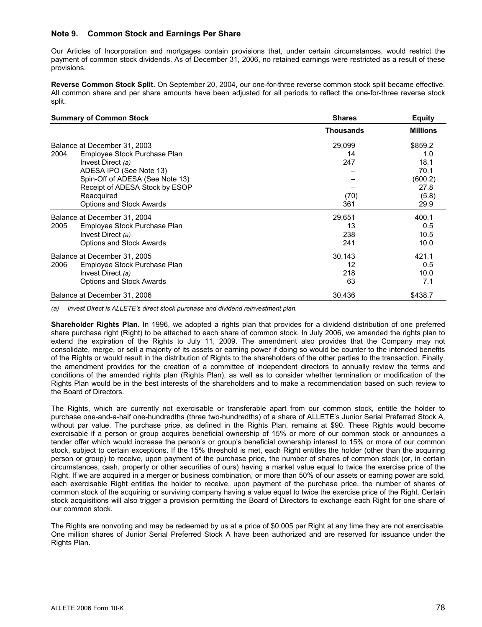### **Note 9. Common Stock and Earnings Per Share**

Our Articles of Incorporation and mortgages contain provisions that, under certain circumstances, would restrict the payment of common stock dividends. As of December 31, 2006, no retained earnings were restricted as a result of these provisions.

**Reverse Common Stock Split.** On September 20, 2004, our one-for-three reverse common stock split became effective. All common share and per share amounts have been adjusted for all periods to reflect the one-for-three reverse stock split.

|      | <b>Summary of Common Stock</b>  | <b>Shares</b> | <b>Equity</b>   |
|------|---------------------------------|---------------|-----------------|
|      |                                 | Thousands     | <b>Millions</b> |
|      | Balance at December 31, 2003    | 29,099        | \$859.2         |
| 2004 | Employee Stock Purchase Plan    | 14            | 1.0             |
|      | Invest Direct (a)               | 247           | 18.1            |
|      | ADESA IPO (See Note 13)         |               | 70.1            |
|      | Spin-Off of ADESA (See Note 13) |               | (600.2)         |
|      | Receipt of ADESA Stock by ESOP  |               | 27.8            |
|      | Reacquired                      | (70)          | (5.8)           |
|      | <b>Options and Stock Awards</b> | 361           | 29.9            |
|      | Balance at December 31, 2004    | 29,651        | 400.1           |
| 2005 | Employee Stock Purchase Plan    | 13            | 0.5             |
|      | Invest Direct (a)               | 238           | 10.5            |
|      | <b>Options and Stock Awards</b> | 241           | 10.0            |
|      | Balance at December 31, 2005    | 30,143        | 421.1           |
| 2006 | Employee Stock Purchase Plan    | 12            | 0.5             |
|      | Invest Direct (a)               | 218           | 10.0            |
|      | <b>Options and Stock Awards</b> | 63            | 7.1             |
|      | Balance at December 31, 2006    | 30,436        | \$438.7         |

*(a) Invest Direct is ALLETE's direct stock purchase and dividend reinvestment plan.* 

**Shareholder Rights Plan.** In 1996, we adopted a rights plan that provides for a dividend distribution of one preferred share purchase right (Right) to be attached to each share of common stock. In July 2006, we amended the rights plan to extend the expiration of the Rights to July 11, 2009. The amendment also provides that the Company may not consolidate, merge, or sell a majority of its assets or earning power if doing so would be counter to the intended benefits of the Rights or would result in the distribution of Rights to the shareholders of the other parties to the transaction. Finally, the amendment provides for the creation of a committee of independent directors to annually review the terms and conditions of the amended rights plan (Rights Plan), as well as to consider whether termination or modification of the Rights Plan would be in the best interests of the shareholders and to make a recommendation based on such review to the Board of Directors.

The Rights, which are currently not exercisable or transferable apart from our common stock, entitle the holder to purchase one-and-a-half one-hundredths (three two-hundredths) of a share of ALLETE's Junior Serial Preferred Stock A, without par value. The purchase price, as defined in the Rights Plan, remains at \$90. These Rights would become exercisable if a person or group acquires beneficial ownership of 15% or more of our common stock or announces a tender offer which would increase the person's or group's beneficial ownership interest to 15% or more of our common stock, subject to certain exceptions. If the 15% threshold is met, each Right entitles the holder (other than the acquiring person or group) to receive, upon payment of the purchase price, the number of shares of common stock (or, in certain circumstances, cash, property or other securities of ours) having a market value equal to twice the exercise price of the Right. If we are acquired in a merger or business combination, or more than 50% of our assets or earning power are sold, each exercisable Right entitles the holder to receive, upon payment of the purchase price, the number of shares of common stock of the acquiring or surviving company having a value equal to twice the exercise price of the Right. Certain stock acquisitions will also trigger a provision permitting the Board of Directors to exchange each Right for one share of our common stock.

The Rights are nonvoting and may be redeemed by us at a price of \$0.005 per Right at any time they are not exercisable. One million shares of Junior Serial Preferred Stock A have been authorized and are reserved for issuance under the Rights Plan.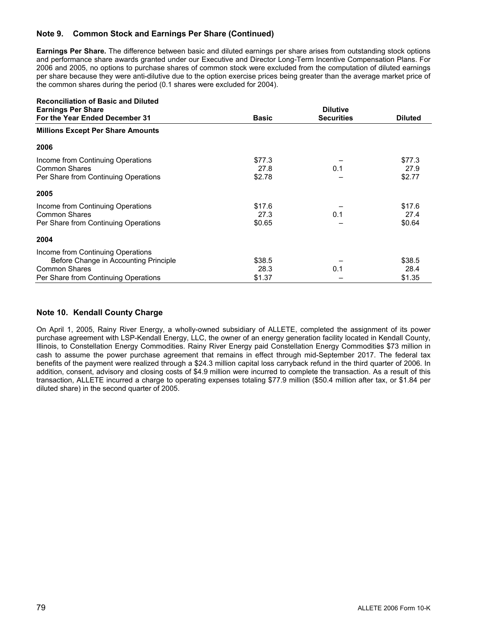# **Note 9. Common Stock and Earnings Per Share (Continued)**

**Earnings Per Share.** The difference between basic and diluted earnings per share arises from outstanding stock options and performance share awards granted under our Executive and Director Long-Term Incentive Compensation Plans. For 2006 and 2005, no options to purchase shares of common stock were excluded from the computation of diluted earnings per share because they were anti-dilutive due to the option exercise prices being greater than the average market price of the common shares during the period (0.1 shares were excluded for 2004).

| <b>Reconciliation of Basic and Diluted</b> |              |                   |                |
|--------------------------------------------|--------------|-------------------|----------------|
| <b>Earnings Per Share</b>                  |              | <b>Dilutive</b>   |                |
| For the Year Ended December 31             | <b>Basic</b> | <b>Securities</b> | <b>Diluted</b> |
| <b>Millions Except Per Share Amounts</b>   |              |                   |                |
| 2006                                       |              |                   |                |
| Income from Continuing Operations          | \$77.3       |                   | \$77.3         |
| <b>Common Shares</b>                       | 27.8         | 0.1               | 27.9           |
| Per Share from Continuing Operations       | \$2.78       |                   | \$2.77         |
| 2005                                       |              |                   |                |
| Income from Continuing Operations          | \$17.6       |                   | \$17.6         |
| <b>Common Shares</b>                       | 27.3         | 0.1               | 27.4           |
| Per Share from Continuing Operations       | \$0.65       |                   | \$0.64         |
| 2004                                       |              |                   |                |
| Income from Continuing Operations          |              |                   |                |
| Before Change in Accounting Principle      | \$38.5       |                   | \$38.5         |
| <b>Common Shares</b>                       | 28.3         | 0.1               | 28.4           |
| Per Share from Continuing Operations       | \$1.37       |                   | \$1.35         |

### **Note 10. Kendall County Charge**

On April 1, 2005, Rainy River Energy, a wholly-owned subsidiary of ALLETE, completed the assignment of its power purchase agreement with LSP-Kendall Energy, LLC, the owner of an energy generation facility located in Kendall County, Illinois, to Constellation Energy Commodities. Rainy River Energy paid Constellation Energy Commodities \$73 million in cash to assume the power purchase agreement that remains in effect through mid-September 2017. The federal tax benefits of the payment were realized through a \$24.3 million capital loss carryback refund in the third quarter of 2006. In addition, consent, advisory and closing costs of \$4.9 million were incurred to complete the transaction. As a result of this transaction, ALLETE incurred a charge to operating expenses totaling \$77.9 million (\$50.4 million after tax, or \$1.84 per diluted share) in the second quarter of 2005.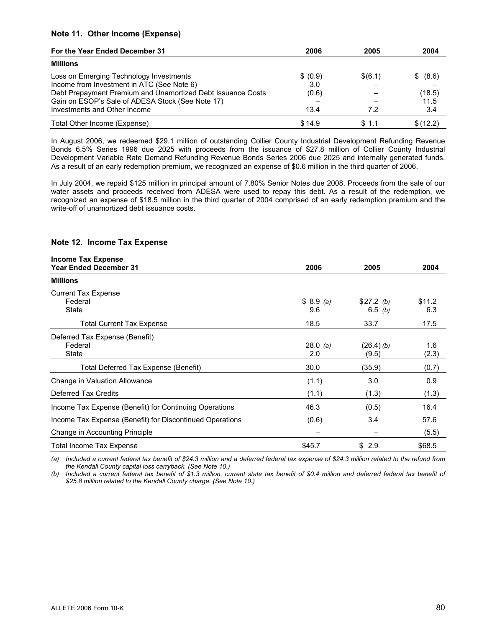# **Note 11. Other Income (Expense)**

| For the Year Ended December 31                              | 2006     | 2005    | 2004        |
|-------------------------------------------------------------|----------|---------|-------------|
| <b>Millions</b>                                             |          |         |             |
| Loss on Emerging Technology Investments                     | \$ (0.9) | \$(6.1) | (8.6)<br>\$ |
| Income from Investment in ATC (See Note 6)                  | 3.0      |         |             |
| Debt Prepayment Premium and Unamortized Debt Issuance Costs | (0.6)    |         | (18.5)      |
| Gain on ESOP's Sale of ADESA Stock (See Note 17)            |          |         | 11.5        |
| Investments and Other Income                                | 13.4     | 7.2     | 3.4         |
| Total Other Income (Expense)                                | \$14.9   | \$1.1   | \$(12.2)    |

In August 2006, we redeemed \$29.1 million of outstanding Collier County Industrial Development Refunding Revenue Bonds 6.5% Series 1996 due 2025 with proceeds from the issuance of \$27.8 million of Collier County Industrial Development Variable Rate Demand Refunding Revenue Bonds Series 2006 due 2025 and internally generated funds. As a result of an early redemption premium, we recognized an expense of \$0.6 million in the third quarter of 2006.

In July 2004, we repaid \$125 million in principal amount of 7.80% Senior Notes due 2008. Proceeds from the sale of our water assets and proceeds received from ADESA were used to repay this debt. As a result of the redemption, we recognized an expense of \$18.5 million in the third quarter of 2004 comprised of an early redemption premium and the write-off of unamortized debt issuance costs.

### **Note 12. Income Tax Expense**

| <b>Income Tax Expense</b>                                |          |              |        |
|----------------------------------------------------------|----------|--------------|--------|
| <b>Year Ended December 31</b>                            | 2006     | 2005         | 2004   |
| <b>Millions</b>                                          |          |              |        |
| <b>Current Tax Expense</b>                               |          |              |        |
| Federal                                                  | \$8.9(a) | \$27.2(h)    | \$11.2 |
| State                                                    | 9.6      | 6.5 $(b)$    | 6.3    |
| <b>Total Current Tax Expense</b>                         | 18.5     | 33.7         | 17.5   |
| Deferred Tax Expense (Benefit)                           |          |              |        |
| Federal                                                  | 28.0(a)  | $(26.4)$ (b) | 1.6    |
| State                                                    | 2.0      | (9.5)        | (2.3)  |
| Total Deferred Tax Expense (Benefit)                     | 30.0     | (35.9)       | (0.7)  |
| Change in Valuation Allowance                            | (1.1)    | 3.0          | 0.9    |
| Deferred Tax Credits                                     | (1.1)    | (1.3)        | (1.3)  |
| Income Tax Expense (Benefit) for Continuing Operations   | 46.3     | (0.5)        | 16.4   |
| Income Tax Expense (Benefit) for Discontinued Operations | (0.6)    | 3.4          | 57.6   |
| Change in Accounting Principle                           | -        |              | (5.5)  |
| <b>Total Income Tax Expense</b>                          | \$45.7   | \$2.9        | \$68.5 |

*(a) Included a current federal tax benefit of \$24.3 million and a deferred federal tax expense of \$24.3 million related to the refund from the Kendall County capital loss carryback. (See Note 10.)* 

*(b) Included a current federal tax benefit of \$1.3 million, current state tax benefit of \$0.4 million and deferred federal tax benefit of \$25.8 million related to the Kendall County charge. (See Note 10.)*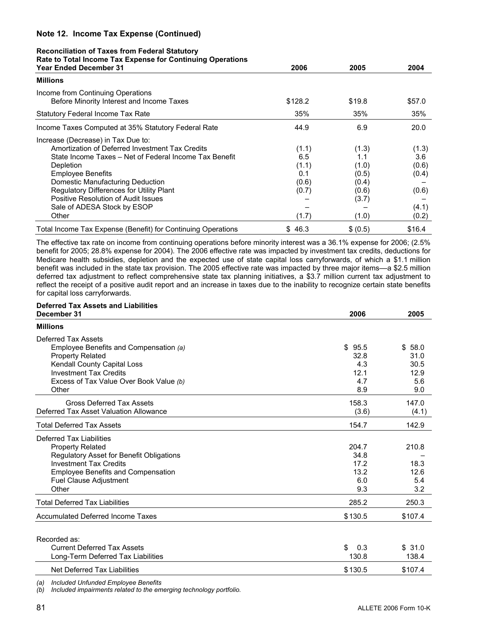# **Note 12. Income Tax Expense (Continued)**

# **Reconciliation of Taxes from Federal Statutory Rate to Total Income Tax Expense for Continuing Operations**

| <b>Year Ended December 31</b>                                                                                                                                                                                                                                                                                                                           | 2006                                                    | 2005                                                               | 2004                                                      |
|---------------------------------------------------------------------------------------------------------------------------------------------------------------------------------------------------------------------------------------------------------------------------------------------------------------------------------------------------------|---------------------------------------------------------|--------------------------------------------------------------------|-----------------------------------------------------------|
| <b>Millions</b>                                                                                                                                                                                                                                                                                                                                         |                                                         |                                                                    |                                                           |
| Income from Continuing Operations<br>Before Minority Interest and Income Taxes                                                                                                                                                                                                                                                                          | \$128.2                                                 | \$19.8                                                             | \$57.0                                                    |
| <b>Statutory Federal Income Tax Rate</b>                                                                                                                                                                                                                                                                                                                | 35%                                                     | 35%                                                                | 35%                                                       |
| Income Taxes Computed at 35% Statutory Federal Rate                                                                                                                                                                                                                                                                                                     | 44.9                                                    | 6.9                                                                | 20.0                                                      |
| Increase (Decrease) in Tax Due to:<br>Amortization of Deferred Investment Tax Credits<br>State Income Taxes – Net of Federal Income Tax Benefit<br>Depletion<br><b>Employee Benefits</b><br>Domestic Manufacturing Deduction<br>Regulatory Differences for Utility Plant<br>Positive Resolution of Audit Issues<br>Sale of ADESA Stock by ESOP<br>Other | (1.1)<br>6.5<br>(1.1)<br>0.1<br>(0.6)<br>(0.7)<br>(1.7) | (1.3)<br>1.1<br>(1.0)<br>(0.5)<br>(0.4)<br>(0.6)<br>(3.7)<br>(1.0) | (1.3)<br>3.6<br>(0.6)<br>(0.4)<br>(0.6)<br>(4.1)<br>(0.2) |
| Total Income Tax Expense (Benefit) for Continuing Operations                                                                                                                                                                                                                                                                                            | \$46.3                                                  | \$ (0.5)                                                           | \$16.4                                                    |

The effective tax rate on income from continuing operations before minority interest was a 36.1% expense for 2006; (2.5% benefit for 2005; 28.8% expense for 2004). The 2006 effective rate was impacted by investment tax credits, deductions for Medicare health subsidies, depletion and the expected use of state capital loss carryforwards, of which a \$1.1 million benefit was included in the state tax provision. The 2005 effective rate was impacted by three major items––a \$2.5 million deferred tax adjustment to reflect comprehensive state tax planning initiatives, a \$3.7 million current tax adjustment to reflect the receipt of a positive audit report and an increase in taxes due to the inability to recognize certain state benefits for capital loss carryforwards.

# **Deferred Tax Assets and Liabilities**

| December 31                               | 2006      | 2005       |
|-------------------------------------------|-----------|------------|
| <b>Millions</b>                           |           |            |
| Deferred Tax Assets                       |           |            |
| Employee Benefits and Compensation (a)    | \$95.5    | \$<br>58.0 |
| <b>Property Related</b>                   | 32.8      | 31.0       |
| Kendall County Capital Loss               | 4.3       | 30.5       |
| <b>Investment Tax Credits</b>             | 12.1      | 12.9       |
| Excess of Tax Value Over Book Value (b)   | 4.7       | 5.6        |
| Other                                     | 8.9       | 9.0        |
| <b>Gross Deferred Tax Assets</b>          | 158.3     | 147.0      |
| Deferred Tax Asset Valuation Allowance    | (3.6)     | (4.1)      |
| <b>Total Deferred Tax Assets</b>          | 154.7     | 142.9      |
| Deferred Tax Liabilities                  |           |            |
| <b>Property Related</b>                   | 204.7     | 210.8      |
| Regulatory Asset for Benefit Obligations  | 34.8      |            |
| <b>Investment Tax Credits</b>             | 17.2      | 18.3       |
| <b>Employee Benefits and Compensation</b> | 13.2      | 12.6       |
| Fuel Clause Adjustment                    | 6.0       | 5.4        |
| Other                                     | 9.3       | 3.2        |
| <b>Total Deferred Tax Liabilities</b>     | 285.2     | 250.3      |
| <b>Accumulated Deferred Income Taxes</b>  | \$130.5   | \$107.4    |
|                                           |           |            |
| Recorded as:                              |           |            |
| <b>Current Deferred Tax Assets</b>        | \$<br>0.3 | \$31.0     |
| Long-Term Deferred Tax Liabilities        | 130.8     | 138.4      |
| Net Deferred Tax Liabilities              | \$130.5   | \$107.4    |

*(a) Included Unfunded Employee Benefits* 

*(b) Included impairments related to the emerging technology portfolio.*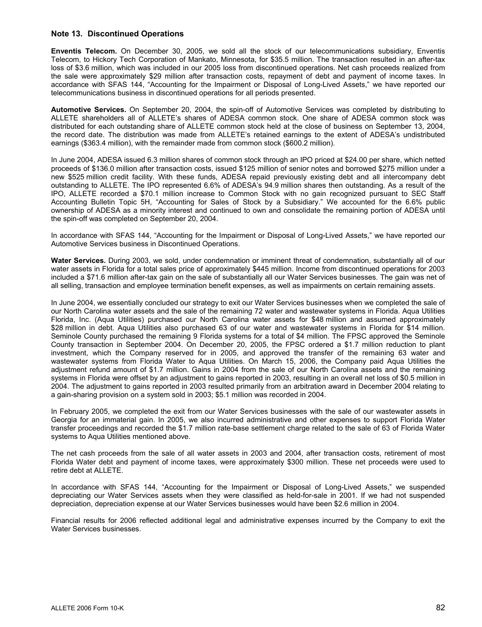### **Note 13. Discontinued Operations**

**Enventis Telecom.** On December 30, 2005, we sold all the stock of our telecommunications subsidiary, Enventis Telecom, to Hickory Tech Corporation of Mankato, Minnesota, for \$35.5 million. The transaction resulted in an after-tax loss of \$3.6 million, which was included in our 2005 loss from discontinued operations. Net cash proceeds realized from the sale were approximately \$29 million after transaction costs, repayment of debt and payment of income taxes. In accordance with SFAS 144, "Accounting for the Impairment or Disposal of Long-Lived Assets," we have reported our telecommunications business in discontinued operations for all periods presented.

**Automotive Services.** On September 20, 2004, the spin-off of Automotive Services was completed by distributing to ALLETE shareholders all of ALLETE's shares of ADESA common stock. One share of ADESA common stock was distributed for each outstanding share of ALLETE common stock held at the close of business on September 13, 2004, the record date. The distribution was made from ALLETE's retained earnings to the extent of ADESA's undistributed earnings (\$363.4 million), with the remainder made from common stock (\$600.2 million).

In June 2004, ADESA issued 6.3 million shares of common stock through an IPO priced at \$24.00 per share, which netted proceeds of \$136.0 million after transaction costs, issued \$125 million of senior notes and borrowed \$275 million under a new \$525 million credit facility. With these funds, ADESA repaid previously existing debt and all intercompany debt outstanding to ALLETE. The IPO represented 6.6% of ADESA's 94.9 million shares then outstanding. As a result of the IPO, ALLETE recorded a \$70.1 million increase to Common Stock with no gain recognized pursuant to SEC Staff Accounting Bulletin Topic 5H, "Accounting for Sales of Stock by a Subsidiary." We accounted for the 6.6% public ownership of ADESA as a minority interest and continued to own and consolidate the remaining portion of ADESA until the spin-off was completed on September 20, 2004.

In accordance with SFAS 144, "Accounting for the Impairment or Disposal of Long-Lived Assets," we have reported our Automotive Services business in Discontinued Operations.

**Water Services.** During 2003, we sold, under condemnation or imminent threat of condemnation, substantially all of our water assets in Florida for a total sales price of approximately \$445 million. Income from discontinued operations for 2003 included a \$71.6 million after-tax gain on the sale of substantially all our Water Services businesses. The gain was net of all selling, transaction and employee termination benefit expenses, as well as impairments on certain remaining assets.

In June 2004, we essentially concluded our strategy to exit our Water Services businesses when we completed the sale of our North Carolina water assets and the sale of the remaining 72 water and wastewater systems in Florida. Aqua Utilities Florida, Inc. (Aqua Utilities) purchased our North Carolina water assets for \$48 million and assumed approximately \$28 million in debt. Aqua Utilities also purchased 63 of our water and wastewater systems in Florida for \$14 million. Seminole County purchased the remaining 9 Florida systems for a total of \$4 million. The FPSC approved the Seminole County transaction in September 2004. On December 20, 2005, the FPSC ordered a \$1.7 million reduction to plant investment, which the Company reserved for in 2005, and approved the transfer of the remaining 63 water and wastewater systems from Florida Water to Aqua Utilities. On March 15, 2006, the Company paid Aqua Utilities the adjustment refund amount of \$1.7 million. Gains in 2004 from the sale of our North Carolina assets and the remaining systems in Florida were offset by an adjustment to gains reported in 2003, resulting in an overall net loss of \$0.5 million in 2004. The adjustment to gains reported in 2003 resulted primarily from an arbitration award in December 2004 relating to a gain-sharing provision on a system sold in 2003; \$5.1 million was recorded in 2004.

In February 2005, we completed the exit from our Water Services businesses with the sale of our wastewater assets in Georgia for an immaterial gain. In 2005, we also incurred administrative and other expenses to support Florida Water transfer proceedings and recorded the \$1.7 million rate-base settlement charge related to the sale of 63 of Florida Water systems to Aqua Utilities mentioned above.

The net cash proceeds from the sale of all water assets in 2003 and 2004, after transaction costs, retirement of most Florida Water debt and payment of income taxes, were approximately \$300 million. These net proceeds were used to retire debt at ALLETE.

In accordance with SFAS 144, "Accounting for the Impairment or Disposal of Long-Lived Assets," we suspended depreciating our Water Services assets when they were classified as held-for-sale in 2001. If we had not suspended depreciation, depreciation expense at our Water Services businesses would have been \$2.6 million in 2004.

Financial results for 2006 reflected additional legal and administrative expenses incurred by the Company to exit the Water Services businesses.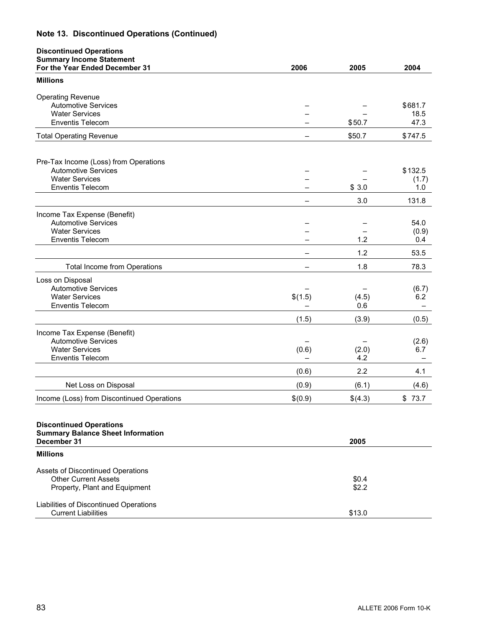# **Note 13. Discontinued Operations (Continued)**

| <b>Discontinued Operations</b><br><b>Summary Income Statement</b> |         |              |         |
|-------------------------------------------------------------------|---------|--------------|---------|
| For the Year Ended December 31                                    | 2006    | 2005         | 2004    |
| <b>Millions</b>                                                   |         |              |         |
| <b>Operating Revenue</b>                                          |         |              |         |
| <b>Automotive Services</b>                                        |         |              | \$681.7 |
| <b>Water Services</b>                                             |         |              | 18.5    |
| <b>Enventis Telecom</b>                                           |         | \$50.7       | 47.3    |
| <b>Total Operating Revenue</b>                                    | —       | \$50.7       | \$747.5 |
| Pre-Tax Income (Loss) from Operations                             |         |              |         |
| <b>Automotive Services</b>                                        |         |              | \$132.5 |
| <b>Water Services</b>                                             |         |              | (1.7)   |
| <b>Enventis Telecom</b>                                           |         | \$3.0        | 1.0     |
|                                                                   |         | 3.0          | 131.8   |
| Income Tax Expense (Benefit)                                      |         |              |         |
| <b>Automotive Services</b>                                        |         |              | 54.0    |
| <b>Water Services</b>                                             |         |              | (0.9)   |
| <b>Enventis Telecom</b>                                           |         | 1.2          | 0.4     |
|                                                                   |         | 1.2          | 53.5    |
| Total Income from Operations                                      |         | 1.8          | 78.3    |
| Loss on Disposal                                                  |         |              |         |
| <b>Automotive Services</b>                                        |         |              | (6.7)   |
| <b>Water Services</b>                                             | \$(1.5) | (4.5)        | 6.2     |
| <b>Enventis Telecom</b>                                           |         | 0.6          |         |
|                                                                   | (1.5)   | (3.9)        | (0.5)   |
| Income Tax Expense (Benefit)                                      |         |              |         |
| <b>Automotive Services</b>                                        |         |              | (2.6)   |
| <b>Water Services</b>                                             | (0.6)   | (2.0)<br>4.2 | 6.7     |
| <b>Enventis Telecom</b>                                           |         |              |         |
|                                                                   | (0.6)   | 2.2          | 4.1     |
| Net Loss on Disposal                                              | (0.9)   | (6.1)        | (4.6)   |
| Income (Loss) from Discontinued Operations                        | \$(0.9) | \$(4.3)      | \$73.7  |
| <b>Discontinued Operations</b>                                    |         |              |         |
| <b>Summary Balance Sheet Information</b><br>December 31           |         | 2005         |         |
| <b>Millions</b>                                                   |         |              |         |
|                                                                   |         |              |         |
| Assets of Discontinued Operations                                 |         |              |         |
| <b>Other Current Assets</b>                                       |         | \$0.4        |         |
| Property, Plant and Equipment                                     |         | \$2.2        |         |
| Liabilities of Discontinued Operations                            |         |              |         |
| <b>Current Liabilities</b>                                        |         | \$13.0       |         |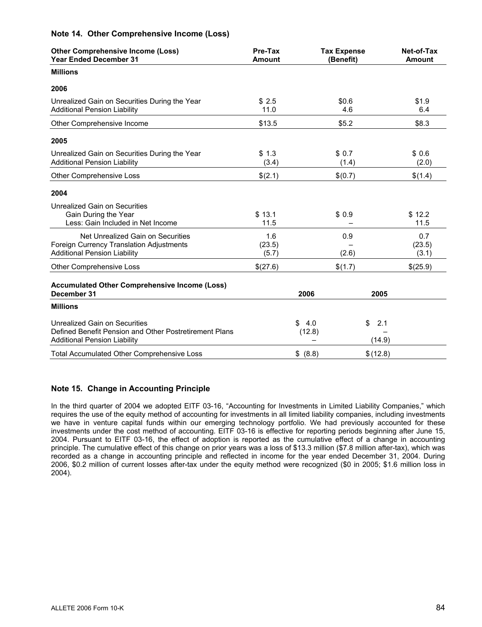# **Note 14. Other Comprehensive Income (Loss)**

| <b>Other Comprehensive Income (Loss)</b><br><b>Year Ended December 31</b>                                                      | Pre-Tax<br><b>Amount</b> |                     | <b>Tax Expense</b><br>(Benefit) | Net-of-Tax<br><b>Amount</b> |
|--------------------------------------------------------------------------------------------------------------------------------|--------------------------|---------------------|---------------------------------|-----------------------------|
| <b>Millions</b>                                                                                                                |                          |                     |                                 |                             |
| 2006                                                                                                                           |                          |                     |                                 |                             |
| Unrealized Gain on Securities During the Year<br><b>Additional Pension Liability</b>                                           | \$2.5<br>11.0            |                     | \$0.6<br>4.6                    | \$1.9<br>6.4                |
| Other Comprehensive Income                                                                                                     | \$13.5                   |                     | \$5.2                           | \$8.3                       |
| 2005                                                                                                                           |                          |                     |                                 |                             |
| Unrealized Gain on Securities During the Year<br><b>Additional Pension Liability</b>                                           | \$1.3<br>(3.4)           |                     | \$0.7<br>(1.4)                  | \$0.6<br>(2.0)              |
| Other Comprehensive Loss                                                                                                       | \$(2.1)                  |                     | \$(0.7)                         | \$(1.4)                     |
| 2004                                                                                                                           |                          |                     |                                 |                             |
| Unrealized Gain on Securities<br>Gain During the Year<br>Less: Gain Included in Net Income                                     | \$13.1<br>11.5           |                     | \$0.9                           | \$12.2<br>11.5              |
| Net Unrealized Gain on Securities<br>Foreign Currency Translation Adjustments<br><b>Additional Pension Liability</b>           | 1.6<br>(23.5)<br>(5.7)   | 0.9<br>(2.6)        |                                 | 0.7<br>(23.5)<br>(3.1)      |
| Other Comprehensive Loss                                                                                                       | \$(27.6)                 |                     | \$(1.7)                         | \$(25.9)                    |
| <b>Accumulated Other Comprehensive Income (Loss)</b><br>December 31                                                            |                          | 2006                | 2005                            |                             |
| <b>Millions</b>                                                                                                                |                          |                     |                                 |                             |
| Unrealized Gain on Securities<br>Defined Benefit Pension and Other Postretirement Plans<br><b>Additional Pension Liability</b> |                          | \$<br>4.0<br>(12.8) | \$<br>2.1<br>(14.9)             |                             |
| <b>Total Accumulated Other Comprehensive Loss</b>                                                                              |                          | \$<br>(8.8)         | \$(12.8)                        |                             |

# **Note 15. Change in Accounting Principle**

In the third quarter of 2004 we adopted EITF 03-16, "Accounting for Investments in Limited Liability Companies," which requires the use of the equity method of accounting for investments in all limited liability companies, including investments we have in venture capital funds within our emerging technology portfolio. We had previously accounted for these investments under the cost method of accounting. EITF 03-16 is effective for reporting periods beginning after June 15, 2004. Pursuant to EITF 03-16, the effect of adoption is reported as the cumulative effect of a change in accounting principle. The cumulative effect of this change on prior years was a loss of \$13.3 million (\$7.8 million after-tax), which was recorded as a change in accounting principle and reflected in income for the year ended December 31, 2004. During 2006, \$0.2 million of current losses after-tax under the equity method were recognized (\$0 in 2005; \$1.6 million loss in 2004).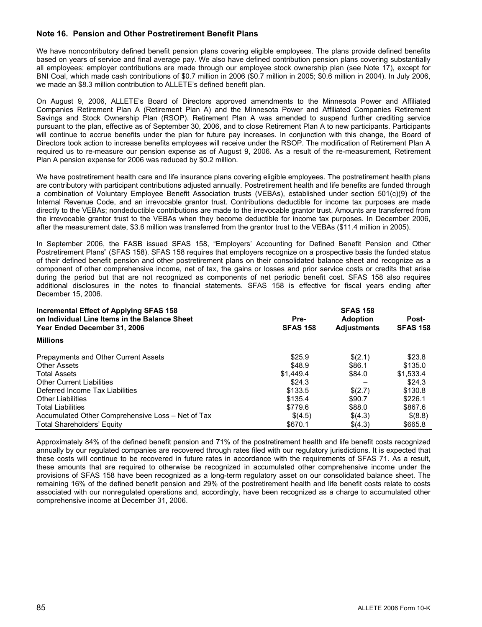We have noncontributory defined benefit pension plans covering eligible employees. The plans provide defined benefits based on years of service and final average pay. We also have defined contribution pension plans covering substantially all employees; employer contributions are made through our employee stock ownership plan (see Note 17), except for BNI Coal, which made cash contributions of \$0.7 million in 2006 (\$0.7 million in 2005; \$0.6 million in 2004). In July 2006, we made an \$8.3 million contribution to ALLETE's defined benefit plan.

On August 9, 2006, ALLETE's Board of Directors approved amendments to the Minnesota Power and Affiliated Companies Retirement Plan A (Retirement Plan A) and the Minnesota Power and Affiliated Companies Retirement Savings and Stock Ownership Plan (RSOP). Retirement Plan A was amended to suspend further crediting service pursuant to the plan, effective as of September 30, 2006, and to close Retirement Plan A to new participants. Participants will continue to accrue benefits under the plan for future pay increases. In conjunction with this change, the Board of Directors took action to increase benefits employees will receive under the RSOP. The modification of Retirement Plan A required us to re-measure our pension expense as of August 9, 2006. As a result of the re-measurement, Retirement Plan A pension expense for 2006 was reduced by \$0.2 million.

We have postretirement health care and life insurance plans covering eligible employees. The postretirement health plans are contributory with participant contributions adjusted annually. Postretirement health and life benefits are funded through a combination of Voluntary Employee Benefit Association trusts (VEBAs), established under section 501(c)(9) of the Internal Revenue Code, and an irrevocable grantor trust. Contributions deductible for income tax purposes are made directly to the VEBAs; nondeductible contributions are made to the irrevocable grantor trust. Amounts are transferred from the irrevocable grantor trust to the VEBAs when they become deductible for income tax purposes. In December 2006, after the measurement date, \$3.6 million was transferred from the grantor trust to the VEBAs (\$11.4 million in 2005).

In September 2006, the FASB issued SFAS 158, "Employers' Accounting for Defined Benefit Pension and Other Postretirement Plans" (SFAS 158). SFAS 158 requires that employers recognize on a prospective basis the funded status of their defined benefit pension and other postretirement plans on their consolidated balance sheet and recognize as a component of other comprehensive income, net of tax, the gains or losses and prior service costs or credits that arise during the period but that are not recognized as components of net periodic benefit cost. SFAS 158 also requires additional disclosures in the notes to financial statements. SFAS 158 is effective for fiscal years ending after December 15, 2006.

| Incremental Effect of Applying SFAS 158<br>on Individual Line Items in the Balance Sheet<br>Year Ended December 31, 2006 | Pre-<br><b>SFAS 158</b> | <b>SFAS 158</b><br><b>Adoption</b><br><b>Adjustments</b> | Post-<br><b>SFAS 158</b> |
|--------------------------------------------------------------------------------------------------------------------------|-------------------------|----------------------------------------------------------|--------------------------|
| <b>Millions</b>                                                                                                          |                         |                                                          |                          |
| Prepayments and Other Current Assets                                                                                     | \$25.9                  | \$(2.1)                                                  | \$23.8                   |
| <b>Other Assets</b>                                                                                                      | \$48.9                  | \$86.1                                                   | \$135.0                  |
| <b>Total Assets</b>                                                                                                      | \$1.449.4               | \$84.0                                                   | \$1,533.4                |
| <b>Other Current Liabilities</b>                                                                                         | \$24.3                  |                                                          | \$24.3                   |
| Deferred Income Tax Liabilities                                                                                          | \$133.5                 | \$(2.7)                                                  | \$130.8                  |
| <b>Other Liabilities</b>                                                                                                 | \$135.4                 | \$90.7                                                   | \$226.1                  |
| <b>Total Liabilities</b>                                                                                                 | \$779.6                 | \$88.0                                                   | \$867.6                  |
| Accumulated Other Comprehensive Loss - Net of Tax                                                                        | \$(4.5)                 | \$(4.3)                                                  | \$(8.8)                  |
| Total Shareholders' Equity                                                                                               | \$670.1                 | \$(4.3)                                                  | \$665.8                  |

Approximately 84% of the defined benefit pension and 71% of the postretirement health and life benefit costs recognized annually by our regulated companies are recovered through rates filed with our regulatory jurisdictions. It is expected that these costs will continue to be recovered in future rates in accordance with the requirements of SFAS 71. As a result, these amounts that are required to otherwise be recognized in accumulated other comprehensive income under the provisions of SFAS 158 have been recognized as a long-term regulatory asset on our consolidated balance sheet. The remaining 16% of the defined benefit pension and 29% of the postretirement health and life benefit costs relate to costs associated with our nonregulated operations and, accordingly, have been recognized as a charge to accumulated other comprehensive income at December 31, 2006.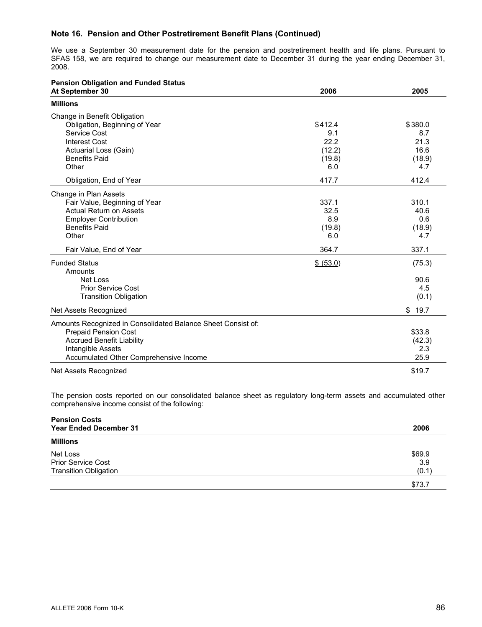We use a September 30 measurement date for the pension and postretirement health and life plans. Pursuant to SFAS 158, we are required to change our measurement date to December 31 during the year ending December 31, 2008.

| <b>Pension Obligation and Funded Status</b>                  |           |            |
|--------------------------------------------------------------|-----------|------------|
| At September 30                                              | 2006      | 2005       |
| <b>Millions</b>                                              |           |            |
| Change in Benefit Obligation                                 |           |            |
| Obligation, Beginning of Year                                | \$412.4   | \$380.0    |
| Service Cost                                                 | 9.1       | 8.7        |
| <b>Interest Cost</b>                                         | 22.2      | 21.3       |
| Actuarial Loss (Gain)                                        | (12.2)    | 16.6       |
| <b>Benefits Paid</b>                                         | (19.8)    | (18.9)     |
| Other                                                        | 6.0       | 4.7        |
| Obligation, End of Year                                      | 417.7     | 412.4      |
| Change in Plan Assets                                        |           |            |
| Fair Value, Beginning of Year                                | 337.1     | 310.1      |
| <b>Actual Return on Assets</b>                               | 32.5      | 40.6       |
| <b>Employer Contribution</b>                                 | 8.9       | 0.6        |
| <b>Benefits Paid</b>                                         | (19.8)    | (18.9)     |
| Other                                                        | 6.0       | 4.7        |
| Fair Value, End of Year                                      | 364.7     | 337.1      |
| <b>Funded Status</b>                                         | \$ (53.0) | (75.3)     |
| Amounts                                                      |           |            |
| Net Loss                                                     |           | 90.6       |
| <b>Prior Service Cost</b>                                    |           | 4.5        |
| <b>Transition Obligation</b>                                 |           | (0.1)      |
| Net Assets Recognized                                        |           | \$<br>19.7 |
| Amounts Recognized in Consolidated Balance Sheet Consist of: |           |            |
| <b>Prepaid Pension Cost</b>                                  |           | \$33.8     |
| <b>Accrued Benefit Liability</b>                             |           | (42.3)     |
| Intangible Assets                                            |           | 2.3        |
| Accumulated Other Comprehensive Income                       |           | 25.9       |
| Net Assets Recognized                                        |           | \$19.7     |

The pension costs reported on our consolidated balance sheet as regulatory long-term assets and accumulated other comprehensive income consist of the following:

| <b>Pension Costs</b><br><b>Year Ended December 31</b> | 2006   |
|-------------------------------------------------------|--------|
| <b>Millions</b>                                       |        |
| Net Loss                                              | \$69.9 |
| <b>Prior Service Cost</b>                             | 3.9    |
| <b>Transition Obligation</b>                          | (0.1)  |
|                                                       | \$73.7 |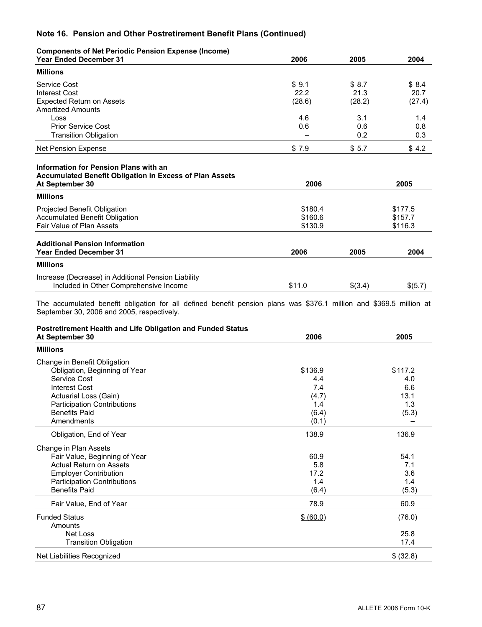# **Components of Net Periodic Pension Expense (Income)**

| <b>Year Ended December 31</b>                       | 2006    | 2005    | 2004    |
|-----------------------------------------------------|---------|---------|---------|
| <b>Millions</b>                                     |         |         |         |
| Service Cost                                        | \$9.1   | \$8.7   | \$8.4   |
| Interest Cost                                       | 22.2    | 21.3    | 20.7    |
| <b>Expected Return on Assets</b>                    | (28.6)  | (28.2)  | (27.4)  |
| <b>Amortized Amounts</b>                            |         |         |         |
| Loss                                                | 4.6     | 3.1     | 1.4     |
| <b>Prior Service Cost</b>                           | 0.6     | 0.6     | 0.8     |
| <b>Transition Obligation</b>                        |         | 0.2     | 0.3     |
| <b>Net Pension Expense</b>                          | \$7.9   | \$5.7   | \$4.2   |
| At September 30<br><b>Millions</b>                  | 2006    |         | 2005    |
| Projected Benefit Obligation                        | \$180.4 |         | \$177.5 |
| <b>Accumulated Benefit Obligation</b>               | \$160.6 |         | \$157.7 |
| Fair Value of Plan Assets                           | \$130.9 |         | \$116.3 |
| <b>Additional Pension Information</b>               |         |         |         |
| <b>Year Ended December 31</b>                       | 2006    | 2005    | 2004    |
| <b>Millions</b>                                     |         |         |         |
| Increase (Decrease) in Additional Pension Liability |         |         |         |
| Included in Other Comprehensive Income              | \$11.0  | \$(3.4) | \$(5.7) |

The accumulated benefit obligation for all defined benefit pension plans was \$376.1 million and \$369.5 million at September 30, 2006 and 2005, respectively.

| Postretirement Health and Life Obligation and Funded Status |           |           |
|-------------------------------------------------------------|-----------|-----------|
| At September 30                                             | 2006      | 2005      |
| <b>Millions</b>                                             |           |           |
| Change in Benefit Obligation                                |           |           |
| Obligation, Beginning of Year                               | \$136.9   | \$117.2   |
| Service Cost                                                | 4.4       | 4.0       |
| <b>Interest Cost</b>                                        | 7.4       | 6.6       |
| Actuarial Loss (Gain)                                       | (4.7)     | 13.1      |
| <b>Participation Contributions</b>                          | 1.4       | 1.3       |
| <b>Benefits Paid</b>                                        | (6.4)     | (5.3)     |
| Amendments                                                  | (0.1)     |           |
| Obligation, End of Year                                     | 138.9     | 136.9     |
| Change in Plan Assets                                       |           |           |
| Fair Value, Beginning of Year                               | 60.9      | 54.1      |
| <b>Actual Return on Assets</b>                              | 5.8       | 7.1       |
| <b>Employer Contribution</b>                                | 17.2      | 3.6       |
| <b>Participation Contributions</b>                          | 1.4       | 1.4       |
| <b>Benefits Paid</b>                                        | (6.4)     | (5.3)     |
| Fair Value, End of Year                                     | 78.9      | 60.9      |
| <b>Funded Status</b>                                        | \$ (60.0) | (76.0)    |
| Amounts                                                     |           |           |
| Net Loss                                                    |           | 25.8      |
| <b>Transition Obligation</b>                                |           | 17.4      |
| Net Liabilities Recognized                                  |           | \$ (32.8) |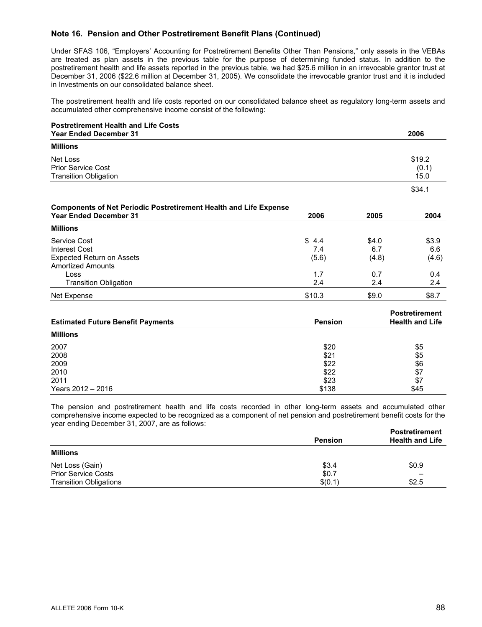Under SFAS 106, "Employers' Accounting for Postretirement Benefits Other Than Pensions," only assets in the VEBAs are treated as plan assets in the previous table for the purpose of determining funded status. In addition to the postretirement health and life assets reported in the previous table, we had \$25.6 million in an irrevocable grantor trust at December 31, 2006 (\$22.6 million at December 31, 2005). We consolidate the irrevocable grantor trust and it is included in Investments on our consolidated balance sheet.

The postretirement health and life costs reported on our consolidated balance sheet as regulatory long-term assets and accumulated other comprehensive income consist of the following:

| <b>Postretirement Health and Life Costs</b><br><b>Year Ended December 31</b>                                                                 |                                      |                                     | 2006                                            |
|----------------------------------------------------------------------------------------------------------------------------------------------|--------------------------------------|-------------------------------------|-------------------------------------------------|
| <b>Millions</b>                                                                                                                              |                                      |                                     |                                                 |
| Net Loss<br><b>Prior Service Cost</b><br><b>Transition Obligation</b>                                                                        |                                      |                                     | \$19.2<br>(0.1)<br>15.0                         |
|                                                                                                                                              |                                      |                                     | \$34.1                                          |
| <b>Components of Net Periodic Postretirement Health and Life Expense</b><br><b>Year Ended December 31</b>                                    | 2006                                 | 2005                                | 2004                                            |
| <b>Millions</b>                                                                                                                              |                                      |                                     |                                                 |
| Service Cost<br><b>Interest Cost</b><br><b>Expected Return on Assets</b><br><b>Amortized Amounts</b><br>Loss<br><b>Transition Obligation</b> | \$4.4<br>7.4<br>(5.6)<br>1.7<br>2.4  | \$4.0<br>6.7<br>(4.8)<br>0.7<br>2.4 | \$3.9<br>6.6<br>(4.6)<br>0.4<br>2.4             |
| Net Expense                                                                                                                                  | \$10.3                               | \$9.0                               | \$8.7                                           |
| <b>Estimated Future Benefit Payments</b>                                                                                                     | <b>Pension</b>                       |                                     | <b>Postretirement</b><br><b>Health and Life</b> |
| <b>Millions</b>                                                                                                                              |                                      |                                     |                                                 |
| 2007<br>2008<br>2009<br>2010<br>2011                                                                                                         | \$20<br>\$21<br>\$22<br>\$22<br>\$23 |                                     | \$5<br>\$5<br>\$6<br>\$7<br>\$7                 |
| Years 2012 - 2016                                                                                                                            | \$138                                |                                     | \$45                                            |

The pension and postretirement health and life costs recorded in other long-term assets and accumulated other comprehensive income expected to be recognized as a component of net pension and postretirement benefit costs for the year ending December 31, 2007, are as follows:

|                               | <b>Pension</b> | <b>Postretirement</b><br><b>Health and Life</b> |
|-------------------------------|----------------|-------------------------------------------------|
| <b>Millions</b>               |                |                                                 |
| Net Loss (Gain)               | \$3.4          | \$0.9                                           |
| <b>Prior Service Costs</b>    | \$0.7          |                                                 |
| <b>Transition Obligations</b> | \$(0.1)        | \$2.5                                           |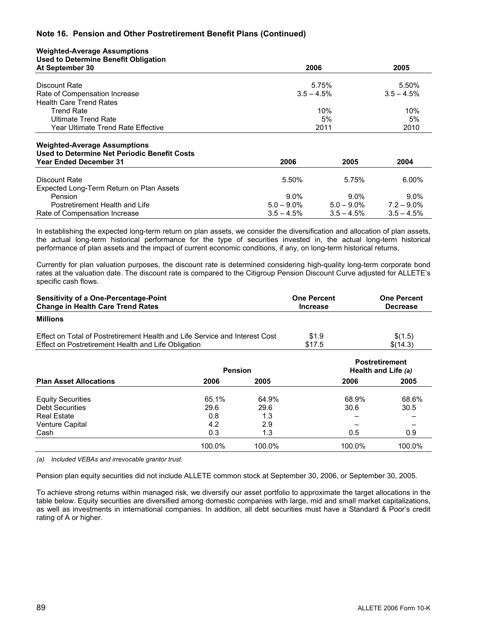# **Weighted-Average Assumptions Used to Determine Benefit Obligation**

| At September 30                    | 2006          | 2005          |
|------------------------------------|---------------|---------------|
| Discount Rate                      | 5.75%         | 5.50%         |
| Rate of Compensation Increase      | $3.5 - 4.5\%$ | $3.5 - 4.5\%$ |
| <b>Health Care Trend Rates</b>     |               |               |
| <b>Trend Rate</b>                  | 10%           | 10%           |
| Ultimate Trend Rate                | 5%            | 5%            |
| Year Ultimate Trend Rate Effective | 2011          | 2010          |

### **Weighted-Average Assumptions Used to Determine Net Periodic Benefit Costs**

| <b>Year Ended December 31</b>            | 2006          | 2005          | 2004          |
|------------------------------------------|---------------|---------------|---------------|
| Discount Rate                            | 5.50%         | 5.75%         | $6.00\%$      |
| Expected Long-Term Return on Plan Assets |               |               |               |
| Pension                                  | $9.0\%$       | $9.0\%$       | $9.0\%$       |
| Postretirement Health and Life           | $5.0 - 9.0\%$ | $5.0 - 9.0\%$ | $7.2 - 9.0\%$ |
| Rate of Compensation Increase            | $3.5 - 4.5\%$ | $3.5 - 4.5\%$ | $3.5 - 4.5\%$ |

In establishing the expected long-term return on plan assets, we consider the diversification and allocation of plan assets, the actual long-term historical performance for the type of securities invested in, the actual long-term historical performance of plan assets and the impact of current economic conditions, if any, on long-term historical returns.

Currently for plan valuation purposes, the discount rate is determined considering high-quality long-term corporate bond rates at the valuation date. The discount rate is compared to the Citigroup Pension Discount Curve adjusted for ALLETE's specific cash flows.

| <b>Sensitivity of a One-Percentage-Point</b><br><b>Change in Health Care Trend Rates</b> | <b>One Percent</b><br><b>Increase</b> | <b>One Percent</b><br><b>Decrease</b> |
|------------------------------------------------------------------------------------------|---------------------------------------|---------------------------------------|
| Millions                                                                                 |                                       |                                       |
| Effect on Total of Postretirement Health and Life Service and Interest Cost              | \$1.9                                 | \$(1.5)                               |
| Effect on Postretirement Health and Life Obligation                                      | \$17.5                                | \$(14.3)                              |

|                               | <b>Pension</b> |        |                          | <b>Postretirement</b><br>Health and Life (a) |
|-------------------------------|----------------|--------|--------------------------|----------------------------------------------|
| <b>Plan Asset Allocations</b> | 2006           | 2005   | 2006                     | 2005                                         |
| <b>Equity Securities</b>      | 65.1%          | 64.9%  | 68.9%                    | 68.6%                                        |
| <b>Debt Securities</b>        | 29.6           | 29.6   | 30.6                     | 30.5                                         |
| <b>Real Estate</b>            | 0.8            | 1.3    | $\overline{\phantom{0}}$ |                                              |
| Venture Capital               | 4.2            | 2.9    |                          |                                              |
| Cash                          | 0.3            | 1.3    | 0.5                      | 0.9                                          |
|                               | 100.0%         | 100.0% | 100.0%                   | 100.0%                                       |

*(a) Included VEBAs and irrevocable grantor trust.* 

Pension plan equity securities did not include ALLETE common stock at September 30, 2006, or September 30, 2005.

To achieve strong returns within managed risk, we diversify our asset portfolio to approximate the target allocations in the table below. Equity securities are diversified among domestic companies with large, mid and small market capitalizations, as well as investments in international companies. In addition, all debt securities must have a Standard & Poor's credit rating of A or higher.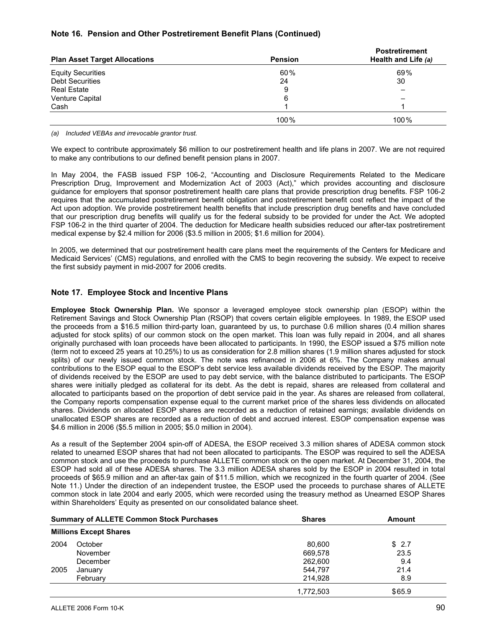| <b>Plan Asset Target Allocations</b> | <b>Pension</b> | <b>Postretirement</b><br>Health and Life (a) |
|--------------------------------------|----------------|----------------------------------------------|
| <b>Equity Securities</b>             | 60%            | 69%                                          |
| <b>Debt Securities</b>               | 24             | 30                                           |
| <b>Real Estate</b>                   | 9              |                                              |
| Venture Capital                      | 6              |                                              |
| Cash                                 |                |                                              |
|                                      | $100\%$        | 100%                                         |

*(a) Included VEBAs and irrevocable grantor trust.* 

We expect to contribute approximately \$6 million to our postretirement health and life plans in 2007. We are not required to make any contributions to our defined benefit pension plans in 2007.

In May 2004, the FASB issued FSP 106-2, "Accounting and Disclosure Requirements Related to the Medicare Prescription Drug, Improvement and Modernization Act of 2003 (Act)," which provides accounting and disclosure guidance for employers that sponsor postretirement health care plans that provide prescription drug benefits. FSP 106-2 requires that the accumulated postretirement benefit obligation and postretirement benefit cost reflect the impact of the Act upon adoption. We provide postretirement health benefits that include prescription drug benefits and have concluded that our prescription drug benefits will qualify us for the federal subsidy to be provided for under the Act. We adopted FSP 106-2 in the third quarter of 2004. The deduction for Medicare health subsidies reduced our after-tax postretirement medical expense by \$2.4 million for 2006 (\$3.5 million in 2005; \$1.6 million for 2004).

In 2005, we determined that our postretirement health care plans meet the requirements of the Centers for Medicare and Medicaid Services' (CMS) regulations, and enrolled with the CMS to begin recovering the subsidy. We expect to receive the first subsidy payment in mid-2007 for 2006 credits.

### **Note 17. Employee Stock and Incentive Plans**

**Employee Stock Ownership Plan.** We sponsor a leveraged employee stock ownership plan (ESOP) within the Retirement Savings and Stock Ownership Plan (RSOP) that covers certain eligible employees. In 1989, the ESOP used the proceeds from a \$16.5 million third-party loan, guaranteed by us, to purchase 0.6 million shares (0.4 million shares adjusted for stock splits) of our common stock on the open market. This loan was fully repaid in 2004, and all shares originally purchased with loan proceeds have been allocated to participants. In 1990, the ESOP issued a \$75 million note (term not to exceed 25 years at 10.25%) to us as consideration for 2.8 million shares (1.9 million shares adjusted for stock splits) of our newly issued common stock. The note was refinanced in 2006 at 6%. The Company makes annual contributions to the ESOP equal to the ESOP's debt service less available dividends received by the ESOP. The majority of dividends received by the ESOP are used to pay debt service, with the balance distributed to participants. The ESOP shares were initially pledged as collateral for its debt. As the debt is repaid, shares are released from collateral and allocated to participants based on the proportion of debt service paid in the year. As shares are released from collateral, the Company reports compensation expense equal to the current market price of the shares less dividends on allocated shares. Dividends on allocated ESOP shares are recorded as a reduction of retained earnings; available dividends on unallocated ESOP shares are recorded as a reduction of debt and accrued interest. ESOP compensation expense was \$4.6 million in 2006 (\$5.5 million in 2005; \$5.0 million in 2004).

As a result of the September 2004 spin-off of ADESA, the ESOP received 3.3 million shares of ADESA common stock related to unearned ESOP shares that had not been allocated to participants. The ESOP was required to sell the ADESA common stock and use the proceeds to purchase ALLETE common stock on the open market. At December 31, 2004, the ESOP had sold all of these ADESA shares. The 3.3 million ADESA shares sold by the ESOP in 2004 resulted in total proceeds of \$65.9 million and an after-tax gain of \$11.5 million, which we recognized in the fourth quarter of 2004. (See Note 11.) Under the direction of an independent trustee, the ESOP used the proceeds to purchase shares of ALLETE common stock in late 2004 and early 2005, which were recorded using the treasury method as Unearned ESOP Shares within Shareholders' Equity as presented on our consolidated balance sheet.

|      | <b>Summary of ALLETE Common Stock Purchases</b> | <b>Shares</b> | <b>Amount</b> |
|------|-------------------------------------------------|---------------|---------------|
|      | <b>Millions Except Shares</b>                   |               |               |
| 2004 | October                                         | 80.600        | \$2.7         |
|      | November                                        | 669.578       | 23.5          |
|      | December                                        | 262,600       | 9.4           |
| 2005 | January                                         | 544.797       | 21.4          |
|      | February                                        | 214.928       | 8.9           |
|      |                                                 | 1,772,503     | \$65.9        |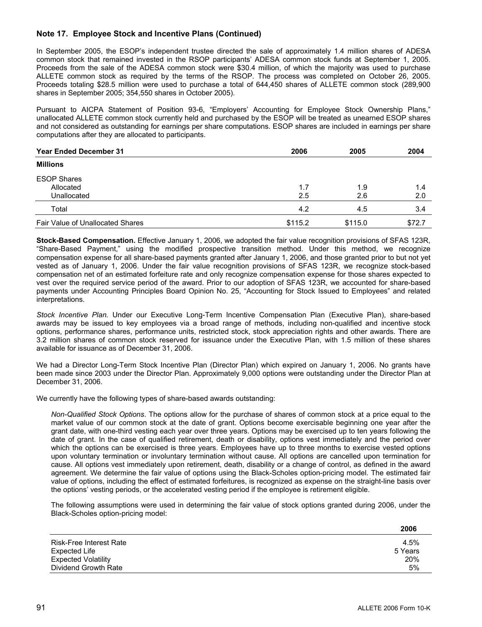In September 2005, the ESOP's independent trustee directed the sale of approximately 1.4 million shares of ADESA common stock that remained invested in the RSOP participants' ADESA common stock funds at September 1, 2005. Proceeds from the sale of the ADESA common stock were \$30.4 million, of which the majority was used to purchase ALLETE common stock as required by the terms of the RSOP. The process was completed on October 26, 2005. Proceeds totaling \$28.5 million were used to purchase a total of 644,450 shares of ALLETE common stock (289,900 shares in September 2005; 354,550 shares in October 2005).

Pursuant to AICPA Statement of Position 93-6, "Employers' Accounting for Employee Stock Ownership Plans," unallocated ALLETE common stock currently held and purchased by the ESOP will be treated as unearned ESOP shares and not considered as outstanding for earnings per share computations. ESOP shares are included in earnings per share computations after they are allocated to participants.

| <b>Year Ended December 31</b>    | 2006    | 2005    | 2004   |
|----------------------------------|---------|---------|--------|
| <b>Millions</b>                  |         |         |        |
| <b>ESOP Shares</b>               |         |         |        |
| Allocated                        | 1.7     | 1.9     | 1.4    |
| Unallocated                      | 2.5     | 2.6     | 2.0    |
| Total                            | 4.2     | 4.5     | 3.4    |
| Fair Value of Unallocated Shares | \$115.2 | \$115.0 | \$72.7 |

**Stock-Based Compensation.** Effective January 1, 2006, we adopted the fair value recognition provisions of SFAS 123R, "Share-Based Payment," using the modified prospective transition method. Under this method, we recognize compensation expense for all share-based payments granted after January 1, 2006, and those granted prior to but not yet vested as of January 1, 2006. Under the fair value recognition provisions of SFAS 123R, we recognize stock-based compensation net of an estimated forfeiture rate and only recognize compensation expense for those shares expected to vest over the required service period of the award. Prior to our adoption of SFAS 123R, we accounted for share-based payments under Accounting Principles Board Opinion No. 25, "Accounting for Stock Issued to Employees" and related interpretations.

*Stock Incentive Plan.* Under our Executive Long-Term Incentive Compensation Plan (Executive Plan), share-based awards may be issued to key employees via a broad range of methods, including non-qualified and incentive stock options, performance shares, performance units, restricted stock, stock appreciation rights and other awards. There are 3.2 million shares of common stock reserved for issuance under the Executive Plan, with 1.5 million of these shares available for issuance as of December 31, 2006.

We had a Director Long-Term Stock Incentive Plan (Director Plan) which expired on January 1, 2006. No grants have been made since 2003 under the Director Plan. Approximately 9,000 options were outstanding under the Director Plan at December 31, 2006.

We currently have the following types of share-based awards outstanding:

*Non-Qualified Stock Options*. The options allow for the purchase of shares of common stock at a price equal to the market value of our common stock at the date of grant. Options become exercisable beginning one year after the grant date, with one-third vesting each year over three years. Options may be exercised up to ten years following the date of grant. In the case of qualified retirement, death or disability, options vest immediately and the period over which the options can be exercised is three years. Employees have up to three months to exercise vested options upon voluntary termination or involuntary termination without cause. All options are cancelled upon termination for cause. All options vest immediately upon retirement, death, disability or a change of control, as defined in the award agreement. We determine the fair value of options using the Black-Scholes option-pricing model. The estimated fair value of options, including the effect of estimated forfeitures, is recognized as expense on the straight-line basis over the options' vesting periods, or the accelerated vesting period if the employee is retirement eligible.

The following assumptions were used in determining the fair value of stock options granted during 2006, under the Black-Scholes option-pricing model:

|                                             | 2006           |
|---------------------------------------------|----------------|
| <b>Risk-Free Interest Rate</b>              | 4.5%           |
| Expected Life<br><b>Expected Volatility</b> | 5 Years<br>20% |
| Dividend Growth Rate                        | 5%             |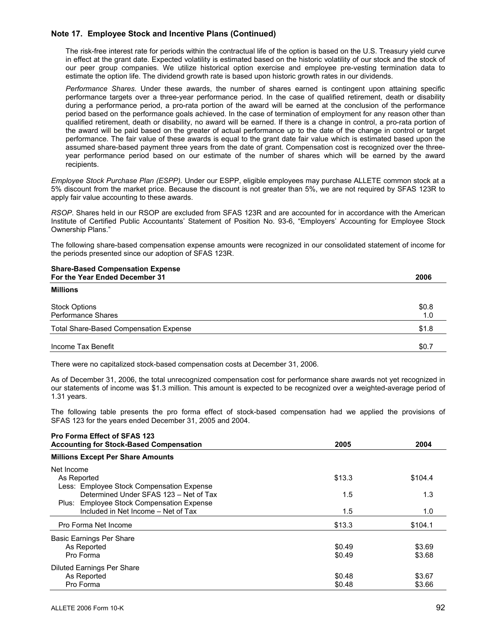The risk-free interest rate for periods within the contractual life of the option is based on the U.S. Treasury yield curve in effect at the grant date. Expected volatility is estimated based on the historic volatility of our stock and the stock of our peer group companies. We utilize historical option exercise and employee pre-vesting termination data to estimate the option life. The dividend growth rate is based upon historic growth rates in our dividends.

*Performance Shares.* Under these awards, the number of shares earned is contingent upon attaining specific performance targets over a three-year performance period. In the case of qualified retirement, death or disability during a performance period, a pro-rata portion of the award will be earned at the conclusion of the performance period based on the performance goals achieved. In the case of termination of employment for any reason other than qualified retirement, death or disability, no award will be earned. If there is a change in control, a pro-rata portion of the award will be paid based on the greater of actual performance up to the date of the change in control or target performance. The fair value of these awards is equal to the grant date fair value which is estimated based upon the assumed share-based payment three years from the date of grant. Compensation cost is recognized over the threeyear performance period based on our estimate of the number of shares which will be earned by the award recipients.

*Employee Stock Purchase Plan (ESPP).* Under our ESPP, eligible employees may purchase ALLETE common stock at a 5% discount from the market price. Because the discount is not greater than 5%, we are not required by SFAS 123R to apply fair value accounting to these awards.

*RSOP*. Shares held in our RSOP are excluded from SFAS 123R and are accounted for in accordance with the American Institute of Certified Public Accountants' Statement of Position No. 93-6, "Employers' Accounting for Employee Stock Ownership Plans."

The following share-based compensation expense amounts were recognized in our consolidated statement of income for the periods presented since our adoption of SFAS 123R.

| <b>Share-Based Compensation Expense</b><br>For the Year Ended December 31 | 2006         |
|---------------------------------------------------------------------------|--------------|
| <b>Millions</b>                                                           |              |
| <b>Stock Options</b><br><b>Performance Shares</b>                         | \$0.8<br>1.0 |
| <b>Total Share-Based Compensation Expense</b>                             | \$1.8        |
| Income Tax Benefit                                                        | \$0.7        |

There were no capitalized stock-based compensation costs at December 31, 2006.

As of December 31, 2006, the total unrecognized compensation cost for performance share awards not yet recognized in our statements of income was \$1.3 million. This amount is expected to be recognized over a weighted-average period of 1.31 years.

The following table presents the pro forma effect of stock-based compensation had we applied the provisions of SFAS 123 for the years ended December 31, 2005 and 2004.

| <b>Pro Forma Effect of SFAS 123</b><br><b>Accounting for Stock-Based Compensation</b> | 2005   | 2004    |
|---------------------------------------------------------------------------------------|--------|---------|
| <b>Millions Except Per Share Amounts</b>                                              |        |         |
|                                                                                       |        |         |
| Net Income                                                                            |        |         |
| As Reported                                                                           | \$13.3 | \$104.4 |
| Less: Employee Stock Compensation Expense                                             |        |         |
| Determined Under SFAS 123 - Net of Tax                                                | 1.5    | 1.3     |
| Plus: Employee Stock Compensation Expense                                             |        |         |
| Included in Net Income - Net of Tax                                                   | 1.5    | 1.0     |
| Pro Forma Net Income                                                                  | \$13.3 | \$104.1 |
| Basic Earnings Per Share                                                              |        |         |
| As Reported                                                                           | \$0.49 | \$3.69  |
| Pro Forma                                                                             | \$0.49 | \$3.68  |
| <b>Diluted Earnings Per Share</b>                                                     |        |         |
| As Reported                                                                           | \$0.48 | \$3.67  |
| Pro Forma                                                                             | \$0.48 | \$3.66  |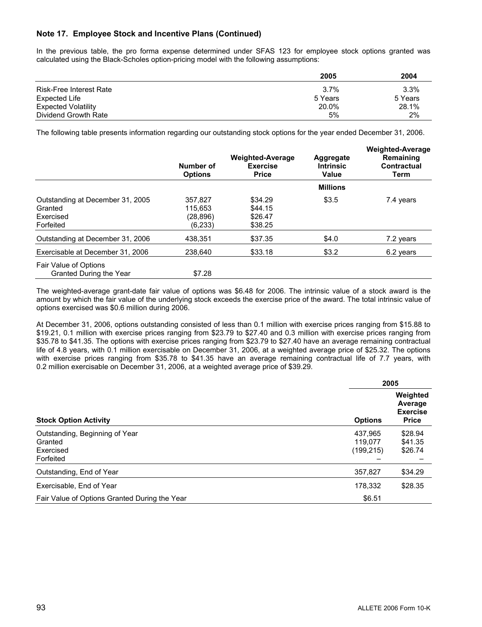In the previous table, the pro forma expense determined under SFAS 123 for employee stock options granted was calculated using the Black-Scholes option-pricing model with the following assumptions:

|                                | 2005    | 2004    |
|--------------------------------|---------|---------|
| <b>Risk-Free Interest Rate</b> | $3.7\%$ | 3.3%    |
| Expected Life                  | 5 Years | 5 Years |
| <b>Expected Volatility</b>     | 20.0%   | 28.1%   |
| Dividend Growth Rate           | 5%      | 2%      |

The following table presents information regarding our outstanding stock options for the year ended December 31, 2006.

|                                  | Number of<br><b>Options</b> | <b>Weighted-Average</b><br><b>Exercise</b><br><b>Price</b> | Aggregate<br><b>Intrinsic</b><br>Value | <b>Weighted-Average</b><br>Remaining<br>Contractual<br>Term |
|----------------------------------|-----------------------------|------------------------------------------------------------|----------------------------------------|-------------------------------------------------------------|
|                                  |                             |                                                            | <b>Millions</b>                        |                                                             |
| Outstanding at December 31, 2005 | 357.827                     | \$34.29                                                    | \$3.5                                  | 7.4 years                                                   |
| Granted                          | 115.653                     | \$44.15                                                    |                                        |                                                             |
| Exercised                        | (28,896)                    | \$26.47                                                    |                                        |                                                             |
| Forfeited                        | (6,233)                     | \$38.25                                                    |                                        |                                                             |
| Outstanding at December 31, 2006 | 438.351                     | \$37.35                                                    | \$4.0                                  | 7.2 years                                                   |
| Exercisable at December 31, 2006 | 238.640                     | \$33.18                                                    | \$3.2\$                                | 6.2 years                                                   |
| Fair Value of Options            |                             |                                                            |                                        |                                                             |
| Granted During the Year          | \$7.28                      |                                                            |                                        |                                                             |

The weighted-average grant-date fair value of options was \$6.48 for 2006. The intrinsic value of a stock award is the amount by which the fair value of the underlying stock exceeds the exercise price of the award. The total intrinsic value of options exercised was \$0.6 million during 2006.

At December 31, 2006, options outstanding consisted of less than 0.1 million with exercise prices ranging from \$15.88 to \$19.21, 0.1 million with exercise prices ranging from \$23.79 to \$27.40 and 0.3 million with exercise prices ranging from \$35.78 to \$41.35. The options with exercise prices ranging from \$23.79 to \$27.40 have an average remaining contractual life of 4.8 years, with 0.1 million exercisable on December 31, 2006, at a weighted average price of \$25.32. The options with exercise prices ranging from \$35.78 to \$41.35 have an average remaining contractual life of 7.7 years, with 0.2 million exercisable on December 31, 2006, at a weighted average price of \$39.29.

|                                                                     |                                  | 2005                                                   |
|---------------------------------------------------------------------|----------------------------------|--------------------------------------------------------|
| <b>Stock Option Activity</b>                                        | <b>Options</b>                   | Weighted<br>Average<br><b>Exercise</b><br><b>Price</b> |
| Outstanding, Beginning of Year<br>Granted<br>Exercised<br>Forfeited | 437.965<br>119.077<br>(199, 215) | \$28.94<br>\$41.35<br>\$26.74                          |
| Outstanding, End of Year                                            | 357,827                          | \$34.29                                                |
| Exercisable, End of Year                                            | 178,332                          | \$28.35                                                |
| Fair Value of Options Granted During the Year                       | \$6.51                           |                                                        |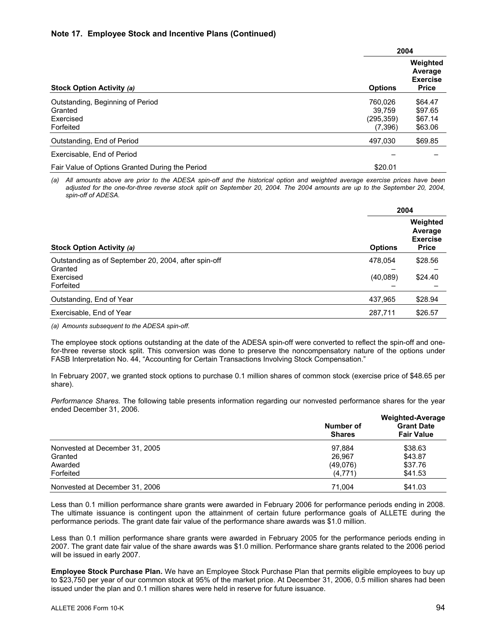|                                                 | 2004           |                                                        |
|-------------------------------------------------|----------------|--------------------------------------------------------|
| Stock Option Activity (a)                       | <b>Options</b> | Weighted<br>Average<br><b>Exercise</b><br><b>Price</b> |
| Outstanding, Beginning of Period                | 760.026        | \$64.47                                                |
| Granted                                         | 39.759         | \$97.65                                                |
| Exercised                                       | (295, 359)     | \$67.14                                                |
| Forfeited                                       | (7,396)        | \$63.06                                                |
| Outstanding, End of Period                      | 497.030        | \$69.85                                                |
| Exercisable, End of Period                      |                |                                                        |
| Fair Value of Options Granted During the Period | \$20.01        |                                                        |

*(a) All amounts above are prior to the ADESA spin-off and the historical option and weighted average exercise prices have been adjusted for the one-for-three reverse stock split on September 20, 2004. The 2004 amounts are up to the September 20, 2004, spin-off of ADESA.* 

|                                                      | 2004           |                                                        |
|------------------------------------------------------|----------------|--------------------------------------------------------|
| Stock Option Activity (a)                            | <b>Options</b> | Weighted<br>Average<br><b>Exercise</b><br><b>Price</b> |
| Outstanding as of September 20, 2004, after spin-off | 478,054        | \$28.56                                                |
| Granted<br>Exercised<br>Forfeited                    | (40,089)       | \$24.40                                                |
| Outstanding, End of Year                             | 437,965        | \$28.94                                                |
| Exercisable, End of Year                             | 287,711        | \$26.57                                                |

*(a) Amounts subsequent to the ADESA spin-off.* 

The employee stock options outstanding at the date of the ADESA spin-off were converted to reflect the spin-off and onefor-three reverse stock split. This conversion was done to preserve the noncompensatory nature of the options under FASB Interpretation No. 44, "Accounting for Certain Transactions Involving Stock Compensation."

In February 2007, we granted stock options to purchase 0.1 million shares of common stock (exercise price of \$48.65 per share).

*Performance Shares.* The following table presents information regarding our nonvested performance shares for the year ended December 31, 2006.

|                                | Number of<br><b>Shares</b> | <b>Weighted-Average</b><br><b>Grant Date</b><br><b>Fair Value</b> |
|--------------------------------|----------------------------|-------------------------------------------------------------------|
| Nonvested at December 31, 2005 | 97.884                     | \$38.63                                                           |
| Granted                        | 26.967                     | \$43.87                                                           |
| Awarded                        | (49,076)                   | \$37.76                                                           |
| Forfeited                      | (4,771)                    | \$41.53                                                           |
| Nonvested at December 31, 2006 | 71.004                     | \$41.03                                                           |

Less than 0.1 million performance share grants were awarded in February 2006 for performance periods ending in 2008. The ultimate issuance is contingent upon the attainment of certain future performance goals of ALLETE during the performance periods. The grant date fair value of the performance share awards was \$1.0 million.

Less than 0.1 million performance share grants were awarded in February 2005 for the performance periods ending in 2007. The grant date fair value of the share awards was \$1.0 million. Performance share grants related to the 2006 period will be issued in early 2007.

**Employee Stock Purchase Plan.** We have an Employee Stock Purchase Plan that permits eligible employees to buy up to \$23,750 per year of our common stock at 95% of the market price. At December 31, 2006, 0.5 million shares had been issued under the plan and 0.1 million shares were held in reserve for future issuance.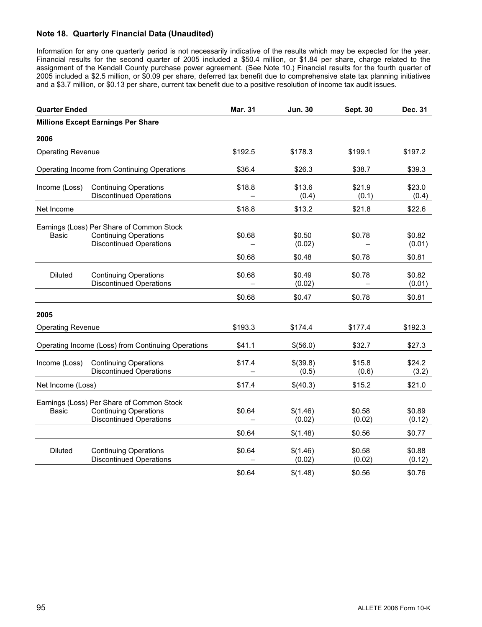## **Note 18. Quarterly Financial Data (Unaudited)**

Information for any one quarterly period is not necessarily indicative of the results which may be expected for the year. Financial results for the second quarter of 2005 included a \$50.4 million, or \$1.84 per share, charge related to the assignment of the Kendall County purchase power agreement. (See Note 10.) Financial results for the fourth quarter of 2005 included a \$2.5 million, or \$0.09 per share, deferred tax benefit due to comprehensive state tax planning initiatives and a \$3.7 million, or \$0.13 per share, current tax benefit due to a positive resolution of income tax audit issues.

| <b>Quarter Ended</b>     |                                                                                                             |                  | <b>Jun. 30</b>                 | <b>Sept. 30</b>            | Dec. 31                    |  |
|--------------------------|-------------------------------------------------------------------------------------------------------------|------------------|--------------------------------|----------------------------|----------------------------|--|
|                          | <b>Millions Except Earnings Per Share</b>                                                                   |                  |                                |                            |                            |  |
| 2006                     |                                                                                                             |                  |                                |                            |                            |  |
| <b>Operating Revenue</b> |                                                                                                             | \$192.5          | \$178.3                        | \$199.1                    | \$197.2                    |  |
|                          | Operating Income from Continuing Operations                                                                 | \$36.4           | \$26.3                         | \$38.7                     | \$39.3                     |  |
| Income (Loss)            | <b>Continuing Operations</b><br><b>Discontinued Operations</b>                                              | \$18.8           | \$13.6<br>(0.4)                | \$21.9<br>(0.1)            | \$23.0<br>(0.4)            |  |
| Net Income               |                                                                                                             | \$18.8           | \$13.2                         | \$21.8                     | \$22.6                     |  |
| Basic                    | Earnings (Loss) Per Share of Common Stock<br><b>Continuing Operations</b><br><b>Discontinued Operations</b> | \$0.68           | \$0.50<br>(0.02)               | \$0.78                     | \$0.82<br>(0.01)           |  |
|                          |                                                                                                             | \$0.68           | \$0.48                         | \$0.78                     | \$0.81                     |  |
| <b>Diluted</b>           | <b>Continuing Operations</b><br><b>Discontinued Operations</b>                                              | \$0.68           | \$0.49<br>(0.02)               | \$0.78                     | \$0.82<br>(0.01)           |  |
|                          |                                                                                                             | \$0.68           | \$0.47                         | \$0.78                     | \$0.81                     |  |
| 2005                     |                                                                                                             |                  |                                |                            |                            |  |
| <b>Operating Revenue</b> |                                                                                                             | \$193.3          | \$174.4                        | \$177.4                    | \$192.3                    |  |
|                          | Operating Income (Loss) from Continuing Operations                                                          | \$41.1           | \$(56.0)                       | \$32.7                     | \$27.3                     |  |
| Income (Loss)            | <b>Continuing Operations</b><br><b>Discontinued Operations</b>                                              | \$17.4           | \$(39.8)<br>(0.5)              | \$15.8<br>(0.6)            | \$24.2<br>(3.2)            |  |
| Net Income (Loss)        |                                                                                                             | \$17.4           | \$(40.3)                       | \$15.2                     | \$21.0                     |  |
| Basic                    | Earnings (Loss) Per Share of Common Stock<br><b>Continuing Operations</b><br><b>Discontinued Operations</b> | \$0.64<br>\$0.64 | \$(1.46)<br>(0.02)<br>\$(1.48) | \$0.58<br>(0.02)<br>\$0.56 | \$0.89<br>(0.12)<br>\$0.77 |  |
| <b>Diluted</b>           | <b>Continuing Operations</b><br><b>Discontinued Operations</b>                                              | \$0.64           | \$(1.46)<br>(0.02)             | \$0.58<br>(0.02)           | \$0.88<br>(0.12)           |  |
|                          |                                                                                                             | \$0.64           | \$(1.48)                       | \$0.56                     | \$0.76                     |  |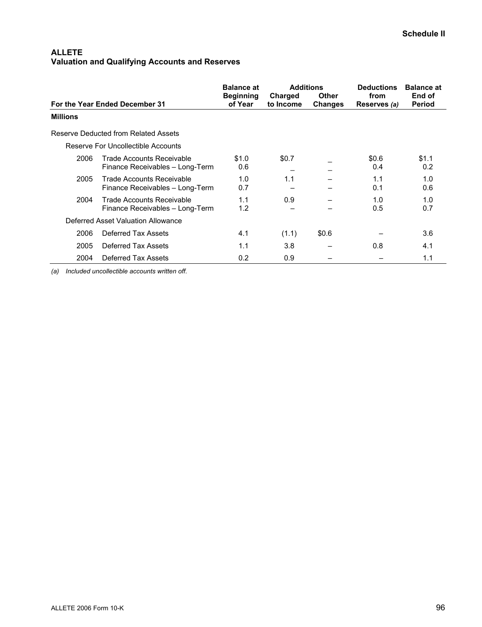# **ALLETE Valuation and Qualifying Accounts and Reserves**

|                 |                                                              | <b>Balance at</b><br><b>Beginning</b> | <b>Additions</b><br>Charged | <b>Other</b>   | <b>Deductions</b><br>from | <b>Balance at</b><br>End of |
|-----------------|--------------------------------------------------------------|---------------------------------------|-----------------------------|----------------|---------------------------|-----------------------------|
|                 | For the Year Ended December 31                               | of Year                               | to Income                   | <b>Changes</b> | Reserves (a)              | <b>Period</b>               |
| <b>Millions</b> |                                                              |                                       |                             |                |                           |                             |
|                 | Reserve Deducted from Related Assets                         |                                       |                             |                |                           |                             |
|                 | Reserve For Uncollectible Accounts                           |                                       |                             |                |                           |                             |
| 2006            | Trade Accounts Receivable<br>Finance Receivables - Long-Term | \$1.0<br>0.6                          | \$0.7                       |                | \$0.6<br>0.4              | \$1.1<br>0.2                |
| 2005            | Trade Accounts Receivable<br>Finance Receivables - Long-Term | 1.0<br>0.7                            | 1.1                         |                | 1.1<br>0.1                | 1.0<br>0.6                  |
| 2004            | Trade Accounts Receivable<br>Finance Receivables - Long-Term | 1.1<br>1.2                            | 0.9                         |                | 1.0<br>0.5                | 1.0<br>0.7                  |
|                 | Deferred Asset Valuation Allowance                           |                                       |                             |                |                           |                             |
| 2006            | Deferred Tax Assets                                          | 4.1                                   | (1.1)                       | \$0.6          |                           | 3.6                         |
| 2005            | Deferred Tax Assets                                          | 1.1                                   | 3.8                         |                | 0.8                       | 4.1                         |
| 2004            | Deferred Tax Assets                                          | 0.2                                   | 0.9                         |                |                           | 1.1                         |

*(a) Included uncollectible accounts written off.*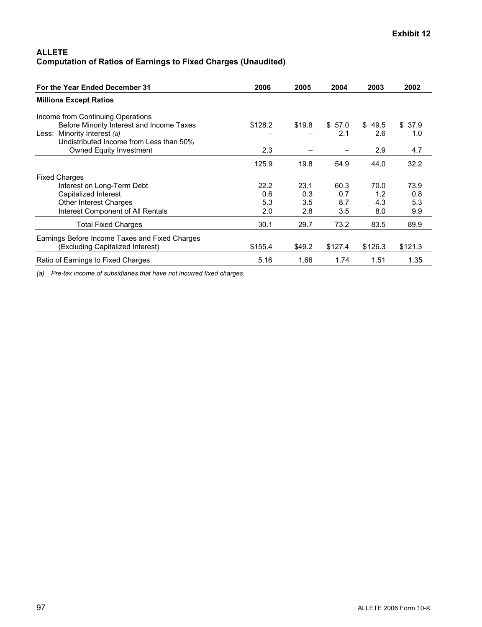# **ALLETE Computation of Ratios of Earnings to Fixed Charges (Unaudited)**

| For the Year Ended December 31                                                     | 2006    | 2005   | 2004    | 2003    | 2002    |
|------------------------------------------------------------------------------------|---------|--------|---------|---------|---------|
| <b>Millions Except Ratios</b>                                                      |         |        |         |         |         |
| Income from Continuing Operations                                                  |         |        |         |         |         |
| Before Minority Interest and Income Taxes                                          | \$128.2 | \$19.8 | \$57.0  | \$49.5  | \$37.9  |
| Minority Interest (a)<br>Less:                                                     |         |        | 2.1     | 2.6     | 1.0     |
| Undistributed Income from Less than 50%                                            |         |        |         |         |         |
| <b>Owned Equity Investment</b>                                                     | 2.3     |        |         | 2.9     | 4.7     |
|                                                                                    | 125.9   | 19.8   | 54.9    | 44.0    | 32.2    |
| <b>Fixed Charges</b>                                                               |         |        |         |         |         |
| Interest on Long-Term Debt                                                         | 22.2    | 23.1   | 60.3    | 70.0    | 73.9    |
| Capitalized Interest                                                               | 0.6     | 0.3    | 0.7     | 1.2     | 0.8     |
| <b>Other Interest Charges</b>                                                      | 5.3     | 3.5    | 8.7     | 4.3     | 5.3     |
| Interest Component of All Rentals                                                  | 2.0     | 2.8    | 3.5     | 8.0     | 9.9     |
| <b>Total Fixed Charges</b>                                                         | 30.1    | 29.7   | 73.2    | 83.5    | 89.9    |
| Earnings Before Income Taxes and Fixed Charges<br>(Excluding Capitalized Interest) | \$155.4 | \$49.2 | \$127.4 | \$126.3 | \$121.3 |
| Ratio of Earnings to Fixed Charges                                                 | 5.16    | 1.66   | 1.74    | 1.51    | 1.35    |

*(a) Pre-tax income of subsidiaries that have not incurred fixed charges.*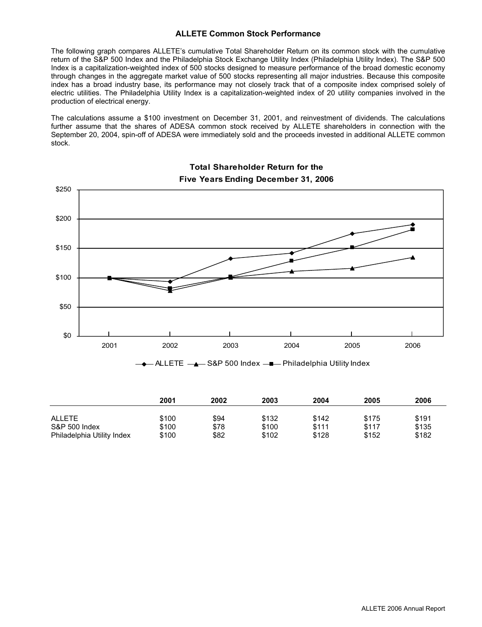### **ALLETE Common Stock Performance**

The following graph compares ALLETE's cumulative Total Shareholder Return on its common stock with the cumulative return of the S&P 500 Index and the Philadelphia Stock Exchange Utility Index (Philadelphia Utility Index). The S&P 500 Index is a capitalization-weighted index of 500 stocks designed to measure performance of the broad domestic economy through changes in the aggregate market value of 500 stocks representing all major industries. Because this composite index has a broad industry base, its performance may not closely track that of a composite index comprised solely of electric utilities. The Philadelphia Utility Index is a capitalization-weighted index of 20 utility companies involved in the production of electrical energy.

The calculations assume a \$100 investment on December 31, 2001, and reinvestment of dividends. The calculations further assume that the shares of ADESA common stock received by ALLETE shareholders in connection with the September 20, 2004, spin-off of ADESA were immediately sold and the proceeds invested in additional ALLETE common stock.



# **Total Shareholder Return for the Five Years Ending December 31, 2006**

|                            | 2001  | 2002 | 2003  | 2004  | 2005  | 2006  |
|----------------------------|-------|------|-------|-------|-------|-------|
| <b>ALLETE</b>              | \$100 | \$94 | \$132 | \$142 | \$175 | \$191 |
| <b>S&amp;P 500 Index</b>   | \$100 | \$78 | \$100 | \$111 | \$117 | \$135 |
| Philadelphia Utility Index | \$100 | \$82 | \$102 | \$128 | \$152 | \$182 |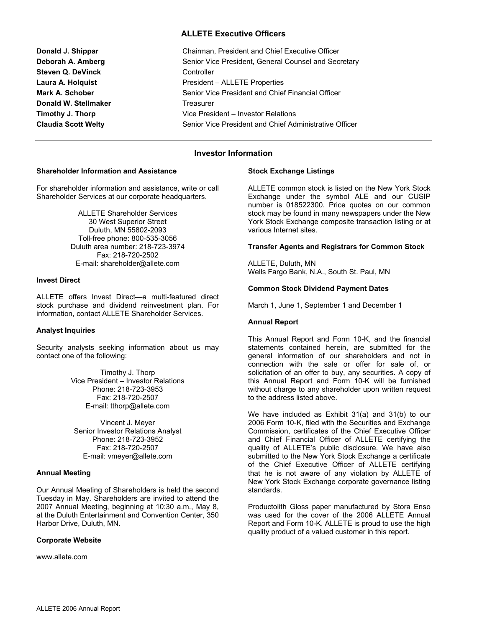### **ALLETE Executive Officers**

**Donald J. Shippar** Chairman, President and Chief Executive Officer **Deborah A. Amberg** Senior Vice President, General Counsel and Secretary Laura A. Holquist **Laura A. Holquist** President – ALLETE Properties **Mark A. Schober** Senior Vice President and Chief Financial Officer **Timothy J. Thorp** Vice President – Investor Relations **Claudia Scott Welty** Senior Vice President and Chief Administrative Officer

### **Investor Information**

### **Shareholder Information and Assistance**

For shareholder information and assistance, write or call Shareholder Services at our corporate headquarters.

> ALLETE Shareholder Services 30 West Superior Street Duluth, MN 55802-2093 Toll-free phone: 800-535-3056 Duluth area number: 218-723-3974 Fax: 218-720-2502 E-mail: shareholder@allete.com

### **Invest Direct**

ALLETE offers Invest Direct—a multi-featured direct stock purchase and dividend reinvestment plan. For information, contact ALLETE Shareholder Services.

### **Analyst Inquiries**

Security analysts seeking information about us may contact one of the following:

> Timothy J. Thorp Vice President – Investor Relations Phone: 218-723-3953 Fax: 218-720-2507 E-mail: tthorp@allete.com

Vincent J. Meyer Senior Investor Relations Analyst Phone: 218-723-3952 Fax: 218-720-2507 E-mail: vmeyer@allete.com

### **Annual Meeting**

Our Annual Meeting of Shareholders is held the second Tuesday in May. Shareholders are invited to attend the 2007 Annual Meeting, beginning at 10:30 a.m., May 8, at the Duluth Entertainment and Convention Center, 350 Harbor Drive, Duluth, MN.

### **Corporate Website**

www.allete.com

### **Stock Exchange Listings**

ALLETE common stock is listed on the New York Stock Exchange under the symbol ALE and our CUSIP number is 018522300. Price quotes on our common stock may be found in many newspapers under the New York Stock Exchange composite transaction listing or at various Internet sites.

### **Transfer Agents and Registrars for Common Stock**

ALLETE, Duluth, MN Wells Fargo Bank, N.A., South St. Paul, MN

### **Common Stock Dividend Payment Dates**

March 1, June 1, September 1 and December 1

### **Annual Report**

This Annual Report and Form 10-K, and the financial statements contained herein, are submitted for the general information of our shareholders and not in connection with the sale or offer for sale of, or solicitation of an offer to buy, any securities. A copy of this Annual Report and Form 10-K will be furnished without charge to any shareholder upon written request to the address listed above.

We have included as Exhibit 31(a) and 31(b) to our 2006 Form 10-K, filed with the Securities and Exchange Commission, certificates of the Chief Executive Officer and Chief Financial Officer of ALLETE certifying the quality of ALLETE's public disclosure. We have also submitted to the New York Stock Exchange a certificate of the Chief Executive Officer of ALLETE certifying that he is not aware of any violation by ALLETE of New York Stock Exchange corporate governance listing standards.

Productolith Gloss paper manufactured by Stora Enso was used for the cover of the 2006 ALLETE Annual Report and Form 10-K. ALLETE is proud to use the high quality product of a valued customer in this report.

**Steven Q. DeVinck** Controller **Donald W. Stellmaker** Treasurer